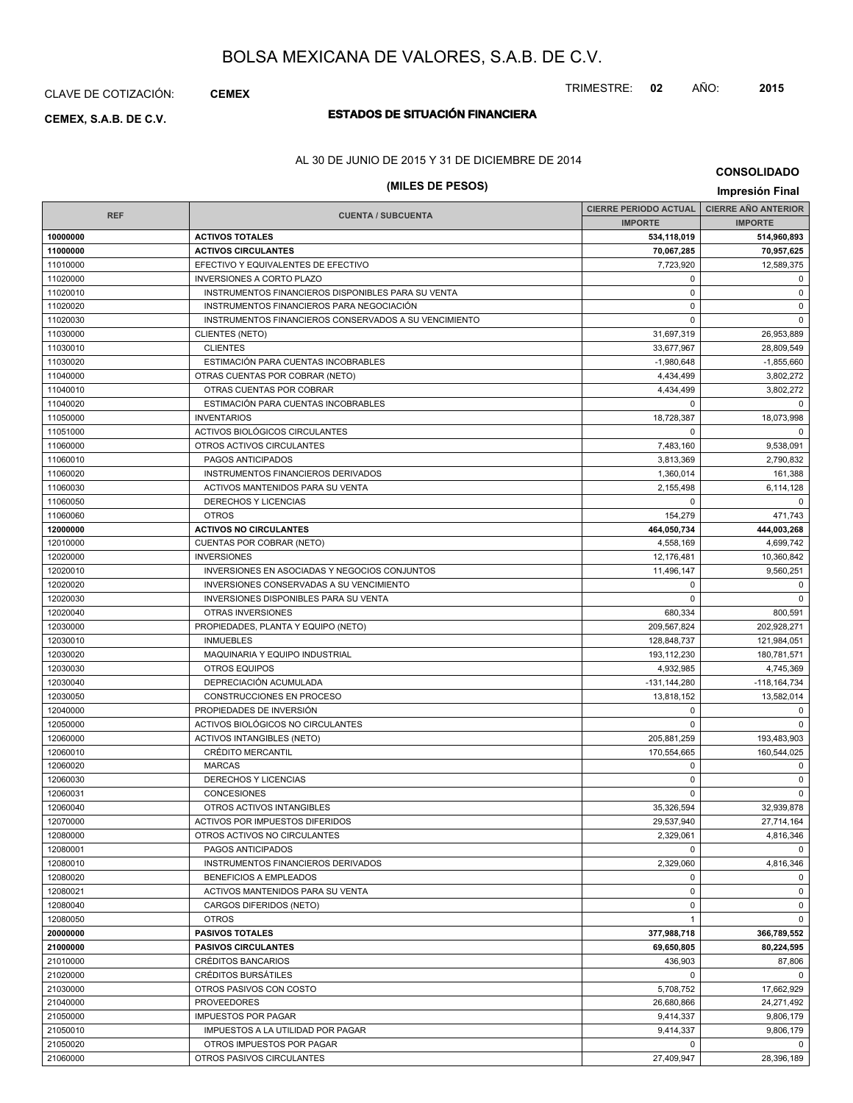### CLAVE DE COTIZACIÓN: **CEMEX**

# **ESTADOS DE SITUACIÓN FINANCIERA CEMEX, S.A.B. DE C.V.**

### AL 30 DE JUNIO DE 2015 Y 31 DE DICIEMBRE DE 2014

### **(MILES DE PESOS) Impresión Final**

**CONSOLIDADO**

|            |                                                       | CIERRE PERIODO ACTUAL   CIERRE AÑO ANTERIOR |                  |
|------------|-------------------------------------------------------|---------------------------------------------|------------------|
| <b>REF</b> | <b>CUENTA / SUBCUENTA</b>                             | <b>IMPORTE</b>                              | <b>IMPORTE</b>   |
| 10000000   | <b>ACTIVOS TOTALES</b>                                | 534,118,019                                 | 514,960,893      |
| 11000000   | <b>ACTIVOS CIRCULANTES</b>                            | 70,067,285                                  | 70,957,625       |
| 11010000   | EFECTIVO Y EQUIVALENTES DE EFECTIVO                   | 7,723,920                                   | 12,589,375       |
| 11020000   | <b>INVERSIONES A CORTO PLAZO</b>                      | $\mathbf 0$                                 | 0                |
| 11020010   | INSTRUMENTOS FINANCIEROS DISPONIBLES PARA SU VENTA    | $\mathbf 0$                                 | $\mathbf 0$      |
| 11020020   | INSTRUMENTOS FINANCIEROS PARA NEGOCIACIÓN             | $\Omega$                                    | $\mathbf 0$      |
| 11020030   | INSTRUMENTOS FINANCIEROS CONSERVADOS A SU VENCIMIENTO | $\mathbf 0$                                 | $\mathbf 0$      |
| 11030000   | <b>CLIENTES (NETO)</b>                                | 31,697,319                                  | 26,953,889       |
| 11030010   | <b>CLIENTES</b>                                       | 33,677,967                                  | 28,809,549       |
| 11030020   | ESTIMACIÓN PARA CUENTAS INCOBRABLES                   | $-1,980,648$                                | $-1,855,660$     |
| 11040000   | OTRAS CUENTAS POR COBRAR (NETO)                       | 4,434,499                                   | 3,802,272        |
| 11040010   | OTRAS CUENTAS POR COBRAR                              | 4,434,499                                   | 3,802,272        |
| 11040020   | ESTIMACIÓN PARA CUENTAS INCOBRABLES                   | $\Omega$                                    | $\mathbf 0$      |
| 11050000   | <b>INVENTARIOS</b>                                    | 18,728,387                                  | 18,073,998       |
| 11051000   | ACTIVOS BIOLÓGICOS CIRCULANTES                        | $\mathbf 0$                                 | $\Omega$         |
| 11060000   | OTROS ACTIVOS CIRCULANTES                             | 7,483,160                                   | 9,538,091        |
| 11060010   | PAGOS ANTICIPADOS                                     | 3,813,369                                   | 2,790,832        |
| 11060020   | INSTRUMENTOS FINANCIEROS DERIVADOS                    | 1,360,014                                   | 161,388          |
| 11060030   | <b>ACTIVOS MANTENIDOS PARA SU VENTA</b>               | 2.155.498                                   | 6,114,128        |
| 11060050   | DERECHOS Y LICENCIAS                                  | $\Omega$                                    | $\mathbf 0$      |
| 11060060   | <b>OTROS</b>                                          | 154,279                                     | 471,743          |
| 12000000   | <b>ACTIVOS NO CIRCULANTES</b>                         | 464,050,734                                 | 444,003,268      |
| 12010000   | CUENTAS POR COBRAR (NETO)                             | 4,558,169                                   | 4,699,742        |
| 12020000   | <b>INVERSIONES</b>                                    | 12,176,481                                  | 10,360,842       |
| 12020010   | INVERSIONES EN ASOCIADAS Y NEGOCIOS CONJUNTOS         | 11,496,147                                  | 9,560,251        |
| 12020020   | INVERSIONES CONSERVADAS A SU VENCIMIENTO              | $\mathbf 0$                                 | 0                |
| 12020030   | INVERSIONES DISPONIBLES PARA SU VENTA                 | $\Omega$                                    | $\mathbf 0$      |
| 12020040   | OTRAS INVERSIONES                                     | 680,334                                     | 800,591          |
| 12030000   | PROPIEDADES, PLANTA Y EQUIPO (NETO)                   | 209,567,824                                 | 202,928,271      |
| 12030010   | <b>INMUEBLES</b>                                      | 128,848,737                                 | 121,984,051      |
| 12030020   | MAQUINARIA Y EQUIPO INDUSTRIAL                        | 193,112,230                                 | 180,781,571      |
| 12030030   | <b>OTROS EQUIPOS</b>                                  | 4,932,985                                   | 4,745,369        |
| 12030040   | DEPRECIACIÓN ACUMULADA                                | $-131, 144, 280$                            | $-118, 164, 734$ |
| 12030050   | CONSTRUCCIONES EN PROCESO                             | 13,818,152                                  | 13,582,014       |
| 12040000   | PROPIEDADES DE INVERSIÓN                              | $\mathbf 0$                                 | $\mathbf 0$      |
| 12050000   | ACTIVOS BIOLÓGICOS NO CIRCULANTES                     | $\Omega$                                    | $\mathbf 0$      |
| 12060000   | <b>ACTIVOS INTANGIBLES (NETO)</b>                     | 205,881,259                                 | 193,483,903      |
| 12060010   | CRÉDITO MERCANTIL                                     | 170,554,665                                 | 160,544,025      |
| 12060020   | <b>MARCAS</b>                                         | $\mathbf 0$                                 | 0                |
| 12060030   | DERECHOS Y LICENCIAS                                  | $\mathbf 0$                                 | $\mathbf 0$      |
| 12060031   | <b>CONCESIONES</b>                                    | $\Omega$                                    | $\mathbf 0$      |
| 12060040   | OTROS ACTIVOS INTANGIBLES                             | 35,326,594                                  | 32,939,878       |
| 12070000   | ACTIVOS POR IMPUESTOS DIFERIDOS                       | 29,537,940                                  | 27,714,164       |
| 12080000   | OTROS ACTIVOS NO CIRCULANTES                          | 2,329,061                                   | 4,816,346        |
| 12080001   | PAGOS ANTICIPADOS                                     | $\mathbf 0$                                 | $\Omega$         |
| 12080010   | INSTRUMENTOS FINANCIEROS DERIVADOS                    | 2,329,060                                   | 4,816,346        |
| 12080020   | BENEFICIOS A EMPLEADOS                                | $\mathbf 0$                                 | $\mathbf 0$      |
| 12080021   | ACTIVOS MANTENIDOS PARA SU VENTA                      | $\mathbf 0$                                 | $\mathbf 0$      |
| 12080040   | CARGOS DIFERIDOS (NETO)                               | $\mathbf 0$                                 | $\mathbf 0$      |
| 12080050   | <b>OTROS</b>                                          | $\mathbf{1}$                                | $\mathbf 0$      |
| 20000000   | <b>PASIVOS TOTALES</b>                                | 377,988,718                                 | 366,789,552      |
| 21000000   | <b>PASIVOS CIRCULANTES</b>                            | 69,650,805                                  | 80,224,595       |
| 21010000   | CRÉDITOS BANCARIOS                                    | 436,903                                     | 87,806           |
| 21020000   | <b>CRÉDITOS BURSÁTILES</b>                            | $\mathbf 0$                                 | 0                |
| 21030000   | OTROS PASIVOS CON COSTO                               | 5,708,752                                   | 17,662,929       |
| 21040000   | <b>PROVEEDORES</b>                                    | 26,680,866                                  | 24,271,492       |
| 21050000   | <b>IMPUESTOS POR PAGAR</b>                            | 9,414,337                                   | 9,806,179        |
| 21050010   | IMPUESTOS A LA UTILIDAD POR PAGAR                     | 9,414,337                                   | 9,806,179        |
| 21050020   |                                                       | $^{\circ}$                                  | 0                |
|            | OTROS IMPUESTOS POR PAGAR                             | 27,409,947                                  |                  |
| 21060000   | OTROS PASIVOS CIRCULANTES                             |                                             | 28,396,189       |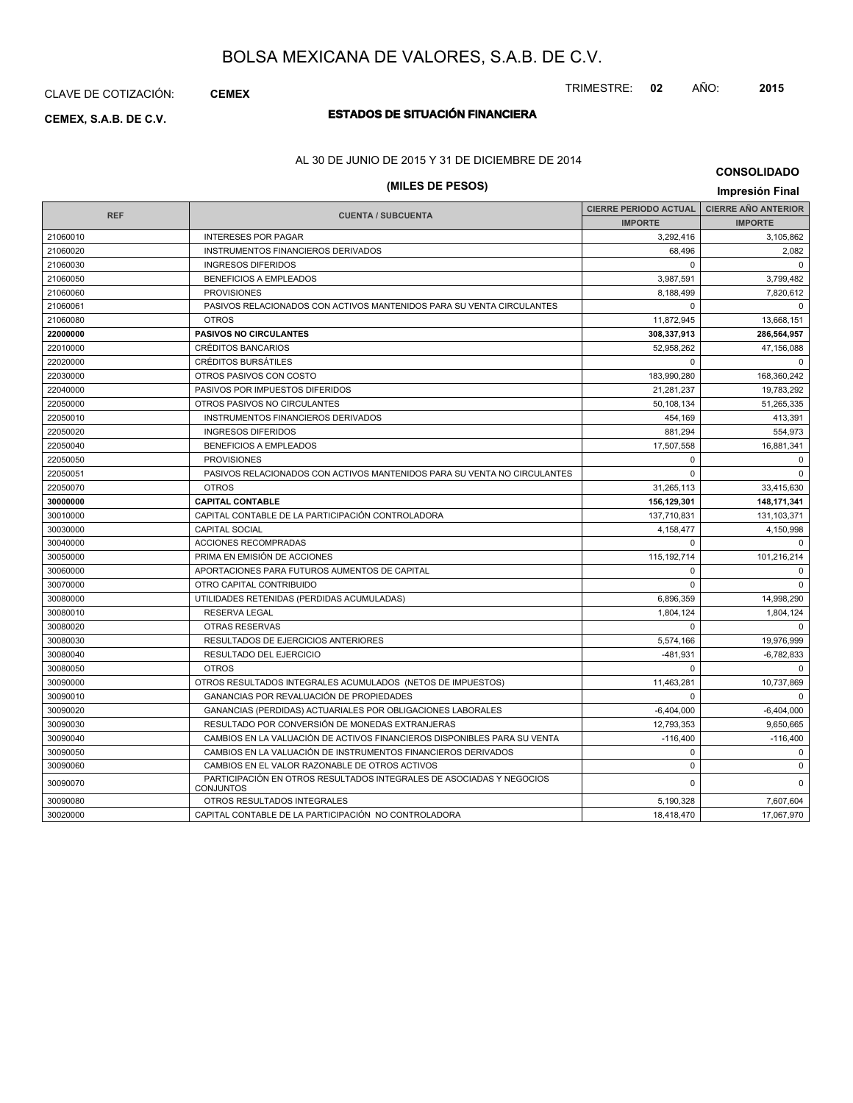CLAVE DE COTIZACIÓN: **CEMEX**

## **ESTADOS DE SITUACIÓN FINANCIERA CEMEX, S.A.B. DE C.V.**

### AL 30 DE JUNIO DE 2015 Y 31 DE DICIEMBRE DE 2014

| <b>CONSOLIDADO</b> |  |
|--------------------|--|
|--------------------|--|

| (MILES DE PESOS)<br>Impresión Final |                                                                                          |                              |                            |  |
|-------------------------------------|------------------------------------------------------------------------------------------|------------------------------|----------------------------|--|
|                                     |                                                                                          | <b>CIERRE PERIODO ACTUAL</b> | <b>CIERRE AÑO ANTERIOR</b> |  |
| <b>REF</b>                          | <b>CUENTA / SUBCUENTA</b>                                                                | <b>IMPORTE</b>               | <b>IMPORTE</b>             |  |
| 21060010                            | <b>INTERESES POR PAGAR</b>                                                               | 3,292,416                    | 3,105,862                  |  |
| 21060020                            | INSTRUMENTOS FINANCIEROS DERIVADOS                                                       | 68,496                       | 2,082                      |  |
| 21060030                            | <b>INGRESOS DIFERIDOS</b>                                                                | $\Omega$                     | $\Omega$                   |  |
| 21060050                            | <b>BENEFICIOS A EMPLEADOS</b>                                                            | 3,987,591                    | 3,799,482                  |  |
| 21060060                            | <b>PROVISIONES</b>                                                                       | 8,188,499                    | 7,820,612                  |  |
| 21060061                            | PASIVOS RELACIONADOS CON ACTIVOS MANTENIDOS PARA SU VENTA CIRCULANTES                    | $\Omega$                     | $\Omega$                   |  |
| 21060080                            | <b>OTROS</b>                                                                             | 11,872,945                   | 13,668,151                 |  |
| 22000000                            | <b>PASIVOS NO CIRCULANTES</b>                                                            | 308,337,913                  | 286,564,957                |  |
| 22010000                            | <b>CRÉDITOS BANCARIOS</b>                                                                | 52,958,262                   | 47,156,088                 |  |
| 22020000                            | <b>CRÉDITOS BURSÁTILES</b>                                                               | $\Omega$                     | $\Omega$                   |  |
| 22030000                            | OTROS PASIVOS CON COSTO                                                                  | 183,990,280                  | 168,360,242                |  |
| 22040000                            | PASIVOS POR IMPUESTOS DIFERIDOS                                                          | 21,281,237                   | 19,783,292                 |  |
| 22050000                            | OTROS PASIVOS NO CIRCULANTES                                                             | 50,108,134                   | 51,265,335                 |  |
| 22050010                            | <b>INSTRUMENTOS FINANCIEROS DERIVADOS</b>                                                | 454.169                      | 413.391                    |  |
| 22050020                            | <b>INGRESOS DIFERIDOS</b>                                                                | 881,294                      | 554,973                    |  |
| 22050040                            | <b>BENEFICIOS A EMPLEADOS</b>                                                            | 17,507,558                   | 16,881,341                 |  |
| 22050050                            | <b>PROVISIONES</b>                                                                       | $\mathbf 0$                  | $\mathbf 0$                |  |
| 22050051                            | PASIVOS RELACIONADOS CON ACTIVOS MANTENIDOS PARA SU VENTA NO CIRCULANTES                 | $\Omega$                     | $\Omega$                   |  |
| 22050070                            | <b>OTROS</b>                                                                             | 31,265,113                   | 33,415,630                 |  |
| 30000000                            | <b>CAPITAL CONTABLE</b>                                                                  | 156,129,301                  | 148,171,341                |  |
| 30010000                            | CAPITAL CONTABLE DE LA PARTICIPACIÓN CONTROLADORA                                        | 137,710,831                  | 131,103,371                |  |
| 30030000                            | <b>CAPITAL SOCIAL</b>                                                                    | 4,158,477                    | 4,150,998                  |  |
| 30040000                            | <b>ACCIONES RECOMPRADAS</b>                                                              | $\Omega$                     | $\mathbf 0$                |  |
| 30050000                            | PRIMA EN EMISIÓN DE ACCIONES                                                             | 115, 192, 714                | 101,216,214                |  |
| 30060000                            | APORTACIONES PARA FUTUROS AUMENTOS DE CAPITAL                                            | $\Omega$                     | $\Omega$                   |  |
| 30070000                            | OTRO CAPITAL CONTRIBUIDO                                                                 | $\Omega$                     | $\Omega$                   |  |
| 30080000                            | UTILIDADES RETENIDAS (PERDIDAS ACUMULADAS)                                               | 6,896,359                    | 14,998,290                 |  |
| 30080010                            | <b>RESERVA LEGAL</b>                                                                     | 1,804,124                    | 1,804,124                  |  |
| 30080020                            | OTRAS RESERVAS                                                                           | $\Omega$                     | $\Omega$                   |  |
| 30080030                            | RESULTADOS DE EJERCICIOS ANTERIORES                                                      | 5,574,166                    | 19,976,999                 |  |
| 30080040                            | RESULTADO DEL EJERCICIO                                                                  | $-481,931$                   | $-6,782,833$               |  |
| 30080050                            | <b>OTROS</b>                                                                             | $\mathbf 0$                  | $\mathbf 0$                |  |
| 30090000                            | OTROS RESULTADOS INTEGRALES ACUMULADOS (NETOS DE IMPUESTOS)                              | 11,463,281                   | 10,737,869                 |  |
| 30090010                            | GANANCIAS POR REVALUACIÓN DE PROPIEDADES                                                 | $\Omega$                     | $\Omega$                   |  |
| 30090020                            | GANANCIAS (PERDIDAS) ACTUARIALES POR OBLIGACIONES LABORALES                              | $-6,404,000$                 | $-6,404,000$               |  |
| 30090030                            | RESULTADO POR CONVERSIÓN DE MONEDAS EXTRANJERAS                                          | 12,793,353                   | 9,650,665                  |  |
| 30090040                            | CAMBIOS EN LA VALUACIÓN DE ACTIVOS FINANCIEROS DISPONIBLES PARA SU VENTA                 | $-116.400$                   | $-116,400$                 |  |
| 30090050                            | CAMBIOS EN LA VALUACIÓN DE INSTRUMENTOS FINANCIEROS DERIVADOS                            | $\mathbf 0$                  | $\mathbf 0$                |  |
| 30090060                            | CAMBIOS EN EL VALOR RAZONABLE DE OTROS ACTIVOS                                           | $\mathbf 0$                  | $\mathbf 0$                |  |
| 30090070                            | PARTICIPACIÓN EN OTROS RESULTADOS INTEGRALES DE ASOCIADAS Y NEGOCIOS<br><b>CONJUNTOS</b> | $\mathbf 0$                  | $\mathbf 0$                |  |
| 30090080                            | OTROS RESULTADOS INTEGRALES                                                              | 5,190,328                    | 7,607,604                  |  |
| 30020000                            | CAPITAL CONTABLE DE LA PARTICIPACIÓN NO CONTROLADORA                                     | 18.418.470                   | 17,067,970                 |  |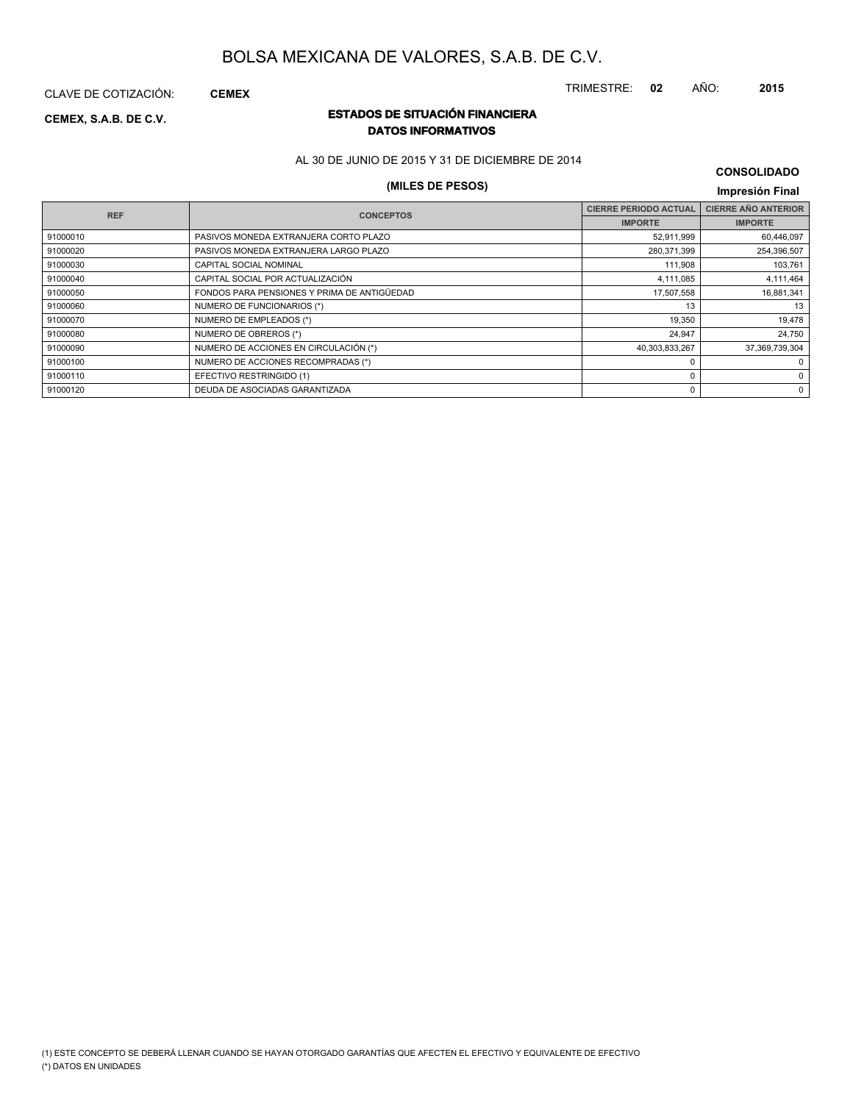CLAVE DE COTIZACIÓN: **CEMEX**

### **ESTADOS DE SITUACIÓN FINANCIERA CEMEX, S.A.B. DE C.V. DATOS INFORMATIVOS**

AL 30 DE JUNIO DE 2015 Y 31 DE DICIEMBRE DE 2014

### **(MILES DE PESOS) Impresión Final**

### **CONSOLIDADO**

| <b>REF</b> | <b>CONCEPTOS</b>                            | <b>CIERRE PERIODO ACTUAL</b> | <b>CIERRE AÑO ANTERIOR</b> |
|------------|---------------------------------------------|------------------------------|----------------------------|
|            |                                             | <b>IMPORTE</b>               | <b>IMPORTE</b>             |
| 91000010   | PASIVOS MONEDA EXTRANJERA CORTO PLAZO       | 52,911,999                   | 60,446,097                 |
| 91000020   | PASIVOS MONEDA EXTRANJERA LARGO PLAZO       | 280,371,399                  | 254,396,507                |
| 91000030   | CAPITAL SOCIAL NOMINAL                      | 111,908                      | 103,761                    |
| 91000040   | CAPITAL SOCIAL POR ACTUALIZACIÓN            | 4,111,085                    | 4,111,464                  |
| 91000050   | FONDOS PARA PENSIONES Y PRIMA DE ANTIGÜEDAD | 17,507,558                   | 16,881,341                 |
| 91000060   | NUMERO DE FUNCIONARIOS (*)                  | 13                           | 13                         |
| 91000070   | NUMERO DE EMPLEADOS (*)                     | 19,350                       | 19,478                     |
| 91000080   | NUMERO DE OBREROS (*)                       | 24,947                       | 24.750                     |
| 91000090   | NUMERO DE ACCIONES EN CIRCULACIÓN (*)       | 40,303,833,267               | 37,369,739,304             |
| 91000100   | NUMERO DE ACCIONES RECOMPRADAS (*)          |                              | 0                          |
| 91000110   | EFECTIVO RESTRINGIDO (1)                    |                              | $\Omega$                   |
| 91000120   | DEUDA DE ASOCIADAS GARANTIZADA              | 0                            | $\Omega$                   |
|            |                                             |                              |                            |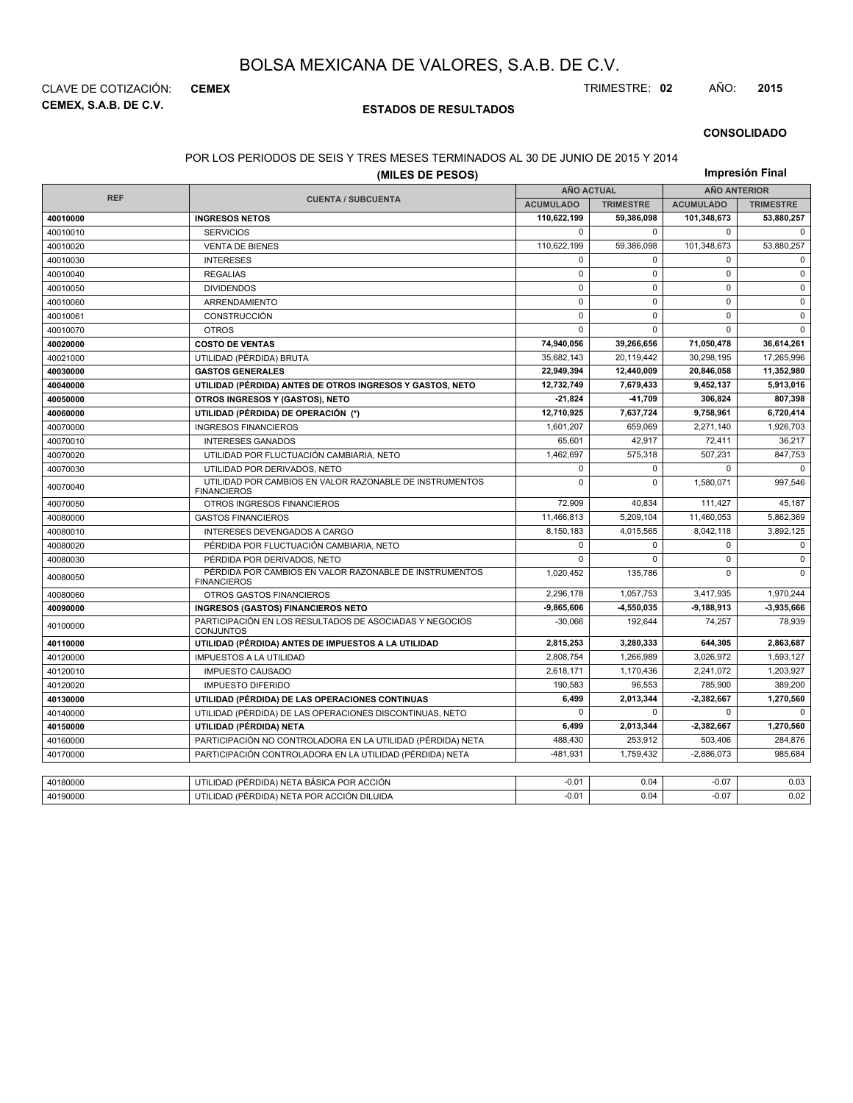**CEMEX, S.A.B. DE C.V.** CLAVE DE COTIZACIÓN: **CEMEX** TRIMESTRE: **02** AÑO: **2015**

### **ESTADOS DE RESULTADOS**

### **CONSOLIDADO**

#### POR LOS PERIODOS DE SEIS Y TRES MESES TERMINADOS AL 30 DE JUNIO DE 2015 Y 2014

| (MILES DE PESOS) |                                                                               |                   |                  | Impresión Final     |                  |  |  |
|------------------|-------------------------------------------------------------------------------|-------------------|------------------|---------------------|------------------|--|--|
|                  |                                                                               | <b>AÑO ACTUAL</b> |                  | <b>AÑO ANTERIOR</b> |                  |  |  |
| <b>REF</b>       | <b>CUENTA / SUBCUENTA</b>                                                     | <b>ACUMULADO</b>  | <b>TRIMESTRE</b> | <b>ACUMULADO</b>    | <b>TRIMESTRE</b> |  |  |
| 40010000         | <b>INGRESOS NETOS</b>                                                         | 110,622,199       | 59,386,098       | 101,348,673         | 53,880,257       |  |  |
| 40010010         | <b>SERVICIOS</b>                                                              | $\mathbf 0$       | $\Omega$         | $\mathbf 0$         | $\Omega$         |  |  |
| 40010020         | <b>VENTA DE BIENES</b>                                                        | 110,622,199       | 59,386,098       | 101,348,673         | 53,880,257       |  |  |
| 40010030         | <b>INTERESES</b>                                                              | 0                 | 0                | $\mathbf 0$         | $\mathbf 0$      |  |  |
| 40010040         | <b>REGALIAS</b>                                                               | 0                 | $\mathbf 0$      | $\mathbf 0$         | $\mathbf 0$      |  |  |
| 40010050         | <b>DIVIDENDOS</b>                                                             | $\mathbf 0$       | $\Omega$         | $\Omega$            | $\mathbf 0$      |  |  |
| 40010060         | ARRENDAMIENTO                                                                 | 0                 | 0                | $\mathbf 0$         | $\mathbf 0$      |  |  |
| 40010061         | <b>CONSTRUCCIÓN</b>                                                           | $\mathbf 0$       | $\Omega$         | $\Omega$            | $\mathbf 0$      |  |  |
| 40010070         | <b>OTROS</b>                                                                  | 0                 | 0                | $\mathbf 0$         | $\Omega$         |  |  |
| 40020000         | <b>COSTO DE VENTAS</b>                                                        | 74.940.056        | 39.266.656       | 71.050.478          | 36,614,261       |  |  |
| 40021000         | UTILIDAD (PÉRDIDA) BRUTA                                                      | 35,682,143        | 20,119,442       | 30,298,195          | 17,265,996       |  |  |
| 40030000         | <b>GASTOS GENERALES</b>                                                       | 22.949.394        | 12,440,009       | 20,846,058          | 11.352.980       |  |  |
| 40040000         | UTILIDAD (PÉRDIDA) ANTES DE OTROS INGRESOS Y GASTOS, NETO                     | 12,732,749        | 7,679,433        | 9,452,137           | 5,913,016        |  |  |
| 40050000         | OTROS INGRESOS Y (GASTOS), NETO                                               | $-21,824$         | -41,709          | 306,824             | 807,398          |  |  |
| 40060000         | UTILIDAD (PÉRDIDA) DE OPERACIÓN (*)                                           | 12,710,925        | 7,637,724        | 9,758,961           | 6,720,414        |  |  |
| 40070000         | <b>INGRESOS FINANCIEROS</b>                                                   | 1,601,207         | 659,069          | 2,271,140           | 1,926,703        |  |  |
| 40070010         | <b>INTERESES GANADOS</b>                                                      | 65,601            | 42,917           | 72,411              | 36,217           |  |  |
| 40070020         | UTILIDAD POR FLUCTUACIÓN CAMBIARIA, NETO                                      | 1,462,697         | 575,318          | 507,231             | 847,753          |  |  |
| 40070030         | UTILIDAD POR DERIVADOS, NETO                                                  | 0                 | 0                | $\Omega$            | $\Omega$         |  |  |
| 40070040         | UTILIDAD POR CAMBIOS EN VALOR RAZONABLE DE INSTRUMENTOS<br><b>FINANCIEROS</b> | $\Omega$          | 0                | 1,580,071           | 997,546          |  |  |
| 40070050         | OTROS INGRESOS FINANCIEROS                                                    | 72.909            | 40.834           | 111.427             | 45,187           |  |  |
| 40080000         | <b>GASTOS FINANCIEROS</b>                                                     | 11,466,813        | 5,209,104        | 11,460,053          | 5,862,369        |  |  |
| 40080010         | INTERESES DEVENGADOS A CARGO                                                  | 8.150.183         | 4.015.565        | 8,042,118           | 3,892,125        |  |  |
| 40080020         | PÉRDIDA POR FLUCTUACIÓN CAMBIARIA, NETO                                       | 0                 | 0                | $\mathbf 0$         | $\mathbf 0$      |  |  |
| 40080030         | PÉRDIDA POR DERIVADOS, NETO                                                   | 0                 | $\Omega$         | $\pmb{0}$           | $\mathsf 0$      |  |  |
| 40080050         | PÉRDIDA POR CAMBIOS EN VALOR RAZONABLE DE INSTRUMENTOS<br><b>FINANCIEROS</b>  | 1,020,452         | 135,786          | $\mathbf 0$         | $\Omega$         |  |  |
| 40080060         | OTROS GASTOS FINANCIEROS                                                      | 2,296,178         | 1,057,753        | 3,417,935           | 1,970,244        |  |  |
| 40090000         | <b>INGRESOS (GASTOS) FINANCIEROS NETO</b>                                     | $-9.865.606$      | $-4.550.035$     | $-9,188,913$        | -3,935,666       |  |  |
| 40100000         | PARTICIPACIÓN EN LOS RESULTADOS DE ASOCIADAS Y NEGOCIOS<br><b>CONJUNTOS</b>   | $-30,066$         | 192,644          | 74,257              | 78,939           |  |  |
| 40110000         | UTILIDAD (PÉRDIDA) ANTES DE IMPUESTOS A LA UTILIDAD                           | 2,815,253         | 3,280,333        | 644,305             | 2,863,687        |  |  |
| 40120000         | <b>IMPUESTOS A LA UTILIDAD</b>                                                | 2,808,754         | 1,266,989        | 3,026,972           | 1,593,127        |  |  |
| 40120010         | <b>IMPUESTO CAUSADO</b>                                                       | 2,618,171         | 1,170,436        | 2,241,072           | 1,203,927        |  |  |
| 40120020         | <b>IMPUESTO DIFERIDO</b>                                                      | 190.583           | 96,553           | 785.900             | 389,200          |  |  |
| 40130000         | UTILIDAD (PÉRDIDA) DE LAS OPERACIONES CONTINUAS                               | 6,499             | 2,013,344        | $-2,382,667$        | 1,270,560        |  |  |
| 40140000         | UTILIDAD (PÉRDIDA) DE LAS OPERACIONES DISCONTINUAS, NETO                      | $\Omega$          | $\Omega$         | $\mathbf 0$         | $\Omega$         |  |  |
| 40150000         | UTILIDAD (PÉRDIDA) NETA                                                       | 6,499             | 2,013,344        | 2,382,667           | 1,270,560        |  |  |
| 40160000         | PARTICIPACIÓN NO CONTROLADORA EN LA UTILIDAD (PÉRDIDA) NETA                   | 488.430           | 253.912          | 503.406             | 284,876          |  |  |
| 40170000         | PARTICIPACIÓN CONTROLADORA EN LA UTILIDAD (PÉRDIDA) NETA                      | $-481,931$        | 1,759,432        | $-2,886,073$        | 985,684          |  |  |
|                  |                                                                               |                   |                  |                     |                  |  |  |
| 40180000         | UTILIDAD (PÉRDIDA) NETA BÁSICA POR ACCIÓN                                     | $-0.01$           | 0.04             | $-0.07$             | 0.03             |  |  |
| 40190000         | UTILIDAD (PÉRDIDA) NETA POR ACCIÓN DILUIDA                                    | $-0.01$           | 0.04             | $-0.07$             | 0.02             |  |  |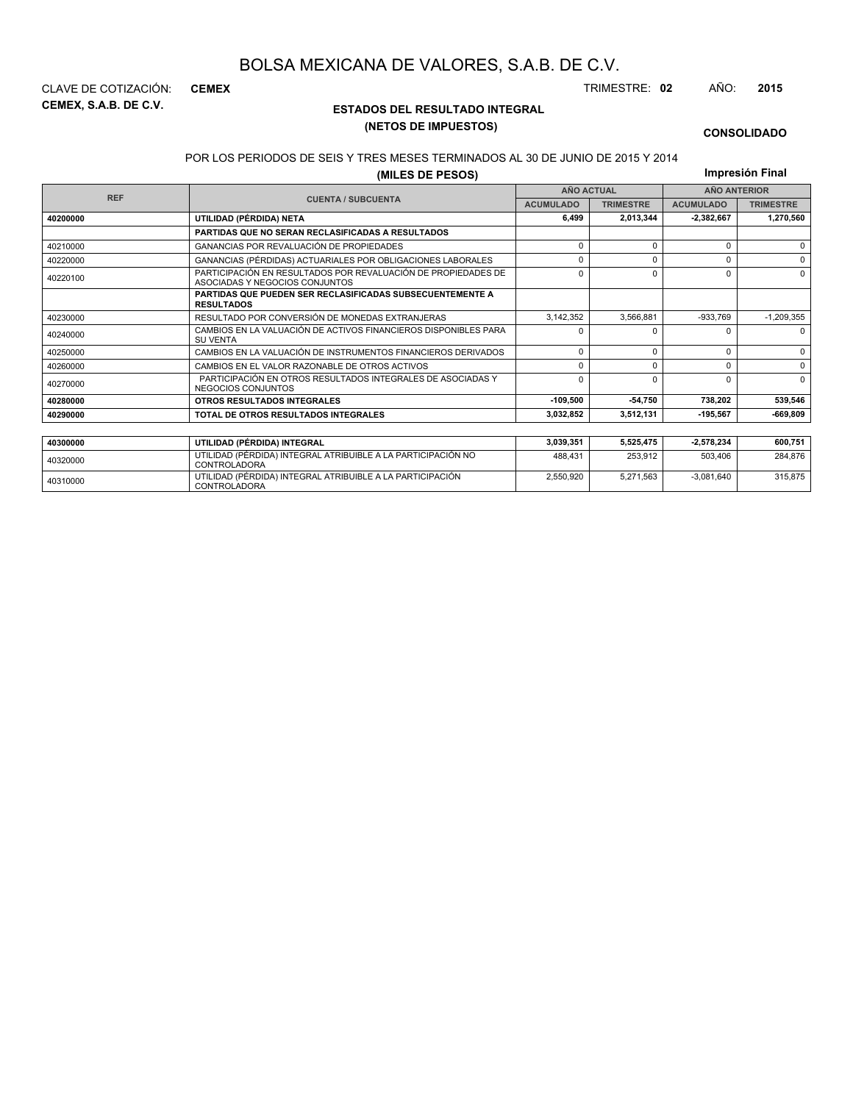**CEMEX, S.A.B. DE C.V.** CLAVE DE COTIZACIÓN: **CEMEX** TRIMESTRE: **02** AÑO: **2015**

### **ESTADOS DEL RESULTADO INTEGRAL (NETOS DE IMPUESTOS)**

#### **CONSOLIDADO**

#### POR LOS PERIODOS DE SEIS Y TRES MESES TERMINADOS AL 30 DE JUNIO DE 2015 Y 2014

**(MILES DE PESOS)**

**Impresión Final**

2,550,920 5,271,563 -3,081,640 315,875

| (MILES DE PESOS) |                                                                                                 |                      |                   |                  | <b>IIIIDI COLUITTIII</b> |
|------------------|-------------------------------------------------------------------------------------------------|----------------------|-------------------|------------------|--------------------------|
| <b>REF</b>       |                                                                                                 |                      | <b>AÑO ACTUAL</b> |                  | <b>AÑO ANTERIOR</b>      |
|                  | <b>CUENTA / SUBCUENTA</b>                                                                       | <b>ACUMULADO</b>     | <b>TRIMESTRE</b>  | <b>ACUMULADO</b> | <b>TRIMESTRE</b>         |
| 40200000         | UTILIDAD (PÉRDIDA) NETA                                                                         | 6.499                | 2.013.344         | 2.382.667        | 1.270.560                |
|                  | <b>PARTIDAS QUE NO SERAN RECLASIFICADAS A RESULTADOS</b>                                        |                      |                   |                  |                          |
| 40210000         | GANANCIAS POR REVALUACIÓN DE PROPIEDADES                                                        | $\Omega$             | $\Omega$          | $\Omega$         | $\Omega$                 |
| 40220000         | GANANCIAS (PÉRDIDAS) ACTUARIALES POR OBLIGACIONES LABORALES                                     | $\Omega$<br>$\Omega$ |                   |                  |                          |
| 40220100         | PARTICIPACIÓN EN RESULTADOS POR REVALUACIÓN DE PROPIEDADES DE<br>ASOCIADAS Y NEGOCIOS CONJUNTOS | $\Omega$             |                   | $\Omega$         | $\Omega$                 |
|                  | <b>PARTIDAS QUE PUEDEN SER RECLASIFICADAS SUBSECUENTEMENTE A</b><br><b>RESULTADOS</b>           |                      |                   |                  |                          |
| 40230000         | RESULTADO POR CONVERSIÓN DE MONEDAS EXTRANJERAS                                                 | 3,142,352            | 3,566,881         | $-933,769$       | $-1,209,355$             |
| 40240000         | CAMBIOS EN LA VALUACIÓN DE ACTIVOS FINANCIEROS DISPONIBLES PARA<br><b>SU VENTA</b>              | $\Omega$             | O                 | <sup>0</sup>     | $\Omega$                 |
| 40250000         | CAMBIOS EN LA VALUACIÓN DE INSTRUMENTOS FINANCIEROS DERIVADOS                                   | $\Omega$             | $\Omega$          | $\Omega$         | $\Omega$                 |
| 40260000         | CAMBIOS EN EL VALOR RAZONABLE DE OTROS ACTIVOS                                                  | n                    | $\Omega$          | $\Omega$         | $\Omega$                 |
| 40270000         | PARTICIPACIÓN EN OTROS RESULTADOS INTEGRALES DE ASOCIADAS Y<br>NEGOCIOS CONJUNTOS               | $\Omega$             | $\Omega$          | $\Omega$         | $\Omega$                 |
| 40280000         | <b>OTROS RESULTADOS INTEGRALES</b>                                                              | $-109,500$           | $-54,750$         | 738,202          | 539,546                  |
| 40290000         | TOTAL DE OTROS RESULTADOS INTEGRALES                                                            | 3,032,852            | 3,512,131         | $-195.567$       | $-669,809$               |
|                  |                                                                                                 |                      |                   |                  |                          |
| 40300000         | UTILIDAD (PÉRDIDA) INTEGRAL                                                                     | 3,039,351            | 5,525,475         | 2,578,234        | 600,751                  |
| 40320000         | UTILIDAD (PÉRDIDA) INTEGRAL ATRIBUIBLE A LA PARTICIPACIÓN NO<br>CONTROLADORA                    | 488.431              | 253.912           | 503,406          | 284.876                  |

<sup>40310000</sup> UTILIDAD (PÉRDIDA) INTEGRAL ATRIBUIBLE A LA PARTICIPACIÓN CONTROLADORA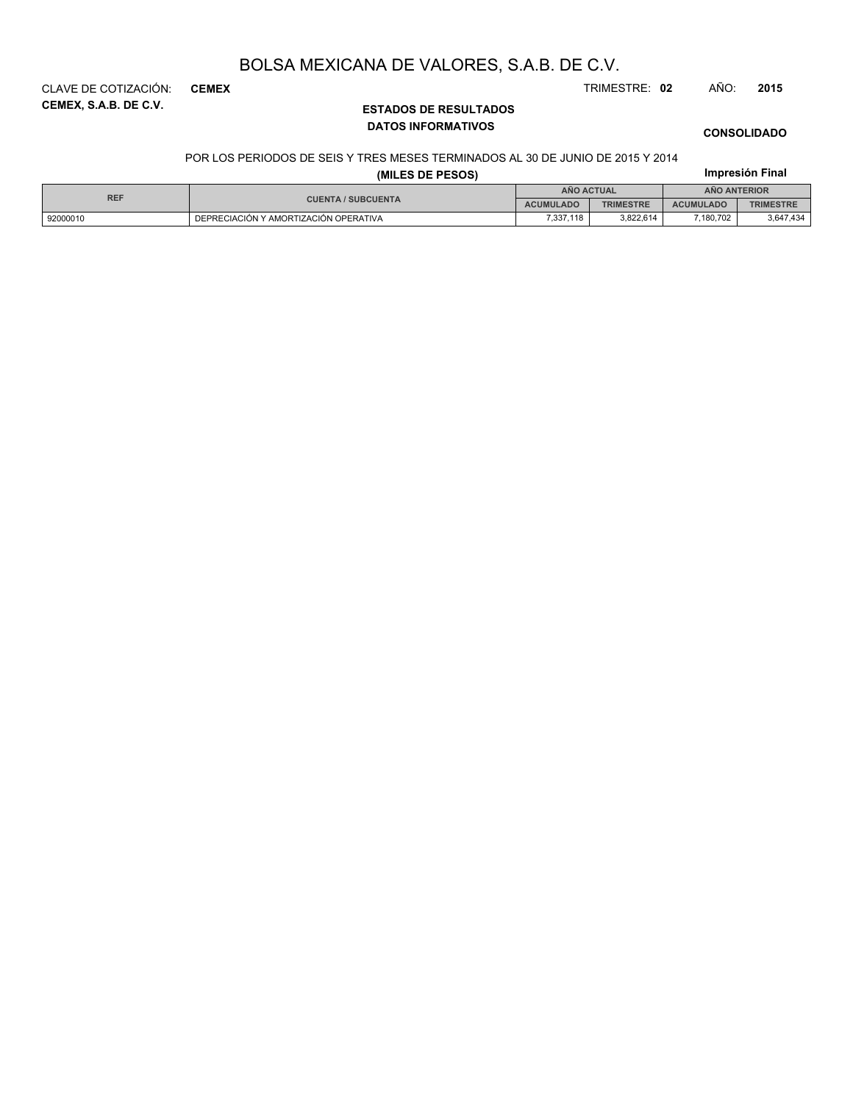**CEMEX, S.A.B. DE C.V.** CLAVE DE COTIZACIÓN: **CEMEX** TRIMESTRE: **02** AÑO: **2015**

### **ESTADOS DE RESULTADOS DATOS INFORMATIVOS**

### **CONSOLIDADO**

#### POR LOS PERIODOS DE SEIS Y TRES MESES TERMINADOS AL 30 DE JUNIO DE 2015 Y 2014

| (MILES DE PESOS) |                                       |                  |                  |                  | Impresión Final  |
|------------------|---------------------------------------|------------------|------------------|------------------|------------------|
|                  |                                       | ANO ACTUAL       |                  | AÑO ANTERIOR     |                  |
| <b>REF</b>       | <b>CUENTA / SUBCUENTA</b>             | <b>ACUMULADO</b> | <b>TRIMESTRE</b> | <b>ACUMULADO</b> | <b>TRIMESTRE</b> |
| 92000010         | DEPRECIACIÓN Y AMORTIZACIÓN OPERATIVA | 7.337.118        | 3.822.614        | 7.180.702        | 3,647,434        |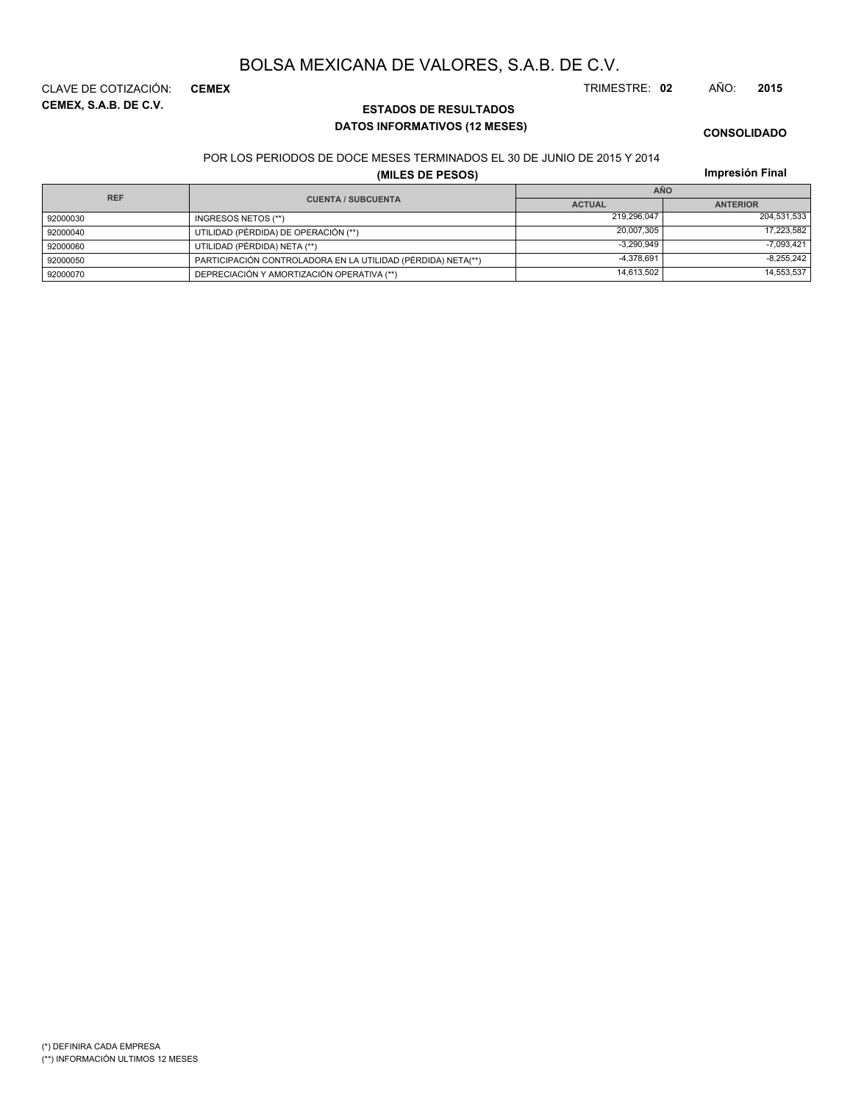**CEMEX, S.A.B. DE C.V.** CLAVE DE COTIZACIÓN: **CEMEX** TRIMESTRE: **02** AÑO: **2015**

**ESTADOS DE RESULTADOS DATOS INFORMATIVOS (12 MESES)**

**CONSOLIDADO**

#### POR LOS PERIODOS DE DOCE MESES TERMINADOS EL 30 DE JUNIO DE 2015 Y 2014

**(MILES DE PESOS)**

| <b>REF</b> |                                                              | <b>AÑO</b>    |                 |  |
|------------|--------------------------------------------------------------|---------------|-----------------|--|
|            | <b>CUENTA / SUBCUENTA</b>                                    | <b>ACTUAL</b> | <b>ANTERIOR</b> |  |
| 92000030   | INGRESOS NETOS (**)                                          | 219,296,047   | 204,531,533     |  |
| 92000040   | UTILIDAD (PÉRDIDA) DE OPERACIÓN (**)                         | 20.007.305    | 17,223,582      |  |
| 92000060   | UTILIDAD (PÉRDIDA) NETA (**)                                 | $-3,290,949$  | $-7,093,421$    |  |
| 92000050   | PARTICIPACIÓN CONTROLADORA EN LA UTILIDAD (PÉRDIDA) NETA(**) | $-4,378,691$  | $-8,255,242$    |  |
| 92000070   | DEPRECIACIÓN Y AMORTIZACIÓN OPERATIVA (**)                   | 14.613.502    | 14,553,537      |  |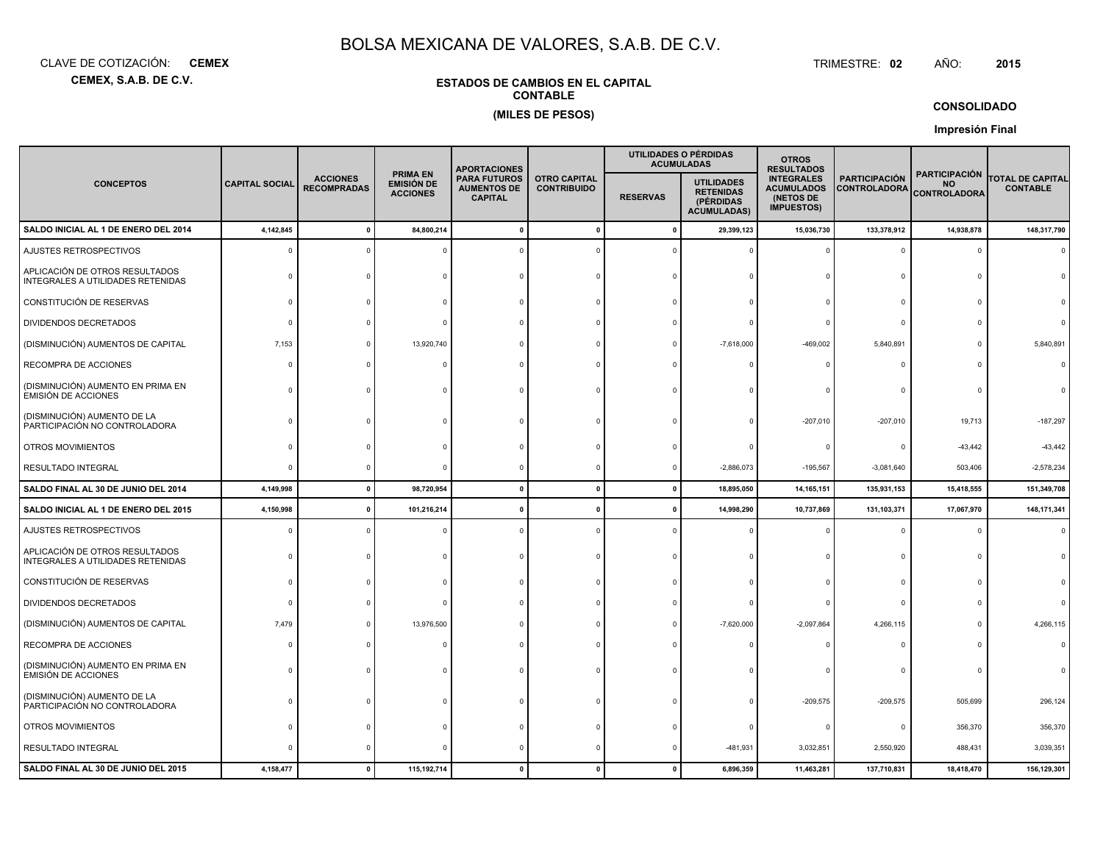**CEMEX, S.A.B. DE C.V.**CLAVE DE COTIZACIÓN:**CEMEX**

# : **CEMEX** TRIMESTRE:

TRIMESTRE: 02 AÑO: **<sup>2015</sup>**

### **ESTADOS DE CAMBIOS EN EL CAPITALCONTABLE(MILES DE PESOS)**

### **CONSOLIDADO**

|                                                                     |                       |                                       |                                                         | <b>APORTACIONES</b>                                         |                                           |                 | UTILIDADES O PÉRDIDAS<br><b>ACUMULADAS</b>                               | <b>OTROS</b><br><b>RESULTADOS</b>                                        |                                             |                                                          |                                            |
|---------------------------------------------------------------------|-----------------------|---------------------------------------|---------------------------------------------------------|-------------------------------------------------------------|-------------------------------------------|-----------------|--------------------------------------------------------------------------|--------------------------------------------------------------------------|---------------------------------------------|----------------------------------------------------------|--------------------------------------------|
| <b>CONCEPTOS</b>                                                    | <b>CAPITAL SOCIAL</b> | <b>ACCIONES</b><br><b>RECOMPRADAS</b> | <b>PRIMA EN</b><br><b>EMISIÓN DE</b><br><b>ACCIONES</b> | <b>PARA FUTUROS</b><br><b>AUMENTOS DE</b><br><b>CAPITAL</b> | <b>OTRO CAPITAL</b><br><b>CONTRIBUIDO</b> | <b>RESERVAS</b> | <b>UTILIDADES</b><br><b>RETENIDAS</b><br>(PÉRDIDAS<br><b>ACUMULADAS)</b> | <b>INTEGRALES</b><br><b>ACUMULADOS</b><br>(NETOS DE<br><b>IMPUESTOS)</b> | <b>PARTICIPACIÓN</b><br><b>CONTROLADORA</b> | <b>PARTICIPACIÓN</b><br><b>NO</b><br><b>CONTROLADORA</b> | <b>TOTAL DE CAPITAL</b><br><b>CONTABLE</b> |
| SALDO INICIAL AL 1 DE ENERO DEL 2014                                | 4,142,845             |                                       | 84,800,214                                              |                                                             |                                           | $\Omega$        | 29,399,123                                                               | 15,036,730                                                               | 133,378,912                                 | 14,938,878                                               | 148,317,790                                |
| AJUSTES RETROSPECTIVOS                                              |                       |                                       |                                                         |                                                             |                                           |                 |                                                                          |                                                                          | $\Omega$                                    | $\Omega$                                                 |                                            |
| APLICACIÓN DE OTROS RESULTADOS<br>INTEGRALES A UTILIDADES RETENIDAS |                       |                                       |                                                         |                                                             |                                           |                 |                                                                          |                                                                          | $\Omega$                                    |                                                          |                                            |
| CONSTITUCIÓN DE RESERVAS                                            |                       |                                       |                                                         |                                                             |                                           |                 |                                                                          |                                                                          | C                                           |                                                          |                                            |
| DIVIDENDOS DECRETADOS                                               |                       |                                       |                                                         |                                                             |                                           |                 |                                                                          |                                                                          | -C                                          |                                                          |                                            |
| (DISMINUCIÓN) AUMENTOS DE CAPITAL                                   | 7,153                 |                                       | 13,920,740                                              |                                                             |                                           |                 | $-7,618,000$                                                             | $-469,002$                                                               | 5,840,891                                   | $\Omega$                                                 | 5,840,891                                  |
| RECOMPRA DE ACCIONES                                                |                       |                                       |                                                         |                                                             |                                           |                 |                                                                          |                                                                          | $\Omega$                                    | $\Omega$                                                 |                                            |
| (DISMINUCIÓN) AUMENTO EN PRIMA EN<br><b>EMISIÓN DE ACCIONES</b>     |                       |                                       |                                                         |                                                             |                                           |                 |                                                                          |                                                                          | -C                                          | $\Omega$                                                 |                                            |
| (DISMINUCIÓN) AUMENTO DE LA<br>PARTICIPACIÓN NO CONTROLADORA        |                       |                                       |                                                         |                                                             |                                           |                 |                                                                          | $-207,010$                                                               | $-207,010$                                  | 19,713                                                   | $-187,297$                                 |
| OTROS MOVIMIENTOS                                                   |                       |                                       |                                                         |                                                             |                                           |                 |                                                                          |                                                                          | $^{\circ}$                                  | $-43,442$                                                | $-43,442$                                  |
| <b>RESULTADO INTEGRAL</b>                                           |                       |                                       |                                                         |                                                             |                                           |                 | $-2,886,073$                                                             | $-195,567$                                                               | $-3,081,640$                                | 503,406                                                  | $-2,578,234$                               |
| SALDO FINAL AL 30 DE JUNIO DEL 2014                                 | 4,149,998             |                                       | 98,720,954                                              | $\mathbf{r}$                                                | $\mathbf{0}$                              | $\mathbf{0}$    | 18,895,050                                                               | 14,165,151                                                               | 135,931,153                                 | 15,418,555                                               | 151,349,708                                |
| SALDO INICIAL AL 1 DE ENERO DEL 2015                                | 4,150,998             |                                       | 101,216,214                                             |                                                             |                                           |                 | 14,998,290                                                               | 10,737,869                                                               | 131,103,371                                 | 17,067,970                                               | 148, 171, 341                              |
| AJUSTES RETROSPECTIVOS                                              |                       |                                       |                                                         |                                                             |                                           |                 |                                                                          |                                                                          | $\Omega$                                    | $\Omega$                                                 | $\Omega$                                   |
| APLICACIÓN DE OTROS RESULTADOS<br>INTEGRALES A UTILIDADES RETENIDAS |                       |                                       |                                                         |                                                             |                                           |                 |                                                                          |                                                                          | $\Omega$                                    | $\Omega$                                                 |                                            |
| CONSTITUCIÓN DE RESERVAS                                            |                       |                                       |                                                         |                                                             |                                           |                 |                                                                          |                                                                          | $\Omega$                                    | $\Omega$                                                 |                                            |
| DIVIDENDOS DECRETADOS                                               |                       |                                       |                                                         |                                                             |                                           |                 |                                                                          |                                                                          | $\mathbf 0$                                 |                                                          |                                            |
| (DISMINUCIÓN) AUMENTOS DE CAPITAL                                   | 7,479                 |                                       | 13,976,500                                              |                                                             |                                           |                 | $-7,620,000$                                                             | $-2,097,864$                                                             | 4,266,115                                   |                                                          | 4,266,115                                  |
| RECOMPRA DE ACCIONES                                                |                       |                                       |                                                         |                                                             |                                           |                 |                                                                          |                                                                          |                                             |                                                          |                                            |
| (DISMINUCIÓN) AUMENTO EN PRIMA EN<br><b>EMISIÓN DE ACCIONES</b>     |                       |                                       |                                                         |                                                             |                                           |                 |                                                                          |                                                                          | -C                                          |                                                          |                                            |
| (DISMINUCIÓN) AUMENTO DE LA<br>PARTICIPACIÓN NO CONTROLADORA        |                       |                                       |                                                         |                                                             |                                           |                 |                                                                          | $-209,575$                                                               | $-209,575$                                  | 505,699                                                  | 296,124                                    |
| OTROS MOVIMIENTOS                                                   |                       |                                       |                                                         |                                                             |                                           |                 |                                                                          |                                                                          | 0                                           | 356,370                                                  | 356,370                                    |
| RESULTADO INTEGRAL                                                  |                       |                                       |                                                         |                                                             |                                           |                 | $-481,931$                                                               | 3,032,851                                                                | 2,550,920                                   | 488,431                                                  | 3,039,351                                  |
| SALDO FINAL AL 30 DE JUNIO DEL 2015                                 | 4,158,477             |                                       | 115,192,714                                             |                                                             |                                           |                 | 6,896,359                                                                | 11,463,281                                                               | 137,710,831                                 | 18,418,470                                               | 156,129,301                                |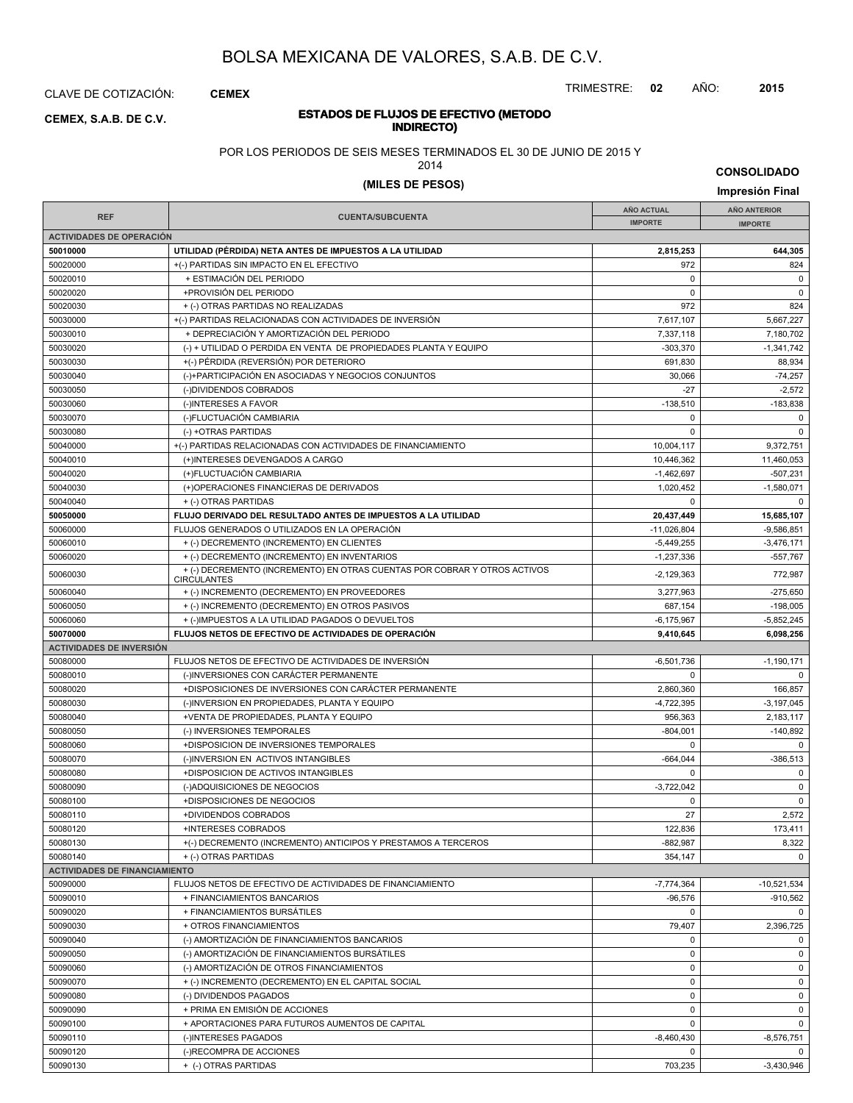CLAVE DE COTIZACIÓN: **CEMEX**

**INDIRECTO) CEMEX, S.A.B. DE C.V.**

# **ESTADOS DE FLUJOS DE EFECTIVO (METODO**

POR LOS PERIODOS DE SEIS MESES TERMINADOS EL 30 DE JUNIO DE 2015 Y

2014

**CONSOLIDADO**

TRIMESTRE: **02** AÑO: **2015**

### **(MILES DE PESOS) Impresión Final**

| <b>REF</b>                           | <b>CUENTA/SUBCUENTA</b>                                                                         | <b>AÑO ACTUAL</b> | AÑO ANTERIOR   |
|--------------------------------------|-------------------------------------------------------------------------------------------------|-------------------|----------------|
|                                      |                                                                                                 | <b>IMPORTE</b>    | <b>IMPORTE</b> |
| <b>ACTIVIDADES DE OPERACIÓN</b>      |                                                                                                 |                   |                |
| 50010000                             | UTILIDAD (PÉRDIDA) NETA ANTES DE IMPUESTOS A LA UTILIDAD                                        | 2,815,253         | 644,305        |
| 50020000                             | +(-) PARTIDAS SIN IMPACTO EN EL EFECTIVO                                                        | 972               | 824            |
| 50020010                             | + ESTIMACIÓN DEL PERIODO                                                                        | $\Omega$          | $\mathbf 0$    |
| 50020020                             | +PROVISIÓN DEL PERIODO                                                                          | 0                 | $\mathbf 0$    |
| 50020030                             | + (-) OTRAS PARTIDAS NO REALIZADAS                                                              | 972               | 824            |
| 50030000                             | +(-) PARTIDAS RELACIONADAS CON ACTIVIDADES DE INVERSIÓN                                         | 7,617,107         | 5,667,227      |
| 50030010                             | + DEPRECIACIÓN Y AMORTIZACIÓN DEL PERIODO                                                       | 7,337,118         | 7,180,702      |
| 50030020                             | (-) + UTILIDAD O PERDIDA EN VENTA DE PROPIEDADES PLANTA Y EQUIPO                                | $-303,370$        | $-1,341,742$   |
| 50030030                             | +(-) PÉRDIDA (REVERSIÓN) POR DETERIORO                                                          | 691,830           | 88,934         |
| 50030040                             | (-)+PARTICIPACIÓN EN ASOCIADAS Y NEGOCIOS CONJUNTOS                                             | 30,066            | $-74,257$      |
| 50030050                             | (-)DIVIDENDOS COBRADOS                                                                          | $-27$             | $-2,572$       |
| 50030060                             | (-)INTERESES A FAVOR                                                                            | $-138,510$        | $-183,838$     |
| 50030070                             | (-)FLUCTUACIÓN CAMBIARIA                                                                        | 0                 | $\mathbf 0$    |
|                                      |                                                                                                 |                   | $\Omega$       |
| 50030080                             | (-) +OTRAS PARTIDAS                                                                             | $\mathbf 0$       |                |
| 50040000                             | +(-) PARTIDAS RELACIONADAS CON ACTIVIDADES DE FINANCIAMIENTO                                    | 10,004,117        | 9,372,751      |
| 50040010                             | (+)INTERESES DEVENGADOS A CARGO                                                                 | 10,446,362        | 11,460,053     |
| 50040020                             | (+)FLUCTUACIÓN CAMBIARIA                                                                        | $-1,462,697$      | $-507.231$     |
| 50040030                             | (+)OPERACIONES FINANCIERAS DE DERIVADOS                                                         | 1,020,452         | $-1,580,071$   |
| 50040040                             | + (-) OTRAS PARTIDAS                                                                            | $\Omega$          | $\mathbf 0$    |
| 50050000                             | FLUJO DERIVADO DEL RESULTADO ANTES DE IMPUESTOS A LA UTILIDAD                                   | 20,437,449        | 15,685,107     |
| 50060000                             | FLUJOS GENERADOS O UTILIZADOS EN LA OPERACIÓN                                                   | $-11,026,804$     | $-9,586,851$   |
| 50060010                             | + (-) DECREMENTO (INCREMENTO) EN CLIENTES                                                       | $-5,449,255$      | $-3,476,171$   |
| 50060020                             | + (-) DECREMENTO (INCREMENTO) EN INVENTARIOS                                                    | $-1,237,336$      | $-557,767$     |
| 50060030                             | + (-) DECREMENTO (INCREMENTO) EN OTRAS CUENTAS POR COBRAR Y OTROS ACTIVOS<br><b>CIRCULANTES</b> | $-2,129,363$      | 772,987        |
| 50060040                             | + (-) INCREMENTO (DECREMENTO) EN PROVEEDORES                                                    | 3,277,963         | $-275,650$     |
| 50060050                             | + (-) INCREMENTO (DECREMENTO) EN OTROS PASIVOS                                                  | 687,154           | $-198,005$     |
| 50060060                             | + (-)IMPUESTOS A LA UTILIDAD PAGADOS O DEVUELTOS                                                | $-6, 175, 967$    | $-5,852,245$   |
| 50070000                             | FLUJOS NETOS DE EFECTIVO DE ACTIVIDADES DE OPERACIÓN                                            | 9,410,645         | 6,098,256      |
| <b>ACTIVIDADES DE INVERSIÓN</b>      |                                                                                                 |                   |                |
| 50080000                             | FLUJOS NETOS DE EFECTIVO DE ACTIVIDADES DE INVERSIÓN                                            | $-6,501,736$      | $-1,190,171$   |
| 50080010                             | (-)INVERSIONES CON CARÁCTER PERMANENTE                                                          | $\mathbf 0$       | $\mathbf 0$    |
| 50080020                             | +DISPOSICIONES DE INVERSIONES CON CARÁCTER PERMANENTE                                           | 2,860,360         | 166,857        |
| 50080030                             | (-)INVERSION EN PROPIEDADES, PLANTA Y EQUIPO                                                    | $-4,722,395$      | $-3,197,045$   |
| 50080040                             | +VENTA DE PROPIEDADES, PLANTA Y EQUIPO                                                          | 956,363           | 2,183,117      |
| 50080050                             | (-) INVERSIONES TEMPORALES                                                                      | $-804,001$        | $-140,892$     |
| 50080060                             | +DISPOSICION DE INVERSIONES TEMPORALES                                                          | 0                 | $\Omega$       |
| 50080070                             | (-)INVERSION EN ACTIVOS INTANGIBLES                                                             | $-664,044$        | $-386.513$     |
|                                      |                                                                                                 | $\Omega$          |                |
| 50080080                             | +DISPOSICION DE ACTIVOS INTANGIBLES                                                             |                   | 0              |
| 50080090                             | (-)ADQUISICIONES DE NEGOCIOS                                                                    | $-3.722.042$      | $\mathsf 0$    |
| 50080100                             | +DISPOSICIONES DE NEGOCIOS                                                                      | 0                 | $\mathbf 0$    |
| 50080110                             | +DIVIDENDOS COBRADOS                                                                            | 27                | 2,572          |
| 50080120                             | +INTERESES COBRADOS                                                                             | 122,836           | 173,411        |
| 50080130                             | +(-) DECREMENTO (INCREMENTO) ANTICIPOS Y PRESTAMOS A TERCEROS                                   | $-882,987$        | 8,322          |
| 50080140                             | + (-) OTRAS PARTIDAS                                                                            | 354,147           | $\mathbf 0$    |
| <b>ACTIVIDADES DE FINANCIAMIENTO</b> |                                                                                                 |                   |                |
| 50090000                             | FLUJOS NETOS DE EFECTIVO DE ACTIVIDADES DE FINANCIAMIENTO                                       | $-7,774,364$      | $-10,521,534$  |
| 50090010                             | + FINANCIAMIENTOS BANCARIOS                                                                     | $-96,576$         | $-910,562$     |
| 50090020                             | + FINANCIAMIENTOS BURSÁTILES                                                                    | 0                 | $\mathbf 0$    |
| 50090030                             | + OTROS FINANCIAMIENTOS                                                                         | 79,407            | 2,396,725      |
| 50090040                             | (-) AMORTIZACIÓN DE FINANCIAMIENTOS BANCARIOS                                                   | 0                 | $\mathbf 0$    |
| 50090050                             | (-) AMORTIZACIÓN DE FINANCIAMIENTOS BURSÁTILES                                                  | 0                 | 0              |
| 50090060                             | (-) AMORTIZACIÓN DE OTROS FINANCIAMIENTOS                                                       | 0                 | $\mathbf 0$    |
| 50090070                             | + (-) INCREMENTO (DECREMENTO) EN EL CAPITAL SOCIAL                                              | 0                 | 0              |
| 50090080                             | (-) DIVIDENDOS PAGADOS                                                                          | 0                 | 0              |
| 50090090                             | + PRIMA EN EMISIÓN DE ACCIONES                                                                  | 0                 | $\mathbf 0$    |
| 50090100                             | + APORTACIONES PARA FUTUROS AUMENTOS DE CAPITAL                                                 | 0                 | $\mathbf 0$    |
| 50090110                             | (-)INTERESES PAGADOS                                                                            | $-8,460,430$      | -8,576,751     |
| 50090120                             | (-)RECOMPRA DE ACCIONES                                                                         | 0                 | $\mathbf 0$    |
| 50090130                             | + (-) OTRAS PARTIDAS                                                                            | 703,235           | $-3,430,946$   |
|                                      |                                                                                                 |                   |                |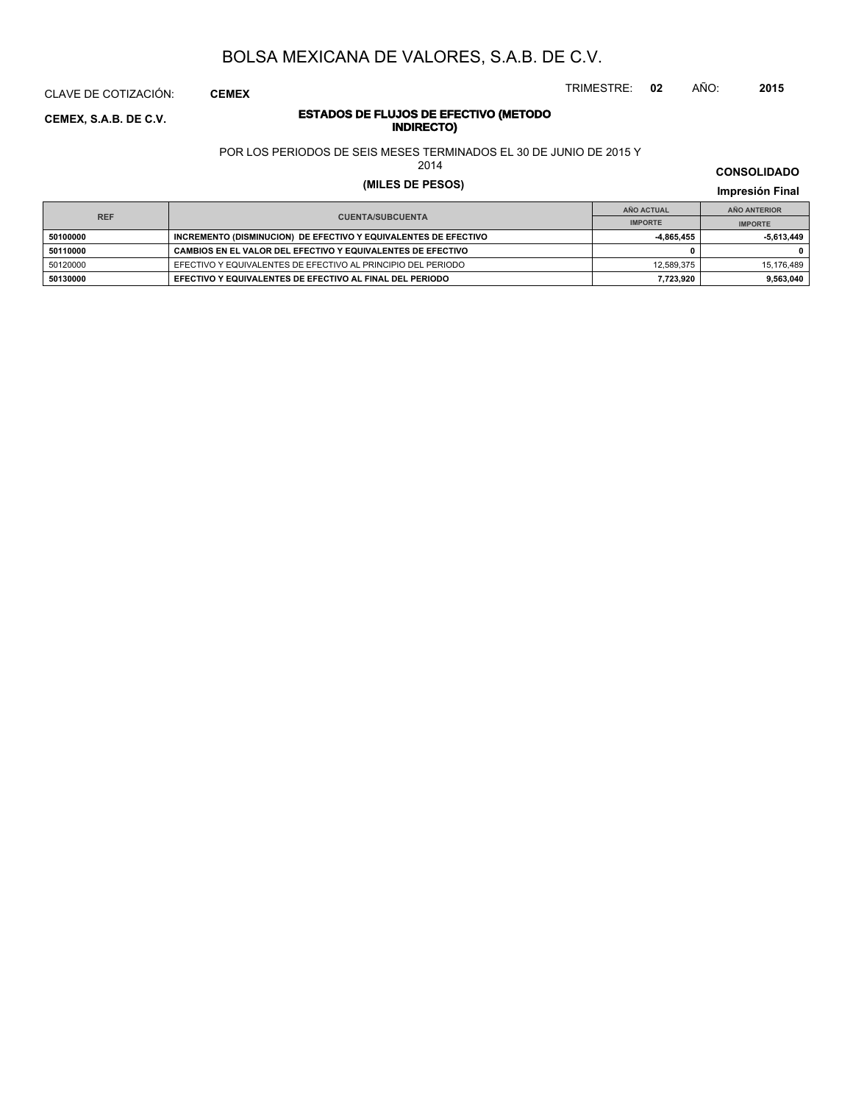CLAVE DE COTIZACIÓN: **CEMEX**

**INDIRECTO) CEMEX, S.A.B. DE C.V.**

# **ESTADOS DE FLUJOS DE EFECTIVO (METODO**

POR LOS PERIODOS DE SEIS MESES TERMINADOS EL 30 DE JUNIO DE 2015 Y

2014

### **(MILES DE PESOS) Impresión Final**

| <b>REF</b><br><b>CUENTA/SUBCUENTA</b> |                                                                 | AÑO ACTUAL     | AÑO ANTERIOR |
|---------------------------------------|-----------------------------------------------------------------|----------------|--------------|
|                                       | <b>IMPORTE</b>                                                  | <b>IMPORTE</b> |              |
| 50100000                              | INCREMENTO (DISMINUCION) DE EFECTIVO Y EQUIVALENTES DE EFECTIVO | $-4.865.455$   | -5,613,449   |
| 50110000                              | CAMBIOS EN EL VALOR DEL EFECTIVO Y EQUIVALENTES DE EFECTIVO     |                | 0            |
| 50120000                              | EFECTIVO Y EQUIVALENTES DE EFECTIVO AL PRINCIPIO DEL PERIODO    | 12.589.375     | 15.176.489   |
| 50130000                              | EFECTIVO Y EQUIVALENTES DE EFECTIVO AL FINAL DEL PERIODO        | 7.723.920      | 9,563,040    |

**CONSOLIDADO**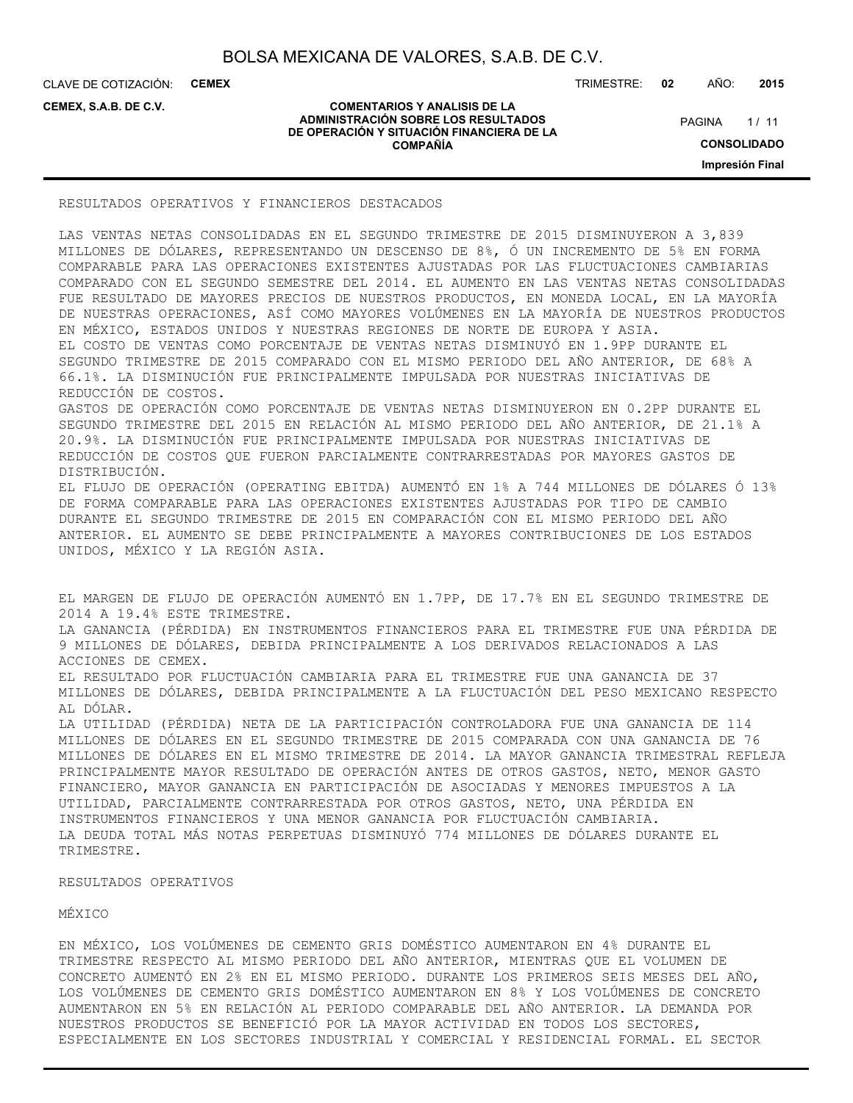CLAVE DE COTIZACIÓN: **CEMEX**

**CEMEX, S.A.B. DE C.V.**

#### **COMENTARIOS Y ANALISIS DE LA ADMINISTRACIÓN SOBRE LOS RESULTADOS DE OPERACIÓN Y SITUACIÓN FINANCIERA DE LA COMPAÑÍA**

TRIMESTRE: **02** AÑO: **2015**

 $1/11$ **CONSOLIDADO PAGINA** 

**Impresión Final**

### RESULTADOS OPERATIVOS Y FINANCIEROS DESTACADOS

LAS VENTAS NETAS CONSOLIDADAS EN EL SEGUNDO TRIMESTRE DE 2015 DISMINUYERON A 3,839 MILLONES DE DÓLARES, REPRESENTANDO UN DESCENSO DE 8%, Ó UN INCREMENTO DE 5% EN FORMA COMPARABLE PARA LAS OPERACIONES EXISTENTES AJUSTADAS POR LAS FLUCTUACIONES CAMBIARIAS COMPARADO CON EL SEGUNDO SEMESTRE DEL 2014. EL AUMENTO EN LAS VENTAS NETAS CONSOLIDADAS FUE RESULTADO DE MAYORES PRECIOS DE NUESTROS PRODUCTOS, EN MONEDA LOCAL, EN LA MAYORÍA DE NUESTRAS OPERACIONES, ASÍ COMO MAYORES VOLÚMENES EN LA MAYORÍA DE NUESTROS PRODUCTOS EN MÉXICO, ESTADOS UNIDOS Y NUESTRAS REGIONES DE NORTE DE EUROPA Y ASIA. EL COSTO DE VENTAS COMO PORCENTAJE DE VENTAS NETAS DISMINUYÓ EN 1.9PP DURANTE EL SEGUNDO TRIMESTRE DE 2015 COMPARADO CON EL MISMO PERIODO DEL AÑO ANTERIOR, DE 68% A 66.1%. LA DISMINUCIÓN FUE PRINCIPALMENTE IMPULSADA POR NUESTRAS INICIATIVAS DE REDUCCIÓN DE COSTOS. GASTOS DE OPERACIÓN COMO PORCENTAJE DE VENTAS NETAS DISMINUYERON EN 0.2PP DURANTE EL SEGUNDO TRIMESTRE DEL 2015 EN RELACIÓN AL MISMO PERIODO DEL AÑO ANTERIOR, DE 21.1% A 20.9%. LA DISMINUCIÓN FUE PRINCIPALMENTE IMPULSADA POR NUESTRAS INICIATIVAS DE REDUCCIÓN DE COSTOS QUE FUERON PARCIALMENTE CONTRARRESTADAS POR MAYORES GASTOS DE DISTRIBUCIÓN. EL FLUJO DE OPERACIÓN (OPERATING EBITDA) AUMENTÓ EN 1% A 744 MILLONES DE DÓLARES Ó 13% DE FORMA COMPARABLE PARA LAS OPERACIONES EXISTENTES AJUSTADAS POR TIPO DE CAMBIO DURANTE EL SEGUNDO TRIMESTRE DE 2015 EN COMPARACIÓN CON EL MISMO PERIODO DEL AÑO ANTERIOR. EL AUMENTO SE DEBE PRINCIPALMENTE A MAYORES CONTRIBUCIONES DE LOS ESTADOS UNIDOS, MÉXICO Y LA REGIÓN ASIA.

EL MARGEN DE FLUJO DE OPERACIÓN AUMENTÓ EN 1.7PP, DE 17.7% EN EL SEGUNDO TRIMESTRE DE 2014 A 19.4% ESTE TRIMESTRE. LA GANANCIA (PÉRDIDA) EN INSTRUMENTOS FINANCIEROS PARA EL TRIMESTRE FUE UNA PÉRDIDA DE 9 MILLONES DE DÓLARES, DEBIDA PRINCIPALMENTE A LOS DERIVADOS RELACIONADOS A LAS ACCIONES DE CEMEX. EL RESULTADO POR FLUCTUACIÓN CAMBIARIA PARA EL TRIMESTRE FUE UNA GANANCIA DE 37 MILLONES DE DÓLARES, DEBIDA PRINCIPALMENTE A LA FLUCTUACIÓN DEL PESO MEXICANO RESPECTO AL DÓLAR. LA UTILIDAD (PÉRDIDA) NETA DE LA PARTICIPACIÓN CONTROLADORA FUE UNA GANANCIA DE 114 MILLONES DE DÓLARES EN EL SEGUNDO TRIMESTRE DE 2015 COMPARADA CON UNA GANANCIA DE 76 MILLONES DE DÓLARES EN EL MISMO TRIMESTRE DE 2014. LA MAYOR GANANCIA TRIMESTRAL REFLEJA PRINCIPALMENTE MAYOR RESULTADO DE OPERACIÓN ANTES DE OTROS GASTOS, NETO, MENOR GASTO FINANCIERO, MAYOR GANANCIA EN PARTICIPACIÓN DE ASOCIADAS Y MENORES IMPUESTOS A LA UTILIDAD, PARCIALMENTE CONTRARRESTADA POR OTROS GASTOS, NETO, UNA PÉRDIDA EN INSTRUMENTOS FINANCIEROS Y UNA MENOR GANANCIA POR FLUCTUACIÓN CAMBIARIA. LA DEUDA TOTAL MÁS NOTAS PERPETUAS DISMINUYÓ 774 MILLONES DE DÓLARES DURANTE EL

## RESULTADOS OPERATIVOS

### MÉXICO

TRIMESTRE.

EN MÉXICO, LOS VOLÚMENES DE CEMENTO GRIS DOMÉSTICO AUMENTARON EN 4% DURANTE EL TRIMESTRE RESPECTO AL MISMO PERIODO DEL AÑO ANTERIOR, MIENTRAS QUE EL VOLUMEN DE CONCRETO AUMENTÓ EN 2% EN EL MISMO PERIODO. DURANTE LOS PRIMEROS SEIS MESES DEL AÑO, LOS VOLÚMENES DE CEMENTO GRIS DOMÉSTICO AUMENTARON EN 8% Y LOS VOLÚMENES DE CONCRETO AUMENTARON EN 5% EN RELACIÓN AL PERIODO COMPARABLE DEL AÑO ANTERIOR. LA DEMANDA POR NUESTROS PRODUCTOS SE BENEFICIÓ POR LA MAYOR ACTIVIDAD EN TODOS LOS SECTORES, ESPECIALMENTE EN LOS SECTORES INDUSTRIAL Y COMERCIAL Y RESIDENCIAL FORMAL. EL SECTOR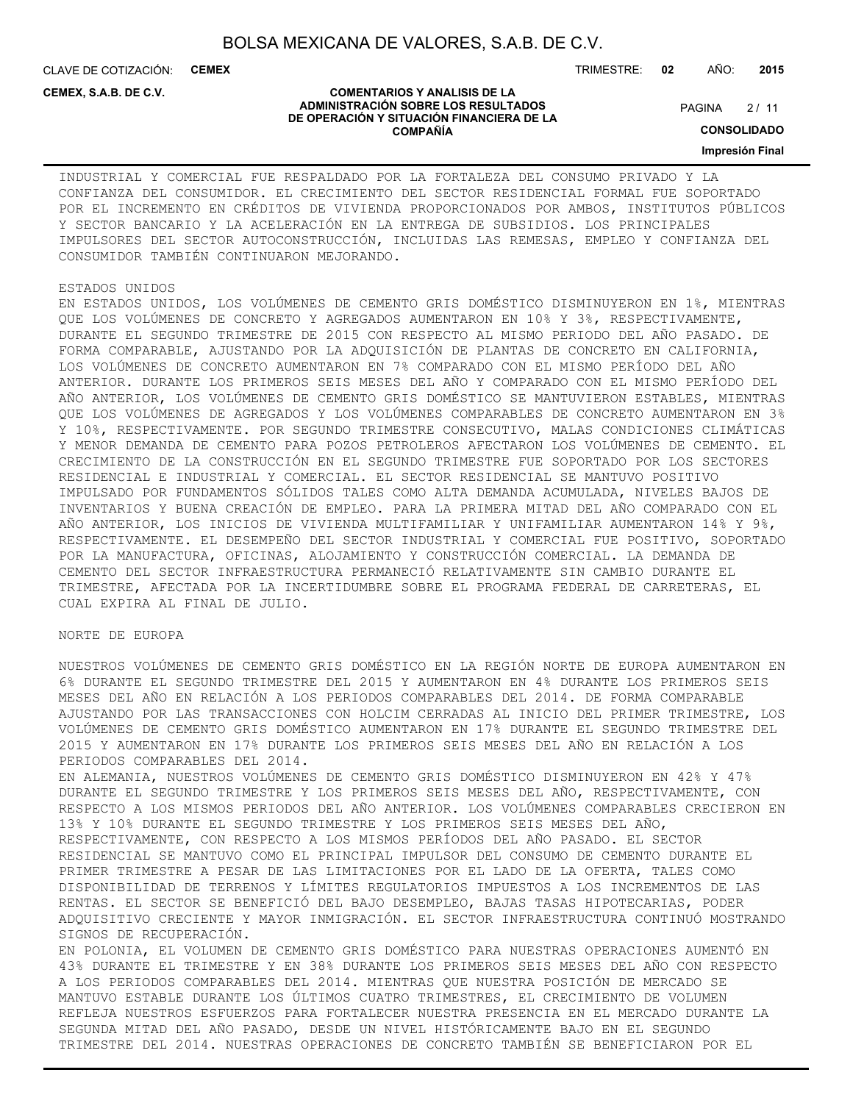CLAVE DE COTIZACIÓN: **CEMEX**

TRIMESTRE: **02** AÑO: **2015**

#### **CEMEX, S.A.B. DE C.V.**

#### **COMENTARIOS Y ANALISIS DE LA ADMINISTRACIÓN SOBRE LOS RESULTADOS DE OPERACIÓN Y SITUACIÓN FINANCIERA DE LA COMPAÑÍA**

 $2/11$ **PAGINA** 

**CONSOLIDADO**

**Impresión Final**

INDUSTRIAL Y COMERCIAL FUE RESPALDADO POR LA FORTALEZA DEL CONSUMO PRIVADO Y LA CONFIANZA DEL CONSUMIDOR. EL CRECIMIENTO DEL SECTOR RESIDENCIAL FORMAL FUE SOPORTADO POR EL INCREMENTO EN CRÉDITOS DE VIVIENDA PROPORCIONADOS POR AMBOS, INSTITUTOS PÚBLICOS Y SECTOR BANCARIO Y LA ACELERACIÓN EN LA ENTREGA DE SUBSIDIOS. LOS PRINCIPALES IMPULSORES DEL SECTOR AUTOCONSTRUCCIÓN, INCLUIDAS LAS REMESAS, EMPLEO Y CONFIANZA DEL CONSUMIDOR TAMBIÉN CONTINUARON MEJORANDO.

#### ESTADOS UNIDOS

EN ESTADOS UNIDOS, LOS VOLÚMENES DE CEMENTO GRIS DOMÉSTICO DISMINUYERON EN 1%, MIENTRAS QUE LOS VOLÚMENES DE CONCRETO Y AGREGADOS AUMENTARON EN 10% Y 3%, RESPECTIVAMENTE, DURANTE EL SEGUNDO TRIMESTRE DE 2015 CON RESPECTO AL MISMO PERIODO DEL AÑO PASADO. DE FORMA COMPARABLE, AJUSTANDO POR LA ADQUISICIÓN DE PLANTAS DE CONCRETO EN CALIFORNIA, LOS VOLÚMENES DE CONCRETO AUMENTARON EN 7% COMPARADO CON EL MISMO PERÍODO DEL AÑO ANTERIOR. DURANTE LOS PRIMEROS SEIS MESES DEL AÑO Y COMPARADO CON EL MISMO PERÍODO DEL AÑO ANTERIOR, LOS VOLÚMENES DE CEMENTO GRIS DOMÉSTICO SE MANTUVIERON ESTABLES, MIENTRAS QUE LOS VOLÚMENES DE AGREGADOS Y LOS VOLÚMENES COMPARABLES DE CONCRETO AUMENTARON EN 3% Y 10%, RESPECTIVAMENTE. POR SEGUNDO TRIMESTRE CONSECUTIVO, MALAS CONDICIONES CLIMÁTICAS Y MENOR DEMANDA DE CEMENTO PARA POZOS PETROLEROS AFECTARON LOS VOLÚMENES DE CEMENTO. EL CRECIMIENTO DE LA CONSTRUCCIÓN EN EL SEGUNDO TRIMESTRE FUE SOPORTADO POR LOS SECTORES RESIDENCIAL E INDUSTRIAL Y COMERCIAL. EL SECTOR RESIDENCIAL SE MANTUVO POSITIVO IMPULSADO POR FUNDAMENTOS SÓLIDOS TALES COMO ALTA DEMANDA ACUMULADA, NIVELES BAJOS DE INVENTARIOS Y BUENA CREACIÓN DE EMPLEO. PARA LA PRIMERA MITAD DEL AÑO COMPARADO CON EL AÑO ANTERIOR, LOS INICIOS DE VIVIENDA MULTIFAMILIAR Y UNIFAMILIAR AUMENTARON 14% Y 9%, RESPECTIVAMENTE. EL DESEMPEÑO DEL SECTOR INDUSTRIAL Y COMERCIAL FUE POSITIVO, SOPORTADO POR LA MANUFACTURA, OFICINAS, ALOJAMIENTO Y CONSTRUCCIÓN COMERCIAL. LA DEMANDA DE CEMENTO DEL SECTOR INFRAESTRUCTURA PERMANECIÓ RELATIVAMENTE SIN CAMBIO DURANTE EL TRIMESTRE, AFECTADA POR LA INCERTIDUMBRE SOBRE EL PROGRAMA FEDERAL DE CARRETERAS, EL CUAL EXPIRA AL FINAL DE JULIO.

#### NORTE DE EUROPA

NUESTROS VOLÚMENES DE CEMENTO GRIS DOMÉSTICO EN LA REGIÓN NORTE DE EUROPA AUMENTARON EN 6% DURANTE EL SEGUNDO TRIMESTRE DEL 2015 Y AUMENTARON EN 4% DURANTE LOS PRIMEROS SEIS MESES DEL AÑO EN RELACIÓN A LOS PERIODOS COMPARABLES DEL 2014. DE FORMA COMPARABLE AJUSTANDO POR LAS TRANSACCIONES CON HOLCIM CERRADAS AL INICIO DEL PRIMER TRIMESTRE, LOS VOLÚMENES DE CEMENTO GRIS DOMÉSTICO AUMENTARON EN 17% DURANTE EL SEGUNDO TRIMESTRE DEL 2015 Y AUMENTARON EN 17% DURANTE LOS PRIMEROS SEIS MESES DEL AÑO EN RELACIÓN A LOS PERIODOS COMPARABLES DEL 2014. EN ALEMANIA, NUESTROS VOLÚMENES DE CEMENTO GRIS DOMÉSTICO DISMINUYERON EN 42% Y 47% DURANTE EL SEGUNDO TRIMESTRE Y LOS PRIMEROS SEIS MESES DEL AÑO, RESPECTIVAMENTE, CON RESPECTO A LOS MISMOS PERIODOS DEL AÑO ANTERIOR. LOS VOLÚMENES COMPARABLES CRECIERON EN 13% Y 10% DURANTE EL SEGUNDO TRIMESTRE Y LOS PRIMEROS SEIS MESES DEL AÑO, RESPECTIVAMENTE, CON RESPECTO A LOS MISMOS PERÍODOS DEL AÑO PASADO. EL SECTOR

RESIDENCIAL SE MANTUVO COMO EL PRINCIPAL IMPULSOR DEL CONSUMO DE CEMENTO DURANTE EL PRIMER TRIMESTRE A PESAR DE LAS LIMITACIONES POR EL LADO DE LA OFERTA, TALES COMO DISPONIBILIDAD DE TERRENOS Y LÍMITES REGULATORIOS IMPUESTOS A LOS INCREMENTOS DE LAS RENTAS. EL SECTOR SE BENEFICIÓ DEL BAJO DESEMPLEO, BAJAS TASAS HIPOTECARIAS, PODER ADQUISITIVO CRECIENTE Y MAYOR INMIGRACIÓN. EL SECTOR INFRAESTRUCTURA CONTINUÓ MOSTRANDO SIGNOS DE RECUPERACIÓN.

EN POLONIA, EL VOLUMEN DE CEMENTO GRIS DOMÉSTICO PARA NUESTRAS OPERACIONES AUMENTÓ EN 43% DURANTE EL TRIMESTRE Y EN 38% DURANTE LOS PRIMEROS SEIS MESES DEL AÑO CON RESPECTO A LOS PERIODOS COMPARABLES DEL 2014. MIENTRAS QUE NUESTRA POSICIÓN DE MERCADO SE MANTUVO ESTABLE DURANTE LOS ÚLTIMOS CUATRO TRIMESTRES, EL CRECIMIENTO DE VOLUMEN REFLEJA NUESTROS ESFUERZOS PARA FORTALECER NUESTRA PRESENCIA EN EL MERCADO DURANTE LA SEGUNDA MITAD DEL AÑO PASADO, DESDE UN NIVEL HISTÓRICAMENTE BAJO EN EL SEGUNDO TRIMESTRE DEL 2014. NUESTRAS OPERACIONES DE CONCRETO TAMBIÉN SE BENEFICIARON POR EL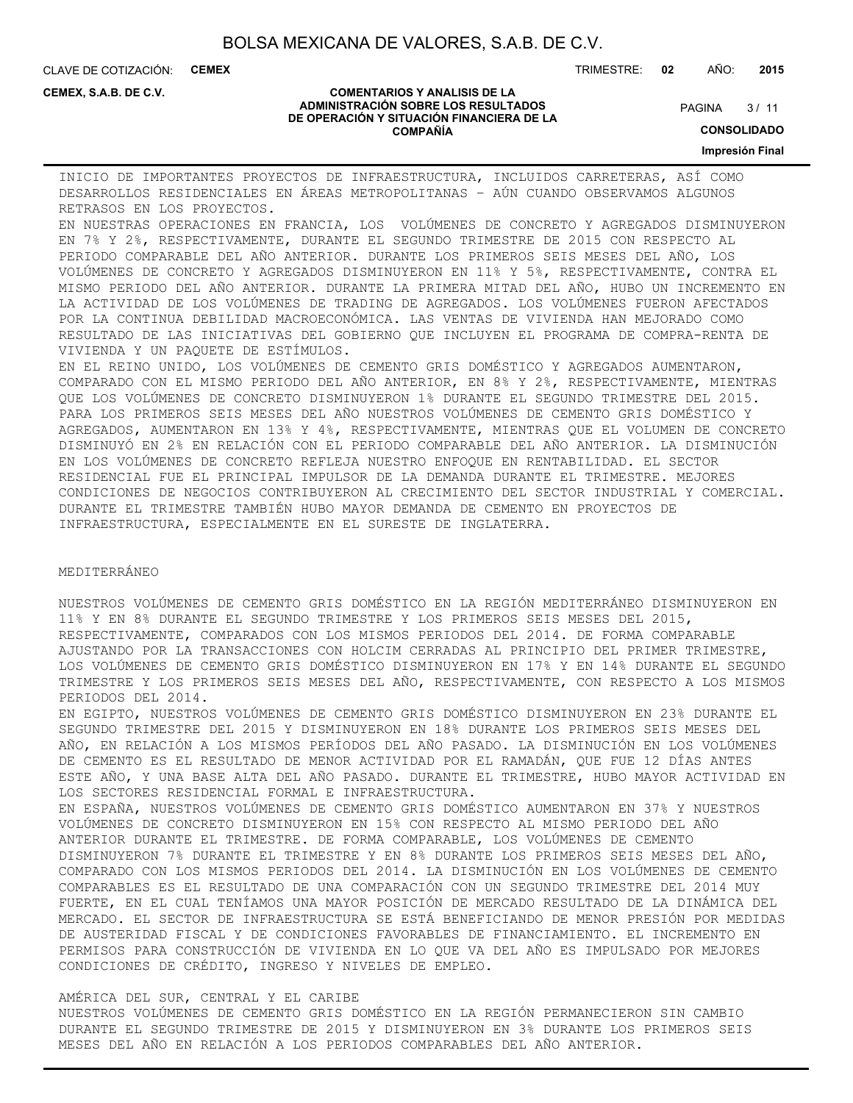CLAVE DE COTIZACIÓN: **CEMEX**

**CEMEX, S.A.B. DE C.V.**

TRIMESTRE: **02** AÑO: **2015**

 $3/11$ **PAGINA** 

#### **COMENTARIOS Y ANALISIS DE LA ADMINISTRACIÓN SOBRE LOS RESULTADOS DE OPERACIÓN Y SITUACIÓN FINANCIERA DE LA COMPAÑÍA**

**CONSOLIDADO**

**Impresión Final**

INICIO DE IMPORTANTES PROYECTOS DE INFRAESTRUCTURA, INCLUIDOS CARRETERAS, ASÍ COMO DESARROLLOS RESIDENCIALES EN ÁREAS METROPOLITANAS – AÚN CUANDO OBSERVAMOS ALGUNOS RETRASOS EN LOS PROYECTOS.

EN NUESTRAS OPERACIONES EN FRANCIA, LOS VOLÚMENES DE CONCRETO Y AGREGADOS DISMINUYERON EN 7% Y 2%, RESPECTIVAMENTE, DURANTE EL SEGUNDO TRIMESTRE DE 2015 CON RESPECTO AL PERIODO COMPARABLE DEL AÑO ANTERIOR. DURANTE LOS PRIMEROS SEIS MESES DEL AÑO, LOS VOLÚMENES DE CONCRETO Y AGREGADOS DISMINUYERON EN 11% Y 5%, RESPECTIVAMENTE, CONTRA EL MISMO PERIODO DEL AÑO ANTERIOR. DURANTE LA PRIMERA MITAD DEL AÑO, HUBO UN INCREMENTO EN LA ACTIVIDAD DE LOS VOLÚMENES DE TRADING DE AGREGADOS. LOS VOLÚMENES FUERON AFECTADOS POR LA CONTINUA DEBILIDAD MACROECONÓMICA. LAS VENTAS DE VIVIENDA HAN MEJORADO COMO RESULTADO DE LAS INICIATIVAS DEL GOBIERNO QUE INCLUYEN EL PROGRAMA DE COMPRA-RENTA DE VIVIENDA Y UN PAQUETE DE ESTÍMULOS.

EN EL REINO UNIDO, LOS VOLÚMENES DE CEMENTO GRIS DOMÉSTICO Y AGREGADOS AUMENTARON, COMPARADO CON EL MISMO PERIODO DEL AÑO ANTERIOR, EN 8% Y 2%, RESPECTIVAMENTE, MIENTRAS QUE LOS VOLÚMENES DE CONCRETO DISMINUYERON 1% DURANTE EL SEGUNDO TRIMESTRE DEL 2015. PARA LOS PRIMEROS SEIS MESES DEL AÑO NUESTROS VOLÚMENES DE CEMENTO GRIS DOMÉSTICO Y AGREGADOS, AUMENTARON EN 13% Y 4%, RESPECTIVAMENTE, MIENTRAS QUE EL VOLUMEN DE CONCRETO DISMINUYÓ EN 2% EN RELACIÓN CON EL PERIODO COMPARABLE DEL AÑO ANTERIOR. LA DISMINUCIÓN EN LOS VOLÚMENES DE CONCRETO REFLEJA NUESTRO ENFOQUE EN RENTABILIDAD. EL SECTOR RESIDENCIAL FUE EL PRINCIPAL IMPULSOR DE LA DEMANDA DURANTE EL TRIMESTRE. MEJORES CONDICIONES DE NEGOCIOS CONTRIBUYERON AL CRECIMIENTO DEL SECTOR INDUSTRIAL Y COMERCIAL. DURANTE EL TRIMESTRE TAMBIÉN HUBO MAYOR DEMANDA DE CEMENTO EN PROYECTOS DE INFRAESTRUCTURA, ESPECIALMENTE EN EL SURESTE DE INGLATERRA.

#### MEDITERRÁNEO

NUESTROS VOLÚMENES DE CEMENTO GRIS DOMÉSTICO EN LA REGIÓN MEDITERRÁNEO DISMINUYERON EN 11% Y EN 8% DURANTE EL SEGUNDO TRIMESTRE Y LOS PRIMEROS SEIS MESES DEL 2015, RESPECTIVAMENTE, COMPARADOS CON LOS MISMOS PERIODOS DEL 2014. DE FORMA COMPARABLE AJUSTANDO POR LA TRANSACCIONES CON HOLCIM CERRADAS AL PRINCIPIO DEL PRIMER TRIMESTRE, LOS VOLÚMENES DE CEMENTO GRIS DOMÉSTICO DISMINUYERON EN 17% Y EN 14% DURANTE EL SEGUNDO TRIMESTRE Y LOS PRIMEROS SEIS MESES DEL AÑO, RESPECTIVAMENTE, CON RESPECTO A LOS MISMOS PERIODOS DEL 2014.

EN EGIPTO, NUESTROS VOLÚMENES DE CEMENTO GRIS DOMÉSTICO DISMINUYERON EN 23% DURANTE EL SEGUNDO TRIMESTRE DEL 2015 Y DISMINUYERON EN 18% DURANTE LOS PRIMEROS SEIS MESES DEL AÑO, EN RELACIÓN A LOS MISMOS PERÍODOS DEL AÑO PASADO. LA DISMINUCIÓN EN LOS VOLÚMENES DE CEMENTO ES EL RESULTADO DE MENOR ACTIVIDAD POR EL RAMADÁN, QUE FUE 12 DÍAS ANTES ESTE AÑO, Y UNA BASE ALTA DEL AÑO PASADO. DURANTE EL TRIMESTRE, HUBO MAYOR ACTIVIDAD EN LOS SECTORES RESIDENCIAL FORMAL E INFRAESTRUCTURA.

EN ESPAÑA, NUESTROS VOLÚMENES DE CEMENTO GRIS DOMÉSTICO AUMENTARON EN 37% Y NUESTROS VOLÚMENES DE CONCRETO DISMINUYERON EN 15% CON RESPECTO AL MISMO PERIODO DEL AÑO ANTERIOR DURANTE EL TRIMESTRE. DE FORMA COMPARABLE, LOS VOLÚMENES DE CEMENTO DISMINUYERON 7% DURANTE EL TRIMESTRE Y EN 8% DURANTE LOS PRIMEROS SEIS MESES DEL AÑO, COMPARADO CON LOS MISMOS PERIODOS DEL 2014. LA DISMINUCIÓN EN LOS VOLÚMENES DE CEMENTO COMPARABLES ES EL RESULTADO DE UNA COMPARACIÓN CON UN SEGUNDO TRIMESTRE DEL 2014 MUY FUERTE, EN EL CUAL TENÍAMOS UNA MAYOR POSICIÓN DE MERCADO RESULTADO DE LA DINÁMICA DEL MERCADO. EL SECTOR DE INFRAESTRUCTURA SE ESTÁ BENEFICIANDO DE MENOR PRESIÓN POR MEDIDAS DE AUSTERIDAD FISCAL Y DE CONDICIONES FAVORABLES DE FINANCIAMIENTO. EL INCREMENTO EN PERMISOS PARA CONSTRUCCIÓN DE VIVIENDA EN LO QUE VA DEL AÑO ES IMPULSADO POR MEJORES CONDICIONES DE CRÉDITO, INGRESO Y NIVELES DE EMPLEO.

### AMÉRICA DEL SUR, CENTRAL Y EL CARIBE

NUESTROS VOLÚMENES DE CEMENTO GRIS DOMÉSTICO EN LA REGIÓN PERMANECIERON SIN CAMBIO DURANTE EL SEGUNDO TRIMESTRE DE 2015 Y DISMINUYERON EN 3% DURANTE LOS PRIMEROS SEIS MESES DEL AÑO EN RELACIÓN A LOS PERIODOS COMPARABLES DEL AÑO ANTERIOR.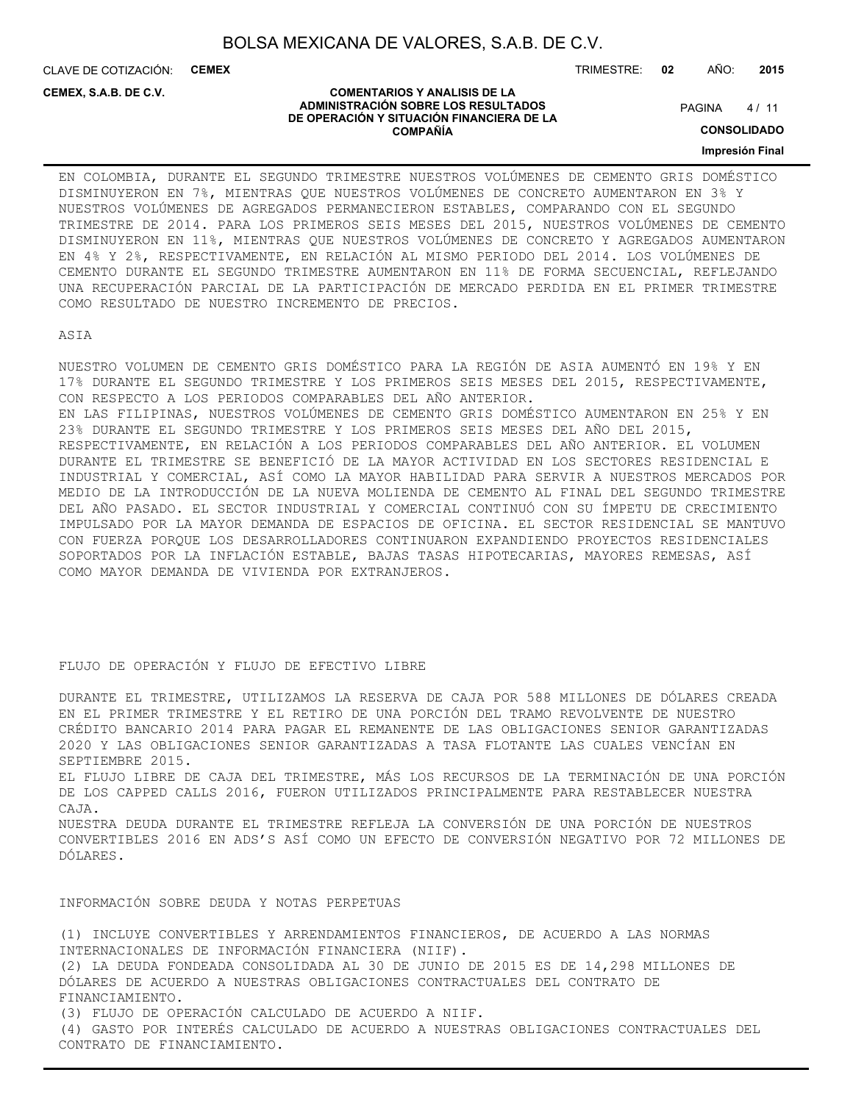CLAVE DE COTIZACIÓN: **CEMEX**

**CEMEX, S.A.B. DE C.V.**

TRIMESTRE: **02** AÑO: **2015**

#### **COMENTARIOS Y ANALISIS DE LA ADMINISTRACIÓN SOBRE LOS RESULTADOS DE OPERACIÓN Y SITUACIÓN FINANCIERA DE LA COMPAÑÍA**

 $4/11$ **PAGINA** 

**CONSOLIDADO**

### **Impresión Final**

EN COLOMBIA, DURANTE EL SEGUNDO TRIMESTRE NUESTROS VOLÚMENES DE CEMENTO GRIS DOMÉSTICO DISMINUYERON EN 7%, MIENTRAS QUE NUESTROS VOLÚMENES DE CONCRETO AUMENTARON EN 3% Y NUESTROS VOLÚMENES DE AGREGADOS PERMANECIERON ESTABLES, COMPARANDO CON EL SEGUNDO TRIMESTRE DE 2014. PARA LOS PRIMEROS SEIS MESES DEL 2015, NUESTROS VOLÚMENES DE CEMENTO DISMINUYERON EN 11%, MIENTRAS QUE NUESTROS VOLÚMENES DE CONCRETO Y AGREGADOS AUMENTARON EN 4% Y 2%, RESPECTIVAMENTE, EN RELACIÓN AL MISMO PERIODO DEL 2014. LOS VOLÚMENES DE CEMENTO DURANTE EL SEGUNDO TRIMESTRE AUMENTARON EN 11% DE FORMA SECUENCIAL, REFLEJANDO UNA RECUPERACIÓN PARCIAL DE LA PARTICIPACIÓN DE MERCADO PERDIDA EN EL PRIMER TRIMESTRE COMO RESULTADO DE NUESTRO INCREMENTO DE PRECIOS.

ASIA

NUESTRO VOLUMEN DE CEMENTO GRIS DOMÉSTICO PARA LA REGIÓN DE ASIA AUMENTÓ EN 19% Y EN 17% DURANTE EL SEGUNDO TRIMESTRE Y LOS PRIMEROS SEIS MESES DEL 2015, RESPECTIVAMENTE, CON RESPECTO A LOS PERIODOS COMPARABLES DEL AÑO ANTERIOR. EN LAS FILIPINAS, NUESTROS VOLÚMENES DE CEMENTO GRIS DOMÉSTICO AUMENTARON EN 25% Y EN 23% DURANTE EL SEGUNDO TRIMESTRE Y LOS PRIMEROS SEIS MESES DEL AÑO DEL 2015, RESPECTIVAMENTE, EN RELACIÓN A LOS PERIODOS COMPARABLES DEL AÑO ANTERIOR. EL VOLUMEN DURANTE EL TRIMESTRE SE BENEFICIÓ DE LA MAYOR ACTIVIDAD EN LOS SECTORES RESIDENCIAL E INDUSTRIAL Y COMERCIAL, ASÍ COMO LA MAYOR HABILIDAD PARA SERVIR A NUESTROS MERCADOS POR MEDIO DE LA INTRODUCCIÓN DE LA NUEVA MOLIENDA DE CEMENTO AL FINAL DEL SEGUNDO TRIMESTRE DEL AÑO PASADO. EL SECTOR INDUSTRIAL Y COMERCIAL CONTINUÓ CON SU ÍMPETU DE CRECIMIENTO IMPULSADO POR LA MAYOR DEMANDA DE ESPACIOS DE OFICINA. EL SECTOR RESIDENCIAL SE MANTUVO CON FUERZA PORQUE LOS DESARROLLADORES CONTINUARON EXPANDIENDO PROYECTOS RESIDENCIALES SOPORTADOS POR LA INFLACIÓN ESTABLE, BAJAS TASAS HIPOTECARIAS, MAYORES REMESAS, ASÍ COMO MAYOR DEMANDA DE VIVIENDA POR EXTRANJEROS.

### FLUJO DE OPERACIÓN Y FLUJO DE EFECTIVO LIBRE

DURANTE EL TRIMESTRE, UTILIZAMOS LA RESERVA DE CAJA POR 588 MILLONES DE DÓLARES CREADA EN EL PRIMER TRIMESTRE Y EL RETIRO DE UNA PORCIÓN DEL TRAMO REVOLVENTE DE NUESTRO CRÉDITO BANCARIO 2014 PARA PAGAR EL REMANENTE DE LAS OBLIGACIONES SENIOR GARANTIZADAS 2020 Y LAS OBLIGACIONES SENIOR GARANTIZADAS A TASA FLOTANTE LAS CUALES VENCÍAN EN SEPTIEMBRE 2015.

EL FLUJO LIBRE DE CAJA DEL TRIMESTRE, MÁS LOS RECURSOS DE LA TERMINACIÓN DE UNA PORCIÓN DE LOS CAPPED CALLS 2016, FUERON UTILIZADOS PRINCIPALMENTE PARA RESTABLECER NUESTRA CAJA.

NUESTRA DEUDA DURANTE EL TRIMESTRE REFLEJA LA CONVERSIÓN DE UNA PORCIÓN DE NUESTROS CONVERTIBLES 2016 EN ADS'S ASÍ COMO UN EFECTO DE CONVERSIÓN NEGATIVO POR 72 MILLONES DE DÓLARES.

### INFORMACIÓN SOBRE DEUDA Y NOTAS PERPETUAS

(1) INCLUYE CONVERTIBLES Y ARRENDAMIENTOS FINANCIEROS, DE ACUERDO A LAS NORMAS INTERNACIONALES DE INFORMACIÓN FINANCIERA (NIIF). (2) LA DEUDA FONDEADA CONSOLIDADA AL 30 DE JUNIO DE 2015 ES DE 14,298 MILLONES DE DÓLARES DE ACUERDO A NUESTRAS OBLIGACIONES CONTRACTUALES DEL CONTRATO DE FINANCIAMIENTO. (3) FLUJO DE OPERACIÓN CALCULADO DE ACUERDO A NIIF. (4) GASTO POR INTERÉS CALCULADO DE ACUERDO A NUESTRAS OBLIGACIONES CONTRACTUALES DEL

CONTRATO DE FINANCIAMIENTO.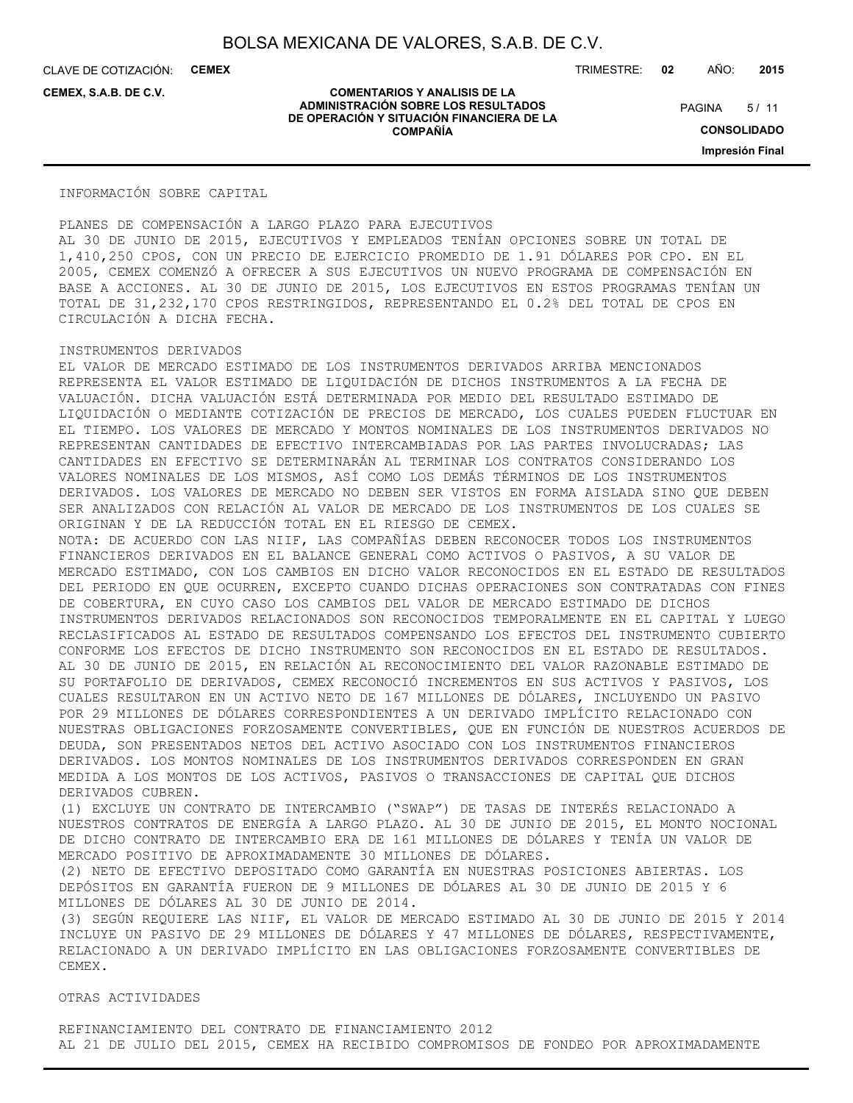CLAVE DE COTIZACIÓN: **CEMEX**

**CEMEX, S.A.B. DE C.V.**

TRIMESTRE: **02** AÑO: **2015**

 $5/11$ **PAGINA** 

**COMENTARIOS Y ANALISIS DE LA ADMINISTRACIÓN SOBRE LOS RESULTADOS DE OPERACIÓN Y SITUACIÓN FINANCIERA DE LA COMPAÑÍA**

**CONSOLIDADO Impresión Final**

INFORMACIÓN SOBRE CAPITAL

PLANES DE COMPENSACIÓN A LARGO PLAZO PARA EJECUTIVOS AL 30 DE JUNIO DE 2015, EJECUTIVOS Y EMPLEADOS TENÍAN OPCIONES SOBRE UN TOTAL DE 1,410,250 CPOS, CON UN PRECIO DE EJERCICIO PROMEDIO DE 1.91 DÓLARES POR CPO. EN EL 2005, CEMEX COMENZÓ A OFRECER A SUS EJECUTIVOS UN NUEVO PROGRAMA DE COMPENSACIÓN EN BASE A ACCIONES. AL 30 DE JUNIO DE 2015, LOS EJECUTIVOS EN ESTOS PROGRAMAS TENÍAN UN TOTAL DE 31,232,170 CPOS RESTRINGIDOS, REPRESENTANDO EL 0.2% DEL TOTAL DE CPOS EN CIRCULACIÓN A DICHA FECHA.

### INSTRUMENTOS DERIVADOS

EL VALOR DE MERCADO ESTIMADO DE LOS INSTRUMENTOS DERIVADOS ARRIBA MENCIONADOS REPRESENTA EL VALOR ESTIMADO DE LIQUIDACIÓN DE DICHOS INSTRUMENTOS A LA FECHA DE VALUACIÓN. DICHA VALUACIÓN ESTÁ DETERMINADA POR MEDIO DEL RESULTADO ESTIMADO DE LIQUIDACIÓN O MEDIANTE COTIZACIÓN DE PRECIOS DE MERCADO, LOS CUALES PUEDEN FLUCTUAR EN EL TIEMPO. LOS VALORES DE MERCADO Y MONTOS NOMINALES DE LOS INSTRUMENTOS DERIVADOS NO REPRESENTAN CANTIDADES DE EFECTIVO INTERCAMBIADAS POR LAS PARTES INVOLUCRADAS; LAS CANTIDADES EN EFECTIVO SE DETERMINARÁN AL TERMINAR LOS CONTRATOS CONSIDERANDO LOS VALORES NOMINALES DE LOS MISMOS, ASÍ COMO LOS DEMÁS TÉRMINOS DE LOS INSTRUMENTOS DERIVADOS. LOS VALORES DE MERCADO NO DEBEN SER VISTOS EN FORMA AISLADA SINO QUE DEBEN SER ANALIZADOS CON RELACIÓN AL VALOR DE MERCADO DE LOS INSTRUMENTOS DE LOS CUALES SE ORIGINAN Y DE LA REDUCCIÓN TOTAL EN EL RIESGO DE CEMEX.

NOTA: DE ACUERDO CON LAS NIIF, LAS COMPAÑÍAS DEBEN RECONOCER TODOS LOS INSTRUMENTOS FINANCIEROS DERIVADOS EN EL BALANCE GENERAL COMO ACTIVOS O PASIVOS, A SU VALOR DE MERCADO ESTIMADO, CON LOS CAMBIOS EN DICHO VALOR RECONOCIDOS EN EL ESTADO DE RESULTADOS DEL PERIODO EN QUE OCURREN, EXCEPTO CUANDO DICHAS OPERACIONES SON CONTRATADAS CON FINES DE COBERTURA, EN CUYO CASO LOS CAMBIOS DEL VALOR DE MERCADO ESTIMADO DE DICHOS INSTRUMENTOS DERIVADOS RELACIONADOS SON RECONOCIDOS TEMPORALMENTE EN EL CAPITAL Y LUEGO RECLASIFICADOS AL ESTADO DE RESULTADOS COMPENSANDO LOS EFECTOS DEL INSTRUMENTO CUBIERTO CONFORME LOS EFECTOS DE DICHO INSTRUMENTO SON RECONOCIDOS EN EL ESTADO DE RESULTADOS. AL 30 DE JUNIO DE 2015, EN RELACIÓN AL RECONOCIMIENTO DEL VALOR RAZONABLE ESTIMADO DE SU PORTAFOLIO DE DERIVADOS, CEMEX RECONOCIÓ INCREMENTOS EN SUS ACTIVOS Y PASIVOS, LOS CUALES RESULTARON EN UN ACTIVO NETO DE 167 MILLONES DE DÓLARES, INCLUYENDO UN PASIVO POR 29 MILLONES DE DÓLARES CORRESPONDIENTES A UN DERIVADO IMPLÍCITO RELACIONADO CON NUESTRAS OBLIGACIONES FORZOSAMENTE CONVERTIBLES, QUE EN FUNCIÓN DE NUESTROS ACUERDOS DE DEUDA, SON PRESENTADOS NETOS DEL ACTIVO ASOCIADO CON LOS INSTRUMENTOS FINANCIEROS DERIVADOS. LOS MONTOS NOMINALES DE LOS INSTRUMENTOS DERIVADOS CORRESPONDEN EN GRAN MEDIDA A LOS MONTOS DE LOS ACTIVOS, PASIVOS O TRANSACCIONES DE CAPITAL QUE DICHOS DERIVADOS CUBREN.

(1) EXCLUYE UN CONTRATO DE INTERCAMBIO ("SWAP") DE TASAS DE INTERÉS RELACIONADO A NUESTROS CONTRATOS DE ENERGÍA A LARGO PLAZO. AL 30 DE JUNIO DE 2015, EL MONTO NOCIONAL DE DICHO CONTRATO DE INTERCAMBIO ERA DE 161 MILLONES DE DÓLARES Y TENÍA UN VALOR DE MERCADO POSITIVO DE APROXIMADAMENTE 30 MILLONES DE DÓLARES.

(2) NETO DE EFECTIVO DEPOSITADO COMO GARANTÍA EN NUESTRAS POSICIONES ABIERTAS. LOS DEPÓSITOS EN GARANTÍA FUERON DE 9 MILLONES DE DÓLARES AL 30 DE JUNIO DE 2015 Y 6 MILLONES DE DÓLARES AL 30 DE JUNIO DE 2014.

(3) SEGÚN REQUIERE LAS NIIF, EL VALOR DE MERCADO ESTIMADO AL 30 DE JUNIO DE 2015 Y 2014 INCLUYE UN PASIVO DE 29 MILLONES DE DÓLARES Y 47 MILLONES DE DÓLARES, RESPECTIVAMENTE, RELACIONADO A UN DERIVADO IMPLÍCITO EN LAS OBLIGACIONES FORZOSAMENTE CONVERTIBLES DE CEMEX.

OTRAS ACTIVIDADES

REFINANCIAMIENTO DEL CONTRATO DE FINANCIAMIENTO 2012 AL 21 DE JULIO DEL 2015, CEMEX HA RECIBIDO COMPROMISOS DE FONDEO POR APROXIMADAMENTE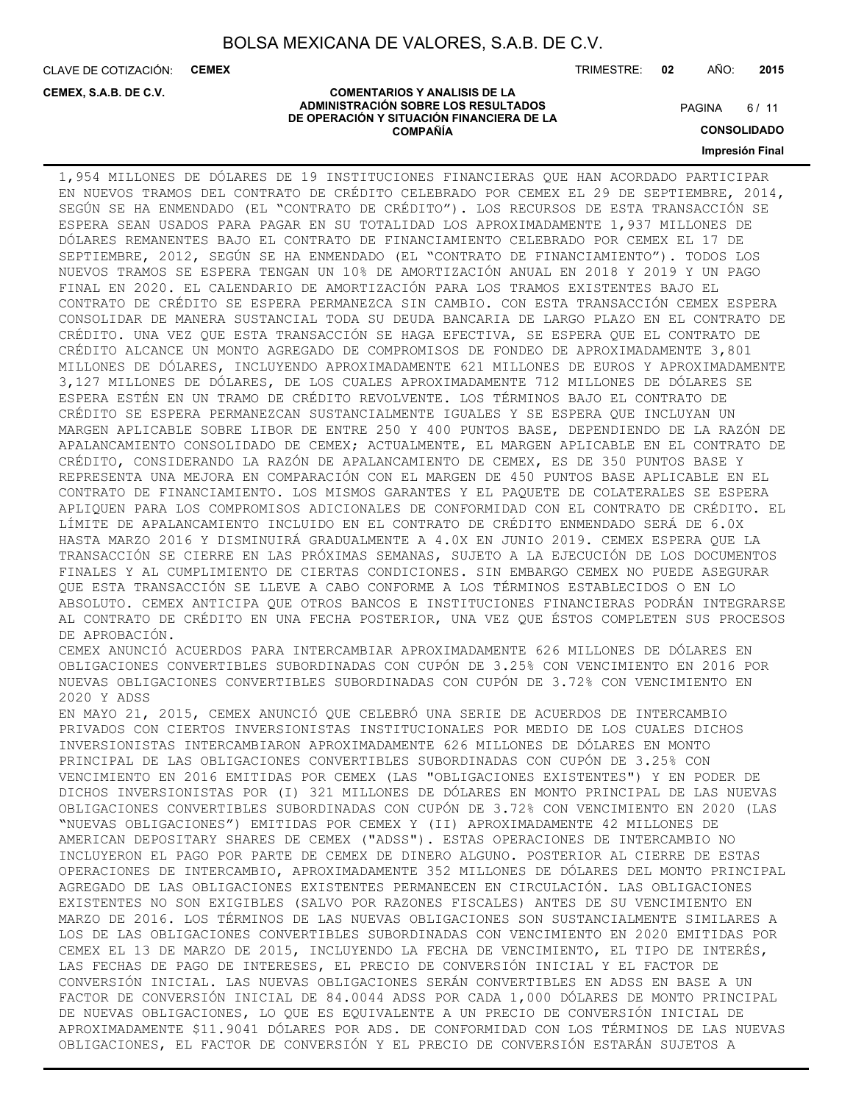CLAVE DE COTIZACIÓN: **CEMEX**

**CEMEX, S.A.B. DE C.V.**

TRIMESTRE: **02** AÑO: **2015**

#### **COMENTARIOS Y ANALISIS DE LA ADMINISTRACIÓN SOBRE LOS RESULTADOS DE OPERACIÓN Y SITUACIÓN FINANCIERA DE LA COMPAÑÍA**

 $6/11$ **PAGINA** 

**CONSOLIDADO**

**Impresión Final**

1,954 MILLONES DE DÓLARES DE 19 INSTITUCIONES FINANCIERAS QUE HAN ACORDADO PARTICIPAR EN NUEVOS TRAMOS DEL CONTRATO DE CRÉDITO CELEBRADO POR CEMEX EL 29 DE SEPTIEMBRE, 2014, SEGÚN SE HA ENMENDADO (EL "CONTRATO DE CRÉDITO"). LOS RECURSOS DE ESTA TRANSACCIÓN SE ESPERA SEAN USADOS PARA PAGAR EN SU TOTALIDAD LOS APROXIMADAMENTE 1,937 MILLONES DE DÓLARES REMANENTES BAJO EL CONTRATO DE FINANCIAMIENTO CELEBRADO POR CEMEX EL 17 DE SEPTIEMBRE, 2012, SEGÚN SE HA ENMENDADO (EL "CONTRATO DE FINANCIAMIENTO"). TODOS LOS NUEVOS TRAMOS SE ESPERA TENGAN UN 10% DE AMORTIZACIÓN ANUAL EN 2018 Y 2019 Y UN PAGO FINAL EN 2020. EL CALENDARIO DE AMORTIZACIÓN PARA LOS TRAMOS EXISTENTES BAJO EL CONTRATO DE CRÉDITO SE ESPERA PERMANEZCA SIN CAMBIO. CON ESTA TRANSACCIÓN CEMEX ESPERA CONSOLIDAR DE MANERA SUSTANCIAL TODA SU DEUDA BANCARIA DE LARGO PLAZO EN EL CONTRATO DE CRÉDITO. UNA VEZ QUE ESTA TRANSACCIÓN SE HAGA EFECTIVA, SE ESPERA QUE EL CONTRATO DE CRÉDITO ALCANCE UN MONTO AGREGADO DE COMPROMISOS DE FONDEO DE APROXIMADAMENTE 3,801 MILLONES DE DÓLARES, INCLUYENDO APROXIMADAMENTE 621 MILLONES DE EUROS Y APROXIMADAMENTE 3,127 MILLONES DE DÓLARES, DE LOS CUALES APROXIMADAMENTE 712 MILLONES DE DÓLARES SE ESPERA ESTÉN EN UN TRAMO DE CRÉDITO REVOLVENTE. LOS TÉRMINOS BAJO EL CONTRATO DE CRÉDITO SE ESPERA PERMANEZCAN SUSTANCIALMENTE IGUALES Y SE ESPERA QUE INCLUYAN UN MARGEN APLICABLE SOBRE LIBOR DE ENTRE 250 Y 400 PUNTOS BASE, DEPENDIENDO DE LA RAZÓN DE APALANCAMIENTO CONSOLIDADO DE CEMEX; ACTUALMENTE, EL MARGEN APLICABLE EN EL CONTRATO DE CRÉDITO, CONSIDERANDO LA RAZÓN DE APALANCAMIENTO DE CEMEX, ES DE 350 PUNTOS BASE Y REPRESENTA UNA MEJORA EN COMPARACIÓN CON EL MARGEN DE 450 PUNTOS BASE APLICABLE EN EL CONTRATO DE FINANCIAMIENTO. LOS MISMOS GARANTES Y EL PAQUETE DE COLATERALES SE ESPERA APLIQUEN PARA LOS COMPROMISOS ADICIONALES DE CONFORMIDAD CON EL CONTRATO DE CRÉDITO. EL LÍMITE DE APALANCAMIENTO INCLUIDO EN EL CONTRATO DE CRÉDITO ENMENDADO SERÁ DE 6.0X HASTA MARZO 2016 Y DISMINUIRÁ GRADUALMENTE A 4.0X EN JUNIO 2019. CEMEX ESPERA QUE LA TRANSACCIÓN SE CIERRE EN LAS PRÓXIMAS SEMANAS, SUJETO A LA EJECUCIÓN DE LOS DOCUMENTOS FINALES Y AL CUMPLIMIENTO DE CIERTAS CONDICIONES. SIN EMBARGO CEMEX NO PUEDE ASEGURAR QUE ESTA TRANSACCIÓN SE LLEVE A CABO CONFORME A LOS TÉRMINOS ESTABLECIDOS O EN LO ABSOLUTO. CEMEX ANTICIPA QUE OTROS BANCOS E INSTITUCIONES FINANCIERAS PODRÁN INTEGRARSE AL CONTRATO DE CRÉDITO EN UNA FECHA POSTERIOR, UNA VEZ QUE ÉSTOS COMPLETEN SUS PROCESOS DE APROBACIÓN. CEMEX ANUNCIÓ ACUERDOS PARA INTERCAMBIAR APROXIMADAMENTE 626 MILLONES DE DÓLARES EN OBLIGACIONES CONVERTIBLES SUBORDINADAS CON CUPÓN DE 3.25% CON VENCIMIENTO EN 2016 POR NUEVAS OBLIGACIONES CONVERTIBLES SUBORDINADAS CON CUPÓN DE 3.72% CON VENCIMIENTO EN 2020 Y ADSS EN MAYO 21, 2015, CEMEX ANUNCIÓ QUE CELEBRÓ UNA SERIE DE ACUERDOS DE INTERCAMBIO PRIVADOS CON CIERTOS INVERSIONISTAS INSTITUCIONALES POR MEDIO DE LOS CUALES DICHOS INVERSIONISTAS INTERCAMBIARON APROXIMADAMENTE 626 MILLONES DE DÓLARES EN MONTO PRINCIPAL DE LAS OBLIGACIONES CONVERTIBLES SUBORDINADAS CON CUPÓN DE 3.25% CON VENCIMIENTO EN 2016 EMITIDAS POR CEMEX (LAS "OBLIGACIONES EXISTENTES") Y EN PODER DE DICHOS INVERSIONISTAS POR (I) 321 MILLONES DE DÓLARES EN MONTO PRINCIPAL DE LAS NUEVAS OBLIGACIONES CONVERTIBLES SUBORDINADAS CON CUPÓN DE 3.72% CON VENCIMIENTO EN 2020 (LAS "NUEVAS OBLIGACIONES") EMITIDAS POR CEMEX Y (II) APROXIMADAMENTE 42 MILLONES DE AMERICAN DEPOSITARY SHARES DE CEMEX ("ADSS"). ESTAS OPERACIONES DE INTERCAMBIO NO INCLUYERON EL PAGO POR PARTE DE CEMEX DE DINERO ALGUNO. POSTERIOR AL CIERRE DE ESTAS OPERACIONES DE INTERCAMBIO, APROXIMADAMENTE 352 MILLONES DE DÓLARES DEL MONTO PRINCIPAL AGREGADO DE LAS OBLIGACIONES EXISTENTES PERMANECEN EN CIRCULACIÓN. LAS OBLIGACIONES EXISTENTES NO SON EXIGIBLES (SALVO POR RAZONES FISCALES) ANTES DE SU VENCIMIENTO EN MARZO DE 2016. LOS TÉRMINOS DE LAS NUEVAS OBLIGACIONES SON SUSTANCIALMENTE SIMILARES A LOS DE LAS OBLIGACIONES CONVERTIBLES SUBORDINADAS CON VENCIMIENTO EN 2020 EMITIDAS POR CEMEX EL 13 DE MARZO DE 2015, INCLUYENDO LA FECHA DE VENCIMIENTO, EL TIPO DE INTERÉS, LAS FECHAS DE PAGO DE INTERESES, EL PRECIO DE CONVERSIÓN INICIAL Y EL FACTOR DE CONVERSIÓN INICIAL. LAS NUEVAS OBLIGACIONES SERÁN CONVERTIBLES EN ADSS EN BASE A UN FACTOR DE CONVERSIÓN INICIAL DE 84.0044 ADSS POR CADA 1,000 DÓLARES DE MONTO PRINCIPAL DE NUEVAS OBLIGACIONES, LO QUE ES EQUIVALENTE A UN PRECIO DE CONVERSIÓN INICIAL DE APROXIMADAMENTE \$11.9041 DÓLARES POR ADS. DE CONFORMIDAD CON LOS TÉRMINOS DE LAS NUEVAS OBLIGACIONES, EL FACTOR DE CONVERSIÓN Y EL PRECIO DE CONVERSIÓN ESTARÁN SUJETOS A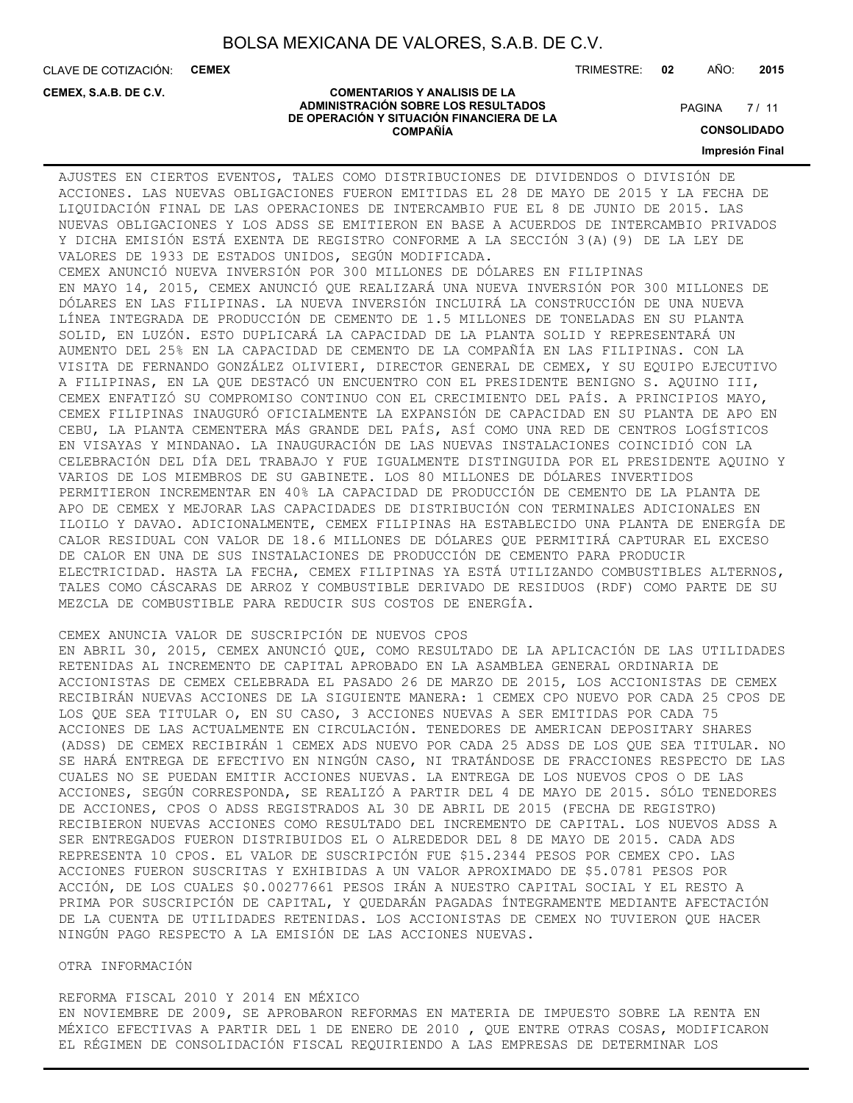CLAVE DE COTIZACIÓN: **CEMEX**

**CEMEX, S.A.B. DE C.V.**

TRIMESTRE: **02** AÑO: **2015**

#### **COMENTARIOS Y ANALISIS DE LA ADMINISTRACIÓN SOBRE LOS RESULTADOS DE OPERACIÓN Y SITUACIÓN FINANCIERA DE LA COMPAÑÍA**

 $7/11$ **PAGINA** 

**CONSOLIDADO**

**Impresión Final**

### AJUSTES EN CIERTOS EVENTOS, TALES COMO DISTRIBUCIONES DE DIVIDENDOS O DIVISIÓN DE ACCIONES. LAS NUEVAS OBLIGACIONES FUERON EMITIDAS EL 28 DE MAYO DE 2015 Y LA FECHA DE LIQUIDACIÓN FINAL DE LAS OPERACIONES DE INTERCAMBIO FUE EL 8 DE JUNIO DE 2015. LAS NUEVAS OBLIGACIONES Y LOS ADSS SE EMITIERON EN BASE A ACUERDOS DE INTERCAMBIO PRIVADOS Y DICHA EMISIÓN ESTÁ EXENTA DE REGISTRO CONFORME A LA SECCIÓN 3(A)(9) DE LA LEY DE VALORES DE 1933 DE ESTADOS UNIDOS, SEGÚN MODIFICADA.

CEMEX ANUNCIÓ NUEVA INVERSIÓN POR 300 MILLONES DE DÓLARES EN FILIPINAS EN MAYO 14, 2015, CEMEX ANUNCIÓ QUE REALIZARÁ UNA NUEVA INVERSIÓN POR 300 MILLONES DE DÓLARES EN LAS FILIPINAS. LA NUEVA INVERSIÓN INCLUIRÁ LA CONSTRUCCIÓN DE UNA NUEVA LÍNEA INTEGRADA DE PRODUCCIÓN DE CEMENTO DE 1.5 MILLONES DE TONELADAS EN SU PLANTA SOLID, EN LUZÓN. ESTO DUPLICARÁ LA CAPACIDAD DE LA PLANTA SOLID Y REPRESENTARÁ UN AUMENTO DEL 25% EN LA CAPACIDAD DE CEMENTO DE LA COMPAÑÍA EN LAS FILIPINAS. CON LA VISITA DE FERNANDO GONZÁLEZ OLIVIERI, DIRECTOR GENERAL DE CEMEX, Y SU EQUIPO EJECUTIVO A FILIPINAS, EN LA QUE DESTACÓ UN ENCUENTRO CON EL PRESIDENTE BENIGNO S. AQUINO III, CEMEX ENFATIZÓ SU COMPROMISO CONTINUO CON EL CRECIMIENTO DEL PAÍS. A PRINCIPIOS MAYO, CEMEX FILIPINAS INAUGURÓ OFICIALMENTE LA EXPANSIÓN DE CAPACIDAD EN SU PLANTA DE APO EN CEBU, LA PLANTA CEMENTERA MÁS GRANDE DEL PAÍS, ASÍ COMO UNA RED DE CENTROS LOGÍSTICOS EN VISAYAS Y MINDANAO. LA INAUGURACIÓN DE LAS NUEVAS INSTALACIONES COINCIDIÓ CON LA CELEBRACIÓN DEL DÍA DEL TRABAJO Y FUE IGUALMENTE DISTINGUIDA POR EL PRESIDENTE AQUINO Y VARIOS DE LOS MIEMBROS DE SU GABINETE. LOS 80 MILLONES DE DÓLARES INVERTIDOS PERMITIERON INCREMENTAR EN 40% LA CAPACIDAD DE PRODUCCIÓN DE CEMENTO DE LA PLANTA DE APO DE CEMEX Y MEJORAR LAS CAPACIDADES DE DISTRIBUCIÓN CON TERMINALES ADICIONALES EN ILOILO Y DAVAO. ADICIONALMENTE, CEMEX FILIPINAS HA ESTABLECIDO UNA PLANTA DE ENERGÍA DE CALOR RESIDUAL CON VALOR DE 18.6 MILLONES DE DÓLARES QUE PERMITIRÁ CAPTURAR EL EXCESO DE CALOR EN UNA DE SUS INSTALACIONES DE PRODUCCIÓN DE CEMENTO PARA PRODUCIR ELECTRICIDAD. HASTA LA FECHA, CEMEX FILIPINAS YA ESTÁ UTILIZANDO COMBUSTIBLES ALTERNOS, TALES COMO CÁSCARAS DE ARROZ Y COMBUSTIBLE DERIVADO DE RESIDUOS (RDF) COMO PARTE DE SU MEZCLA DE COMBUSTIBLE PARA REDUCIR SUS COSTOS DE ENERGÍA.

### CEMEX ANUNCIA VALOR DE SUSCRIPCIÓN DE NUEVOS CPOS

EN ABRIL 30, 2015, CEMEX ANUNCIÓ QUE, COMO RESULTADO DE LA APLICACIÓN DE LAS UTILIDADES RETENIDAS AL INCREMENTO DE CAPITAL APROBADO EN LA ASAMBLEA GENERAL ORDINARIA DE ACCIONISTAS DE CEMEX CELEBRADA EL PASADO 26 DE MARZO DE 2015, LOS ACCIONISTAS DE CEMEX RECIBIRÁN NUEVAS ACCIONES DE LA SIGUIENTE MANERA: 1 CEMEX CPO NUEVO POR CADA 25 CPOS DE LOS QUE SEA TITULAR O, EN SU CASO, 3 ACCIONES NUEVAS A SER EMITIDAS POR CADA 75 ACCIONES DE LAS ACTUALMENTE EN CIRCULACIÓN. TENEDORES DE AMERICAN DEPOSITARY SHARES (ADSS) DE CEMEX RECIBIRÁN 1 CEMEX ADS NUEVO POR CADA 25 ADSS DE LOS QUE SEA TITULAR. NO SE HARÁ ENTREGA DE EFECTIVO EN NINGÚN CASO, NI TRATÁNDOSE DE FRACCIONES RESPECTO DE LAS CUALES NO SE PUEDAN EMITIR ACCIONES NUEVAS. LA ENTREGA DE LOS NUEVOS CPOS O DE LAS ACCIONES, SEGÚN CORRESPONDA, SE REALIZÓ A PARTIR DEL 4 DE MAYO DE 2015. SÓLO TENEDORES DE ACCIONES, CPOS O ADSS REGISTRADOS AL 30 DE ABRIL DE 2015 (FECHA DE REGISTRO) RECIBIERON NUEVAS ACCIONES COMO RESULTADO DEL INCREMENTO DE CAPITAL. LOS NUEVOS ADSS A SER ENTREGADOS FUERON DISTRIBUIDOS EL O ALREDEDOR DEL 8 DE MAYO DE 2015. CADA ADS REPRESENTA 10 CPOS. EL VALOR DE SUSCRIPCIÓN FUE \$15.2344 PESOS POR CEMEX CPO. LAS ACCIONES FUERON SUSCRITAS Y EXHIBIDAS A UN VALOR APROXIMADO DE \$5.0781 PESOS POR ACCIÓN, DE LOS CUALES \$0.00277661 PESOS IRÁN A NUESTRO CAPITAL SOCIAL Y EL RESTO A PRIMA POR SUSCRIPCIÓN DE CAPITAL, Y QUEDARÁN PAGADAS ÍNTEGRAMENTE MEDIANTE AFECTACIÓN DE LA CUENTA DE UTILIDADES RETENIDAS. LOS ACCIONISTAS DE CEMEX NO TUVIERON QUE HACER NINGÚN PAGO RESPECTO A LA EMISIÓN DE LAS ACCIONES NUEVAS.

#### OTRA INFORMACIÓN

REFORMA FISCAL 2010 Y 2014 EN MÉXICO EN NOVIEMBRE DE 2009, SE APROBARON REFORMAS EN MATERIA DE IMPUESTO SOBRE LA RENTA EN MÉXICO EFECTIVAS A PARTIR DEL 1 DE ENERO DE 2010 , QUE ENTRE OTRAS COSAS, MODIFICARON EL RÉGIMEN DE CONSOLIDACIÓN FISCAL REQUIRIENDO A LAS EMPRESAS DE DETERMINAR LOS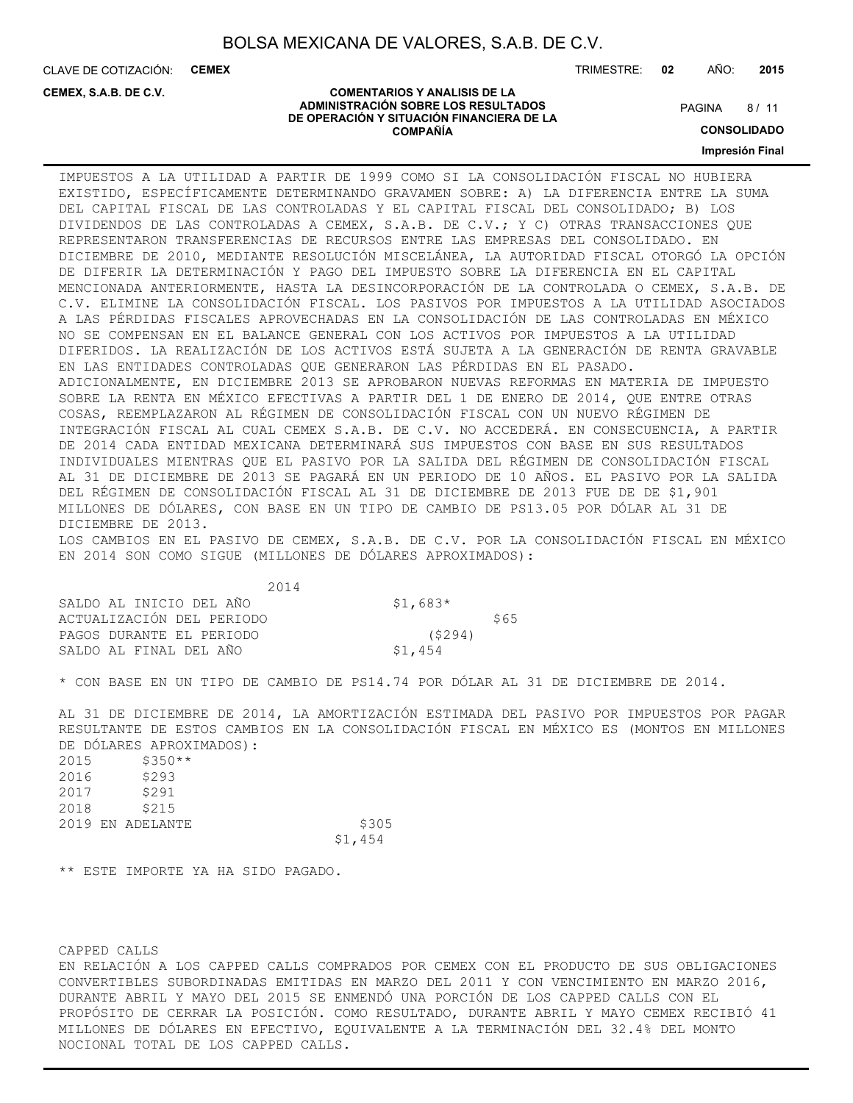CLAVE DE COTIZACIÓN: **CEMEX**

**CEMEX, S.A.B. DE C.V.**

TRIMESTRE: **02** AÑO: **2015**

#### **COMENTARIOS Y ANALISIS DE LA ADMINISTRACIÓN SOBRE LOS RESULTADOS DE OPERACIÓN Y SITUACIÓN FINANCIERA DE LA COMPAÑÍA**

 $8/11$ **PAGINA** 

**CONSOLIDADO**

**Impresión Final**

IMPUESTOS A LA UTILIDAD A PARTIR DE 1999 COMO SI LA CONSOLIDACIÓN FISCAL NO HUBIERA EXISTIDO, ESPECÍFICAMENTE DETERMINANDO GRAVAMEN SOBRE: A) LA DIFERENCIA ENTRE LA SUMA DEL CAPITAL FISCAL DE LAS CONTROLADAS Y EL CAPITAL FISCAL DEL CONSOLIDADO; B) LOS DIVIDENDOS DE LAS CONTROLADAS A CEMEX, S.A.B. DE C.V.; Y C) OTRAS TRANSACCIONES QUE REPRESENTARON TRANSFERENCIAS DE RECURSOS ENTRE LAS EMPRESAS DEL CONSOLIDADO. EN DICIEMBRE DE 2010, MEDIANTE RESOLUCIÓN MISCELÁNEA, LA AUTORIDAD FISCAL OTORGÓ LA OPCIÓN DE DIFERIR LA DETERMINACIÓN Y PAGO DEL IMPUESTO SOBRE LA DIFERENCIA EN EL CAPITAL MENCIONADA ANTERIORMENTE, HASTA LA DESINCORPORACIÓN DE LA CONTROLADA O CEMEX, S.A.B. DE C.V. ELIMINE LA CONSOLIDACIÓN FISCAL. LOS PASIVOS POR IMPUESTOS A LA UTILIDAD ASOCIADOS A LAS PÉRDIDAS FISCALES APROVECHADAS EN LA CONSOLIDACIÓN DE LAS CONTROLADAS EN MÉXICO NO SE COMPENSAN EN EL BALANCE GENERAL CON LOS ACTIVOS POR IMPUESTOS A LA UTILIDAD DIFERIDOS. LA REALIZACIÓN DE LOS ACTIVOS ESTÁ SUJETA A LA GENERACIÓN DE RENTA GRAVABLE EN LAS ENTIDADES CONTROLADAS QUE GENERARON LAS PÉRDIDAS EN EL PASADO. ADICIONALMENTE, EN DICIEMBRE 2013 SE APROBARON NUEVAS REFORMAS EN MATERIA DE IMPUESTO SOBRE LA RENTA EN MÉXICO EFECTIVAS A PARTIR DEL 1 DE ENERO DE 2014, QUE ENTRE OTRAS COSAS, REEMPLAZARON AL RÉGIMEN DE CONSOLIDACIÓN FISCAL CON UN NUEVO RÉGIMEN DE INTEGRACIÓN FISCAL AL CUAL CEMEX S.A.B. DE C.V. NO ACCEDERÁ. EN CONSECUENCIA, A PARTIR DE 2014 CADA ENTIDAD MEXICANA DETERMINARÁ SUS IMPUESTOS CON BASE EN SUS RESULTADOS INDIVIDUALES MIENTRAS QUE EL PASIVO POR LA SALIDA DEL RÉGIMEN DE CONSOLIDACIÓN FISCAL AL 31 DE DICIEMBRE DE 2013 SE PAGARÁ EN UN PERIODO DE 10 AÑOS. EL PASIVO POR LA SALIDA DEL RÉGIMEN DE CONSOLIDACIÓN FISCAL AL 31 DE DICIEMBRE DE 2013 FUE DE DE \$1,901 MILLONES DE DÓLARES, CON BASE EN UN TIPO DE CAMBIO DE PS13.05 POR DÓLAR AL 31 DE DICIEMBRE DE 2013.

LOS CAMBIOS EN EL PASIVO DE CEMEX, S.A.B. DE C.V. POR LA CONSOLIDACIÓN FISCAL EN MÉXICO EN 2014 SON COMO SIGUE (MILLONES DE DÓLARES APROXIMADOS):

| 2014                      |           |      |
|---------------------------|-----------|------|
| SALDO AL INICIO DEL AÑO   | $$1,683*$ |      |
| ACTUALIZACIÓN DEL PERIODO |           | \$65 |
| PAGOS DURANTE EL PERIODO  | (5294)    |      |
| SALDO AL FINAL DEL AÑO    | \$1,454   |      |

\* CON BASE EN UN TIPO DE CAMBIO DE PS14.74 POR DÓLAR AL 31 DE DICIEMBRE DE 2014.

AL 31 DE DICIEMBRE DE 2014, LA AMORTIZACIÓN ESTIMADA DEL PASIVO POR IMPUESTOS POR PAGAR RESULTANTE DE ESTOS CAMBIOS EN LA CONSOLIDACIÓN FISCAL EN MÉXICO ES (MONTOS EN MILLONES DE DÓLARES APROXIMADOS):

| 2015 | $$350**$         |         |       |
|------|------------------|---------|-------|
| 2016 | \$293            |         |       |
| 2017 | \$291            |         |       |
| 2018 | \$215            |         |       |
|      | 2019 EN ADELANTE |         | \$305 |
|      |                  | \$1,454 |       |

\*\* ESTE IMPORTE YA HA SIDO PAGADO.

CAPPED CALLS

EN RELACIÓN A LOS CAPPED CALLS COMPRADOS POR CEMEX CON EL PRODUCTO DE SUS OBLIGACIONES CONVERTIBLES SUBORDINADAS EMITIDAS EN MARZO DEL 2011 Y CON VENCIMIENTO EN MARZO 2016, DURANTE ABRIL Y MAYO DEL 2015 SE ENMENDÓ UNA PORCIÓN DE LOS CAPPED CALLS CON EL PROPÓSITO DE CERRAR LA POSICIÓN. COMO RESULTADO, DURANTE ABRIL Y MAYO CEMEX RECIBIÓ 41 MILLONES DE DÓLARES EN EFECTIVO, EQUIVALENTE A LA TERMINACIÓN DEL 32.4% DEL MONTO NOCIONAL TOTAL DE LOS CAPPED CALLS.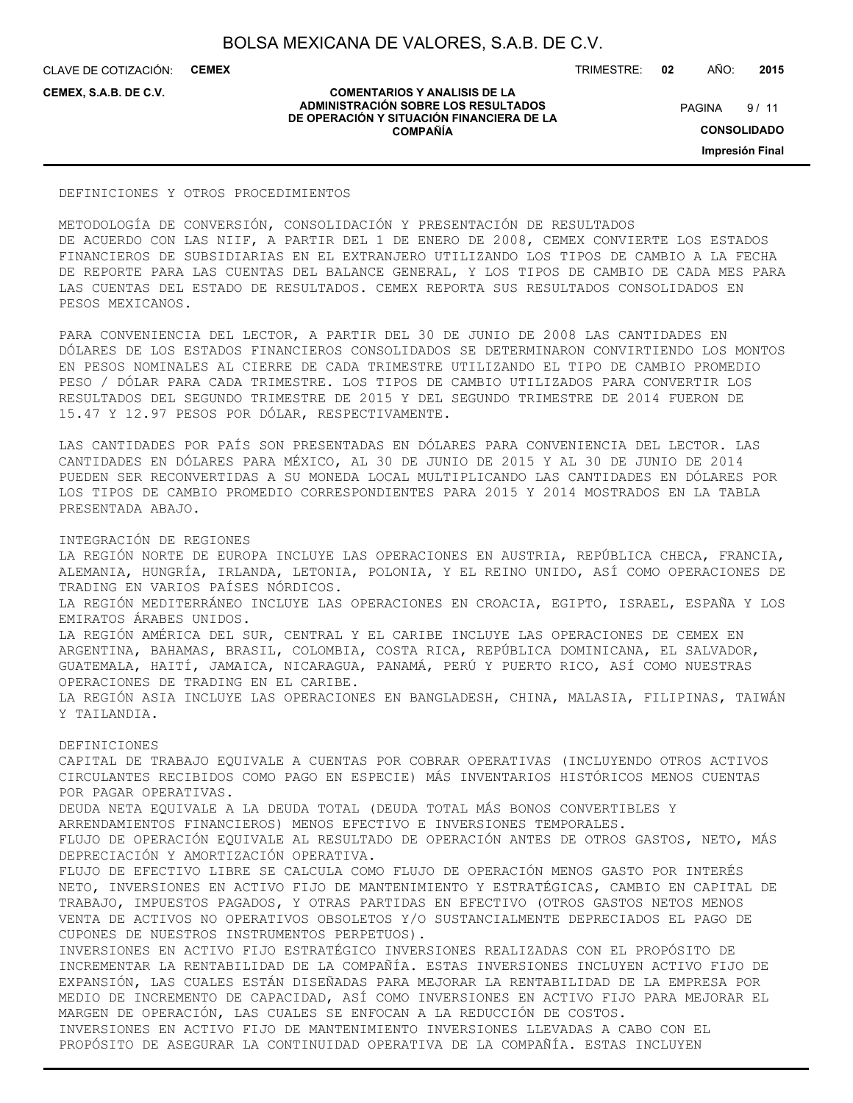**COMENTARIOS Y ANALISIS DE LA ADMINISTRACIÓN SOBRE LOS RESULTADOS DE OPERACIÓN Y SITUACIÓN FINANCIERA DE LA COMPAÑÍA**

CLAVE DE COTIZACIÓN: **CEMEX**

**CEMEX, S.A.B. DE C.V.**

TRIMESTRE: **02** AÑO: **2015**

 $9/11$ **PAGINA** 

**CONSOLIDADO**

**Impresión Final**

#### DEFINICIONES Y OTROS PROCEDIMIENTOS

METODOLOGÍA DE CONVERSIÓN, CONSOLIDACIÓN Y PRESENTACIÓN DE RESULTADOS DE ACUERDO CON LAS NIIF, A PARTIR DEL 1 DE ENERO DE 2008, CEMEX CONVIERTE LOS ESTADOS FINANCIEROS DE SUBSIDIARIAS EN EL EXTRANJERO UTILIZANDO LOS TIPOS DE CAMBIO A LA FECHA DE REPORTE PARA LAS CUENTAS DEL BALANCE GENERAL, Y LOS TIPOS DE CAMBIO DE CADA MES PARA LAS CUENTAS DEL ESTADO DE RESULTADOS. CEMEX REPORTA SUS RESULTADOS CONSOLIDADOS EN PESOS MEXICANOS.

PARA CONVENIENCIA DEL LECTOR, A PARTIR DEL 30 DE JUNIO DE 2008 LAS CANTIDADES EN DÓLARES DE LOS ESTADOS FINANCIEROS CONSOLIDADOS SE DETERMINARON CONVIRTIENDO LOS MONTOS EN PESOS NOMINALES AL CIERRE DE CADA TRIMESTRE UTILIZANDO EL TIPO DE CAMBIO PROMEDIO PESO / DÓLAR PARA CADA TRIMESTRE. LOS TIPOS DE CAMBIO UTILIZADOS PARA CONVERTIR LOS RESULTADOS DEL SEGUNDO TRIMESTRE DE 2015 Y DEL SEGUNDO TRIMESTRE DE 2014 FUERON DE 15.47 Y 12.97 PESOS POR DÓLAR, RESPECTIVAMENTE.

LAS CANTIDADES POR PAÍS SON PRESENTADAS EN DÓLARES PARA CONVENIENCIA DEL LECTOR. LAS CANTIDADES EN DÓLARES PARA MÉXICO, AL 30 DE JUNIO DE 2015 Y AL 30 DE JUNIO DE 2014 PUEDEN SER RECONVERTIDAS A SU MONEDA LOCAL MULTIPLICANDO LAS CANTIDADES EN DÓLARES POR LOS TIPOS DE CAMBIO PROMEDIO CORRESPONDIENTES PARA 2015 Y 2014 MOSTRADOS EN LA TABLA PRESENTADA ABAJO.

#### INTEGRACIÓN DE REGIONES

LA REGIÓN NORTE DE EUROPA INCLUYE LAS OPERACIONES EN AUSTRIA, REPÚBLICA CHECA, FRANCIA, ALEMANIA, HUNGRÍA, IRLANDA, LETONIA, POLONIA, Y EL REINO UNIDO, ASÍ COMO OPERACIONES DE TRADING EN VARIOS PAÍSES NÓRDICOS. LA REGIÓN MEDITERRÁNEO INCLUYE LAS OPERACIONES EN CROACIA, EGIPTO, ISRAEL, ESPAÑA Y LOS EMIRATOS ÁRABES UNIDOS. LA REGIÓN AMÉRICA DEL SUR, CENTRAL Y EL CARIBE INCLUYE LAS OPERACIONES DE CEMEX EN ARGENTINA, BAHAMAS, BRASIL, COLOMBIA, COSTA RICA, REPÚBLICA DOMINICANA, EL SALVADOR, GUATEMALA, HAITÍ, JAMAICA, NICARAGUA, PANAMÁ, PERÚ Y PUERTO RICO, ASÍ COMO NUESTRAS OPERACIONES DE TRADING EN EL CARIBE. LA REGIÓN ASIA INCLUYE LAS OPERACIONES EN BANGLADESH, CHINA, MALASIA, FILIPINAS, TAIWÁN Y TAILANDIA. DEFINICIONES CAPITAL DE TRABAJO EQUIVALE A CUENTAS POR COBRAR OPERATIVAS (INCLUYENDO OTROS ACTIVOS CIRCULANTES RECIBIDOS COMO PAGO EN ESPECIE) MÁS INVENTARIOS HISTÓRICOS MENOS CUENTAS POR PAGAR OPERATIVAS. DEUDA NETA EQUIVALE A LA DEUDA TOTAL (DEUDA TOTAL MÁS BONOS CONVERTIBLES Y ARRENDAMIENTOS FINANCIEROS) MENOS EFECTIVO E INVERSIONES TEMPORALES. FLUJO DE OPERACIÓN EQUIVALE AL RESULTADO DE OPERACIÓN ANTES DE OTROS GASTOS, NETO, MÁS DEPRECIACIÓN Y AMORTIZACIÓN OPERATIVA.

FLUJO DE EFECTIVO LIBRE SE CALCULA COMO FLUJO DE OPERACIÓN MENOS GASTO POR INTERÉS NETO, INVERSIONES EN ACTIVO FIJO DE MANTENIMIENTO Y ESTRATÉGICAS, CAMBIO EN CAPITAL DE TRABAJO, IMPUESTOS PAGADOS, Y OTRAS PARTIDAS EN EFECTIVO (OTROS GASTOS NETOS MENOS VENTA DE ACTIVOS NO OPERATIVOS OBSOLETOS Y/O SUSTANCIALMENTE DEPRECIADOS EL PAGO DE CUPONES DE NUESTROS INSTRUMENTOS PERPETUOS).

INVERSIONES EN ACTIVO FIJO ESTRATÉGICO INVERSIONES REALIZADAS CON EL PROPÓSITO DE INCREMENTAR LA RENTABILIDAD DE LA COMPAÑÍA. ESTAS INVERSIONES INCLUYEN ACTIVO FIJO DE EXPANSIÓN, LAS CUALES ESTÁN DISEÑADAS PARA MEJORAR LA RENTABILIDAD DE LA EMPRESA POR MEDIO DE INCREMENTO DE CAPACIDAD, ASÍ COMO INVERSIONES EN ACTIVO FIJO PARA MEJORAR EL MARGEN DE OPERACIÓN, LAS CUALES SE ENFOCAN A LA REDUCCIÓN DE COSTOS. INVERSIONES EN ACTIVO FIJO DE MANTENIMIENTO INVERSIONES LLEVADAS A CABO CON EL PROPÓSITO DE ASEGURAR LA CONTINUIDAD OPERATIVA DE LA COMPAÑÍA. ESTAS INCLUYEN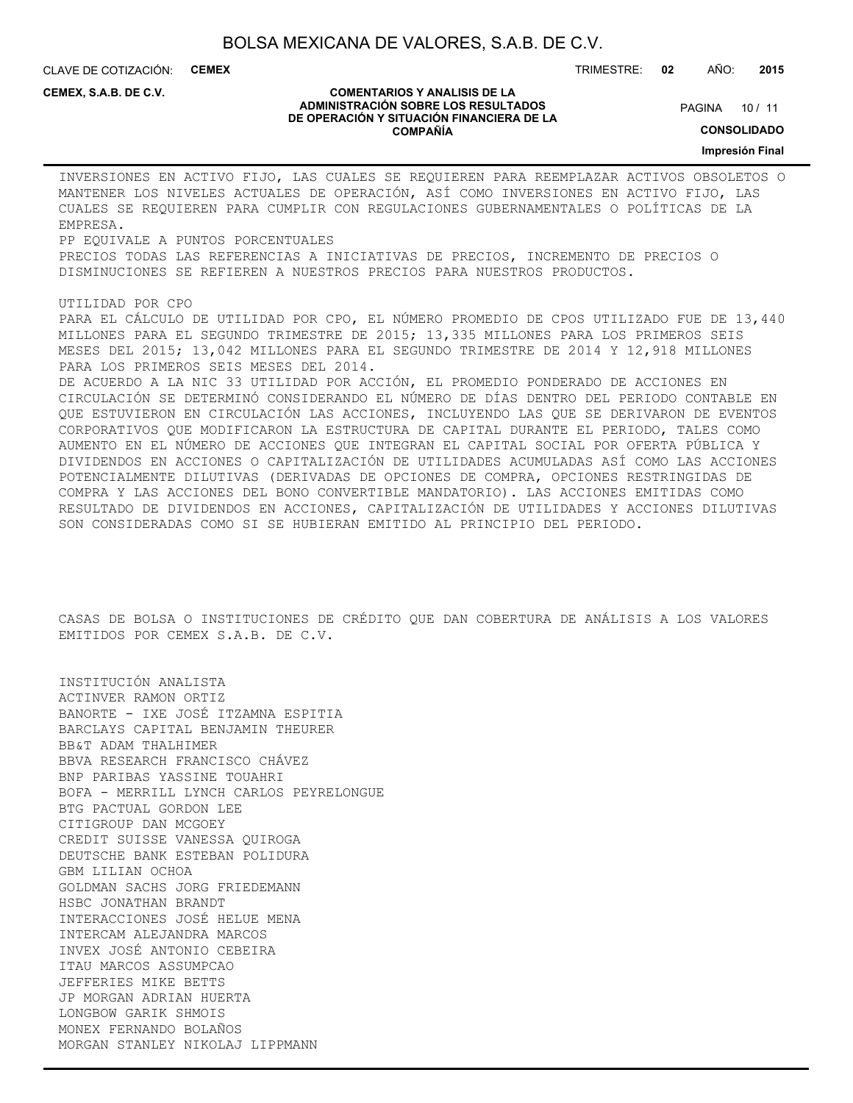CLAVE DE COTIZACIÓN: **CEMEX** TRIMESTRE: **02** AÑO: **2015**

**CEMEX, S.A.B. DE C.V.**

#### **COMENTARIOS Y ANALISIS DE LA ADMINISTRACIÓN SOBRE LOS RESULTADOS DE OPERACIÓN Y SITUACIÓN FINANCIERA DE LA COMPAÑÍA**

PAGINA 10 / 11

**CONSOLIDADO**

**Impresión Final**

INVERSIONES EN ACTIVO FIJO, LAS CUALES SE REQUIEREN PARA REEMPLAZAR ACTIVOS OBSOLETOS O MANTENER LOS NIVELES ACTUALES DE OPERACIÓN, ASÍ COMO INVERSIONES EN ACTIVO FIJO, LAS CUALES SE REQUIEREN PARA CUMPLIR CON REGULACIONES GUBERNAMENTALES O POLÍTICAS DE LA EMPRESA.

PP EQUIVALE A PUNTOS PORCENTUALES PRECIOS TODAS LAS REFERENCIAS A INICIATIVAS DE PRECIOS, INCREMENTO DE PRECIOS O DISMINUCIONES SE REFIEREN A NUESTROS PRECIOS PARA NUESTROS PRODUCTOS.

#### UTILIDAD POR CPO

PARA EL CÁLCULO DE UTILIDAD POR CPO, EL NÚMERO PROMEDIO DE CPOS UTILIZADO FUE DE 13,440 MILLONES PARA EL SEGUNDO TRIMESTRE DE 2015; 13,335 MILLONES PARA LOS PRIMEROS SEIS MESES DEL 2015; 13,042 MILLONES PARA EL SEGUNDO TRIMESTRE DE 2014 Y 12,918 MILLONES PARA LOS PRIMEROS SEIS MESES DEL 2014.

DE ACUERDO A LA NIC 33 UTILIDAD POR ACCIÓN, EL PROMEDIO PONDERADO DE ACCIONES EN CIRCULACIÓN SE DETERMINÓ CONSIDERANDO EL NÚMERO DE DÍAS DENTRO DEL PERIODO CONTABLE EN QUE ESTUVIERON EN CIRCULACIÓN LAS ACCIONES, INCLUYENDO LAS QUE SE DERIVARON DE EVENTOS CORPORATIVOS QUE MODIFICARON LA ESTRUCTURA DE CAPITAL DURANTE EL PERIODO, TALES COMO AUMENTO EN EL NÚMERO DE ACCIONES QUE INTEGRAN EL CAPITAL SOCIAL POR OFERTA PÚBLICA Y DIVIDENDOS EN ACCIONES O CAPITALIZACIÓN DE UTILIDADES ACUMULADAS ASÍ COMO LAS ACCIONES POTENCIALMENTE DILUTIVAS (DERIVADAS DE OPCIONES DE COMPRA, OPCIONES RESTRINGIDAS DE COMPRA Y LAS ACCIONES DEL BONO CONVERTIBLE MANDATORIO). LAS ACCIONES EMITIDAS COMO RESULTADO DE DIVIDENDOS EN ACCIONES, CAPITALIZACIÓN DE UTILIDADES Y ACCIONES DILUTIVAS SON CONSIDERADAS COMO SI SE HUBIERAN EMITIDO AL PRINCIPIO DEL PERIODO.

CASAS DE BOLSA O INSTITUCIONES DE CRÉDITO QUE DAN COBERTURA DE ANÁLISIS A LOS VALORES EMITIDOS POR CEMEX S.A.B. DE C.V.

INSTITUCIÓN ANALISTA ACTINVER RAMON ORTIZ BANORTE - IXE JOSÉ ITZAMNA ESPITIA BARCLAYS CAPITAL BENJAMIN THEURER BB&T ADAM THALHIMER BBVA RESEARCH FRANCISCO CHÁVEZ BNP PARIBAS YASSINE TOUAHRI BOFA - MERRILL LYNCH CARLOS PEYRELONGUE BTG PACTUAL GORDON LEE CITIGROUP DAN MCGOEY CREDIT SUISSE VANESSA QUIROGA DEUTSCHE BANK ESTEBAN POLIDURA GBM LILIAN OCHOA GOLDMAN SACHS JORG FRIEDEMANN HSBC JONATHAN BRANDT INTERACCIONES JOSÉ HELUE MENA INTERCAM ALEJANDRA MARCOS INVEX JOSÉ ANTONIO CEBEIRA ITAU MARCOS ASSUMPCAO JEFFERIES MIKE BETTS JP MORGAN ADRIAN HUERTA LONGBOW GARIK SHMOIS MONEX FERNANDO BOLAÑOS MORGAN STANLEY NIKOLAJ LIPPMANN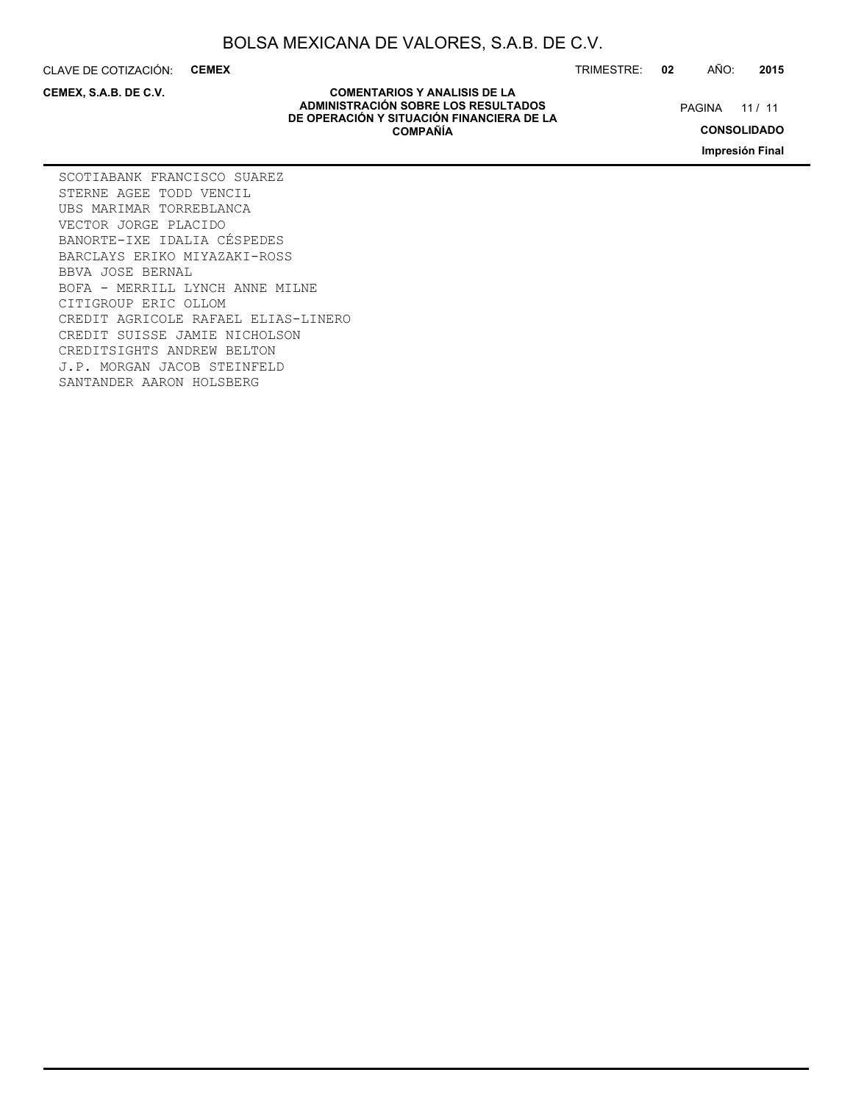CLAVE DE COTIZACIÓN: **CEMEX**

**CEMEX, S.A.B. DE C.V.**

TRIMESTRE: **02** AÑO: **2015**

PAGINA 11 / 11

**CONSOLIDADO**

**Impresión Final**

**COMENTARIOS Y ANALISIS DE LA ADMINISTRACIÓN SOBRE LOS RESULTADOS DE OPERACIÓN Y SITUACIÓN FINANCIERA DE LA COMPAÑÍA**

SCOTIABANK FRANCISCO SUAREZ STERNE AGEE TODD VENCIL UBS MARIMAR TORREBLANCA VECTOR JORGE PLACIDO BANORTE-IXE IDALIA CÉSPEDES BARCLAYS ERIKO MIYAZAKI-ROSS BBVA JOSE BERNAL BOFA - MERRILL LYNCH ANNE MILNE CITIGROUP ERIC OLLOM CREDIT AGRICOLE RAFAEL ELIAS-LINERO CREDIT SUISSE JAMIE NICHOLSON CREDITSIGHTS ANDREW BELTON J.P. MORGAN JACOB STEINFELD SANTANDER AARON HOLSBERG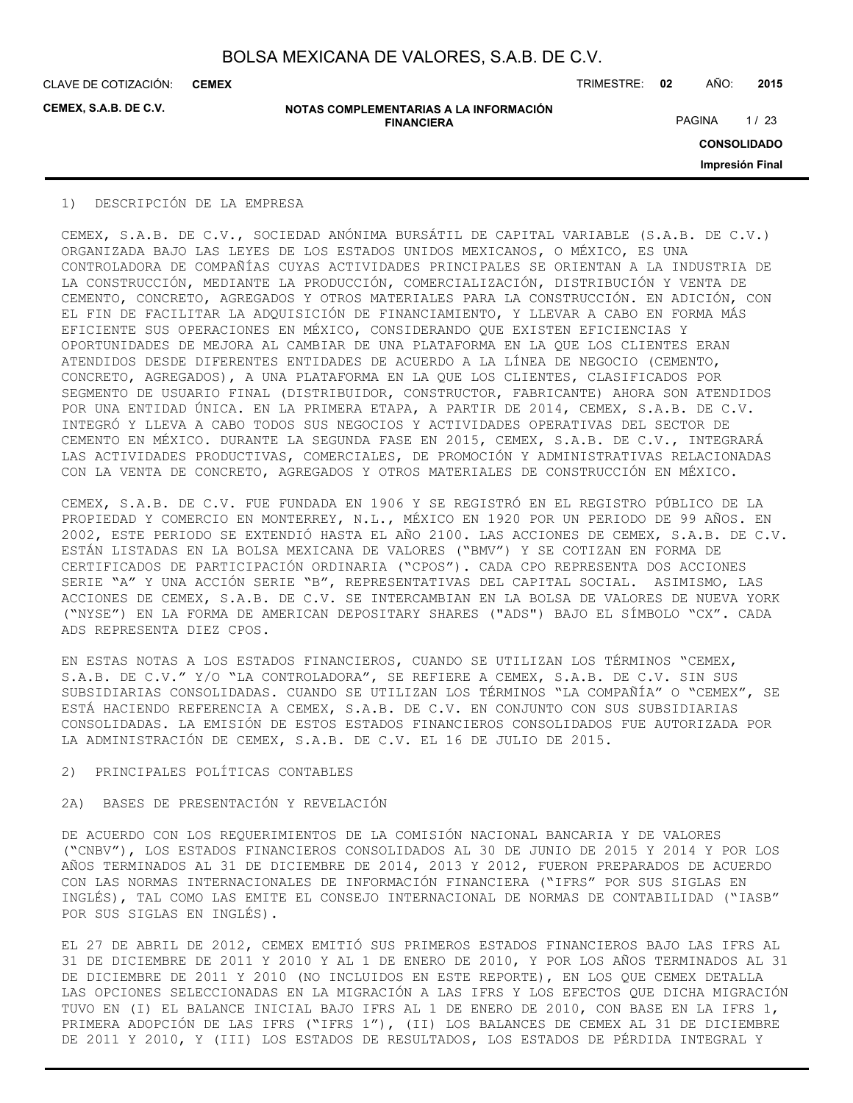CLAVE DE COTIZACIÓN: TRIMESTRE: **02** AÑO: **2015 CEMEX**

**CEMEX, S.A.B. DE C.V.**

**NOTAS COMPLEMENTARIAS A LA INFORMACIÓN FINANCIERA**

PAGINA 1/23

**CONSOLIDADO**

**Impresión Final**

### 1) DESCRIPCIÓN DE LA EMPRESA

CEMEX, S.A.B. DE C.V., SOCIEDAD ANÓNIMA BURSÁTIL DE CAPITAL VARIABLE (S.A.B. DE C.V.) ORGANIZADA BAJO LAS LEYES DE LOS ESTADOS UNIDOS MEXICANOS, O MÉXICO, ES UNA CONTROLADORA DE COMPAÑÍAS CUYAS ACTIVIDADES PRINCIPALES SE ORIENTAN A LA INDUSTRIA DE LA CONSTRUCCIÓN, MEDIANTE LA PRODUCCIÓN, COMERCIALIZACIÓN, DISTRIBUCIÓN Y VENTA DE CEMENTO, CONCRETO, AGREGADOS Y OTROS MATERIALES PARA LA CONSTRUCCIÓN. EN ADICIÓN, CON EL FIN DE FACILITAR LA ADQUISICIÓN DE FINANCIAMIENTO, Y LLEVAR A CABO EN FORMA MÁS EFICIENTE SUS OPERACIONES EN MÉXICO, CONSIDERANDO QUE EXISTEN EFICIENCIAS Y OPORTUNIDADES DE MEJORA AL CAMBIAR DE UNA PLATAFORMA EN LA QUE LOS CLIENTES ERAN ATENDIDOS DESDE DIFERENTES ENTIDADES DE ACUERDO A LA LÍNEA DE NEGOCIO (CEMENTO, CONCRETO, AGREGADOS), A UNA PLATAFORMA EN LA QUE LOS CLIENTES, CLASIFICADOS POR SEGMENTO DE USUARIO FINAL (DISTRIBUIDOR, CONSTRUCTOR, FABRICANTE) AHORA SON ATENDIDOS POR UNA ENTIDAD ÚNICA. EN LA PRIMERA ETAPA, A PARTIR DE 2014, CEMEX, S.A.B. DE C.V. INTEGRÓ Y LLEVA A CABO TODOS SUS NEGOCIOS Y ACTIVIDADES OPERATIVAS DEL SECTOR DE CEMENTO EN MÉXICO. DURANTE LA SEGUNDA FASE EN 2015, CEMEX, S.A.B. DE C.V., INTEGRARÁ LAS ACTIVIDADES PRODUCTIVAS, COMERCIALES, DE PROMOCIÓN Y ADMINISTRATIVAS RELACIONADAS CON LA VENTA DE CONCRETO, AGREGADOS Y OTROS MATERIALES DE CONSTRUCCIÓN EN MÉXICO.

CEMEX, S.A.B. DE C.V. FUE FUNDADA EN 1906 Y SE REGISTRÓ EN EL REGISTRO PÚBLICO DE LA PROPIEDAD Y COMERCIO EN MONTERREY, N.L., MÉXICO EN 1920 POR UN PERIODO DE 99 AÑOS. EN 2002, ESTE PERIODO SE EXTENDIÓ HASTA EL AÑO 2100. LAS ACCIONES DE CEMEX, S.A.B. DE C.V. ESTÁN LISTADAS EN LA BOLSA MEXICANA DE VALORES ("BMV") Y SE COTIZAN EN FORMA DE CERTIFICADOS DE PARTICIPACIÓN ORDINARIA ("CPOS"). CADA CPO REPRESENTA DOS ACCIONES SERIE "A" Y UNA ACCIÓN SERIE "B", REPRESENTATIVAS DEL CAPITAL SOCIAL. ASIMISMO, LAS ACCIONES DE CEMEX, S.A.B. DE C.V. SE INTERCAMBIAN EN LA BOLSA DE VALORES DE NUEVA YORK ("NYSE") EN LA FORMA DE AMERICAN DEPOSITARY SHARES ("ADS") BAJO EL SÍMBOLO "CX". CADA ADS REPRESENTA DIEZ CPOS.

EN ESTAS NOTAS A LOS ESTADOS FINANCIEROS, CUANDO SE UTILIZAN LOS TÉRMINOS "CEMEX, S.A.B. DE C.V." Y/O "LA CONTROLADORA", SE REFIERE A CEMEX, S.A.B. DE C.V. SIN SUS SUBSIDIARIAS CONSOLIDADAS. CUANDO SE UTILIZAN LOS TÉRMINOS "LA COMPAÑÍA" O "CEMEX", SE ESTÁ HACIENDO REFERENCIA A CEMEX, S.A.B. DE C.V. EN CONJUNTO CON SUS SUBSIDIARIAS CONSOLIDADAS. LA EMISIÓN DE ESTOS ESTADOS FINANCIEROS CONSOLIDADOS FUE AUTORIZADA POR LA ADMINISTRACIÓN DE CEMEX, S.A.B. DE C.V. EL 16 DE JULIO DE 2015.

#### 2) PRINCIPALES POLÍTICAS CONTABLES

### 2A) BASES DE PRESENTACIÓN Y REVELACIÓN

DE ACUERDO CON LOS REQUERIMIENTOS DE LA COMISIÓN NACIONAL BANCARIA Y DE VALORES ("CNBV"), LOS ESTADOS FINANCIEROS CONSOLIDADOS AL 30 DE JUNIO DE 2015 Y 2014 Y POR LOS AÑOS TERMINADOS AL 31 DE DICIEMBRE DE 2014, 2013 Y 2012, FUERON PREPARADOS DE ACUERDO CON LAS NORMAS INTERNACIONALES DE INFORMACIÓN FINANCIERA ("IFRS" POR SUS SIGLAS EN INGLÉS), TAL COMO LAS EMITE EL CONSEJO INTERNACIONAL DE NORMAS DE CONTABILIDAD ("IASB" POR SUS SIGLAS EN INGLÉS).

EL 27 DE ABRIL DE 2012, CEMEX EMITIÓ SUS PRIMEROS ESTADOS FINANCIEROS BAJO LAS IFRS AL 31 DE DICIEMBRE DE 2011 Y 2010 Y AL 1 DE ENERO DE 2010, Y POR LOS AÑOS TERMINADOS AL 31 DE DICIEMBRE DE 2011 Y 2010 (NO INCLUIDOS EN ESTE REPORTE), EN LOS QUE CEMEX DETALLA LAS OPCIONES SELECCIONADAS EN LA MIGRACIÓN A LAS IFRS Y LOS EFECTOS QUE DICHA MIGRACIÓN TUVO EN (I) EL BALANCE INICIAL BAJO IFRS AL 1 DE ENERO DE 2010, CON BASE EN LA IFRS 1, PRIMERA ADOPCIÓN DE LAS IFRS ("IFRS 1"), (II) LOS BALANCES DE CEMEX AL 31 DE DICIEMBRE DE 2011 Y 2010, Y (III) LOS ESTADOS DE RESULTADOS, LOS ESTADOS DE PÉRDIDA INTEGRAL Y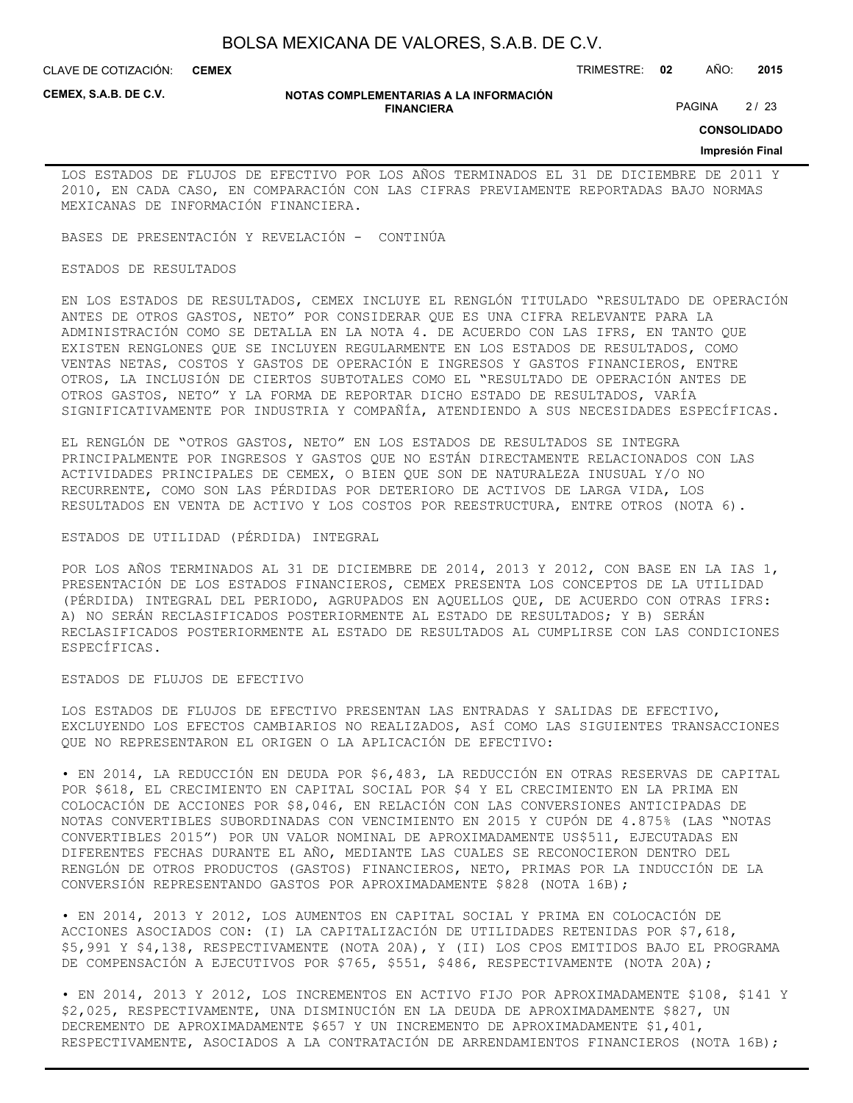CLAVE DE COTIZACIÓN: TRIMESTRE: **02** AÑO: **2015 CEMEX**

**CEMEX, S.A.B. DE C.V.**

#### **NOTAS COMPLEMENTARIAS A LA INFORMACIÓN FINANCIERA**

PAGINA 2/23

**CONSOLIDADO**

#### **Impresión Final**

LOS ESTADOS DE FLUJOS DE EFECTIVO POR LOS AÑOS TERMINADOS EL 31 DE DICIEMBRE DE 2011 Y 2010, EN CADA CASO, EN COMPARACIÓN CON LAS CIFRAS PREVIAMENTE REPORTADAS BAJO NORMAS MEXICANAS DE INFORMACIÓN FINANCIERA.

BASES DE PRESENTACIÓN Y REVELACIÓN - CONTINÚA

### ESTADOS DE RESULTADOS

EN LOS ESTADOS DE RESULTADOS, CEMEX INCLUYE EL RENGLÓN TITULADO "RESULTADO DE OPERACIÓN ANTES DE OTROS GASTOS, NETO" POR CONSIDERAR QUE ES UNA CIFRA RELEVANTE PARA LA ADMINISTRACIÓN COMO SE DETALLA EN LA NOTA 4. DE ACUERDO CON LAS IFRS, EN TANTO QUE EXISTEN RENGLONES QUE SE INCLUYEN REGULARMENTE EN LOS ESTADOS DE RESULTADOS, COMO VENTAS NETAS, COSTOS Y GASTOS DE OPERACIÓN E INGRESOS Y GASTOS FINANCIEROS, ENTRE OTROS, LA INCLUSIÓN DE CIERTOS SUBTOTALES COMO EL "RESULTADO DE OPERACIÓN ANTES DE OTROS GASTOS, NETO" Y LA FORMA DE REPORTAR DICHO ESTADO DE RESULTADOS, VARÍA SIGNIFICATIVAMENTE POR INDUSTRIA Y COMPAÑÍA, ATENDIENDO A SUS NECESIDADES ESPECÍFICAS.

EL RENGLÓN DE "OTROS GASTOS, NETO" EN LOS ESTADOS DE RESULTADOS SE INTEGRA PRINCIPALMENTE POR INGRESOS Y GASTOS QUE NO ESTÁN DIRECTAMENTE RELACIONADOS CON LAS ACTIVIDADES PRINCIPALES DE CEMEX, O BIEN QUE SON DE NATURALEZA INUSUAL Y/O NO RECURRENTE, COMO SON LAS PÉRDIDAS POR DETERIORO DE ACTIVOS DE LARGA VIDA, LOS RESULTADOS EN VENTA DE ACTIVO Y LOS COSTOS POR REESTRUCTURA, ENTRE OTROS (NOTA 6).

### ESTADOS DE UTILIDAD (PÉRDIDA) INTEGRAL

POR LOS AÑOS TERMINADOS AL 31 DE DICIEMBRE DE 2014, 2013 Y 2012, CON BASE EN LA IAS 1, PRESENTACIÓN DE LOS ESTADOS FINANCIEROS, CEMEX PRESENTA LOS CONCEPTOS DE LA UTILIDAD (PÉRDIDA) INTEGRAL DEL PERIODO, AGRUPADOS EN AQUELLOS QUE, DE ACUERDO CON OTRAS IFRS: A) NO SERÁN RECLASIFICADOS POSTERIORMENTE AL ESTADO DE RESULTADOS; Y B) SERÁN RECLASIFICADOS POSTERIORMENTE AL ESTADO DE RESULTADOS AL CUMPLIRSE CON LAS CONDICIONES ESPECÍFICAS.

#### ESTADOS DE FLUJOS DE EFECTIVO

LOS ESTADOS DE FLUJOS DE EFECTIVO PRESENTAN LAS ENTRADAS Y SALIDAS DE EFECTIVO, EXCLUYENDO LOS EFECTOS CAMBIARIOS NO REALIZADOS, ASÍ COMO LAS SIGUIENTES TRANSACCIONES QUE NO REPRESENTARON EL ORIGEN O LA APLICACIÓN DE EFECTIVO:

• EN 2014, LA REDUCCIÓN EN DEUDA POR \$6,483, LA REDUCCIÓN EN OTRAS RESERVAS DE CAPITAL POR \$618, EL CRECIMIENTO EN CAPITAL SOCIAL POR \$4 Y EL CRECIMIENTO EN LA PRIMA EN COLOCACIÓN DE ACCIONES POR \$8,046, EN RELACIÓN CON LAS CONVERSIONES ANTICIPADAS DE NOTAS CONVERTIBLES SUBORDINADAS CON VENCIMIENTO EN 2015 Y CUPÓN DE 4.875% (LAS "NOTAS CONVERTIBLES 2015") POR UN VALOR NOMINAL DE APROXIMADAMENTE US\$511, EJECUTADAS EN DIFERENTES FECHAS DURANTE EL AÑO, MEDIANTE LAS CUALES SE RECONOCIERON DENTRO DEL RENGLÓN DE OTROS PRODUCTOS (GASTOS) FINANCIEROS, NETO, PRIMAS POR LA INDUCCIÓN DE LA CONVERSIÓN REPRESENTANDO GASTOS POR APROXIMADAMENTE \$828 (NOTA 16B);

• EN 2014, 2013 Y 2012, LOS AUMENTOS EN CAPITAL SOCIAL Y PRIMA EN COLOCACIÓN DE ACCIONES ASOCIADOS CON: (I) LA CAPITALIZACIÓN DE UTILIDADES RETENIDAS POR \$7,618, \$5,991 Y \$4,138, RESPECTIVAMENTE (NOTA 20A), Y (II) LOS CPOS EMITIDOS BAJO EL PROGRAMA DE COMPENSACIÓN A EJECUTIVOS POR \$765, \$551, \$486, RESPECTIVAMENTE (NOTA 20A);

• EN 2014, 2013 Y 2012, LOS INCREMENTOS EN ACTIVO FIJO POR APROXIMADAMENTE \$108, \$141 Y \$2,025, RESPECTIVAMENTE, UNA DISMINUCIÓN EN LA DEUDA DE APROXIMADAMENTE \$827, UN DECREMENTO DE APROXIMADAMENTE \$657 Y UN INCREMENTO DE APROXIMADAMENTE \$1,401, RESPECTIVAMENTE, ASOCIADOS A LA CONTRATACIÓN DE ARRENDAMIENTOS FINANCIEROS (NOTA 16B);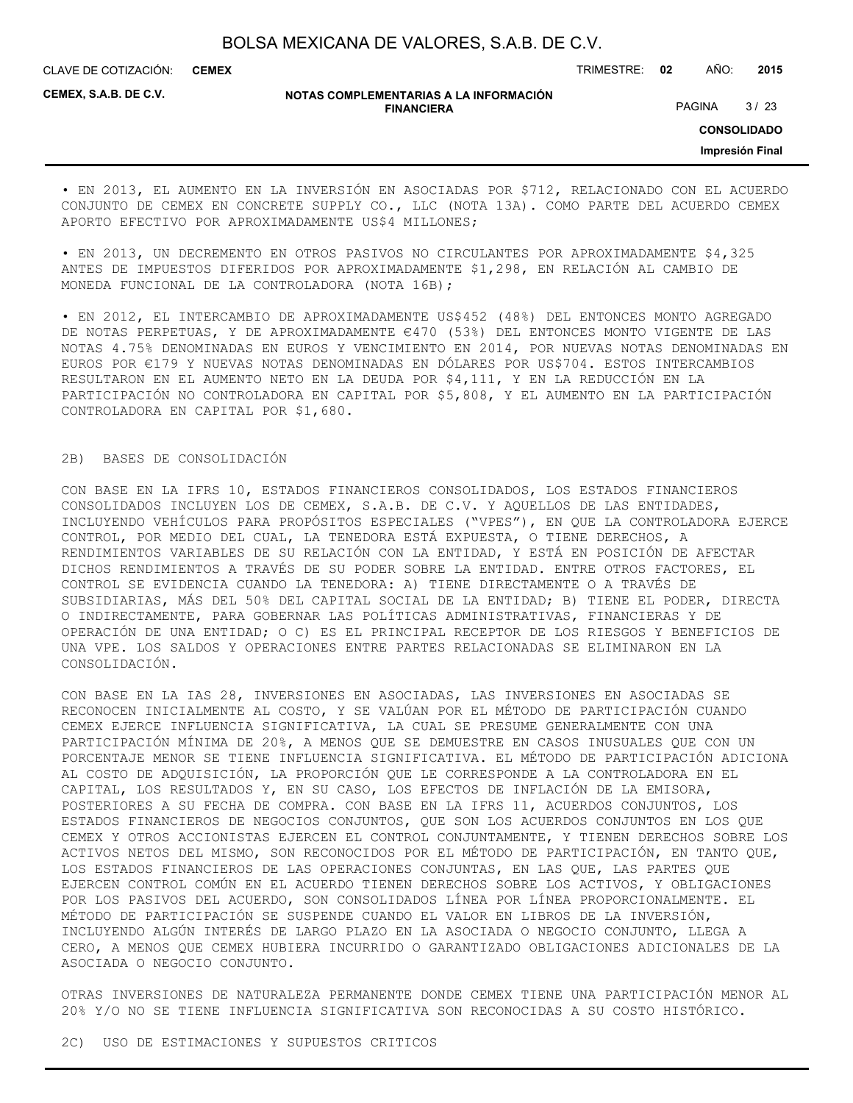CLAVE DE COTIZACIÓN: TRIMESTRE: **02** AÑO: **2015 CEMEX**

**CEMEX, S.A.B. DE C.V.**

#### **NOTAS COMPLEMENTARIAS A LA INFORMACIÓN FINANCIERA**

PAGINA 3/23

**CONSOLIDADO**

**Impresión Final**

• EN 2013, EL AUMENTO EN LA INVERSIÓN EN ASOCIADAS POR \$712, RELACIONADO CON EL ACUERDO CONJUNTO DE CEMEX EN CONCRETE SUPPLY CO., LLC (NOTA 13A). COMO PARTE DEL ACUERDO CEMEX APORTO EFECTIVO POR APROXIMADAMENTE US\$4 MILLONES;

• EN 2013, UN DECREMENTO EN OTROS PASIVOS NO CIRCULANTES POR APROXIMADAMENTE \$4,325 ANTES DE IMPUESTOS DIFERIDOS POR APROXIMADAMENTE \$1,298, EN RELACIÓN AL CAMBIO DE MONEDA FUNCIONAL DE LA CONTROLADORA (NOTA 16B);

• EN 2012, EL INTERCAMBIO DE APROXIMADAMENTE US\$452 (48%) DEL ENTONCES MONTO AGREGADO DE NOTAS PERPETUAS, Y DE APROXIMADAMENTE €470 (53%) DEL ENTONCES MONTO VIGENTE DE LAS NOTAS 4.75% DENOMINADAS EN EUROS Y VENCIMIENTO EN 2014, POR NUEVAS NOTAS DENOMINADAS EN EUROS POR €179 Y NUEVAS NOTAS DENOMINADAS EN DÓLARES POR US\$704. ESTOS INTERCAMBIOS RESULTARON EN EL AUMENTO NETO EN LA DEUDA POR \$4,111, Y EN LA REDUCCIÓN EN LA PARTICIPACIÓN NO CONTROLADORA EN CAPITAL POR \$5,808, Y EL AUMENTO EN LA PARTICIPACIÓN CONTROLADORA EN CAPITAL POR \$1,680.

### 2B) BASES DE CONSOLIDACIÓN

CON BASE EN LA IFRS 10, ESTADOS FINANCIEROS CONSOLIDADOS, LOS ESTADOS FINANCIEROS CONSOLIDADOS INCLUYEN LOS DE CEMEX, S.A.B. DE C.V. Y AQUELLOS DE LAS ENTIDADES, INCLUYENDO VEHÍCULOS PARA PROPÓSITOS ESPECIALES ("VPES"), EN QUE LA CONTROLADORA EJERCE CONTROL, POR MEDIO DEL CUAL, LA TENEDORA ESTÁ EXPUESTA, O TIENE DERECHOS, A RENDIMIENTOS VARIABLES DE SU RELACIÓN CON LA ENTIDAD, Y ESTÁ EN POSICIÓN DE AFECTAR DICHOS RENDIMIENTOS A TRAVÉS DE SU PODER SOBRE LA ENTIDAD. ENTRE OTROS FACTORES, EL CONTROL SE EVIDENCIA CUANDO LA TENEDORA: A) TIENE DIRECTAMENTE O A TRAVÉS DE SUBSIDIARIAS, MÁS DEL 50% DEL CAPITAL SOCIAL DE LA ENTIDAD; B) TIENE EL PODER, DIRECTA O INDIRECTAMENTE, PARA GOBERNAR LAS POLÍTICAS ADMINISTRATIVAS, FINANCIERAS Y DE OPERACIÓN DE UNA ENTIDAD; O C) ES EL PRINCIPAL RECEPTOR DE LOS RIESGOS Y BENEFICIOS DE UNA VPE. LOS SALDOS Y OPERACIONES ENTRE PARTES RELACIONADAS SE ELIMINARON EN LA CONSOLIDACIÓN.

CON BASE EN LA IAS 28, INVERSIONES EN ASOCIADAS, LAS INVERSIONES EN ASOCIADAS SE RECONOCEN INICIALMENTE AL COSTO, Y SE VALÚAN POR EL MÉTODO DE PARTICIPACIÓN CUANDO CEMEX EJERCE INFLUENCIA SIGNIFICATIVA, LA CUAL SE PRESUME GENERALMENTE CON UNA PARTICIPACIÓN MÍNIMA DE 20%, A MENOS QUE SE DEMUESTRE EN CASOS INUSUALES QUE CON UN PORCENTAJE MENOR SE TIENE INFLUENCIA SIGNIFICATIVA. EL MÉTODO DE PARTICIPACIÓN ADICIONA AL COSTO DE ADQUISICIÓN, LA PROPORCIÓN QUE LE CORRESPONDE A LA CONTROLADORA EN EL CAPITAL, LOS RESULTADOS Y, EN SU CASO, LOS EFECTOS DE INFLACIÓN DE LA EMISORA, POSTERIORES A SU FECHA DE COMPRA. CON BASE EN LA IFRS 11, ACUERDOS CONJUNTOS, LOS ESTADOS FINANCIEROS DE NEGOCIOS CONJUNTOS, QUE SON LOS ACUERDOS CONJUNTOS EN LOS QUE CEMEX Y OTROS ACCIONISTAS EJERCEN EL CONTROL CONJUNTAMENTE, Y TIENEN DERECHOS SOBRE LOS ACTIVOS NETOS DEL MISMO, SON RECONOCIDOS POR EL MÉTODO DE PARTICIPACIÓN, EN TANTO QUE, LOS ESTADOS FINANCIEROS DE LAS OPERACIONES CONJUNTAS, EN LAS QUE, LAS PARTES QUE EJERCEN CONTROL COMÚN EN EL ACUERDO TIENEN DERECHOS SOBRE LOS ACTIVOS, Y OBLIGACIONES POR LOS PASIVOS DEL ACUERDO, SON CONSOLIDADOS LÍNEA POR LÍNEA PROPORCIONALMENTE. EL MÉTODO DE PARTICIPACIÓN SE SUSPENDE CUANDO EL VALOR EN LIBROS DE LA INVERSIÓN, INCLUYENDO ALGÚN INTERÉS DE LARGO PLAZO EN LA ASOCIADA O NEGOCIO CONJUNTO, LLEGA A CERO, A MENOS QUE CEMEX HUBIERA INCURRIDO O GARANTIZADO OBLIGACIONES ADICIONALES DE LA ASOCIADA O NEGOCIO CONJUNTO.

OTRAS INVERSIONES DE NATURALEZA PERMANENTE DONDE CEMEX TIENE UNA PARTICIPACIÓN MENOR AL 20% Y/O NO SE TIENE INFLUENCIA SIGNIFICATIVA SON RECONOCIDAS A SU COSTO HISTÓRICO.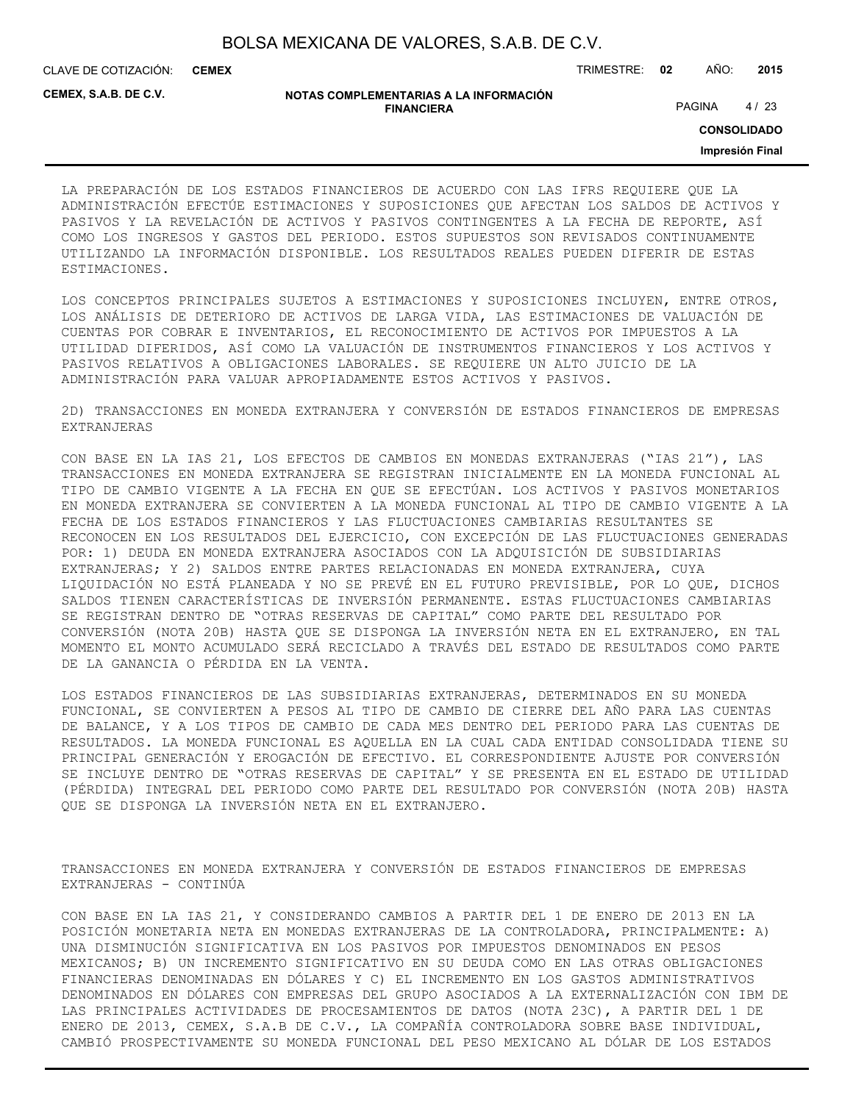**CEMEX**

CLAVE DE COTIZACIÓN: TRIMESTRE: **02** AÑO: **2015**

**CEMEX, S.A.B. DE C.V.**

| NOTAS COMPLEMENTARIAS A LA INFORMACIÓN |
|----------------------------------------|
| <b>FINANCIERA</b>                      |

PAGINA 4/23

**CONSOLIDADO**

**Impresión Final**

LA PREPARACIÓN DE LOS ESTADOS FINANCIEROS DE ACUERDO CON LAS IFRS REQUIERE QUE LA ADMINISTRACIÓN EFECTÚE ESTIMACIONES Y SUPOSICIONES QUE AFECTAN LOS SALDOS DE ACTIVOS Y PASIVOS Y LA REVELACIÓN DE ACTIVOS Y PASIVOS CONTINGENTES A LA FECHA DE REPORTE, ASÍ COMO LOS INGRESOS Y GASTOS DEL PERIODO. ESTOS SUPUESTOS SON REVISADOS CONTINUAMENTE UTILIZANDO LA INFORMACIÓN DISPONIBLE. LOS RESULTADOS REALES PUEDEN DIFERIR DE ESTAS ESTIMACIONES.

LOS CONCEPTOS PRINCIPALES SUJETOS A ESTIMACIONES Y SUPOSICIONES INCLUYEN, ENTRE OTROS, LOS ANÁLISIS DE DETERIORO DE ACTIVOS DE LARGA VIDA, LAS ESTIMACIONES DE VALUACIÓN DE CUENTAS POR COBRAR E INVENTARIOS, EL RECONOCIMIENTO DE ACTIVOS POR IMPUESTOS A LA UTILIDAD DIFERIDOS, ASÍ COMO LA VALUACIÓN DE INSTRUMENTOS FINANCIEROS Y LOS ACTIVOS Y PASIVOS RELATIVOS A OBLIGACIONES LABORALES. SE REQUIERE UN ALTO JUICIO DE LA ADMINISTRACIÓN PARA VALUAR APROPIADAMENTE ESTOS ACTIVOS Y PASIVOS.

2D) TRANSACCIONES EN MONEDA EXTRANJERA Y CONVERSIÓN DE ESTADOS FINANCIEROS DE EMPRESAS EXTRANJERAS

CON BASE EN LA IAS 21, LOS EFECTOS DE CAMBIOS EN MONEDAS EXTRANJERAS ("IAS 21"), LAS TRANSACCIONES EN MONEDA EXTRANJERA SE REGISTRAN INICIALMENTE EN LA MONEDA FUNCIONAL AL TIPO DE CAMBIO VIGENTE A LA FECHA EN QUE SE EFECTÚAN. LOS ACTIVOS Y PASIVOS MONETARIOS EN MONEDA EXTRANJERA SE CONVIERTEN A LA MONEDA FUNCIONAL AL TIPO DE CAMBIO VIGENTE A LA FECHA DE LOS ESTADOS FINANCIEROS Y LAS FLUCTUACIONES CAMBIARIAS RESULTANTES SE RECONOCEN EN LOS RESULTADOS DEL EJERCICIO, CON EXCEPCIÓN DE LAS FLUCTUACIONES GENERADAS POR: 1) DEUDA EN MONEDA EXTRANJERA ASOCIADOS CON LA ADQUISICIÓN DE SUBSIDIARIAS EXTRANJERAS; Y 2) SALDOS ENTRE PARTES RELACIONADAS EN MONEDA EXTRANJERA, CUYA LIQUIDACIÓN NO ESTÁ PLANEADA Y NO SE PREVÉ EN EL FUTURO PREVISIBLE, POR LO QUE, DICHOS SALDOS TIENEN CARACTERÍSTICAS DE INVERSIÓN PERMANENTE. ESTAS FLUCTUACIONES CAMBIARIAS SE REGISTRAN DENTRO DE "OTRAS RESERVAS DE CAPITAL" COMO PARTE DEL RESULTADO POR CONVERSIÓN (NOTA 20B) HASTA QUE SE DISPONGA LA INVERSIÓN NETA EN EL EXTRANJERO, EN TAL MOMENTO EL MONTO ACUMULADO SERÁ RECICLADO A TRAVÉS DEL ESTADO DE RESULTADOS COMO PARTE DE LA GANANCIA O PÉRDIDA EN LA VENTA.

LOS ESTADOS FINANCIEROS DE LAS SUBSIDIARIAS EXTRANJERAS, DETERMINADOS EN SU MONEDA FUNCIONAL, SE CONVIERTEN A PESOS AL TIPO DE CAMBIO DE CIERRE DEL AÑO PARA LAS CUENTAS DE BALANCE, Y A LOS TIPOS DE CAMBIO DE CADA MES DENTRO DEL PERIODO PARA LAS CUENTAS DE RESULTADOS. LA MONEDA FUNCIONAL ES AQUELLA EN LA CUAL CADA ENTIDAD CONSOLIDADA TIENE SU PRINCIPAL GENERACIÓN Y EROGACIÓN DE EFECTIVO. EL CORRESPONDIENTE AJUSTE POR CONVERSIÓN SE INCLUYE DENTRO DE "OTRAS RESERVAS DE CAPITAL" Y SE PRESENTA EN EL ESTADO DE UTILIDAD (PÉRDIDA) INTEGRAL DEL PERIODO COMO PARTE DEL RESULTADO POR CONVERSIÓN (NOTA 20B) HASTA QUE SE DISPONGA LA INVERSIÓN NETA EN EL EXTRANJERO.

TRANSACCIONES EN MONEDA EXTRANJERA Y CONVERSIÓN DE ESTADOS FINANCIEROS DE EMPRESAS EXTRANJERAS - CONTINÚA

CON BASE EN LA IAS 21, Y CONSIDERANDO CAMBIOS A PARTIR DEL 1 DE ENERO DE 2013 EN LA POSICIÓN MONETARIA NETA EN MONEDAS EXTRANJERAS DE LA CONTROLADORA, PRINCIPALMENTE: A) UNA DISMINUCIÓN SIGNIFICATIVA EN LOS PASIVOS POR IMPUESTOS DENOMINADOS EN PESOS MEXICANOS; B) UN INCREMENTO SIGNIFICATIVO EN SU DEUDA COMO EN LAS OTRAS OBLIGACIONES FINANCIERAS DENOMINADAS EN DÓLARES Y C) EL INCREMENTO EN LOS GASTOS ADMINISTRATIVOS DENOMINADOS EN DÓLARES CON EMPRESAS DEL GRUPO ASOCIADOS A LA EXTERNALIZACIÓN CON IBM DE LAS PRINCIPALES ACTIVIDADES DE PROCESAMIENTOS DE DATOS (NOTA 23C), A PARTIR DEL 1 DE ENERO DE 2013, CEMEX, S.A.B DE C.V., LA COMPAÑÍA CONTROLADORA SOBRE BASE INDIVIDUAL, CAMBIÓ PROSPECTIVAMENTE SU MONEDA FUNCIONAL DEL PESO MEXICANO AL DÓLAR DE LOS ESTADOS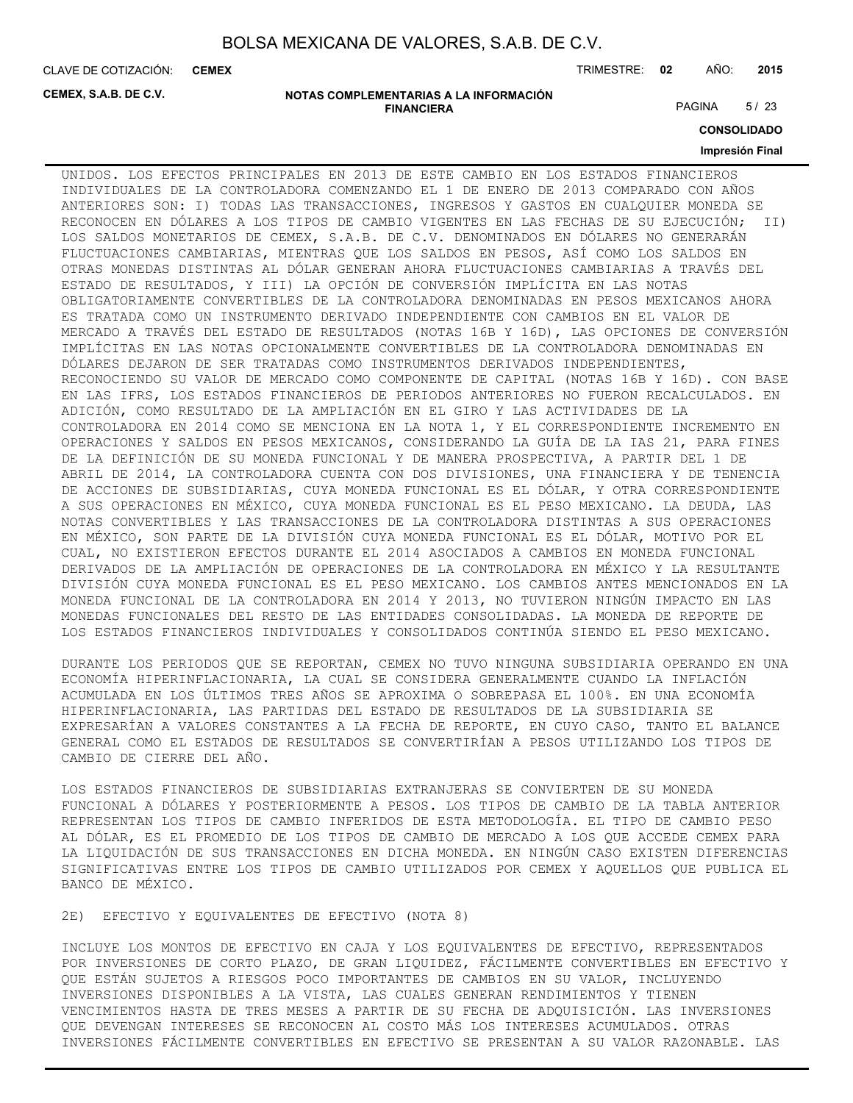**CEMEX**

CLAVE DE COTIZACIÓN: TRIMESTRE: **02** AÑO: **2015**

**CEMEX, S.A.B. DE C.V.**

#### **NOTAS COMPLEMENTARIAS A LA INFORMACIÓN FINANCIERA**

PAGINA 5/23

**CONSOLIDADO**

### **Impresión Final**

UNIDOS. LOS EFECTOS PRINCIPALES EN 2013 DE ESTE CAMBIO EN LOS ESTADOS FINANCIEROS INDIVIDUALES DE LA CONTROLADORA COMENZANDO EL 1 DE ENERO DE 2013 COMPARADO CON AÑOS ANTERIORES SON: I) TODAS LAS TRANSACCIONES, INGRESOS Y GASTOS EN CUALQUIER MONEDA SE RECONOCEN EN DÓLARES A LOS TIPOS DE CAMBIO VIGENTES EN LAS FECHAS DE SU EJECUCIÓN; II) LOS SALDOS MONETARIOS DE CEMEX, S.A.B. DE C.V. DENOMINADOS EN DÓLARES NO GENERARÁN FLUCTUACIONES CAMBIARIAS, MIENTRAS QUE LOS SALDOS EN PESOS, ASÍ COMO LOS SALDOS EN OTRAS MONEDAS DISTINTAS AL DÓLAR GENERAN AHORA FLUCTUACIONES CAMBIARIAS A TRAVÉS DEL ESTADO DE RESULTADOS, Y III) LA OPCIÓN DE CONVERSIÓN IMPLÍCITA EN LAS NOTAS OBLIGATORIAMENTE CONVERTIBLES DE LA CONTROLADORA DENOMINADAS EN PESOS MEXICANOS AHORA ES TRATADA COMO UN INSTRUMENTO DERIVADO INDEPENDIENTE CON CAMBIOS EN EL VALOR DE MERCADO A TRAVÉS DEL ESTADO DE RESULTADOS (NOTAS 16B Y 16D), LAS OPCIONES DE CONVERSIÓN IMPLÍCITAS EN LAS NOTAS OPCIONALMENTE CONVERTIBLES DE LA CONTROLADORA DENOMINADAS EN DÓLARES DEJARON DE SER TRATADAS COMO INSTRUMENTOS DERIVADOS INDEPENDIENTES, RECONOCIENDO SU VALOR DE MERCADO COMO COMPONENTE DE CAPITAL (NOTAS 16B Y 16D). CON BASE EN LAS IFRS, LOS ESTADOS FINANCIEROS DE PERIODOS ANTERIORES NO FUERON RECALCULADOS. EN ADICIÓN, COMO RESULTADO DE LA AMPLIACIÓN EN EL GIRO Y LAS ACTIVIDADES DE LA CONTROLADORA EN 2014 COMO SE MENCIONA EN LA NOTA 1, Y EL CORRESPONDIENTE INCREMENTO EN OPERACIONES Y SALDOS EN PESOS MEXICANOS, CONSIDERANDO LA GUÍA DE LA IAS 21, PARA FINES DE LA DEFINICIÓN DE SU MONEDA FUNCIONAL Y DE MANERA PROSPECTIVA, A PARTIR DEL 1 DE ABRIL DE 2014, LA CONTROLADORA CUENTA CON DOS DIVISIONES, UNA FINANCIERA Y DE TENENCIA DE ACCIONES DE SUBSIDIARIAS, CUYA MONEDA FUNCIONAL ES EL DÓLAR, Y OTRA CORRESPONDIENTE A SUS OPERACIONES EN MÉXICO, CUYA MONEDA FUNCIONAL ES EL PESO MEXICANO. LA DEUDA, LAS NOTAS CONVERTIBLES Y LAS TRANSACCIONES DE LA CONTROLADORA DISTINTAS A SUS OPERACIONES EN MÉXICO, SON PARTE DE LA DIVISIÓN CUYA MONEDA FUNCIONAL ES EL DÓLAR, MOTIVO POR EL CUAL, NO EXISTIERON EFECTOS DURANTE EL 2014 ASOCIADOS A CAMBIOS EN MONEDA FUNCIONAL DERIVADOS DE LA AMPLIACIÓN DE OPERACIONES DE LA CONTROLADORA EN MÉXICO Y LA RESULTANTE DIVISIÓN CUYA MONEDA FUNCIONAL ES EL PESO MEXICANO. LOS CAMBIOS ANTES MENCIONADOS EN LA MONEDA FUNCIONAL DE LA CONTROLADORA EN 2014 Y 2013, NO TUVIERON NINGÚN IMPACTO EN LAS MONEDAS FUNCIONALES DEL RESTO DE LAS ENTIDADES CONSOLIDADAS. LA MONEDA DE REPORTE DE LOS ESTADOS FINANCIEROS INDIVIDUALES Y CONSOLIDADOS CONTINÚA SIENDO EL PESO MEXICANO.

DURANTE LOS PERIODOS QUE SE REPORTAN, CEMEX NO TUVO NINGUNA SUBSIDIARIA OPERANDO EN UNA ECONOMÍA HIPERINFLACIONARIA, LA CUAL SE CONSIDERA GENERALMENTE CUANDO LA INFLACIÓN ACUMULADA EN LOS ÚLTIMOS TRES AÑOS SE APROXIMA O SOBREPASA EL 100%. EN UNA ECONOMÍA HIPERINFLACIONARIA, LAS PARTIDAS DEL ESTADO DE RESULTADOS DE LA SUBSIDIARIA SE EXPRESARÍAN A VALORES CONSTANTES A LA FECHA DE REPORTE, EN CUYO CASO, TANTO EL BALANCE GENERAL COMO EL ESTADOS DE RESULTADOS SE CONVERTIRÍAN A PESOS UTILIZANDO LOS TIPOS DE CAMBIO DE CIERRE DEL AÑO.

LOS ESTADOS FINANCIEROS DE SUBSIDIARIAS EXTRANJERAS SE CONVIERTEN DE SU MONEDA FUNCIONAL A DÓLARES Y POSTERIORMENTE A PESOS. LOS TIPOS DE CAMBIO DE LA TABLA ANTERIOR REPRESENTAN LOS TIPOS DE CAMBIO INFERIDOS DE ESTA METODOLOGÍA. EL TIPO DE CAMBIO PESO AL DÓLAR, ES EL PROMEDIO DE LOS TIPOS DE CAMBIO DE MERCADO A LOS QUE ACCEDE CEMEX PARA LA LIQUIDACIÓN DE SUS TRANSACCIONES EN DICHA MONEDA. EN NINGÚN CASO EXISTEN DIFERENCIAS SIGNIFICATIVAS ENTRE LOS TIPOS DE CAMBIO UTILIZADOS POR CEMEX Y AQUELLOS QUE PUBLICA EL BANCO DE MÉXICO.

2E) EFECTIVO Y EQUIVALENTES DE EFECTIVO (NOTA 8)

INCLUYE LOS MONTOS DE EFECTIVO EN CAJA Y LOS EQUIVALENTES DE EFECTIVO, REPRESENTADOS POR INVERSIONES DE CORTO PLAZO, DE GRAN LIQUIDEZ, FÁCILMENTE CONVERTIBLES EN EFECTIVO Y QUE ESTÁN SUJETOS A RIESGOS POCO IMPORTANTES DE CAMBIOS EN SU VALOR, INCLUYENDO INVERSIONES DISPONIBLES A LA VISTA, LAS CUALES GENERAN RENDIMIENTOS Y TIENEN VENCIMIENTOS HASTA DE TRES MESES A PARTIR DE SU FECHA DE ADQUISICIÓN. LAS INVERSIONES QUE DEVENGAN INTERESES SE RECONOCEN AL COSTO MÁS LOS INTERESES ACUMULADOS. OTRAS INVERSIONES FÁCILMENTE CONVERTIBLES EN EFECTIVO SE PRESENTAN A SU VALOR RAZONABLE. LAS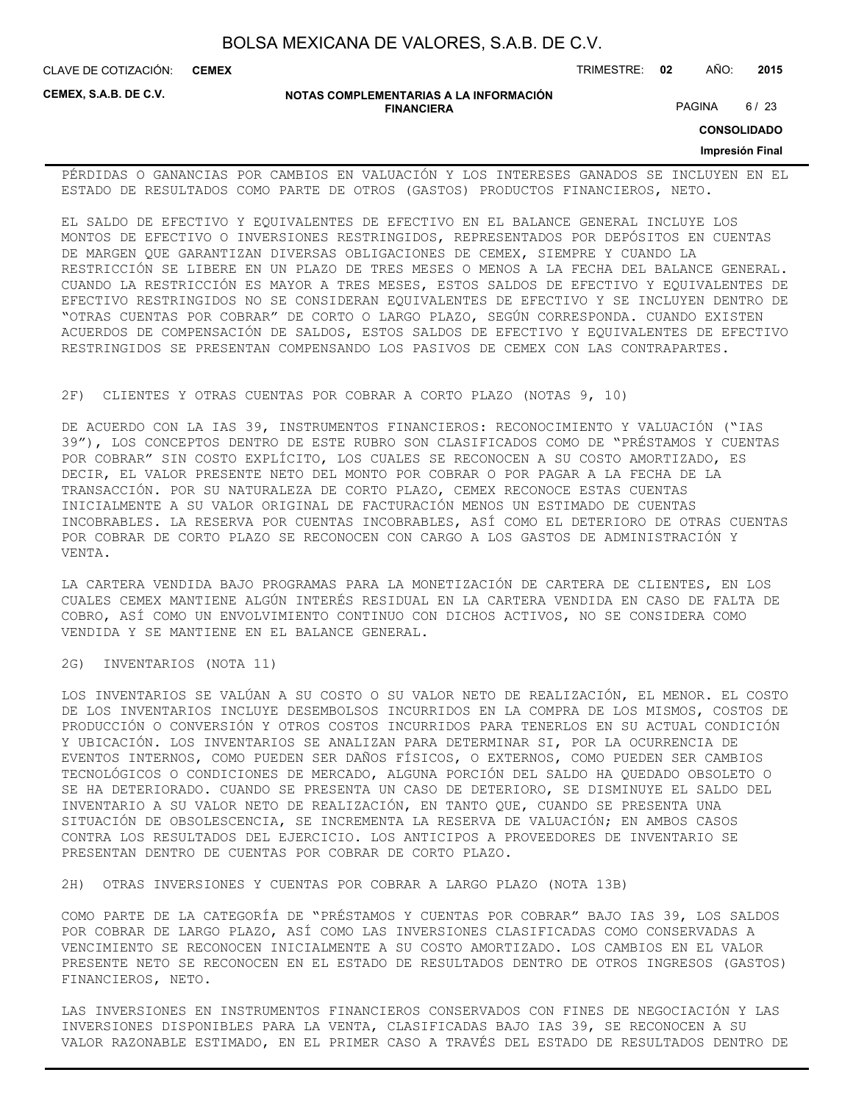CLAVE DE COTIZACIÓN: TRIMESTRE: **02** AÑO: **2015 CEMEX**

**CEMEX, S.A.B. DE C.V.**

**NOTAS COMPLEMENTARIAS A LA INFORMACIÓN FINANCIERA**

PAGINA 6/23

**CONSOLIDADO**

#### **Impresión Final**

PÉRDIDAS O GANANCIAS POR CAMBIOS EN VALUACIÓN Y LOS INTERESES GANADOS SE INCLUYEN EN EL ESTADO DE RESULTADOS COMO PARTE DE OTROS (GASTOS) PRODUCTOS FINANCIEROS, NETO.

EL SALDO DE EFECTIVO Y EQUIVALENTES DE EFECTIVO EN EL BALANCE GENERAL INCLUYE LOS MONTOS DE EFECTIVO O INVERSIONES RESTRINGIDOS, REPRESENTADOS POR DEPÓSITOS EN CUENTAS DE MARGEN QUE GARANTIZAN DIVERSAS OBLIGACIONES DE CEMEX, SIEMPRE Y CUANDO LA RESTRICCIÓN SE LIBERE EN UN PLAZO DE TRES MESES O MENOS A LA FECHA DEL BALANCE GENERAL. CUANDO LA RESTRICCIÓN ES MAYOR A TRES MESES, ESTOS SALDOS DE EFECTIVO Y EQUIVALENTES DE EFECTIVO RESTRINGIDOS NO SE CONSIDERAN EQUIVALENTES DE EFECTIVO Y SE INCLUYEN DENTRO DE "OTRAS CUENTAS POR COBRAR" DE CORTO O LARGO PLAZO, SEGÚN CORRESPONDA. CUANDO EXISTEN ACUERDOS DE COMPENSACIÓN DE SALDOS, ESTOS SALDOS DE EFECTIVO Y EQUIVALENTES DE EFECTIVO RESTRINGIDOS SE PRESENTAN COMPENSANDO LOS PASIVOS DE CEMEX CON LAS CONTRAPARTES.

#### 2F) CLIENTES Y OTRAS CUENTAS POR COBRAR A CORTO PLAZO (NOTAS 9, 10)

DE ACUERDO CON LA IAS 39, INSTRUMENTOS FINANCIEROS: RECONOCIMIENTO Y VALUACIÓN ("IAS 39"), LOS CONCEPTOS DENTRO DE ESTE RUBRO SON CLASIFICADOS COMO DE "PRÉSTAMOS Y CUENTAS POR COBRAR" SIN COSTO EXPLÍCITO, LOS CUALES SE RECONOCEN A SU COSTO AMORTIZADO, ES DECIR, EL VALOR PRESENTE NETO DEL MONTO POR COBRAR O POR PAGAR A LA FECHA DE LA TRANSACCIÓN. POR SU NATURALEZA DE CORTO PLAZO, CEMEX RECONOCE ESTAS CUENTAS INICIALMENTE A SU VALOR ORIGINAL DE FACTURACIÓN MENOS UN ESTIMADO DE CUENTAS INCOBRABLES. LA RESERVA POR CUENTAS INCOBRABLES, ASÍ COMO EL DETERIORO DE OTRAS CUENTAS POR COBRAR DE CORTO PLAZO SE RECONOCEN CON CARGO A LOS GASTOS DE ADMINISTRACIÓN Y VENTA.

LA CARTERA VENDIDA BAJO PROGRAMAS PARA LA MONETIZACIÓN DE CARTERA DE CLIENTES, EN LOS CUALES CEMEX MANTIENE ALGÚN INTERÉS RESIDUAL EN LA CARTERA VENDIDA EN CASO DE FALTA DE COBRO, ASÍ COMO UN ENVOLVIMIENTO CONTINUO CON DICHOS ACTIVOS, NO SE CONSIDERA COMO VENDIDA Y SE MANTIENE EN EL BALANCE GENERAL.

2G) INVENTARIOS (NOTA 11)

LOS INVENTARIOS SE VALÚAN A SU COSTO O SU VALOR NETO DE REALIZACIÓN, EL MENOR. EL COSTO DE LOS INVENTARIOS INCLUYE DESEMBOLSOS INCURRIDOS EN LA COMPRA DE LOS MISMOS, COSTOS DE PRODUCCIÓN O CONVERSIÓN Y OTROS COSTOS INCURRIDOS PARA TENERLOS EN SU ACTUAL CONDICIÓN Y UBICACIÓN. LOS INVENTARIOS SE ANALIZAN PARA DETERMINAR SI, POR LA OCURRENCIA DE EVENTOS INTERNOS, COMO PUEDEN SER DAÑOS FÍSICOS, O EXTERNOS, COMO PUEDEN SER CAMBIOS TECNOLÓGICOS O CONDICIONES DE MERCADO, ALGUNA PORCIÓN DEL SALDO HA QUEDADO OBSOLETO O SE HA DETERIORADO. CUANDO SE PRESENTA UN CASO DE DETERIORO, SE DISMINUYE EL SALDO DEL INVENTARIO A SU VALOR NETO DE REALIZACIÓN, EN TANTO QUE, CUANDO SE PRESENTA UNA SITUACIÓN DE OBSOLESCENCIA, SE INCREMENTA LA RESERVA DE VALUACIÓN; EN AMBOS CASOS CONTRA LOS RESULTADOS DEL EJERCICIO. LOS ANTICIPOS A PROVEEDORES DE INVENTARIO SE PRESENTAN DENTRO DE CUENTAS POR COBRAR DE CORTO PLAZO.

2H) OTRAS INVERSIONES Y CUENTAS POR COBRAR A LARGO PLAZO (NOTA 13B)

COMO PARTE DE LA CATEGORÍA DE "PRÉSTAMOS Y CUENTAS POR COBRAR" BAJO IAS 39, LOS SALDOS POR COBRAR DE LARGO PLAZO, ASÍ COMO LAS INVERSIONES CLASIFICADAS COMO CONSERVADAS A VENCIMIENTO SE RECONOCEN INICIALMENTE A SU COSTO AMORTIZADO. LOS CAMBIOS EN EL VALOR PRESENTE NETO SE RECONOCEN EN EL ESTADO DE RESULTADOS DENTRO DE OTROS INGRESOS (GASTOS) FINANCIEROS, NETO.

LAS INVERSIONES EN INSTRUMENTOS FINANCIEROS CONSERVADOS CON FINES DE NEGOCIACIÓN Y LAS INVERSIONES DISPONIBLES PARA LA VENTA, CLASIFICADAS BAJO IAS 39, SE RECONOCEN A SU VALOR RAZONABLE ESTIMADO, EN EL PRIMER CASO A TRAVÉS DEL ESTADO DE RESULTADOS DENTRO DE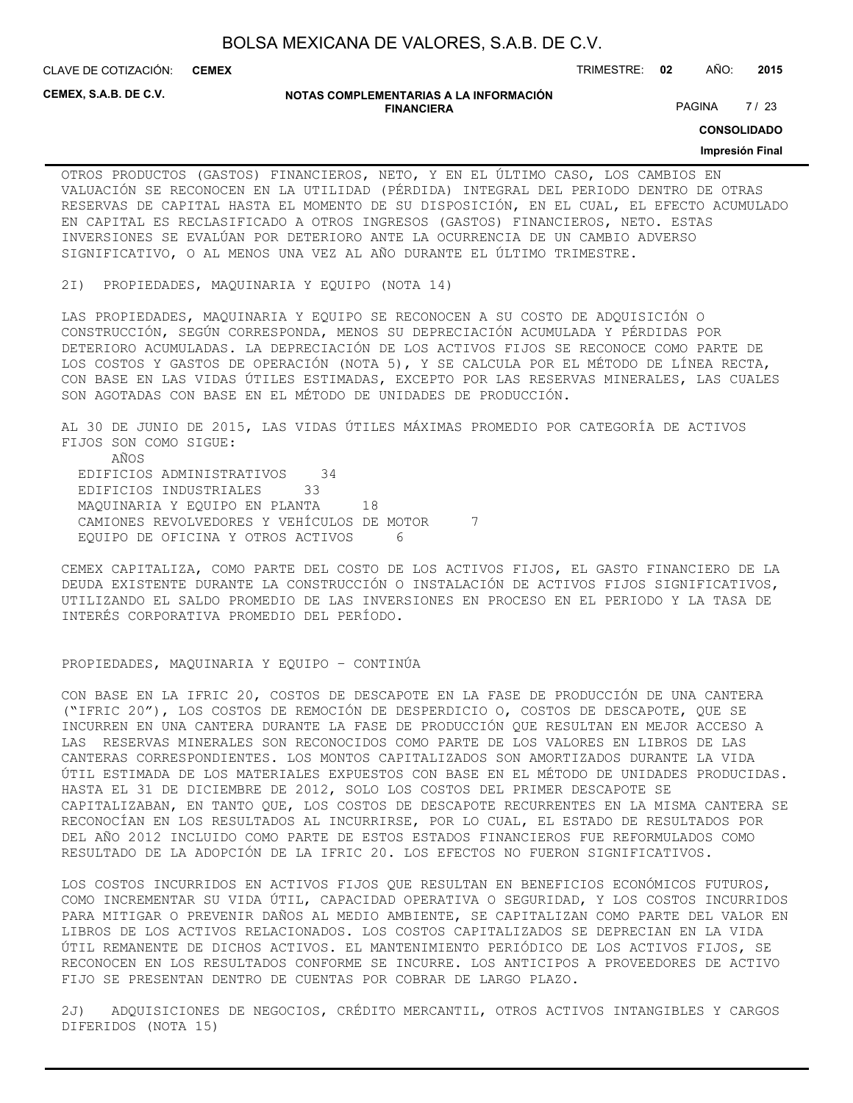**CEMEX**

CLAVE DE COTIZACIÓN: TRIMESTRE: **02** AÑO: **2015**

**CEMEX, S.A.B. DE C.V.**

#### **NOTAS COMPLEMENTARIAS A LA INFORMACIÓN FINANCIERA**

PAGINA 7/23

**CONSOLIDADO**

#### **Impresión Final**

OTROS PRODUCTOS (GASTOS) FINANCIEROS, NETO, Y EN EL ÚLTIMO CASO, LOS CAMBIOS EN VALUACIÓN SE RECONOCEN EN LA UTILIDAD (PÉRDIDA) INTEGRAL DEL PERIODO DENTRO DE OTRAS RESERVAS DE CAPITAL HASTA EL MOMENTO DE SU DISPOSICIÓN, EN EL CUAL, EL EFECTO ACUMULADO EN CAPITAL ES RECLASIFICADO A OTROS INGRESOS (GASTOS) FINANCIEROS, NETO. ESTAS INVERSIONES SE EVALÚAN POR DETERIORO ANTE LA OCURRENCIA DE UN CAMBIO ADVERSO SIGNIFICATIVO, O AL MENOS UNA VEZ AL AÑO DURANTE EL ÚLTIMO TRIMESTRE.

2I) PROPIEDADES, MAQUINARIA Y EQUIPO (NOTA 14)

LAS PROPIEDADES, MAQUINARIA Y EQUIPO SE RECONOCEN A SU COSTO DE ADQUISICIÓN O CONSTRUCCIÓN, SEGÚN CORRESPONDA, MENOS SU DEPRECIACIÓN ACUMULADA Y PÉRDIDAS POR DETERIORO ACUMULADAS. LA DEPRECIACIÓN DE LOS ACTIVOS FIJOS SE RECONOCE COMO PARTE DE LOS COSTOS Y GASTOS DE OPERACIÓN (NOTA 5), Y SE CALCULA POR EL MÉTODO DE LÍNEA RECTA, CON BASE EN LAS VIDAS ÚTILES ESTIMADAS, EXCEPTO POR LAS RESERVAS MINERALES, LAS CUALES SON AGOTADAS CON BASE EN EL MÉTODO DE UNIDADES DE PRODUCCIÓN.

AL 30 DE JUNIO DE 2015, LAS VIDAS ÚTILES MÁXIMAS PROMEDIO POR CATEGORÍA DE ACTIVOS FIJOS SON COMO SIGUE: AÑOS EDIFICIOS ADMINISTRATIVOS 34 EDIFICIOS INDUSTRIALES 33 MAQUINARIA Y EQUIPO EN PLANTA 18 CAMIONES REVOLVEDORES Y VEHÍCULOS DE MOTOR 7 EQUIPO DE OFICINA Y OTROS ACTIVOS 6

CEMEX CAPITALIZA, COMO PARTE DEL COSTO DE LOS ACTIVOS FIJOS, EL GASTO FINANCIERO DE LA DEUDA EXISTENTE DURANTE LA CONSTRUCCIÓN O INSTALACIÓN DE ACTIVOS FIJOS SIGNIFICATIVOS, UTILIZANDO EL SALDO PROMEDIO DE LAS INVERSIONES EN PROCESO EN EL PERIODO Y LA TASA DE INTERÉS CORPORATIVA PROMEDIO DEL PERÍODO.

### PROPIEDADES, MAQUINARIA Y EQUIPO – CONTINÚA

CON BASE EN LA IFRIC 20, COSTOS DE DESCAPOTE EN LA FASE DE PRODUCCIÓN DE UNA CANTERA ("IFRIC 20"), LOS COSTOS DE REMOCIÓN DE DESPERDICIO O, COSTOS DE DESCAPOTE, QUE SE INCURREN EN UNA CANTERA DURANTE LA FASE DE PRODUCCIÓN QUE RESULTAN EN MEJOR ACCESO A LAS RESERVAS MINERALES SON RECONOCIDOS COMO PARTE DE LOS VALORES EN LIBROS DE LAS CANTERAS CORRESPONDIENTES. LOS MONTOS CAPITALIZADOS SON AMORTIZADOS DURANTE LA VIDA ÚTIL ESTIMADA DE LOS MATERIALES EXPUESTOS CON BASE EN EL MÉTODO DE UNIDADES PRODUCIDAS. HASTA EL 31 DE DICIEMBRE DE 2012, SOLO LOS COSTOS DEL PRIMER DESCAPOTE SE CAPITALIZABAN, EN TANTO QUE, LOS COSTOS DE DESCAPOTE RECURRENTES EN LA MISMA CANTERA SE RECONOCÍAN EN LOS RESULTADOS AL INCURRIRSE, POR LO CUAL, EL ESTADO DE RESULTADOS POR DEL AÑO 2012 INCLUIDO COMO PARTE DE ESTOS ESTADOS FINANCIEROS FUE REFORMULADOS COMO RESULTADO DE LA ADOPCIÓN DE LA IFRIC 20. LOS EFECTOS NO FUERON SIGNIFICATIVOS.

LOS COSTOS INCURRIDOS EN ACTIVOS FIJOS QUE RESULTAN EN BENEFICIOS ECONÓMICOS FUTUROS, COMO INCREMENTAR SU VIDA ÚTIL, CAPACIDAD OPERATIVA O SEGURIDAD, Y LOS COSTOS INCURRIDOS PARA MITIGAR O PREVENIR DAÑOS AL MEDIO AMBIENTE, SE CAPITALIZAN COMO PARTE DEL VALOR EN LIBROS DE LOS ACTIVOS RELACIONADOS. LOS COSTOS CAPITALIZADOS SE DEPRECIAN EN LA VIDA ÚTIL REMANENTE DE DICHOS ACTIVOS. EL MANTENIMIENTO PERIÓDICO DE LOS ACTIVOS FIJOS, SE RECONOCEN EN LOS RESULTADOS CONFORME SE INCURRE. LOS ANTICIPOS A PROVEEDORES DE ACTIVO FIJO SE PRESENTAN DENTRO DE CUENTAS POR COBRAR DE LARGO PLAZO.

2J) ADQUISICIONES DE NEGOCIOS, CRÉDITO MERCANTIL, OTROS ACTIVOS INTANGIBLES Y CARGOS DIFERIDOS (NOTA 15)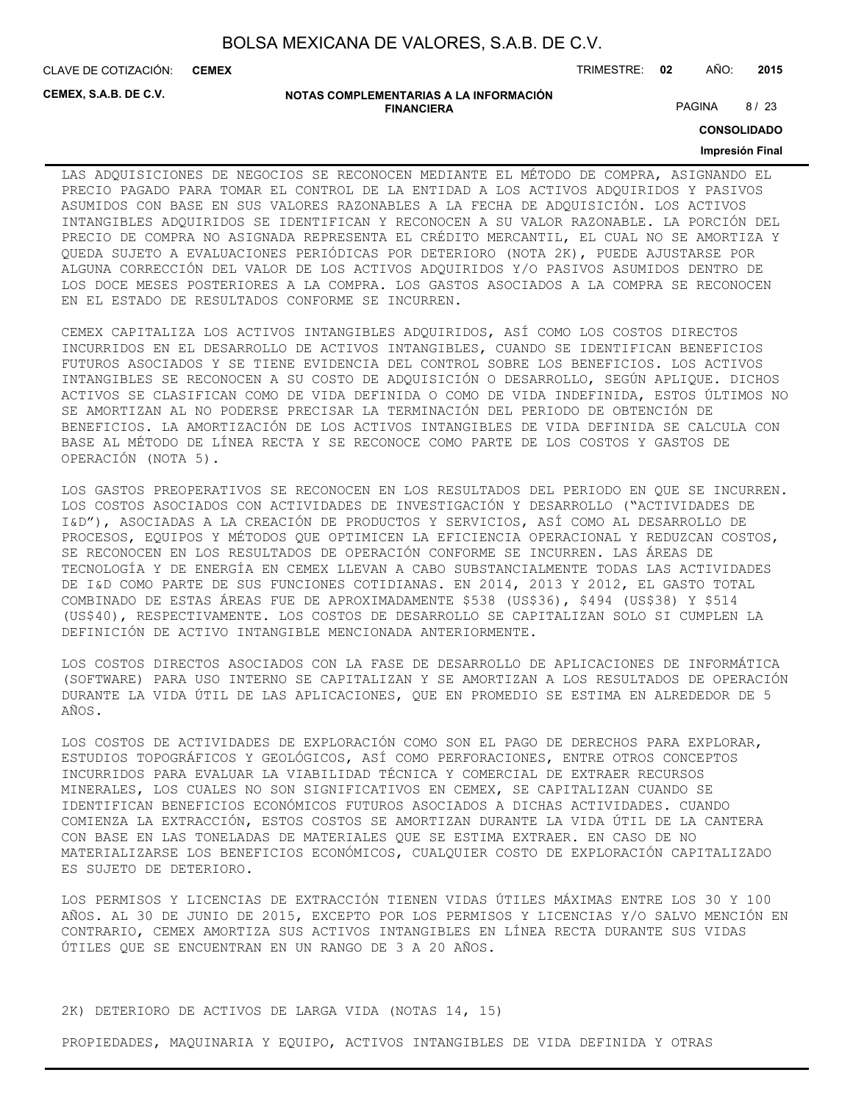CLAVE DE COTIZACIÓN: TRIMESTRE: **02** AÑO: **2015 CEMEX**

**CEMEX, S.A.B. DE C.V.**

#### **NOTAS COMPLEMENTARIAS A LA INFORMACIÓN FINANCIERA**

PAGINA 8/23

**CONSOLIDADO**

### **Impresión Final**

LAS ADQUISICIONES DE NEGOCIOS SE RECONOCEN MEDIANTE EL MÉTODO DE COMPRA, ASIGNANDO EL PRECIO PAGADO PARA TOMAR EL CONTROL DE LA ENTIDAD A LOS ACTIVOS ADQUIRIDOS Y PASIVOS ASUMIDOS CON BASE EN SUS VALORES RAZONABLES A LA FECHA DE ADQUISICIÓN. LOS ACTIVOS INTANGIBLES ADQUIRIDOS SE IDENTIFICAN Y RECONOCEN A SU VALOR RAZONABLE. LA PORCIÓN DEL PRECIO DE COMPRA NO ASIGNADA REPRESENTA EL CRÉDITO MERCANTIL, EL CUAL NO SE AMORTIZA Y QUEDA SUJETO A EVALUACIONES PERIÓDICAS POR DETERIORO (NOTA 2K), PUEDE AJUSTARSE POR ALGUNA CORRECCIÓN DEL VALOR DE LOS ACTIVOS ADQUIRIDOS Y/O PASIVOS ASUMIDOS DENTRO DE LOS DOCE MESES POSTERIORES A LA COMPRA. LOS GASTOS ASOCIADOS A LA COMPRA SE RECONOCEN EN EL ESTADO DE RESULTADOS CONFORME SE INCURREN.

CEMEX CAPITALIZA LOS ACTIVOS INTANGIBLES ADQUIRIDOS, ASÍ COMO LOS COSTOS DIRECTOS INCURRIDOS EN EL DESARROLLO DE ACTIVOS INTANGIBLES, CUANDO SE IDENTIFICAN BENEFICIOS FUTUROS ASOCIADOS Y SE TIENE EVIDENCIA DEL CONTROL SOBRE LOS BENEFICIOS. LOS ACTIVOS INTANGIBLES SE RECONOCEN A SU COSTO DE ADQUISICIÓN O DESARROLLO, SEGÚN APLIQUE. DICHOS ACTIVOS SE CLASIFICAN COMO DE VIDA DEFINIDA O COMO DE VIDA INDEFINIDA, ESTOS ÚLTIMOS NO SE AMORTIZAN AL NO PODERSE PRECISAR LA TERMINACIÓN DEL PERIODO DE OBTENCIÓN DE BENEFICIOS. LA AMORTIZACIÓN DE LOS ACTIVOS INTANGIBLES DE VIDA DEFINIDA SE CALCULA CON BASE AL MÉTODO DE LÍNEA RECTA Y SE RECONOCE COMO PARTE DE LOS COSTOS Y GASTOS DE OPERACIÓN (NOTA 5).

LOS GASTOS PREOPERATIVOS SE RECONOCEN EN LOS RESULTADOS DEL PERIODO EN QUE SE INCURREN. LOS COSTOS ASOCIADOS CON ACTIVIDADES DE INVESTIGACIÓN Y DESARROLLO ("ACTIVIDADES DE I&D"), ASOCIADAS A LA CREACIÓN DE PRODUCTOS Y SERVICIOS, ASÍ COMO AL DESARROLLO DE PROCESOS, EQUIPOS Y MÉTODOS QUE OPTIMICEN LA EFICIENCIA OPERACIONAL Y REDUZCAN COSTOS, SE RECONOCEN EN LOS RESULTADOS DE OPERACIÓN CONFORME SE INCURREN. LAS ÁREAS DE TECNOLOGÍA Y DE ENERGÍA EN CEMEX LLEVAN A CABO SUBSTANCIALMENTE TODAS LAS ACTIVIDADES DE I&D COMO PARTE DE SUS FUNCIONES COTIDIANAS. EN 2014, 2013 Y 2012, EL GASTO TOTAL COMBINADO DE ESTAS ÁREAS FUE DE APROXIMADAMENTE \$538 (US\$36), \$494 (US\$38) Y \$514 (US\$40), RESPECTIVAMENTE. LOS COSTOS DE DESARROLLO SE CAPITALIZAN SOLO SI CUMPLEN LA DEFINICIÓN DE ACTIVO INTANGIBLE MENCIONADA ANTERIORMENTE.

LOS COSTOS DIRECTOS ASOCIADOS CON LA FASE DE DESARROLLO DE APLICACIONES DE INFORMÁTICA (SOFTWARE) PARA USO INTERNO SE CAPITALIZAN Y SE AMORTIZAN A LOS RESULTADOS DE OPERACIÓN DURANTE LA VIDA ÚTIL DE LAS APLICACIONES, QUE EN PROMEDIO SE ESTIMA EN ALREDEDOR DE 5 AÑOS.

LOS COSTOS DE ACTIVIDADES DE EXPLORACIÓN COMO SON EL PAGO DE DERECHOS PARA EXPLORAR, ESTUDIOS TOPOGRÁFICOS Y GEOLÓGICOS, ASÍ COMO PERFORACIONES, ENTRE OTROS CONCEPTOS INCURRIDOS PARA EVALUAR LA VIABILIDAD TÉCNICA Y COMERCIAL DE EXTRAER RECURSOS MINERALES, LOS CUALES NO SON SIGNIFICATIVOS EN CEMEX, SE CAPITALIZAN CUANDO SE IDENTIFICAN BENEFICIOS ECONÓMICOS FUTUROS ASOCIADOS A DICHAS ACTIVIDADES. CUANDO COMIENZA LA EXTRACCIÓN, ESTOS COSTOS SE AMORTIZAN DURANTE LA VIDA ÚTIL DE LA CANTERA CON BASE EN LAS TONELADAS DE MATERIALES QUE SE ESTIMA EXTRAER. EN CASO DE NO MATERIALIZARSE LOS BENEFICIOS ECONÓMICOS, CUALQUIER COSTO DE EXPLORACIÓN CAPITALIZADO ES SUJETO DE DETERIORO.

LOS PERMISOS Y LICENCIAS DE EXTRACCIÓN TIENEN VIDAS ÚTILES MÁXIMAS ENTRE LOS 30 Y 100 AÑOS. AL 30 DE JUNIO DE 2015, EXCEPTO POR LOS PERMISOS Y LICENCIAS Y/O SALVO MENCIÓN EN CONTRARIO, CEMEX AMORTIZA SUS ACTIVOS INTANGIBLES EN LÍNEA RECTA DURANTE SUS VIDAS ÚTILES QUE SE ENCUENTRAN EN UN RANGO DE 3 A 20 AÑOS.

### 2K) DETERIORO DE ACTIVOS DE LARGA VIDA (NOTAS 14, 15)

PROPIEDADES, MAQUINARIA Y EQUIPO, ACTIVOS INTANGIBLES DE VIDA DEFINIDA Y OTRAS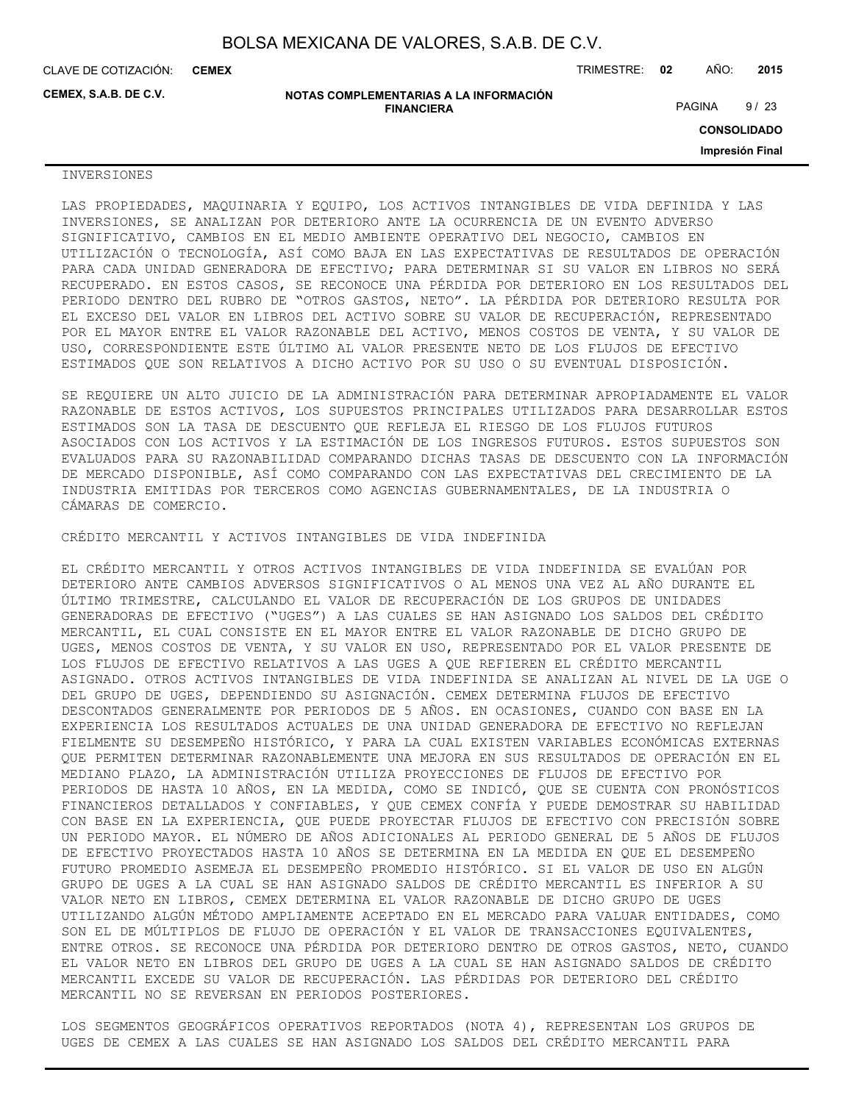**CEMEX**

CLAVE DE COTIZACIÓN: TRIMESTRE: **02** AÑO: **2015**

**CEMEX, S.A.B. DE C.V.**

**NOTAS COMPLEMENTARIAS A LA INFORMACIÓN FINANCIERA**

PAGINA 9/23

**CONSOLIDADO**

**Impresión Final**

### INVERSIONES

LAS PROPIEDADES, MAQUINARIA Y EQUIPO, LOS ACTIVOS INTANGIBLES DE VIDA DEFINIDA Y LAS INVERSIONES, SE ANALIZAN POR DETERIORO ANTE LA OCURRENCIA DE UN EVENTO ADVERSO SIGNIFICATIVO, CAMBIOS EN EL MEDIO AMBIENTE OPERATIVO DEL NEGOCIO, CAMBIOS EN UTILIZACIÓN O TECNOLOGÍA, ASÍ COMO BAJA EN LAS EXPECTATIVAS DE RESULTADOS DE OPERACIÓN PARA CADA UNIDAD GENERADORA DE EFECTIVO; PARA DETERMINAR SI SU VALOR EN LIBROS NO SERÁ RECUPERADO. EN ESTOS CASOS, SE RECONOCE UNA PÉRDIDA POR DETERIORO EN LOS RESULTADOS DEL PERIODO DENTRO DEL RUBRO DE "OTROS GASTOS, NETO". LA PÉRDIDA POR DETERIORO RESULTA POR EL EXCESO DEL VALOR EN LIBROS DEL ACTIVO SOBRE SU VALOR DE RECUPERACIÓN, REPRESENTADO POR EL MAYOR ENTRE EL VALOR RAZONABLE DEL ACTIVO, MENOS COSTOS DE VENTA, Y SU VALOR DE USO, CORRESPONDIENTE ESTE ÚLTIMO AL VALOR PRESENTE NETO DE LOS FLUJOS DE EFECTIVO ESTIMADOS QUE SON RELATIVOS A DICHO ACTIVO POR SU USO O SU EVENTUAL DISPOSICIÓN.

SE REQUIERE UN ALTO JUICIO DE LA ADMINISTRACIÓN PARA DETERMINAR APROPIADAMENTE EL VALOR RAZONABLE DE ESTOS ACTIVOS, LOS SUPUESTOS PRINCIPALES UTILIZADOS PARA DESARROLLAR ESTOS ESTIMADOS SON LA TASA DE DESCUENTO QUE REFLEJA EL RIESGO DE LOS FLUJOS FUTUROS ASOCIADOS CON LOS ACTIVOS Y LA ESTIMACIÓN DE LOS INGRESOS FUTUROS. ESTOS SUPUESTOS SON EVALUADOS PARA SU RAZONABILIDAD COMPARANDO DICHAS TASAS DE DESCUENTO CON LA INFORMACIÓN DE MERCADO DISPONIBLE, ASÍ COMO COMPARANDO CON LAS EXPECTATIVAS DEL CRECIMIENTO DE LA INDUSTRIA EMITIDAS POR TERCEROS COMO AGENCIAS GUBERNAMENTALES, DE LA INDUSTRIA O CÁMARAS DE COMERCIO.

CRÉDITO MERCANTIL Y ACTIVOS INTANGIBLES DE VIDA INDEFINIDA

EL CRÉDITO MERCANTIL Y OTROS ACTIVOS INTANGIBLES DE VIDA INDEFINIDA SE EVALÚAN POR DETERIORO ANTE CAMBIOS ADVERSOS SIGNIFICATIVOS O AL MENOS UNA VEZ AL AÑO DURANTE EL ÚLTIMO TRIMESTRE, CALCULANDO EL VALOR DE RECUPERACIÓN DE LOS GRUPOS DE UNIDADES GENERADORAS DE EFECTIVO ("UGES") A LAS CUALES SE HAN ASIGNADO LOS SALDOS DEL CRÉDITO MERCANTIL, EL CUAL CONSISTE EN EL MAYOR ENTRE EL VALOR RAZONABLE DE DICHO GRUPO DE UGES, MENOS COSTOS DE VENTA, Y SU VALOR EN USO, REPRESENTADO POR EL VALOR PRESENTE DE LOS FLUJOS DE EFECTIVO RELATIVOS A LAS UGES A QUE REFIEREN EL CRÉDITO MERCANTIL ASIGNADO. OTROS ACTIVOS INTANGIBLES DE VIDA INDEFINIDA SE ANALIZAN AL NIVEL DE LA UGE O DEL GRUPO DE UGES, DEPENDIENDO SU ASIGNACIÓN. CEMEX DETERMINA FLUJOS DE EFECTIVO DESCONTADOS GENERALMENTE POR PERIODOS DE 5 AÑOS. EN OCASIONES, CUANDO CON BASE EN LA EXPERIENCIA LOS RESULTADOS ACTUALES DE UNA UNIDAD GENERADORA DE EFECTIVO NO REFLEJAN FIELMENTE SU DESEMPEÑO HISTÓRICO, Y PARA LA CUAL EXISTEN VARIABLES ECONÓMICAS EXTERNAS QUE PERMITEN DETERMINAR RAZONABLEMENTE UNA MEJORA EN SUS RESULTADOS DE OPERACIÓN EN EL MEDIANO PLAZO, LA ADMINISTRACIÓN UTILIZA PROYECCIONES DE FLUJOS DE EFECTIVO POR PERIODOS DE HASTA 10 AÑOS, EN LA MEDIDA, COMO SE INDICÓ, QUE SE CUENTA CON PRONÓSTICOS FINANCIEROS DETALLADOS Y CONFIABLES, Y QUE CEMEX CONFÍA Y PUEDE DEMOSTRAR SU HABILIDAD CON BASE EN LA EXPERIENCIA, QUE PUEDE PROYECTAR FLUJOS DE EFECTIVO CON PRECISIÓN SOBRE UN PERIODO MAYOR. EL NÚMERO DE AÑOS ADICIONALES AL PERIODO GENERAL DE 5 AÑOS DE FLUJOS DE EFECTIVO PROYECTADOS HASTA 10 AÑOS SE DETERMINA EN LA MEDIDA EN QUE EL DESEMPEÑO FUTURO PROMEDIO ASEMEJA EL DESEMPEÑO PROMEDIO HISTÓRICO. SI EL VALOR DE USO EN ALGÚN GRUPO DE UGES A LA CUAL SE HAN ASIGNADO SALDOS DE CRÉDITO MERCANTIL ES INFERIOR A SU VALOR NETO EN LIBROS, CEMEX DETERMINA EL VALOR RAZONABLE DE DICHO GRUPO DE UGES UTILIZANDO ALGÚN MÉTODO AMPLIAMENTE ACEPTADO EN EL MERCADO PARA VALUAR ENTIDADES, COMO SON EL DE MÚLTIPLOS DE FLUJO DE OPERACIÓN Y EL VALOR DE TRANSACCIONES EQUIVALENTES, ENTRE OTROS. SE RECONOCE UNA PÉRDIDA POR DETERIORO DENTRO DE OTROS GASTOS, NETO, CUANDO EL VALOR NETO EN LIBROS DEL GRUPO DE UGES A LA CUAL SE HAN ASIGNADO SALDOS DE CRÉDITO MERCANTIL EXCEDE SU VALOR DE RECUPERACIÓN. LAS PÉRDIDAS POR DETERIORO DEL CRÉDITO MERCANTIL NO SE REVERSAN EN PERIODOS POSTERIORES.

LOS SEGMENTOS GEOGRÁFICOS OPERATIVOS REPORTADOS (NOTA 4), REPRESENTAN LOS GRUPOS DE UGES DE CEMEX A LAS CUALES SE HAN ASIGNADO LOS SALDOS DEL CRÉDITO MERCANTIL PARA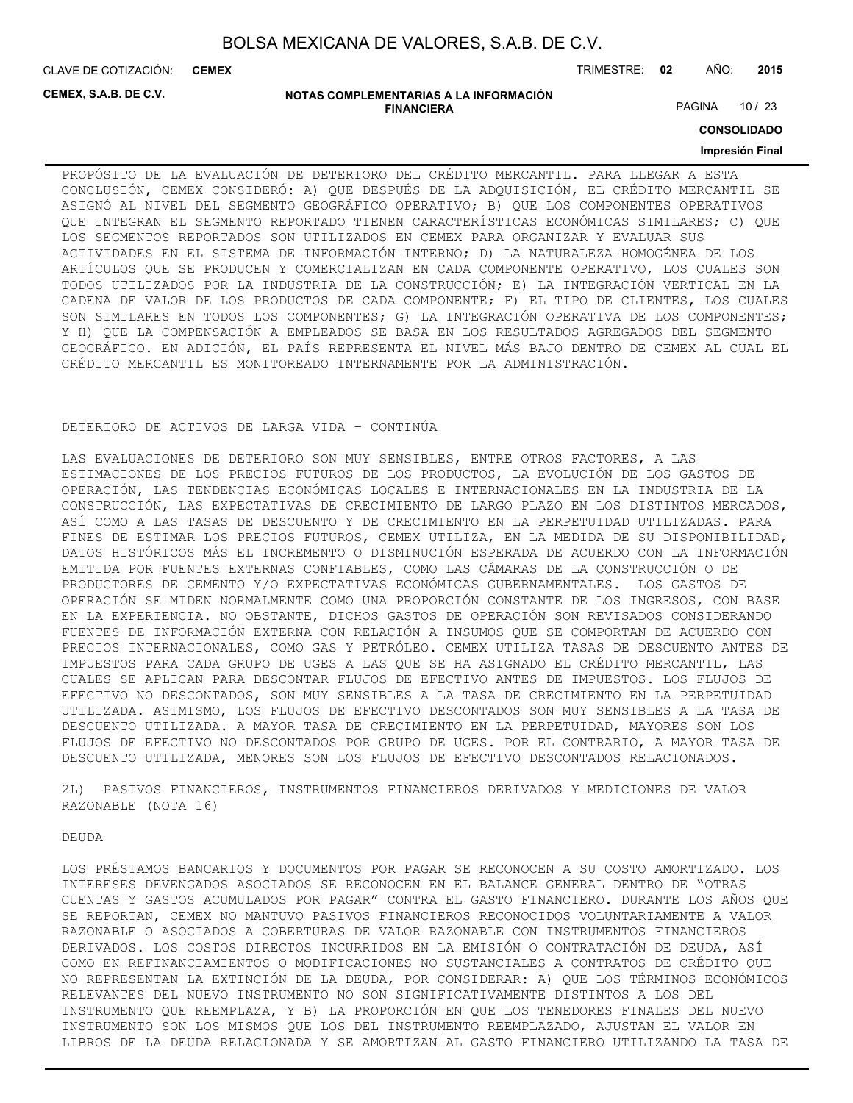CLAVE DE COTIZACIÓN: TRIMESTRE: **02** AÑO: **2015 CEMEX**

**CEMEX, S.A.B. DE C.V.**

#### **NOTAS COMPLEMENTARIAS A LA INFORMACIÓN FINANCIERA**

PAGINA 10 / 23

**CONSOLIDADO**

#### **Impresión Final**

PROPÓSITO DE LA EVALUACIÓN DE DETERIORO DEL CRÉDITO MERCANTIL. PARA LLEGAR A ESTA CONCLUSIÓN, CEMEX CONSIDERÓ: A) QUE DESPUÉS DE LA ADQUISICIÓN, EL CRÉDITO MERCANTIL SE ASIGNÓ AL NIVEL DEL SEGMENTO GEOGRÁFICO OPERATIVO; B) QUE LOS COMPONENTES OPERATIVOS QUE INTEGRAN EL SEGMENTO REPORTADO TIENEN CARACTERÍSTICAS ECONÓMICAS SIMILARES; C) QUE LOS SEGMENTOS REPORTADOS SON UTILIZADOS EN CEMEX PARA ORGANIZAR Y EVALUAR SUS ACTIVIDADES EN EL SISTEMA DE INFORMACIÓN INTERNO; D) LA NATURALEZA HOMOGÉNEA DE LOS ARTÍCULOS QUE SE PRODUCEN Y COMERCIALIZAN EN CADA COMPONENTE OPERATIVO, LOS CUALES SON TODOS UTILIZADOS POR LA INDUSTRIA DE LA CONSTRUCCIÓN; E) LA INTEGRACIÓN VERTICAL EN LA CADENA DE VALOR DE LOS PRODUCTOS DE CADA COMPONENTE; F) EL TIPO DE CLIENTES, LOS CUALES SON SIMILARES EN TODOS LOS COMPONENTES; G) LA INTEGRACIÓN OPERATIVA DE LOS COMPONENTES; Y H) QUE LA COMPENSACIÓN A EMPLEADOS SE BASA EN LOS RESULTADOS AGREGADOS DEL SEGMENTO GEOGRÁFICO. EN ADICIÓN, EL PAÍS REPRESENTA EL NIVEL MÁS BAJO DENTRO DE CEMEX AL CUAL EL CRÉDITO MERCANTIL ES MONITOREADO INTERNAMENTE POR LA ADMINISTRACIÓN.

#### DETERIORO DE ACTIVOS DE LARGA VIDA – CONTINÚA

LAS EVALUACIONES DE DETERIORO SON MUY SENSIBLES, ENTRE OTROS FACTORES, A LAS ESTIMACIONES DE LOS PRECIOS FUTUROS DE LOS PRODUCTOS, LA EVOLUCIÓN DE LOS GASTOS DE OPERACIÓN, LAS TENDENCIAS ECONÓMICAS LOCALES E INTERNACIONALES EN LA INDUSTRIA DE LA CONSTRUCCIÓN, LAS EXPECTATIVAS DE CRECIMIENTO DE LARGO PLAZO EN LOS DISTINTOS MERCADOS, ASÍ COMO A LAS TASAS DE DESCUENTO Y DE CRECIMIENTO EN LA PERPETUIDAD UTILIZADAS. PARA FINES DE ESTIMAR LOS PRECIOS FUTUROS, CEMEX UTILIZA, EN LA MEDIDA DE SU DISPONIBILIDAD, DATOS HISTÓRICOS MÁS EL INCREMENTO O DISMINUCIÓN ESPERADA DE ACUERDO CON LA INFORMACIÓN EMITIDA POR FUENTES EXTERNAS CONFIABLES, COMO LAS CÁMARAS DE LA CONSTRUCCIÓN O DE PRODUCTORES DE CEMENTO Y/O EXPECTATIVAS ECONÓMICAS GUBERNAMENTALES. LOS GASTOS DE OPERACIÓN SE MIDEN NORMALMENTE COMO UNA PROPORCIÓN CONSTANTE DE LOS INGRESOS, CON BASE EN LA EXPERIENCIA. NO OBSTANTE, DICHOS GASTOS DE OPERACIÓN SON REVISADOS CONSIDERANDO FUENTES DE INFORMACIÓN EXTERNA CON RELACIÓN A INSUMOS QUE SE COMPORTAN DE ACUERDO CON PRECIOS INTERNACIONALES, COMO GAS Y PETRÓLEO. CEMEX UTILIZA TASAS DE DESCUENTO ANTES DE IMPUESTOS PARA CADA GRUPO DE UGES A LAS QUE SE HA ASIGNADO EL CRÉDITO MERCANTIL, LAS CUALES SE APLICAN PARA DESCONTAR FLUJOS DE EFECTIVO ANTES DE IMPUESTOS. LOS FLUJOS DE EFECTIVO NO DESCONTADOS, SON MUY SENSIBLES A LA TASA DE CRECIMIENTO EN LA PERPETUIDAD UTILIZADA. ASIMISMO, LOS FLUJOS DE EFECTIVO DESCONTADOS SON MUY SENSIBLES A LA TASA DE DESCUENTO UTILIZADA. A MAYOR TASA DE CRECIMIENTO EN LA PERPETUIDAD, MAYORES SON LOS FLUJOS DE EFECTIVO NO DESCONTADOS POR GRUPO DE UGES. POR EL CONTRARIO, A MAYOR TASA DE DESCUENTO UTILIZADA, MENORES SON LOS FLUJOS DE EFECTIVO DESCONTADOS RELACIONADOS.

2L) PASIVOS FINANCIEROS, INSTRUMENTOS FINANCIEROS DERIVADOS Y MEDICIONES DE VALOR RAZONABLE (NOTA 16)

**DEUDA** 

LOS PRÉSTAMOS BANCARIOS Y DOCUMENTOS POR PAGAR SE RECONOCEN A SU COSTO AMORTIZADO. LOS INTERESES DEVENGADOS ASOCIADOS SE RECONOCEN EN EL BALANCE GENERAL DENTRO DE "OTRAS CUENTAS Y GASTOS ACUMULADOS POR PAGAR" CONTRA EL GASTO FINANCIERO. DURANTE LOS AÑOS QUE SE REPORTAN, CEMEX NO MANTUVO PASIVOS FINANCIEROS RECONOCIDOS VOLUNTARIAMENTE A VALOR RAZONABLE O ASOCIADOS A COBERTURAS DE VALOR RAZONABLE CON INSTRUMENTOS FINANCIEROS DERIVADOS. LOS COSTOS DIRECTOS INCURRIDOS EN LA EMISIÓN O CONTRATACIÓN DE DEUDA, ASÍ COMO EN REFINANCIAMIENTOS O MODIFICACIONES NO SUSTANCIALES A CONTRATOS DE CRÉDITO QUE NO REPRESENTAN LA EXTINCIÓN DE LA DEUDA, POR CONSIDERAR: A) QUE LOS TÉRMINOS ECONÓMICOS RELEVANTES DEL NUEVO INSTRUMENTO NO SON SIGNIFICATIVAMENTE DISTINTOS A LOS DEL INSTRUMENTO QUE REEMPLAZA, Y B) LA PROPORCIÓN EN QUE LOS TENEDORES FINALES DEL NUEVO INSTRUMENTO SON LOS MISMOS QUE LOS DEL INSTRUMENTO REEMPLAZADO, AJUSTAN EL VALOR EN LIBROS DE LA DEUDA RELACIONADA Y SE AMORTIZAN AL GASTO FINANCIERO UTILIZANDO LA TASA DE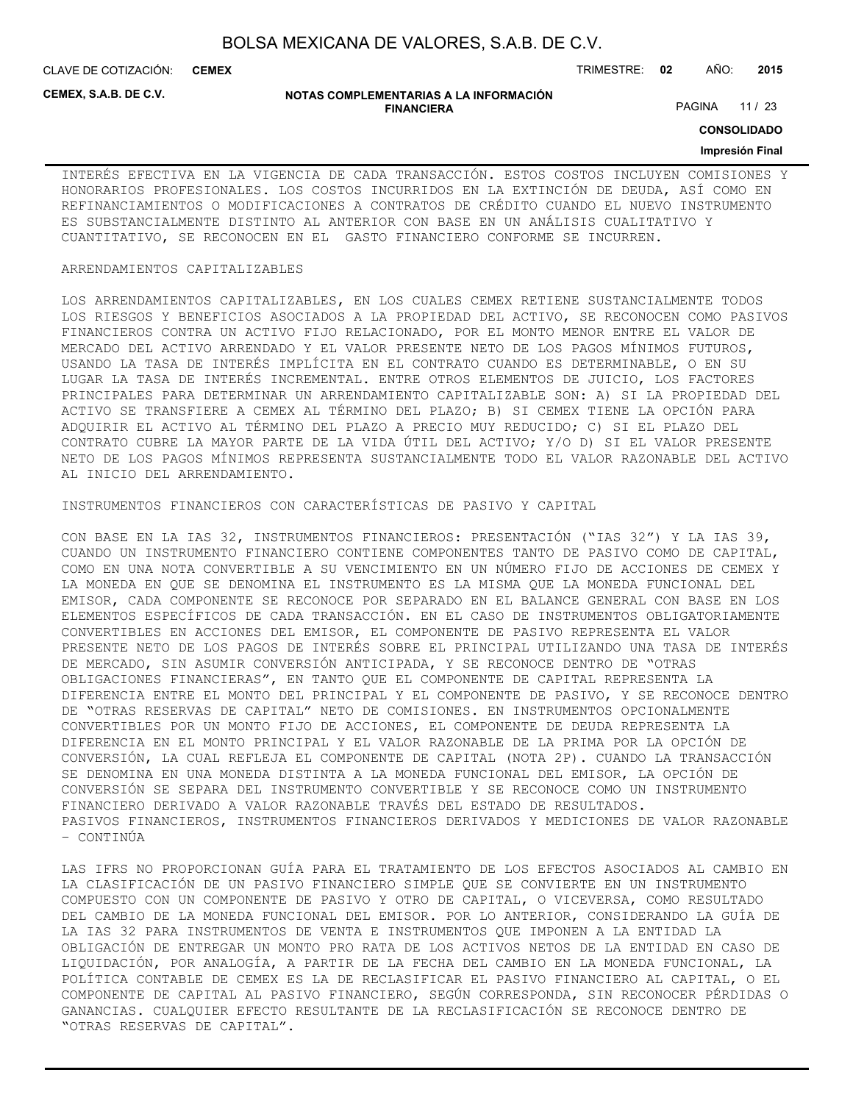CLAVE DE COTIZACIÓN: TRIMESTRE: **02** AÑO: **2015 CEMEX**

**CEMEX, S.A.B. DE C.V.**

#### **NOTAS COMPLEMENTARIAS A LA INFORMACIÓN FINANCIERA**

PAGINA 11 / 23

**CONSOLIDADO**

### **Impresión Final**

INTERÉS EFECTIVA EN LA VIGENCIA DE CADA TRANSACCIÓN. ESTOS COSTOS INCLUYEN COMISIONES Y HONORARIOS PROFESIONALES. LOS COSTOS INCURRIDOS EN LA EXTINCIÓN DE DEUDA, ASÍ COMO EN REFINANCIAMIENTOS O MODIFICACIONES A CONTRATOS DE CRÉDITO CUANDO EL NUEVO INSTRUMENTO ES SUBSTANCIALMENTE DISTINTO AL ANTERIOR CON BASE EN UN ANÁLISIS CUALITATIVO Y CUANTITATIVO, SE RECONOCEN EN EL GASTO FINANCIERO CONFORME SE INCURREN.

### ARRENDAMIENTOS CAPITALIZABLES

LOS ARRENDAMIENTOS CAPITALIZABLES, EN LOS CUALES CEMEX RETIENE SUSTANCIALMENTE TODOS LOS RIESGOS Y BENEFICIOS ASOCIADOS A LA PROPIEDAD DEL ACTIVO, SE RECONOCEN COMO PASIVOS FINANCIEROS CONTRA UN ACTIVO FIJO RELACIONADO, POR EL MONTO MENOR ENTRE EL VALOR DE MERCADO DEL ACTIVO ARRENDADO Y EL VALOR PRESENTE NETO DE LOS PAGOS MÍNIMOS FUTUROS, USANDO LA TASA DE INTERÉS IMPLÍCITA EN EL CONTRATO CUANDO ES DETERMINABLE, O EN SU LUGAR LA TASA DE INTERÉS INCREMENTAL. ENTRE OTROS ELEMENTOS DE JUICIO, LOS FACTORES PRINCIPALES PARA DETERMINAR UN ARRENDAMIENTO CAPITALIZABLE SON: A) SI LA PROPIEDAD DEL ACTIVO SE TRANSFIERE A CEMEX AL TÉRMINO DEL PLAZO; B) SI CEMEX TIENE LA OPCIÓN PARA ADQUIRIR EL ACTIVO AL TÉRMINO DEL PLAZO A PRECIO MUY REDUCIDO; C) SI EL PLAZO DEL CONTRATO CUBRE LA MAYOR PARTE DE LA VIDA ÚTIL DEL ACTIVO; Y/O D) SI EL VALOR PRESENTE NETO DE LOS PAGOS MÍNIMOS REPRESENTA SUSTANCIALMENTE TODO EL VALOR RAZONABLE DEL ACTIVO AL INICIO DEL ARRENDAMIENTO.

### INSTRUMENTOS FINANCIEROS CON CARACTERÍSTICAS DE PASIVO Y CAPITAL

CON BASE EN LA IAS 32, INSTRUMENTOS FINANCIEROS: PRESENTACIÓN ("IAS 32") Y LA IAS 39, CUANDO UN INSTRUMENTO FINANCIERO CONTIENE COMPONENTES TANTO DE PASIVO COMO DE CAPITAL, COMO EN UNA NOTA CONVERTIBLE A SU VENCIMIENTO EN UN NÚMERO FIJO DE ACCIONES DE CEMEX Y LA MONEDA EN QUE SE DENOMINA EL INSTRUMENTO ES LA MISMA QUE LA MONEDA FUNCIONAL DEL EMISOR, CADA COMPONENTE SE RECONOCE POR SEPARADO EN EL BALANCE GENERAL CON BASE EN LOS ELEMENTOS ESPECÍFICOS DE CADA TRANSACCIÓN. EN EL CASO DE INSTRUMENTOS OBLIGATORIAMENTE CONVERTIBLES EN ACCIONES DEL EMISOR, EL COMPONENTE DE PASIVO REPRESENTA EL VALOR PRESENTE NETO DE LOS PAGOS DE INTERÉS SOBRE EL PRINCIPAL UTILIZANDO UNA TASA DE INTERÉS DE MERCADO, SIN ASUMIR CONVERSIÓN ANTICIPADA, Y SE RECONOCE DENTRO DE "OTRAS OBLIGACIONES FINANCIERAS", EN TANTO QUE EL COMPONENTE DE CAPITAL REPRESENTA LA DIFERENCIA ENTRE EL MONTO DEL PRINCIPAL Y EL COMPONENTE DE PASIVO, Y SE RECONOCE DENTRO DE "OTRAS RESERVAS DE CAPITAL" NETO DE COMISIONES. EN INSTRUMENTOS OPCIONALMENTE CONVERTIBLES POR UN MONTO FIJO DE ACCIONES, EL COMPONENTE DE DEUDA REPRESENTA LA DIFERENCIA EN EL MONTO PRINCIPAL Y EL VALOR RAZONABLE DE LA PRIMA POR LA OPCIÓN DE CONVERSIÓN, LA CUAL REFLEJA EL COMPONENTE DE CAPITAL (NOTA 2P). CUANDO LA TRANSACCIÓN SE DENOMINA EN UNA MONEDA DISTINTA A LA MONEDA FUNCIONAL DEL EMISOR, LA OPCIÓN DE CONVERSIÓN SE SEPARA DEL INSTRUMENTO CONVERTIBLE Y SE RECONOCE COMO UN INSTRUMENTO FINANCIERO DERIVADO A VALOR RAZONABLE TRAVÉS DEL ESTADO DE RESULTADOS. PASIVOS FINANCIEROS, INSTRUMENTOS FINANCIEROS DERIVADOS Y MEDICIONES DE VALOR RAZONABLE – CONTINÚA

LAS IFRS NO PROPORCIONAN GUÍA PARA EL TRATAMIENTO DE LOS EFECTOS ASOCIADOS AL CAMBIO EN LA CLASIFICACIÓN DE UN PASIVO FINANCIERO SIMPLE QUE SE CONVIERTE EN UN INSTRUMENTO COMPUESTO CON UN COMPONENTE DE PASIVO Y OTRO DE CAPITAL, O VICEVERSA, COMO RESULTADO DEL CAMBIO DE LA MONEDA FUNCIONAL DEL EMISOR. POR LO ANTERIOR, CONSIDERANDO LA GUÍA DE LA IAS 32 PARA INSTRUMENTOS DE VENTA E INSTRUMENTOS QUE IMPONEN A LA ENTIDAD LA OBLIGACIÓN DE ENTREGAR UN MONTO PRO RATA DE LOS ACTIVOS NETOS DE LA ENTIDAD EN CASO DE LIQUIDACIÓN, POR ANALOGÍA, A PARTIR DE LA FECHA DEL CAMBIO EN LA MONEDA FUNCIONAL, LA POLÍTICA CONTABLE DE CEMEX ES LA DE RECLASIFICAR EL PASIVO FINANCIERO AL CAPITAL, O EL COMPONENTE DE CAPITAL AL PASIVO FINANCIERO, SEGÚN CORRESPONDA, SIN RECONOCER PÉRDIDAS O GANANCIAS. CUALQUIER EFECTO RESULTANTE DE LA RECLASIFICACIÓN SE RECONOCE DENTRO DE "OTRAS RESERVAS DE CAPITAL".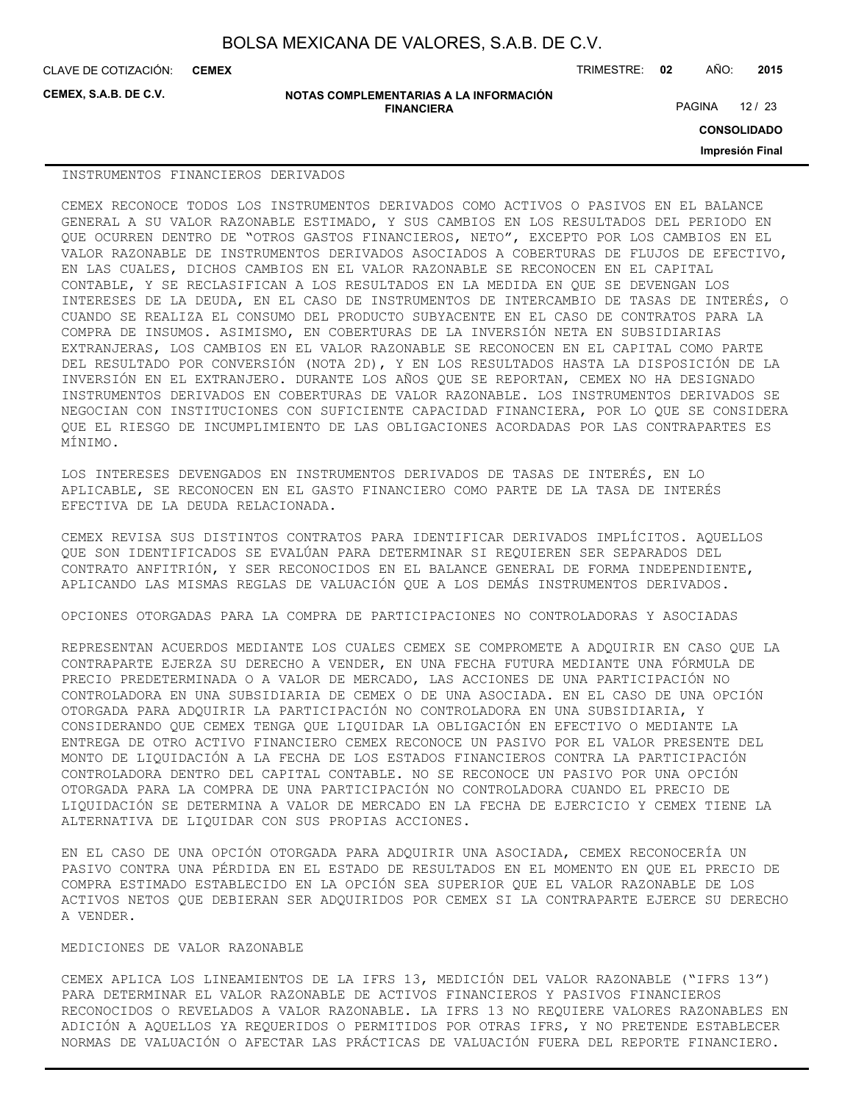CLAVE DE COTIZACIÓN: TRIMESTRE: **02** AÑO: **2015 CEMEX**

**CEMEX, S.A.B. DE C.V.**

**NOTAS COMPLEMENTARIAS A LA INFORMACIÓN FINANCIERA**

PAGINA 12 / 23

**CONSOLIDADO**

**Impresión Final**

#### INSTRUMENTOS FINANCIEROS DERIVADOS

CEMEX RECONOCE TODOS LOS INSTRUMENTOS DERIVADOS COMO ACTIVOS O PASIVOS EN EL BALANCE GENERAL A SU VALOR RAZONABLE ESTIMADO, Y SUS CAMBIOS EN LOS RESULTADOS DEL PERIODO EN QUE OCURREN DENTRO DE "OTROS GASTOS FINANCIEROS, NETO", EXCEPTO POR LOS CAMBIOS EN EL VALOR RAZONABLE DE INSTRUMENTOS DERIVADOS ASOCIADOS A COBERTURAS DE FLUJOS DE EFECTIVO, EN LAS CUALES, DICHOS CAMBIOS EN EL VALOR RAZONABLE SE RECONOCEN EN EL CAPITAL CONTABLE, Y SE RECLASIFICAN A LOS RESULTADOS EN LA MEDIDA EN QUE SE DEVENGAN LOS INTERESES DE LA DEUDA, EN EL CASO DE INSTRUMENTOS DE INTERCAMBIO DE TASAS DE INTERÉS, O CUANDO SE REALIZA EL CONSUMO DEL PRODUCTO SUBYACENTE EN EL CASO DE CONTRATOS PARA LA COMPRA DE INSUMOS. ASIMISMO, EN COBERTURAS DE LA INVERSIÓN NETA EN SUBSIDIARIAS EXTRANJERAS, LOS CAMBIOS EN EL VALOR RAZONABLE SE RECONOCEN EN EL CAPITAL COMO PARTE DEL RESULTADO POR CONVERSIÓN (NOTA 2D), Y EN LOS RESULTADOS HASTA LA DISPOSICIÓN DE LA INVERSIÓN EN EL EXTRANJERO. DURANTE LOS AÑOS QUE SE REPORTAN, CEMEX NO HA DESIGNADO INSTRUMENTOS DERIVADOS EN COBERTURAS DE VALOR RAZONABLE. LOS INSTRUMENTOS DERIVADOS SE NEGOCIAN CON INSTITUCIONES CON SUFICIENTE CAPACIDAD FINANCIERA, POR LO QUE SE CONSIDERA QUE EL RIESGO DE INCUMPLIMIENTO DE LAS OBLIGACIONES ACORDADAS POR LAS CONTRAPARTES ES MÍNIMO.

LOS INTERESES DEVENGADOS EN INSTRUMENTOS DERIVADOS DE TASAS DE INTERÉS, EN LO APLICABLE, SE RECONOCEN EN EL GASTO FINANCIERO COMO PARTE DE LA TASA DE INTERÉS EFECTIVA DE LA DEUDA RELACIONADA.

CEMEX REVISA SUS DISTINTOS CONTRATOS PARA IDENTIFICAR DERIVADOS IMPLÍCITOS. AQUELLOS QUE SON IDENTIFICADOS SE EVALÚAN PARA DETERMINAR SI REQUIEREN SER SEPARADOS DEL CONTRATO ANFITRIÓN, Y SER RECONOCIDOS EN EL BALANCE GENERAL DE FORMA INDEPENDIENTE, APLICANDO LAS MISMAS REGLAS DE VALUACIÓN QUE A LOS DEMÁS INSTRUMENTOS DERIVADOS.

OPCIONES OTORGADAS PARA LA COMPRA DE PARTICIPACIONES NO CONTROLADORAS Y ASOCIADAS

REPRESENTAN ACUERDOS MEDIANTE LOS CUALES CEMEX SE COMPROMETE A ADQUIRIR EN CASO QUE LA CONTRAPARTE EJERZA SU DERECHO A VENDER, EN UNA FECHA FUTURA MEDIANTE UNA FÓRMULA DE PRECIO PREDETERMINADA O A VALOR DE MERCADO, LAS ACCIONES DE UNA PARTICIPACIÓN NO CONTROLADORA EN UNA SUBSIDIARIA DE CEMEX O DE UNA ASOCIADA. EN EL CASO DE UNA OPCIÓN OTORGADA PARA ADQUIRIR LA PARTICIPACIÓN NO CONTROLADORA EN UNA SUBSIDIARIA, Y CONSIDERANDO QUE CEMEX TENGA QUE LIQUIDAR LA OBLIGACIÓN EN EFECTIVO O MEDIANTE LA ENTREGA DE OTRO ACTIVO FINANCIERO CEMEX RECONOCE UN PASIVO POR EL VALOR PRESENTE DEL MONTO DE LIQUIDACIÓN A LA FECHA DE LOS ESTADOS FINANCIEROS CONTRA LA PARTICIPACIÓN CONTROLADORA DENTRO DEL CAPITAL CONTABLE. NO SE RECONOCE UN PASIVO POR UNA OPCIÓN OTORGADA PARA LA COMPRA DE UNA PARTICIPACIÓN NO CONTROLADORA CUANDO EL PRECIO DE LIQUIDACIÓN SE DETERMINA A VALOR DE MERCADO EN LA FECHA DE EJERCICIO Y CEMEX TIENE LA ALTERNATIVA DE LIQUIDAR CON SUS PROPIAS ACCIONES.

EN EL CASO DE UNA OPCIÓN OTORGADA PARA ADQUIRIR UNA ASOCIADA, CEMEX RECONOCERÍA UN PASIVO CONTRA UNA PÉRDIDA EN EL ESTADO DE RESULTADOS EN EL MOMENTO EN QUE EL PRECIO DE COMPRA ESTIMADO ESTABLECIDO EN LA OPCIÓN SEA SUPERIOR QUE EL VALOR RAZONABLE DE LOS ACTIVOS NETOS QUE DEBIERAN SER ADQUIRIDOS POR CEMEX SI LA CONTRAPARTE EJERCE SU DERECHO A VENDER.

#### MEDICIONES DE VALOR RAZONABLE

CEMEX APLICA LOS LINEAMIENTOS DE LA IFRS 13, MEDICIÓN DEL VALOR RAZONABLE ("IFRS 13") PARA DETERMINAR EL VALOR RAZONABLE DE ACTIVOS FINANCIEROS Y PASIVOS FINANCIEROS RECONOCIDOS O REVELADOS A VALOR RAZONABLE. LA IFRS 13 NO REQUIERE VALORES RAZONABLES EN ADICIÓN A AQUELLOS YA REQUERIDOS O PERMITIDOS POR OTRAS IFRS, Y NO PRETENDE ESTABLECER NORMAS DE VALUACIÓN O AFECTAR LAS PRÁCTICAS DE VALUACIÓN FUERA DEL REPORTE FINANCIERO.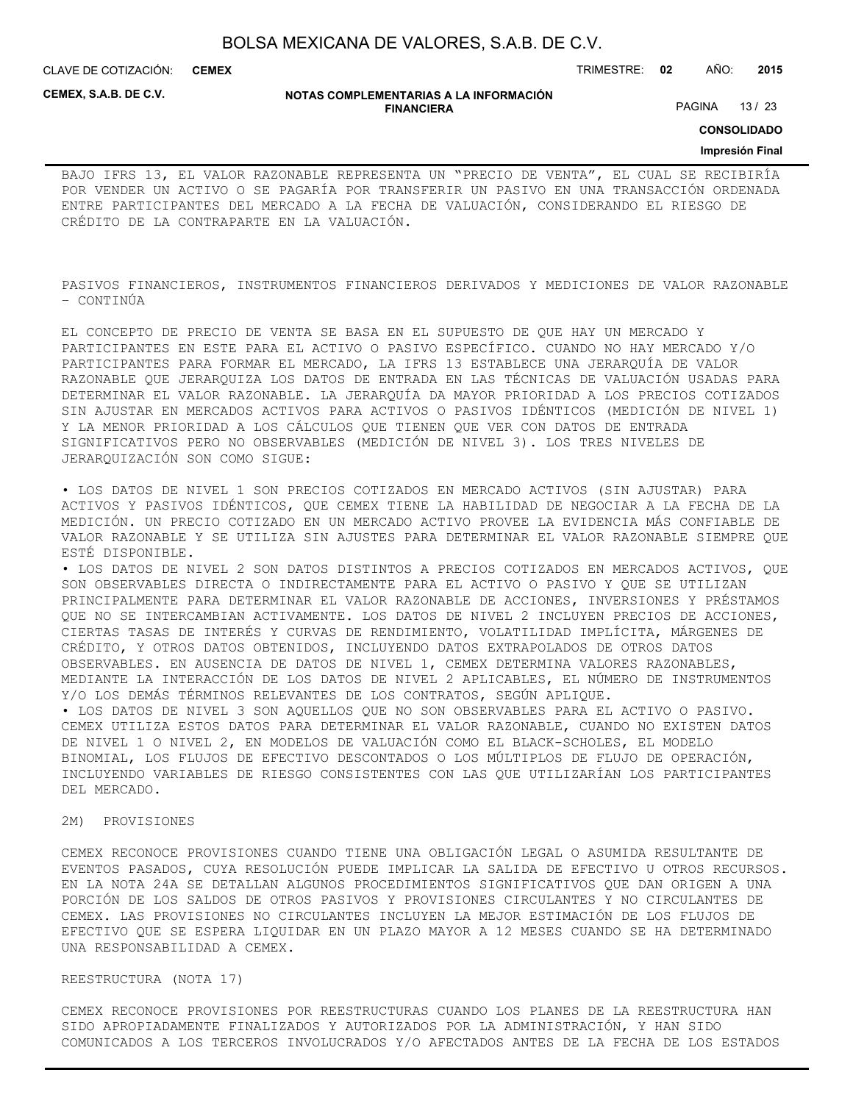CLAVE DE COTIZACIÓN: TRIMESTRE: **02** AÑO: **2015 CEMEX**

**CEMEX, S.A.B. DE C.V.**

#### **NOTAS COMPLEMENTARIAS A LA INFORMACIÓN FINANCIERA**

PAGINA 13 / 23

**CONSOLIDADO**

### **Impresión Final**

BAJO IFRS 13, EL VALOR RAZONABLE REPRESENTA UN "PRECIO DE VENTA", EL CUAL SE RECIBIRÍA POR VENDER UN ACTIVO O SE PAGARÍA POR TRANSFERIR UN PASIVO EN UNA TRANSACCIÓN ORDENADA ENTRE PARTICIPANTES DEL MERCADO A LA FECHA DE VALUACIÓN, CONSIDERANDO EL RIESGO DE CRÉDITO DE LA CONTRAPARTE EN LA VALUACIÓN.

PASIVOS FINANCIEROS, INSTRUMENTOS FINANCIEROS DERIVADOS Y MEDICIONES DE VALOR RAZONABLE – CONTINÚA

EL CONCEPTO DE PRECIO DE VENTA SE BASA EN EL SUPUESTO DE QUE HAY UN MERCADO Y PARTICIPANTES EN ESTE PARA EL ACTIVO O PASIVO ESPECÍFICO. CUANDO NO HAY MERCADO Y/O PARTICIPANTES PARA FORMAR EL MERCADO, LA IFRS 13 ESTABLECE UNA JERARQUÍA DE VALOR RAZONABLE QUE JERARQUIZA LOS DATOS DE ENTRADA EN LAS TÉCNICAS DE VALUACIÓN USADAS PARA DETERMINAR EL VALOR RAZONABLE. LA JERARQUÍA DA MAYOR PRIORIDAD A LOS PRECIOS COTIZADOS SIN AJUSTAR EN MERCADOS ACTIVOS PARA ACTIVOS O PASIVOS IDÉNTICOS (MEDICIÓN DE NIVEL 1) Y LA MENOR PRIORIDAD A LOS CÁLCULOS QUE TIENEN QUE VER CON DATOS DE ENTRADA SIGNIFICATIVOS PERO NO OBSERVABLES (MEDICIÓN DE NIVEL 3). LOS TRES NIVELES DE JERARQUIZACIÓN SON COMO SIGUE:

• LOS DATOS DE NIVEL 1 SON PRECIOS COTIZADOS EN MERCADO ACTIVOS (SIN AJUSTAR) PARA ACTIVOS Y PASIVOS IDÉNTICOS, QUE CEMEX TIENE LA HABILIDAD DE NEGOCIAR A LA FECHA DE LA MEDICIÓN. UN PRECIO COTIZADO EN UN MERCADO ACTIVO PROVEE LA EVIDENCIA MÁS CONFIABLE DE VALOR RAZONABLE Y SE UTILIZA SIN AJUSTES PARA DETERMINAR EL VALOR RAZONABLE SIEMPRE QUE ESTÉ DISPONIBLE.

• LOS DATOS DE NIVEL 2 SON DATOS DISTINTOS A PRECIOS COTIZADOS EN MERCADOS ACTIVOS, QUE SON OBSERVABLES DIRECTA O INDIRECTAMENTE PARA EL ACTIVO O PASIVO Y QUE SE UTILIZAN PRINCIPALMENTE PARA DETERMINAR EL VALOR RAZONABLE DE ACCIONES, INVERSIONES Y PRÉSTAMOS QUE NO SE INTERCAMBIAN ACTIVAMENTE. LOS DATOS DE NIVEL 2 INCLUYEN PRECIOS DE ACCIONES, CIERTAS TASAS DE INTERÉS Y CURVAS DE RENDIMIENTO, VOLATILIDAD IMPLÍCITA, MÁRGENES DE CRÉDITO, Y OTROS DATOS OBTENIDOS, INCLUYENDO DATOS EXTRAPOLADOS DE OTROS DATOS OBSERVABLES. EN AUSENCIA DE DATOS DE NIVEL 1, CEMEX DETERMINA VALORES RAZONABLES, MEDIANTE LA INTERACCIÓN DE LOS DATOS DE NIVEL 2 APLICABLES, EL NÚMERO DE INSTRUMENTOS Y/O LOS DEMÁS TÉRMINOS RELEVANTES DE LOS CONTRATOS, SEGÚN APLIQUE.

• LOS DATOS DE NIVEL 3 SON AQUELLOS QUE NO SON OBSERVABLES PARA EL ACTIVO O PASIVO. CEMEX UTILIZA ESTOS DATOS PARA DETERMINAR EL VALOR RAZONABLE, CUANDO NO EXISTEN DATOS DE NIVEL 1 O NIVEL 2, EN MODELOS DE VALUACIÓN COMO EL BLACK-SCHOLES, EL MODELO BINOMIAL, LOS FLUJOS DE EFECTIVO DESCONTADOS O LOS MÚLTIPLOS DE FLUJO DE OPERACIÓN, INCLUYENDO VARIABLES DE RIESGO CONSISTENTES CON LAS QUE UTILIZARÍAN LOS PARTICIPANTES DEL MERCADO.

### 2M) PROVISIONES

CEMEX RECONOCE PROVISIONES CUANDO TIENE UNA OBLIGACIÓN LEGAL O ASUMIDA RESULTANTE DE EVENTOS PASADOS, CUYA RESOLUCIÓN PUEDE IMPLICAR LA SALIDA DE EFECTIVO U OTROS RECURSOS. EN LA NOTA 24A SE DETALLAN ALGUNOS PROCEDIMIENTOS SIGNIFICATIVOS QUE DAN ORIGEN A UNA PORCIÓN DE LOS SALDOS DE OTROS PASIVOS Y PROVISIONES CIRCULANTES Y NO CIRCULANTES DE CEMEX. LAS PROVISIONES NO CIRCULANTES INCLUYEN LA MEJOR ESTIMACIÓN DE LOS FLUJOS DE EFECTIVO QUE SE ESPERA LIQUIDAR EN UN PLAZO MAYOR A 12 MESES CUANDO SE HA DETERMINADO UNA RESPONSABILIDAD A CEMEX.

REESTRUCTURA (NOTA 17)

CEMEX RECONOCE PROVISIONES POR REESTRUCTURAS CUANDO LOS PLANES DE LA REESTRUCTURA HAN SIDO APROPIADAMENTE FINALIZADOS Y AUTORIZADOS POR LA ADMINISTRACIÓN, Y HAN SIDO COMUNICADOS A LOS TERCEROS INVOLUCRADOS Y/O AFECTADOS ANTES DE LA FECHA DE LOS ESTADOS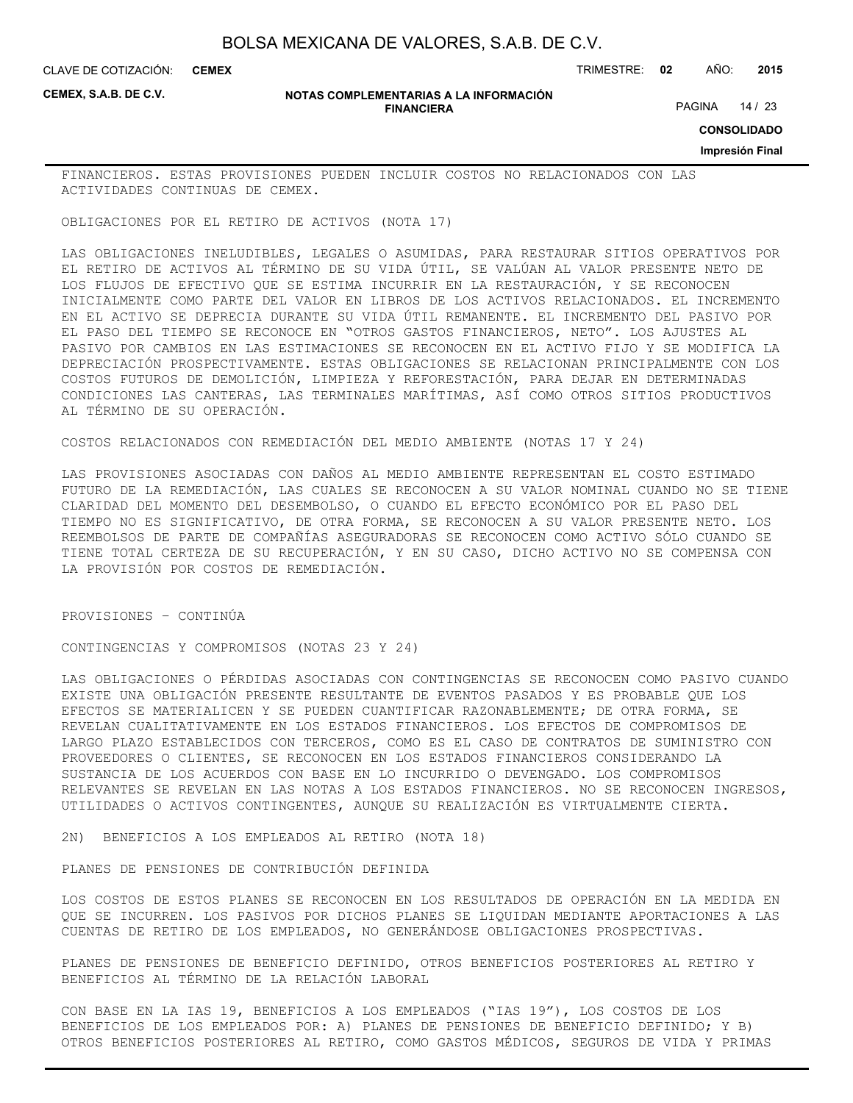CLAVE DE COTIZACIÓN: TRIMESTRE: **02** AÑO: **2015 CEMEX**

**CEMEX, S.A.B. DE C.V.**

#### **NOTAS COMPLEMENTARIAS A LA INFORMACIÓN FINANCIERA**

PAGINA 14 / 23

**CONSOLIDADO**

#### **Impresión Final**

FINANCIEROS. ESTAS PROVISIONES PUEDEN INCLUIR COSTOS NO RELACIONADOS CON LAS ACTIVIDADES CONTINUAS DE CEMEX.

OBLIGACIONES POR EL RETIRO DE ACTIVOS (NOTA 17)

LAS OBLIGACIONES INELUDIBLES, LEGALES O ASUMIDAS, PARA RESTAURAR SITIOS OPERATIVOS POR EL RETIRO DE ACTIVOS AL TÉRMINO DE SU VIDA ÚTIL, SE VALÚAN AL VALOR PRESENTE NETO DE LOS FLUJOS DE EFECTIVO QUE SE ESTIMA INCURRIR EN LA RESTAURACIÓN, Y SE RECONOCEN INICIALMENTE COMO PARTE DEL VALOR EN LIBROS DE LOS ACTIVOS RELACIONADOS. EL INCREMENTO EN EL ACTIVO SE DEPRECIA DURANTE SU VIDA ÚTIL REMANENTE. EL INCREMENTO DEL PASIVO POR EL PASO DEL TIEMPO SE RECONOCE EN "OTROS GASTOS FINANCIEROS, NETO". LOS AJUSTES AL PASIVO POR CAMBIOS EN LAS ESTIMACIONES SE RECONOCEN EN EL ACTIVO FIJO Y SE MODIFICA LA DEPRECIACIÓN PROSPECTIVAMENTE. ESTAS OBLIGACIONES SE RELACIONAN PRINCIPALMENTE CON LOS COSTOS FUTUROS DE DEMOLICIÓN, LIMPIEZA Y REFORESTACIÓN, PARA DEJAR EN DETERMINADAS CONDICIONES LAS CANTERAS, LAS TERMINALES MARÍTIMAS, ASÍ COMO OTROS SITIOS PRODUCTIVOS AL TÉRMINO DE SU OPERACIÓN.

COSTOS RELACIONADOS CON REMEDIACIÓN DEL MEDIO AMBIENTE (NOTAS 17 Y 24)

LAS PROVISIONES ASOCIADAS CON DAÑOS AL MEDIO AMBIENTE REPRESENTAN EL COSTO ESTIMADO FUTURO DE LA REMEDIACIÓN, LAS CUALES SE RECONOCEN A SU VALOR NOMINAL CUANDO NO SE TIENE CLARIDAD DEL MOMENTO DEL DESEMBOLSO, O CUANDO EL EFECTO ECONÓMICO POR EL PASO DEL TIEMPO NO ES SIGNIFICATIVO, DE OTRA FORMA, SE RECONOCEN A SU VALOR PRESENTE NETO. LOS REEMBOLSOS DE PARTE DE COMPAÑÍAS ASEGURADORAS SE RECONOCEN COMO ACTIVO SÓLO CUANDO SE TIENE TOTAL CERTEZA DE SU RECUPERACIÓN, Y EN SU CASO, DICHO ACTIVO NO SE COMPENSA CON LA PROVISIÓN POR COSTOS DE REMEDIACIÓN.

PROVISIONES – CONTINÚA

CONTINGENCIAS Y COMPROMISOS (NOTAS 23 Y 24)

LAS OBLIGACIONES O PÉRDIDAS ASOCIADAS CON CONTINGENCIAS SE RECONOCEN COMO PASIVO CUANDO EXISTE UNA OBLIGACIÓN PRESENTE RESULTANTE DE EVENTOS PASADOS Y ES PROBABLE QUE LOS EFECTOS SE MATERIALICEN Y SE PUEDEN CUANTIFICAR RAZONABLEMENTE; DE OTRA FORMA, SE REVELAN CUALITATIVAMENTE EN LOS ESTADOS FINANCIEROS. LOS EFECTOS DE COMPROMISOS DE LARGO PLAZO ESTABLECIDOS CON TERCEROS, COMO ES EL CASO DE CONTRATOS DE SUMINISTRO CON PROVEEDORES O CLIENTES, SE RECONOCEN EN LOS ESTADOS FINANCIEROS CONSIDERANDO LA SUSTANCIA DE LOS ACUERDOS CON BASE EN LO INCURRIDO O DEVENGADO. LOS COMPROMISOS RELEVANTES SE REVELAN EN LAS NOTAS A LOS ESTADOS FINANCIEROS. NO SE RECONOCEN INGRESOS, UTILIDADES O ACTIVOS CONTINGENTES, AUNQUE SU REALIZACIÓN ES VIRTUALMENTE CIERTA.

2N) BENEFICIOS A LOS EMPLEADOS AL RETIRO (NOTA 18)

PLANES DE PENSIONES DE CONTRIBUCIÓN DEFINIDA

LOS COSTOS DE ESTOS PLANES SE RECONOCEN EN LOS RESULTADOS DE OPERACIÓN EN LA MEDIDA EN QUE SE INCURREN. LOS PASIVOS POR DICHOS PLANES SE LIQUIDAN MEDIANTE APORTACIONES A LAS CUENTAS DE RETIRO DE LOS EMPLEADOS, NO GENERÁNDOSE OBLIGACIONES PROSPECTIVAS.

PLANES DE PENSIONES DE BENEFICIO DEFINIDO, OTROS BENEFICIOS POSTERIORES AL RETIRO Y BENEFICIOS AL TÉRMINO DE LA RELACIÓN LABORAL

CON BASE EN LA IAS 19, BENEFICIOS A LOS EMPLEADOS ("IAS 19"), LOS COSTOS DE LOS BENEFICIOS DE LOS EMPLEADOS POR: A) PLANES DE PENSIONES DE BENEFICIO DEFINIDO; Y B) OTROS BENEFICIOS POSTERIORES AL RETIRO, COMO GASTOS MÉDICOS, SEGUROS DE VIDA Y PRIMAS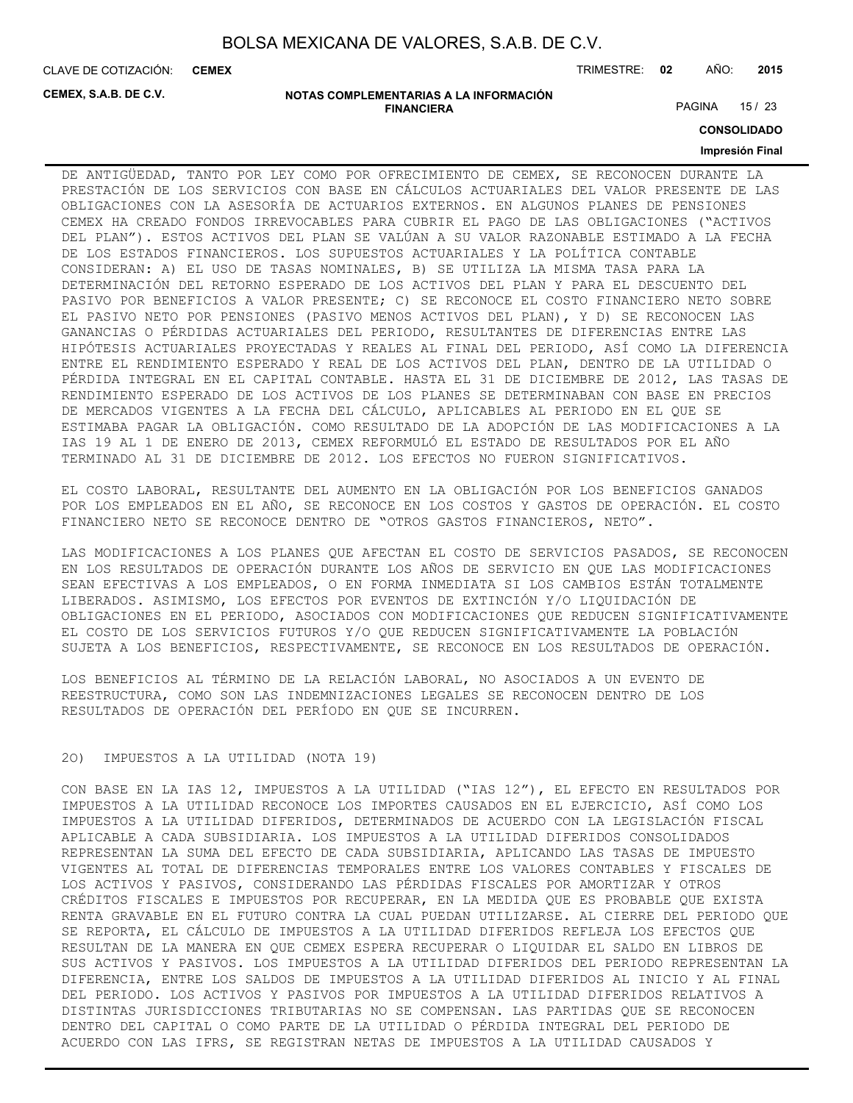**CEMEX**

CLAVE DE COTIZACIÓN: TRIMESTRE: **02** AÑO: **2015**

**CEMEX, S.A.B. DE C.V.**

#### **NOTAS COMPLEMENTARIAS A LA INFORMACIÓN FINANCIERA**

PAGINA 15 / 23

**CONSOLIDADO**

### **Impresión Final**

DE ANTIGÜEDAD, TANTO POR LEY COMO POR OFRECIMIENTO DE CEMEX, SE RECONOCEN DURANTE LA PRESTACIÓN DE LOS SERVICIOS CON BASE EN CÁLCULOS ACTUARIALES DEL VALOR PRESENTE DE LAS OBLIGACIONES CON LA ASESORÍA DE ACTUARIOS EXTERNOS. EN ALGUNOS PLANES DE PENSIONES CEMEX HA CREADO FONDOS IRREVOCABLES PARA CUBRIR EL PAGO DE LAS OBLIGACIONES ("ACTIVOS DEL PLAN"). ESTOS ACTIVOS DEL PLAN SE VALÚAN A SU VALOR RAZONABLE ESTIMADO A LA FECHA DE LOS ESTADOS FINANCIEROS. LOS SUPUESTOS ACTUARIALES Y LA POLÍTICA CONTABLE CONSIDERAN: A) EL USO DE TASAS NOMINALES, B) SE UTILIZA LA MISMA TASA PARA LA DETERMINACIÓN DEL RETORNO ESPERADO DE LOS ACTIVOS DEL PLAN Y PARA EL DESCUENTO DEL PASIVO POR BENEFICIOS A VALOR PRESENTE; C) SE RECONOCE EL COSTO FINANCIERO NETO SOBRE EL PASIVO NETO POR PENSIONES (PASIVO MENOS ACTIVOS DEL PLAN), Y D) SE RECONOCEN LAS GANANCIAS O PÉRDIDAS ACTUARIALES DEL PERIODO, RESULTANTES DE DIFERENCIAS ENTRE LAS HIPÓTESIS ACTUARIALES PROYECTADAS Y REALES AL FINAL DEL PERIODO, ASÍ COMO LA DIFERENCIA ENTRE EL RENDIMIENTO ESPERADO Y REAL DE LOS ACTIVOS DEL PLAN, DENTRO DE LA UTILIDAD O PÉRDIDA INTEGRAL EN EL CAPITAL CONTABLE. HASTA EL 31 DE DICIEMBRE DE 2012, LAS TASAS DE RENDIMIENTO ESPERADO DE LOS ACTIVOS DE LOS PLANES SE DETERMINABAN CON BASE EN PRECIOS DE MERCADOS VIGENTES A LA FECHA DEL CÁLCULO, APLICABLES AL PERIODO EN EL QUE SE ESTIMABA PAGAR LA OBLIGACIÓN. COMO RESULTADO DE LA ADOPCIÓN DE LAS MODIFICACIONES A LA IAS 19 AL 1 DE ENERO DE 2013, CEMEX REFORMULÓ EL ESTADO DE RESULTADOS POR EL AÑO TERMINADO AL 31 DE DICIEMBRE DE 2012. LOS EFECTOS NO FUERON SIGNIFICATIVOS.

EL COSTO LABORAL, RESULTANTE DEL AUMENTO EN LA OBLIGACIÓN POR LOS BENEFICIOS GANADOS POR LOS EMPLEADOS EN EL AÑO, SE RECONOCE EN LOS COSTOS Y GASTOS DE OPERACIÓN. EL COSTO FINANCIERO NETO SE RECONOCE DENTRO DE "OTROS GASTOS FINANCIEROS, NETO".

LAS MODIFICACIONES A LOS PLANES QUE AFECTAN EL COSTO DE SERVICIOS PASADOS, SE RECONOCEN EN LOS RESULTADOS DE OPERACIÓN DURANTE LOS AÑOS DE SERVICIO EN QUE LAS MODIFICACIONES SEAN EFECTIVAS A LOS EMPLEADOS, O EN FORMA INMEDIATA SI LOS CAMBIOS ESTÁN TOTALMENTE LIBERADOS. ASIMISMO, LOS EFECTOS POR EVENTOS DE EXTINCIÓN Y/O LIQUIDACIÓN DE OBLIGACIONES EN EL PERIODO, ASOCIADOS CON MODIFICACIONES QUE REDUCEN SIGNIFICATIVAMENTE EL COSTO DE LOS SERVICIOS FUTUROS Y/O QUE REDUCEN SIGNIFICATIVAMENTE LA POBLACIÓN SUJETA A LOS BENEFICIOS, RESPECTIVAMENTE, SE RECONOCE EN LOS RESULTADOS DE OPERACIÓN.

LOS BENEFICIOS AL TÉRMINO DE LA RELACIÓN LABORAL, NO ASOCIADOS A UN EVENTO DE REESTRUCTURA, COMO SON LAS INDEMNIZACIONES LEGALES SE RECONOCEN DENTRO DE LOS RESULTADOS DE OPERACIÓN DEL PERÍODO EN QUE SE INCURREN.

### 2O) IMPUESTOS A LA UTILIDAD (NOTA 19)

CON BASE EN LA IAS 12, IMPUESTOS A LA UTILIDAD ("IAS 12"), EL EFECTO EN RESULTADOS POR IMPUESTOS A LA UTILIDAD RECONOCE LOS IMPORTES CAUSADOS EN EL EJERCICIO, ASÍ COMO LOS IMPUESTOS A LA UTILIDAD DIFERIDOS, DETERMINADOS DE ACUERDO CON LA LEGISLACIÓN FISCAL APLICABLE A CADA SUBSIDIARIA. LOS IMPUESTOS A LA UTILIDAD DIFERIDOS CONSOLIDADOS REPRESENTAN LA SUMA DEL EFECTO DE CADA SUBSIDIARIA, APLICANDO LAS TASAS DE IMPUESTO VIGENTES AL TOTAL DE DIFERENCIAS TEMPORALES ENTRE LOS VALORES CONTABLES Y FISCALES DE LOS ACTIVOS Y PASIVOS, CONSIDERANDO LAS PÉRDIDAS FISCALES POR AMORTIZAR Y OTROS CRÉDITOS FISCALES E IMPUESTOS POR RECUPERAR, EN LA MEDIDA QUE ES PROBABLE QUE EXISTA RENTA GRAVABLE EN EL FUTURO CONTRA LA CUAL PUEDAN UTILIZARSE. AL CIERRE DEL PERIODO QUE SE REPORTA, EL CÁLCULO DE IMPUESTOS A LA UTILIDAD DIFERIDOS REFLEJA LOS EFECTOS QUE RESULTAN DE LA MANERA EN QUE CEMEX ESPERA RECUPERAR O LIQUIDAR EL SALDO EN LIBROS DE SUS ACTIVOS Y PASIVOS. LOS IMPUESTOS A LA UTILIDAD DIFERIDOS DEL PERIODO REPRESENTAN LA DIFERENCIA, ENTRE LOS SALDOS DE IMPUESTOS A LA UTILIDAD DIFERIDOS AL INICIO Y AL FINAL DEL PERIODO. LOS ACTIVOS Y PASIVOS POR IMPUESTOS A LA UTILIDAD DIFERIDOS RELATIVOS A DISTINTAS JURISDICCIONES TRIBUTARIAS NO SE COMPENSAN. LAS PARTIDAS QUE SE RECONOCEN DENTRO DEL CAPITAL O COMO PARTE DE LA UTILIDAD O PÉRDIDA INTEGRAL DEL PERIODO DE ACUERDO CON LAS IFRS, SE REGISTRAN NETAS DE IMPUESTOS A LA UTILIDAD CAUSADOS Y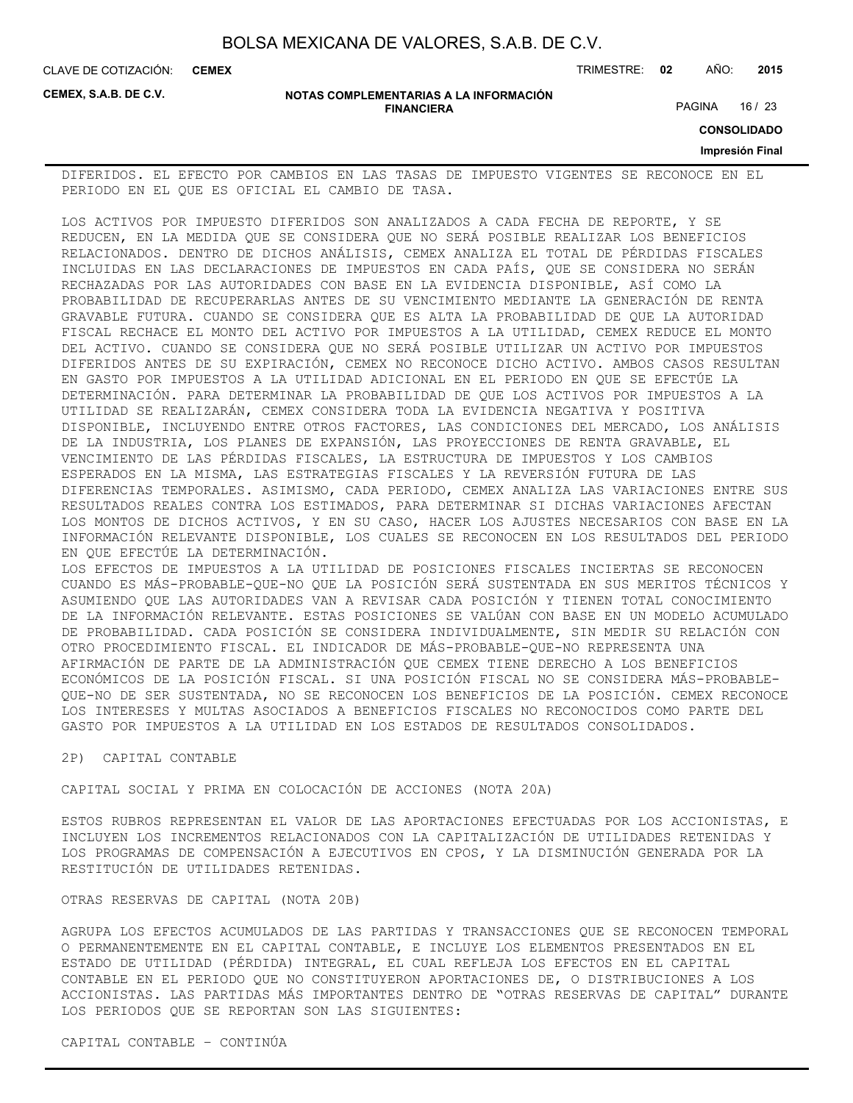CLAVE DE COTIZACIÓN: TRIMESTRE: **02** AÑO: **2015 CEMEX**

**CEMEX, S.A.B. DE C.V.**

#### **NOTAS COMPLEMENTARIAS A LA INFORMACIÓN FINANCIERA**

PAGINA 16 / 23

**CONSOLIDADO**

### **Impresión Final**

DIFERIDOS. EL EFECTO POR CAMBIOS EN LAS TASAS DE IMPUESTO VIGENTES SE RECONOCE EN EL PERIODO EN EL QUE ES OFICIAL EL CAMBIO DE TASA.

LOS ACTIVOS POR IMPUESTO DIFERIDOS SON ANALIZADOS A CADA FECHA DE REPORTE, Y SE REDUCEN, EN LA MEDIDA QUE SE CONSIDERA QUE NO SERÁ POSIBLE REALIZAR LOS BENEFICIOS RELACIONADOS. DENTRO DE DICHOS ANÁLISIS, CEMEX ANALIZA EL TOTAL DE PÉRDIDAS FISCALES INCLUIDAS EN LAS DECLARACIONES DE IMPUESTOS EN CADA PAÍS, QUE SE CONSIDERA NO SERÁN RECHAZADAS POR LAS AUTORIDADES CON BASE EN LA EVIDENCIA DISPONIBLE, ASÍ COMO LA PROBABILIDAD DE RECUPERARLAS ANTES DE SU VENCIMIENTO MEDIANTE LA GENERACIÓN DE RENTA GRAVABLE FUTURA. CUANDO SE CONSIDERA QUE ES ALTA LA PROBABILIDAD DE QUE LA AUTORIDAD FISCAL RECHACE EL MONTO DEL ACTIVO POR IMPUESTOS A LA UTILIDAD, CEMEX REDUCE EL MONTO DEL ACTIVO. CUANDO SE CONSIDERA QUE NO SERÁ POSIBLE UTILIZAR UN ACTIVO POR IMPUESTOS DIFERIDOS ANTES DE SU EXPIRACIÓN, CEMEX NO RECONOCE DICHO ACTIVO. AMBOS CASOS RESULTAN EN GASTO POR IMPUESTOS A LA UTILIDAD ADICIONAL EN EL PERIODO EN QUE SE EFECTÚE LA DETERMINACIÓN. PARA DETERMINAR LA PROBABILIDAD DE QUE LOS ACTIVOS POR IMPUESTOS A LA UTILIDAD SE REALIZARÁN, CEMEX CONSIDERA TODA LA EVIDENCIA NEGATIVA Y POSITIVA DISPONIBLE, INCLUYENDO ENTRE OTROS FACTORES, LAS CONDICIONES DEL MERCADO, LOS ANÁLISIS DE LA INDUSTRIA, LOS PLANES DE EXPANSIÓN, LAS PROYECCIONES DE RENTA GRAVABLE, EL VENCIMIENTO DE LAS PÉRDIDAS FISCALES, LA ESTRUCTURA DE IMPUESTOS Y LOS CAMBIOS ESPERADOS EN LA MISMA, LAS ESTRATEGIAS FISCALES Y LA REVERSIÓN FUTURA DE LAS DIFERENCIAS TEMPORALES. ASIMISMO, CADA PERIODO, CEMEX ANALIZA LAS VARIACIONES ENTRE SUS RESULTADOS REALES CONTRA LOS ESTIMADOS, PARA DETERMINAR SI DICHAS VARIACIONES AFECTAN LOS MONTOS DE DICHOS ACTIVOS, Y EN SU CASO, HACER LOS AJUSTES NECESARIOS CON BASE EN LA INFORMACIÓN RELEVANTE DISPONIBLE, LOS CUALES SE RECONOCEN EN LOS RESULTADOS DEL PERIODO EN QUE EFECTÚE LA DETERMINACIÓN. LOS EFECTOS DE IMPUESTOS A LA UTILIDAD DE POSICIONES FISCALES INCIERTAS SE RECONOCEN CUANDO ES MÁS-PROBABLE-QUE-NO QUE LA POSICIÓN SERÁ SUSTENTADA EN SUS MERITOS TÉCNICOS Y ASUMIENDO QUE LAS AUTORIDADES VAN A REVISAR CADA POSICIÓN Y TIENEN TOTAL CONOCIMIENTO

DE LA INFORMACIÓN RELEVANTE. ESTAS POSICIONES SE VALÚAN CON BASE EN UN MODELO ACUMULADO DE PROBABILIDAD. CADA POSICIÓN SE CONSIDERA INDIVIDUALMENTE, SIN MEDIR SU RELACIÓN CON OTRO PROCEDIMIENTO FISCAL. EL INDICADOR DE MÁS-PROBABLE-QUE-NO REPRESENTA UNA AFIRMACIÓN DE PARTE DE LA ADMINISTRACIÓN QUE CEMEX TIENE DERECHO A LOS BENEFICIOS ECONÓMICOS DE LA POSICIÓN FISCAL. SI UNA POSICIÓN FISCAL NO SE CONSIDERA MÁS-PROBABLE-QUE-NO DE SER SUSTENTADA, NO SE RECONOCEN LOS BENEFICIOS DE LA POSICIÓN. CEMEX RECONOCE LOS INTERESES Y MULTAS ASOCIADOS A BENEFICIOS FISCALES NO RECONOCIDOS COMO PARTE DEL GASTO POR IMPUESTOS A LA UTILIDAD EN LOS ESTADOS DE RESULTADOS CONSOLIDADOS.

#### 2P) CAPITAL CONTABLE

CAPITAL SOCIAL Y PRIMA EN COLOCACIÓN DE ACCIONES (NOTA 20A)

ESTOS RUBROS REPRESENTAN EL VALOR DE LAS APORTACIONES EFECTUADAS POR LOS ACCIONISTAS, E INCLUYEN LOS INCREMENTOS RELACIONADOS CON LA CAPITALIZACIÓN DE UTILIDADES RETENIDAS Y LOS PROGRAMAS DE COMPENSACIÓN A EJECUTIVOS EN CPOS, Y LA DISMINUCIÓN GENERADA POR LA RESTITUCIÓN DE UTILIDADES RETENIDAS.

### OTRAS RESERVAS DE CAPITAL (NOTA 20B)

AGRUPA LOS EFECTOS ACUMULADOS DE LAS PARTIDAS Y TRANSACCIONES QUE SE RECONOCEN TEMPORAL O PERMANENTEMENTE EN EL CAPITAL CONTABLE, E INCLUYE LOS ELEMENTOS PRESENTADOS EN EL ESTADO DE UTILIDAD (PÉRDIDA) INTEGRAL, EL CUAL REFLEJA LOS EFECTOS EN EL CAPITAL CONTABLE EN EL PERIODO QUE NO CONSTITUYERON APORTACIONES DE, O DISTRIBUCIONES A LOS ACCIONISTAS. LAS PARTIDAS MÁS IMPORTANTES DENTRO DE "OTRAS RESERVAS DE CAPITAL" DURANTE LOS PERIODOS QUE SE REPORTAN SON LAS SIGUIENTES: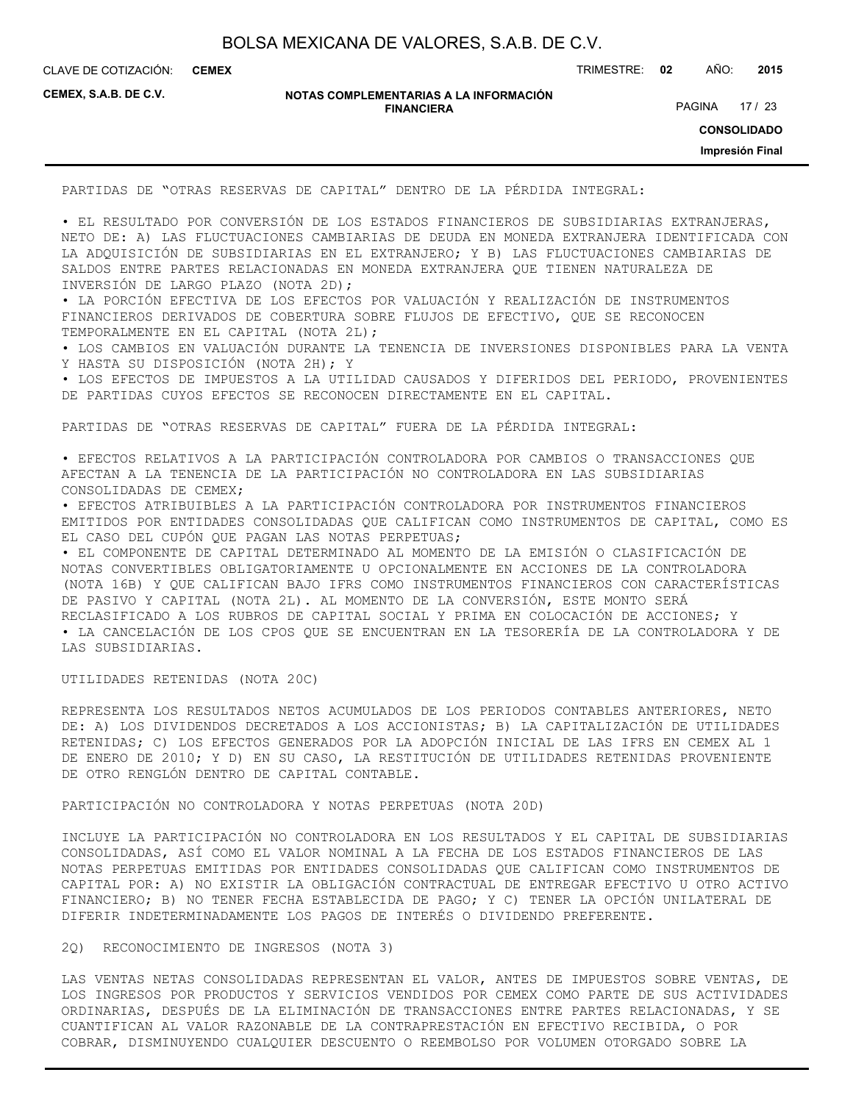CLAVE DE COTIZACIÓN: TRIMESTRE: **02** AÑO: **2015 CEMEX**

**CEMEX, S.A.B. DE C.V.**

**NOTAS COMPLEMENTARIAS A LA INFORMACIÓN FINANCIERA**

PAGINA 17 / 23

**CONSOLIDADO**

**Impresión Final**

PARTIDAS DE "OTRAS RESERVAS DE CAPITAL" DENTRO DE LA PÉRDIDA INTEGRAL:

• EL RESULTADO POR CONVERSIÓN DE LOS ESTADOS FINANCIEROS DE SUBSIDIARIAS EXTRANJERAS, NETO DE: A) LAS FLUCTUACIONES CAMBIARIAS DE DEUDA EN MONEDA EXTRANJERA IDENTIFICADA CON LA ADQUISICIÓN DE SUBSIDIARIAS EN EL EXTRANJERO; Y B) LAS FLUCTUACIONES CAMBIARIAS DE SALDOS ENTRE PARTES RELACIONADAS EN MONEDA EXTRANJERA QUE TIENEN NATURALEZA DE INVERSIÓN DE LARGO PLAZO (NOTA 2D);

• LA PORCIÓN EFECTIVA DE LOS EFECTOS POR VALUACIÓN Y REALIZACIÓN DE INSTRUMENTOS FINANCIEROS DERIVADOS DE COBERTURA SOBRE FLUJOS DE EFECTIVO, QUE SE RECONOCEN TEMPORALMENTE EN EL CAPITAL (NOTA 2L);

• LOS CAMBIOS EN VALUACIÓN DURANTE LA TENENCIA DE INVERSIONES DISPONIBLES PARA LA VENTA Y HASTA SU DISPOSICIÓN (NOTA 2H); Y

• LOS EFECTOS DE IMPUESTOS A LA UTILIDAD CAUSADOS Y DIFERIDOS DEL PERIODO, PROVENIENTES DE PARTIDAS CUYOS EFECTOS SE RECONOCEN DIRECTAMENTE EN EL CAPITAL.

PARTIDAS DE "OTRAS RESERVAS DE CAPITAL" FUERA DE LA PÉRDIDA INTEGRAL:

• EFECTOS RELATIVOS A LA PARTICIPACIÓN CONTROLADORA POR CAMBIOS O TRANSACCIONES QUE AFECTAN A LA TENENCIA DE LA PARTICIPACIÓN NO CONTROLADORA EN LAS SUBSIDIARIAS CONSOLIDADAS DE CEMEX;

• EFECTOS ATRIBUIBLES A LA PARTICIPACIÓN CONTROLADORA POR INSTRUMENTOS FINANCIEROS EMITIDOS POR ENTIDADES CONSOLIDADAS QUE CALIFICAN COMO INSTRUMENTOS DE CAPITAL, COMO ES EL CASO DEL CUPÓN QUE PAGAN LAS NOTAS PERPETUAS;

• EL COMPONENTE DE CAPITAL DETERMINADO AL MOMENTO DE LA EMISIÓN O CLASIFICACIÓN DE NOTAS CONVERTIBLES OBLIGATORIAMENTE U OPCIONALMENTE EN ACCIONES DE LA CONTROLADORA (NOTA 16B) Y QUE CALIFICAN BAJO IFRS COMO INSTRUMENTOS FINANCIEROS CON CARACTERÍSTICAS DE PASIVO Y CAPITAL (NOTA 2L). AL MOMENTO DE LA CONVERSIÓN, ESTE MONTO SERÁ RECLASIFICADO A LOS RUBROS DE CAPITAL SOCIAL Y PRIMA EN COLOCACIÓN DE ACCIONES; Y • LA CANCELACIÓN DE LOS CPOS QUE SE ENCUENTRAN EN LA TESORERÍA DE LA CONTROLADORA Y DE LAS SUBSIDIARIAS.

UTILIDADES RETENIDAS (NOTA 20C)

REPRESENTA LOS RESULTADOS NETOS ACUMULADOS DE LOS PERIODOS CONTABLES ANTERIORES, NETO DE: A) LOS DIVIDENDOS DECRETADOS A LOS ACCIONISTAS; B) LA CAPITALIZACIÓN DE UTILIDADES RETENIDAS; C) LOS EFECTOS GENERADOS POR LA ADOPCIÓN INICIAL DE LAS IFRS EN CEMEX AL 1 DE ENERO DE 2010; Y D) EN SU CASO, LA RESTITUCIÓN DE UTILIDADES RETENIDAS PROVENIENTE DE OTRO RENGLÓN DENTRO DE CAPITAL CONTABLE.

PARTICIPACIÓN NO CONTROLADORA Y NOTAS PERPETUAS (NOTA 20D)

INCLUYE LA PARTICIPACIÓN NO CONTROLADORA EN LOS RESULTADOS Y EL CAPITAL DE SUBSIDIARIAS CONSOLIDADAS, ASÍ COMO EL VALOR NOMINAL A LA FECHA DE LOS ESTADOS FINANCIEROS DE LAS NOTAS PERPETUAS EMITIDAS POR ENTIDADES CONSOLIDADAS QUE CALIFICAN COMO INSTRUMENTOS DE CAPITAL POR: A) NO EXISTIR LA OBLIGACIÓN CONTRACTUAL DE ENTREGAR EFECTIVO U OTRO ACTIVO FINANCIERO; B) NO TENER FECHA ESTABLECIDA DE PAGO; Y C) TENER LA OPCIÓN UNILATERAL DE DIFERIR INDETERMINADAMENTE LOS PAGOS DE INTERÉS O DIVIDENDO PREFERENTE.

2Q) RECONOCIMIENTO DE INGRESOS (NOTA 3)

LAS VENTAS NETAS CONSOLIDADAS REPRESENTAN EL VALOR, ANTES DE IMPUESTOS SOBRE VENTAS, DE LOS INGRESOS POR PRODUCTOS Y SERVICIOS VENDIDOS POR CEMEX COMO PARTE DE SUS ACTIVIDADES ORDINARIAS, DESPUÉS DE LA ELIMINACIÓN DE TRANSACCIONES ENTRE PARTES RELACIONADAS, Y SE CUANTIFICAN AL VALOR RAZONABLE DE LA CONTRAPRESTACIÓN EN EFECTIVO RECIBIDA, O POR COBRAR, DISMINUYENDO CUALQUIER DESCUENTO O REEMBOLSO POR VOLUMEN OTORGADO SOBRE LA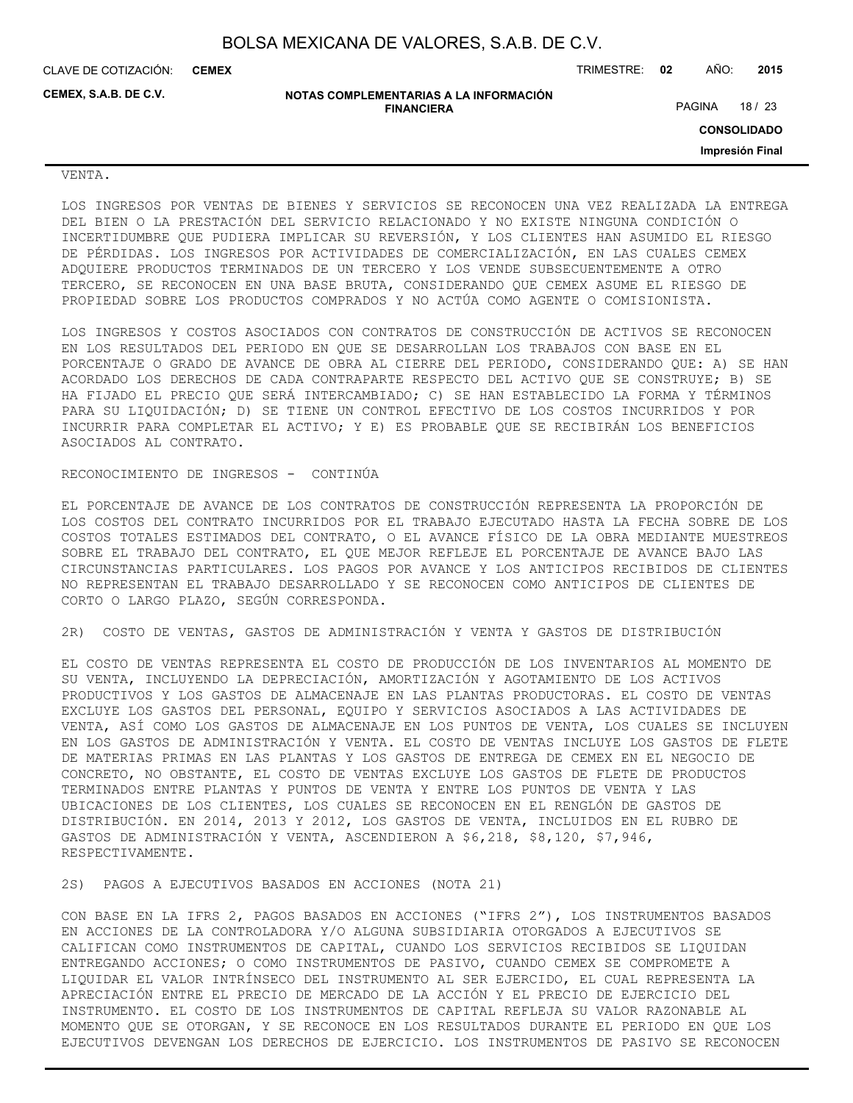CLAVE DE COTIZACIÓN: TRIMESTRE: **02** AÑO: **2015 CEMEX**

**CEMEX, S.A.B. DE C.V.**

**NOTAS COMPLEMENTARIAS A LA INFORMACIÓN FINANCIERA**

PAGINA 18 / 23

**CONSOLIDADO**

**Impresión Final**

### VENTA.

LOS INGRESOS POR VENTAS DE BIENES Y SERVICIOS SE RECONOCEN UNA VEZ REALIZADA LA ENTREGA DEL BIEN O LA PRESTACIÓN DEL SERVICIO RELACIONADO Y NO EXISTE NINGUNA CONDICIÓN O INCERTIDUMBRE QUE PUDIERA IMPLICAR SU REVERSIÓN, Y LOS CLIENTES HAN ASUMIDO EL RIESGO DE PÉRDIDAS. LOS INGRESOS POR ACTIVIDADES DE COMERCIALIZACIÓN, EN LAS CUALES CEMEX ADQUIERE PRODUCTOS TERMINADOS DE UN TERCERO Y LOS VENDE SUBSECUENTEMENTE A OTRO TERCERO, SE RECONOCEN EN UNA BASE BRUTA, CONSIDERANDO QUE CEMEX ASUME EL RIESGO DE PROPIEDAD SOBRE LOS PRODUCTOS COMPRADOS Y NO ACTÚA COMO AGENTE O COMISIONISTA.

LOS INGRESOS Y COSTOS ASOCIADOS CON CONTRATOS DE CONSTRUCCIÓN DE ACTIVOS SE RECONOCEN EN LOS RESULTADOS DEL PERIODO EN QUE SE DESARROLLAN LOS TRABAJOS CON BASE EN EL PORCENTAJE O GRADO DE AVANCE DE OBRA AL CIERRE DEL PERIODO, CONSIDERANDO QUE: A) SE HAN ACORDADO LOS DERECHOS DE CADA CONTRAPARTE RESPECTO DEL ACTIVO QUE SE CONSTRUYE; B) SE HA FIJADO EL PRECIO QUE SERÁ INTERCAMBIADO; C) SE HAN ESTABLECIDO LA FORMA Y TÉRMINOS PARA SU LIQUIDACIÓN; D) SE TIENE UN CONTROL EFECTIVO DE LOS COSTOS INCURRIDOS Y POR INCURRIR PARA COMPLETAR EL ACTIVO; Y E) ES PROBABLE QUE SE RECIBIRÁN LOS BENEFICIOS ASOCIADOS AL CONTRATO.

#### RECONOCIMIENTO DE INGRESOS - CONTINÚA

EL PORCENTAJE DE AVANCE DE LOS CONTRATOS DE CONSTRUCCIÓN REPRESENTA LA PROPORCIÓN DE LOS COSTOS DEL CONTRATO INCURRIDOS POR EL TRABAJO EJECUTADO HASTA LA FECHA SOBRE DE LOS COSTOS TOTALES ESTIMADOS DEL CONTRATO, O EL AVANCE FÍSICO DE LA OBRA MEDIANTE MUESTREOS SOBRE EL TRABAJO DEL CONTRATO, EL QUE MEJOR REFLEJE EL PORCENTAJE DE AVANCE BAJO LAS CIRCUNSTANCIAS PARTICULARES. LOS PAGOS POR AVANCE Y LOS ANTICIPOS RECIBIDOS DE CLIENTES NO REPRESENTAN EL TRABAJO DESARROLLADO Y SE RECONOCEN COMO ANTICIPOS DE CLIENTES DE CORTO O LARGO PLAZO, SEGÚN CORRESPONDA.

2R) COSTO DE VENTAS, GASTOS DE ADMINISTRACIÓN Y VENTA Y GASTOS DE DISTRIBUCIÓN

EL COSTO DE VENTAS REPRESENTA EL COSTO DE PRODUCCIÓN DE LOS INVENTARIOS AL MOMENTO DE SU VENTA, INCLUYENDO LA DEPRECIACIÓN, AMORTIZACIÓN Y AGOTAMIENTO DE LOS ACTIVOS PRODUCTIVOS Y LOS GASTOS DE ALMACENAJE EN LAS PLANTAS PRODUCTORAS. EL COSTO DE VENTAS EXCLUYE LOS GASTOS DEL PERSONAL, EQUIPO Y SERVICIOS ASOCIADOS A LAS ACTIVIDADES DE VENTA, ASÍ COMO LOS GASTOS DE ALMACENAJE EN LOS PUNTOS DE VENTA, LOS CUALES SE INCLUYEN EN LOS GASTOS DE ADMINISTRACIÓN Y VENTA. EL COSTO DE VENTAS INCLUYE LOS GASTOS DE FLETE DE MATERIAS PRIMAS EN LAS PLANTAS Y LOS GASTOS DE ENTREGA DE CEMEX EN EL NEGOCIO DE CONCRETO, NO OBSTANTE, EL COSTO DE VENTAS EXCLUYE LOS GASTOS DE FLETE DE PRODUCTOS TERMINADOS ENTRE PLANTAS Y PUNTOS DE VENTA Y ENTRE LOS PUNTOS DE VENTA Y LAS UBICACIONES DE LOS CLIENTES, LOS CUALES SE RECONOCEN EN EL RENGLÓN DE GASTOS DE DISTRIBUCIÓN. EN 2014, 2013 Y 2012, LOS GASTOS DE VENTA, INCLUIDOS EN EL RUBRO DE GASTOS DE ADMINISTRACIÓN Y VENTA, ASCENDIERON A \$6,218, \$8,120, \$7,946, RESPECTIVAMENTE.

2S) PAGOS A EJECUTIVOS BASADOS EN ACCIONES (NOTA 21)

CON BASE EN LA IFRS 2, PAGOS BASADOS EN ACCIONES ("IFRS 2"), LOS INSTRUMENTOS BASADOS EN ACCIONES DE LA CONTROLADORA Y/O ALGUNA SUBSIDIARIA OTORGADOS A EJECUTIVOS SE CALIFICAN COMO INSTRUMENTOS DE CAPITAL, CUANDO LOS SERVICIOS RECIBIDOS SE LIQUIDAN ENTREGANDO ACCIONES; O COMO INSTRUMENTOS DE PASIVO, CUANDO CEMEX SE COMPROMETE A LIQUIDAR EL VALOR INTRÍNSECO DEL INSTRUMENTO AL SER EJERCIDO, EL CUAL REPRESENTA LA APRECIACIÓN ENTRE EL PRECIO DE MERCADO DE LA ACCIÓN Y EL PRECIO DE EJERCICIO DEL INSTRUMENTO. EL COSTO DE LOS INSTRUMENTOS DE CAPITAL REFLEJA SU VALOR RAZONABLE AL MOMENTO QUE SE OTORGAN, Y SE RECONOCE EN LOS RESULTADOS DURANTE EL PERIODO EN QUE LOS EJECUTIVOS DEVENGAN LOS DERECHOS DE EJERCICIO. LOS INSTRUMENTOS DE PASIVO SE RECONOCEN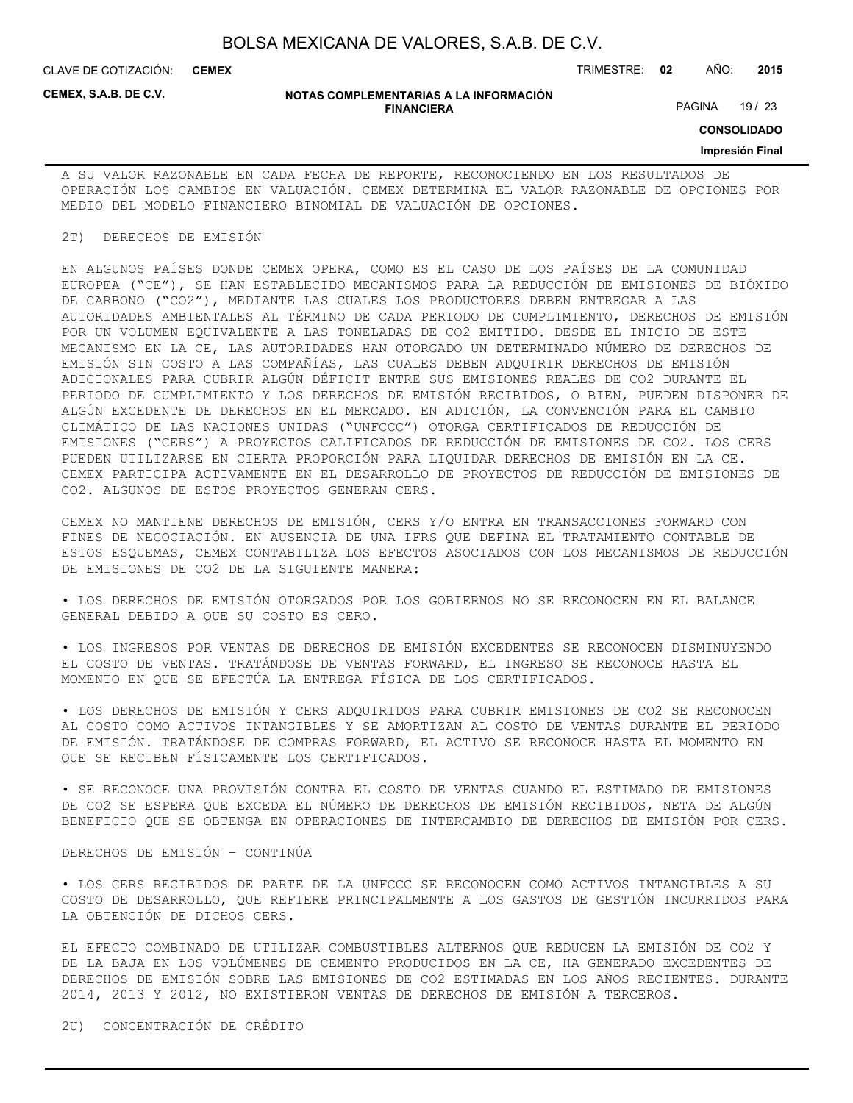CLAVE DE COTIZACIÓN: TRIMESTRE: **02** AÑO: **2015 CEMEX**

**CEMEX, S.A.B. DE C.V.**

#### **NOTAS COMPLEMENTARIAS A LA INFORMACIÓN FINANCIERA**

PAGINA 19 / 23

**CONSOLIDADO**

#### **Impresión Final**

A SU VALOR RAZONABLE EN CADA FECHA DE REPORTE, RECONOCIENDO EN LOS RESULTADOS DE OPERACIÓN LOS CAMBIOS EN VALUACIÓN. CEMEX DETERMINA EL VALOR RAZONABLE DE OPCIONES POR MEDIO DEL MODELO FINANCIERO BINOMIAL DE VALUACIÓN DE OPCIONES.

#### 2T) DERECHOS DE EMISIÓN

EN ALGUNOS PAÍSES DONDE CEMEX OPERA, COMO ES EL CASO DE LOS PAÍSES DE LA COMUNIDAD EUROPEA ("CE"), SE HAN ESTABLECIDO MECANISMOS PARA LA REDUCCIÓN DE EMISIONES DE BIÓXIDO DE CARBONO ("CO2"), MEDIANTE LAS CUALES LOS PRODUCTORES DEBEN ENTREGAR A LAS AUTORIDADES AMBIENTALES AL TÉRMINO DE CADA PERIODO DE CUMPLIMIENTO, DERECHOS DE EMISIÓN POR UN VOLUMEN EQUIVALENTE A LAS TONELADAS DE CO2 EMITIDO. DESDE EL INICIO DE ESTE MECANISMO EN LA CE, LAS AUTORIDADES HAN OTORGADO UN DETERMINADO NÚMERO DE DERECHOS DE EMISIÓN SIN COSTO A LAS COMPAÑÍAS, LAS CUALES DEBEN ADQUIRIR DERECHOS DE EMISIÓN ADICIONALES PARA CUBRIR ALGÚN DÉFICIT ENTRE SUS EMISIONES REALES DE CO2 DURANTE EL PERIODO DE CUMPLIMIENTO Y LOS DERECHOS DE EMISIÓN RECIBIDOS, O BIEN, PUEDEN DISPONER DE ALGÚN EXCEDENTE DE DERECHOS EN EL MERCADO. EN ADICIÓN, LA CONVENCIÓN PARA EL CAMBIO CLIMÁTICO DE LAS NACIONES UNIDAS ("UNFCCC") OTORGA CERTIFICADOS DE REDUCCIÓN DE EMISIONES ("CERS") A PROYECTOS CALIFICADOS DE REDUCCIÓN DE EMISIONES DE CO2. LOS CERS PUEDEN UTILIZARSE EN CIERTA PROPORCIÓN PARA LIQUIDAR DERECHOS DE EMISIÓN EN LA CE. CEMEX PARTICIPA ACTIVAMENTE EN EL DESARROLLO DE PROYECTOS DE REDUCCIÓN DE EMISIONES DE CO2. ALGUNOS DE ESTOS PROYECTOS GENERAN CERS.

CEMEX NO MANTIENE DERECHOS DE EMISIÓN, CERS Y/O ENTRA EN TRANSACCIONES FORWARD CON FINES DE NEGOCIACIÓN. EN AUSENCIA DE UNA IFRS QUE DEFINA EL TRATAMIENTO CONTABLE DE ESTOS ESQUEMAS, CEMEX CONTABILIZA LOS EFECTOS ASOCIADOS CON LOS MECANISMOS DE REDUCCIÓN DE EMISIONES DE CO2 DE LA SIGUIENTE MANERA:

• LOS DERECHOS DE EMISIÓN OTORGADOS POR LOS GOBIERNOS NO SE RECONOCEN EN EL BALANCE GENERAL DEBIDO A QUE SU COSTO ES CERO.

• LOS INGRESOS POR VENTAS DE DERECHOS DE EMISIÓN EXCEDENTES SE RECONOCEN DISMINUYENDO EL COSTO DE VENTAS. TRATÁNDOSE DE VENTAS FORWARD, EL INGRESO SE RECONOCE HASTA EL MOMENTO EN QUE SE EFECTÚA LA ENTREGA FÍSICA DE LOS CERTIFICADOS.

• LOS DERECHOS DE EMISIÓN Y CERS ADQUIRIDOS PARA CUBRIR EMISIONES DE CO2 SE RECONOCEN AL COSTO COMO ACTIVOS INTANGIBLES Y SE AMORTIZAN AL COSTO DE VENTAS DURANTE EL PERIODO DE EMISIÓN. TRATÁNDOSE DE COMPRAS FORWARD, EL ACTIVO SE RECONOCE HASTA EL MOMENTO EN QUE SE RECIBEN FÍSICAMENTE LOS CERTIFICADOS.

• SE RECONOCE UNA PROVISIÓN CONTRA EL COSTO DE VENTAS CUANDO EL ESTIMADO DE EMISIONES DE CO2 SE ESPERA QUE EXCEDA EL NÚMERO DE DERECHOS DE EMISIÓN RECIBIDOS, NETA DE ALGÚN BENEFICIO QUE SE OBTENGA EN OPERACIONES DE INTERCAMBIO DE DERECHOS DE EMISIÓN POR CERS.

### DERECHOS DE EMISIÓN – CONTINÚA

• LOS CERS RECIBIDOS DE PARTE DE LA UNFCCC SE RECONOCEN COMO ACTIVOS INTANGIBLES A SU COSTO DE DESARROLLO, QUE REFIERE PRINCIPALMENTE A LOS GASTOS DE GESTIÓN INCURRIDOS PARA LA OBTENCIÓN DE DICHOS CERS.

EL EFECTO COMBINADO DE UTILIZAR COMBUSTIBLES ALTERNOS QUE REDUCEN LA EMISIÓN DE CO2 Y DE LA BAJA EN LOS VOLÚMENES DE CEMENTO PRODUCIDOS EN LA CE, HA GENERADO EXCEDENTES DE DERECHOS DE EMISIÓN SOBRE LAS EMISIONES DE CO2 ESTIMADAS EN LOS AÑOS RECIENTES. DURANTE 2014, 2013 Y 2012, NO EXISTIERON VENTAS DE DERECHOS DE EMISIÓN A TERCEROS.

2U) CONCENTRACIÓN DE CRÉDITO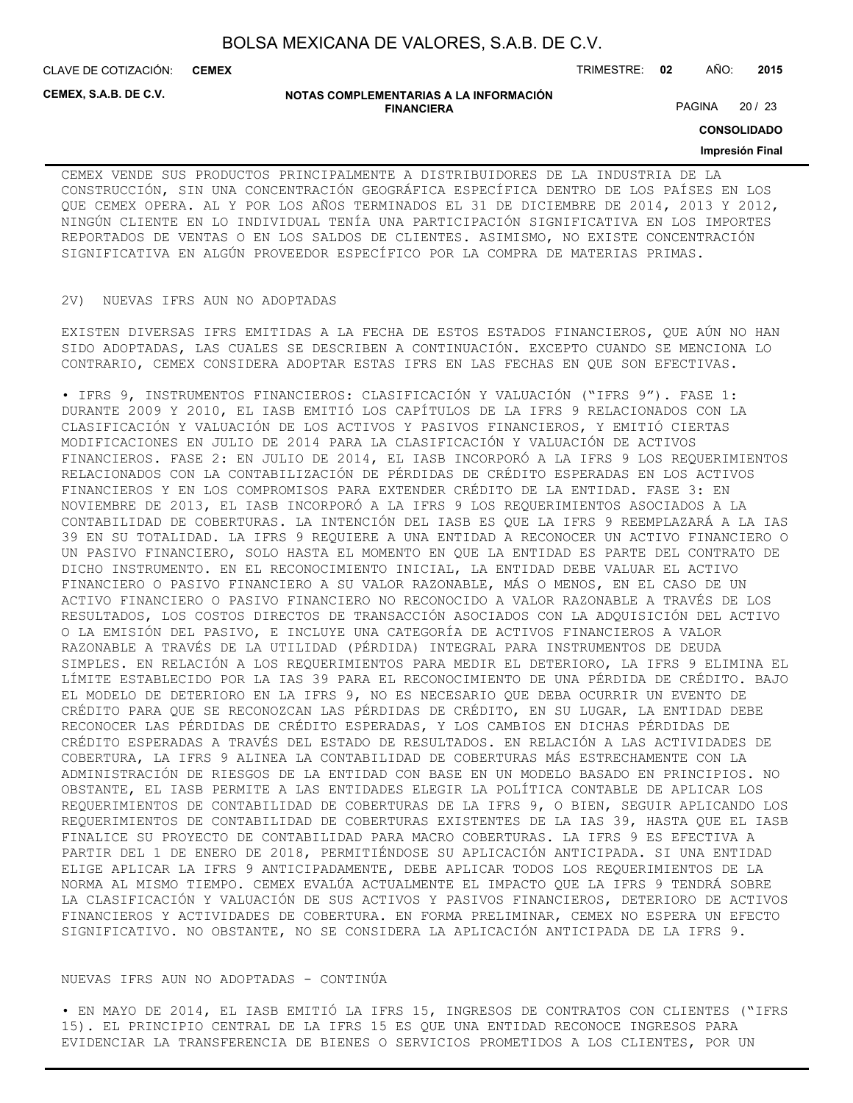**CEMEX**

CLAVE DE COTIZACIÓN: TRIMESTRE: **02** AÑO: **2015**

**CEMEX, S.A.B. DE C.V.**

#### **NOTAS COMPLEMENTARIAS A LA INFORMACIÓN FINANCIERA**

PAGINA 20 / 23

**CONSOLIDADO**

#### **Impresión Final**

CEMEX VENDE SUS PRODUCTOS PRINCIPALMENTE A DISTRIBUIDORES DE LA INDUSTRIA DE LA CONSTRUCCIÓN, SIN UNA CONCENTRACIÓN GEOGRÁFICA ESPECÍFICA DENTRO DE LOS PAÍSES EN LOS QUE CEMEX OPERA. AL Y POR LOS AÑOS TERMINADOS EL 31 DE DICIEMBRE DE 2014, 2013 Y 2012, NINGÚN CLIENTE EN LO INDIVIDUAL TENÍA UNA PARTICIPACIÓN SIGNIFICATIVA EN LOS IMPORTES REPORTADOS DE VENTAS O EN LOS SALDOS DE CLIENTES. ASIMISMO, NO EXISTE CONCENTRACIÓN SIGNIFICATIVA EN ALGÚN PROVEEDOR ESPECÍFICO POR LA COMPRA DE MATERIAS PRIMAS.

#### 2V) NUEVAS IFRS AUN NO ADOPTADAS

EXISTEN DIVERSAS IFRS EMITIDAS A LA FECHA DE ESTOS ESTADOS FINANCIEROS, QUE AÚN NO HAN SIDO ADOPTADAS, LAS CUALES SE DESCRIBEN A CONTINUACIÓN. EXCEPTO CUANDO SE MENCIONA LO CONTRARIO, CEMEX CONSIDERA ADOPTAR ESTAS IFRS EN LAS FECHAS EN QUE SON EFECTIVAS.

• IFRS 9, INSTRUMENTOS FINANCIEROS: CLASIFICACIÓN Y VALUACIÓN ("IFRS 9"). FASE 1: DURANTE 2009 Y 2010, EL IASB EMITIÓ LOS CAPÍTULOS DE LA IFRS 9 RELACIONADOS CON LA CLASIFICACIÓN Y VALUACIÓN DE LOS ACTIVOS Y PASIVOS FINANCIEROS, Y EMITIÓ CIERTAS MODIFICACIONES EN JULIO DE 2014 PARA LA CLASIFICACIÓN Y VALUACIÓN DE ACTIVOS FINANCIEROS. FASE 2: EN JULIO DE 2014, EL IASB INCORPORÓ A LA IFRS 9 LOS REQUERIMIENTOS RELACIONADOS CON LA CONTABILIZACIÓN DE PÉRDIDAS DE CRÉDITO ESPERADAS EN LOS ACTIVOS FINANCIEROS Y EN LOS COMPROMISOS PARA EXTENDER CRÉDITO DE LA ENTIDAD. FASE 3: EN NOVIEMBRE DE 2013, EL IASB INCORPORÓ A LA IFRS 9 LOS REQUERIMIENTOS ASOCIADOS A LA CONTABILIDAD DE COBERTURAS. LA INTENCIÓN DEL IASB ES QUE LA IFRS 9 REEMPLAZARÁ A LA IAS 39 EN SU TOTALIDAD. LA IFRS 9 REQUIERE A UNA ENTIDAD A RECONOCER UN ACTIVO FINANCIERO O UN PASIVO FINANCIERO, SOLO HASTA EL MOMENTO EN QUE LA ENTIDAD ES PARTE DEL CONTRATO DE DICHO INSTRUMENTO. EN EL RECONOCIMIENTO INICIAL, LA ENTIDAD DEBE VALUAR EL ACTIVO FINANCIERO O PASIVO FINANCIERO A SU VALOR RAZONABLE, MÁS O MENOS, EN EL CASO DE UN ACTIVO FINANCIERO O PASIVO FINANCIERO NO RECONOCIDO A VALOR RAZONABLE A TRAVÉS DE LOS RESULTADOS, LOS COSTOS DIRECTOS DE TRANSACCIÓN ASOCIADOS CON LA ADQUISICIÓN DEL ACTIVO O LA EMISIÓN DEL PASIVO, E INCLUYE UNA CATEGORÍA DE ACTIVOS FINANCIEROS A VALOR RAZONABLE A TRAVÉS DE LA UTILIDAD (PÉRDIDA) INTEGRAL PARA INSTRUMENTOS DE DEUDA SIMPLES. EN RELACIÓN A LOS REQUERIMIENTOS PARA MEDIR EL DETERIORO, LA IFRS 9 ELIMINA EL LÍMITE ESTABLECIDO POR LA IAS 39 PARA EL RECONOCIMIENTO DE UNA PÉRDIDA DE CRÉDITO. BAJO EL MODELO DE DETERIORO EN LA IFRS 9, NO ES NECESARIO QUE DEBA OCURRIR UN EVENTO DE CRÉDITO PARA QUE SE RECONOZCAN LAS PÉRDIDAS DE CRÉDITO, EN SU LUGAR, LA ENTIDAD DEBE RECONOCER LAS PÉRDIDAS DE CRÉDITO ESPERADAS, Y LOS CAMBIOS EN DICHAS PÉRDIDAS DE CRÉDITO ESPERADAS A TRAVÉS DEL ESTADO DE RESULTADOS. EN RELACIÓN A LAS ACTIVIDADES DE COBERTURA, LA IFRS 9 ALINEA LA CONTABILIDAD DE COBERTURAS MÁS ESTRECHAMENTE CON LA ADMINISTRACIÓN DE RIESGOS DE LA ENTIDAD CON BASE EN UN MODELO BASADO EN PRINCIPIOS. NO OBSTANTE, EL IASB PERMITE A LAS ENTIDADES ELEGIR LA POLÍTICA CONTABLE DE APLICAR LOS REQUERIMIENTOS DE CONTABILIDAD DE COBERTURAS DE LA IFRS 9, O BIEN, SEGUIR APLICANDO LOS REQUERIMIENTOS DE CONTABILIDAD DE COBERTURAS EXISTENTES DE LA IAS 39, HASTA QUE EL IASB FINALICE SU PROYECTO DE CONTABILIDAD PARA MACRO COBERTURAS. LA IFRS 9 ES EFECTIVA A PARTIR DEL 1 DE ENERO DE 2018, PERMITIÉNDOSE SU APLICACIÓN ANTICIPADA. SI UNA ENTIDAD ELIGE APLICAR LA IFRS 9 ANTICIPADAMENTE, DEBE APLICAR TODOS LOS REQUERIMIENTOS DE LA NORMA AL MISMO TIEMPO. CEMEX EVALÚA ACTUALMENTE EL IMPACTO QUE LA IFRS 9 TENDRÁ SOBRE LA CLASIFICACIÓN Y VALUACIÓN DE SUS ACTIVOS Y PASIVOS FINANCIEROS, DETERIORO DE ACTIVOS FINANCIEROS Y ACTIVIDADES DE COBERTURA. EN FORMA PRELIMINAR, CEMEX NO ESPERA UN EFECTO SIGNIFICATIVO. NO OBSTANTE, NO SE CONSIDERA LA APLICACIÓN ANTICIPADA DE LA IFRS 9.

### NUEVAS IFRS AUN NO ADOPTADAS - CONTINÚA

• EN MAYO DE 2014, EL IASB EMITIÓ LA IFRS 15, INGRESOS DE CONTRATOS CON CLIENTES ("IFRS 15). EL PRINCIPIO CENTRAL DE LA IFRS 15 ES QUE UNA ENTIDAD RECONOCE INGRESOS PARA EVIDENCIAR LA TRANSFERENCIA DE BIENES O SERVICIOS PROMETIDOS A LOS CLIENTES, POR UN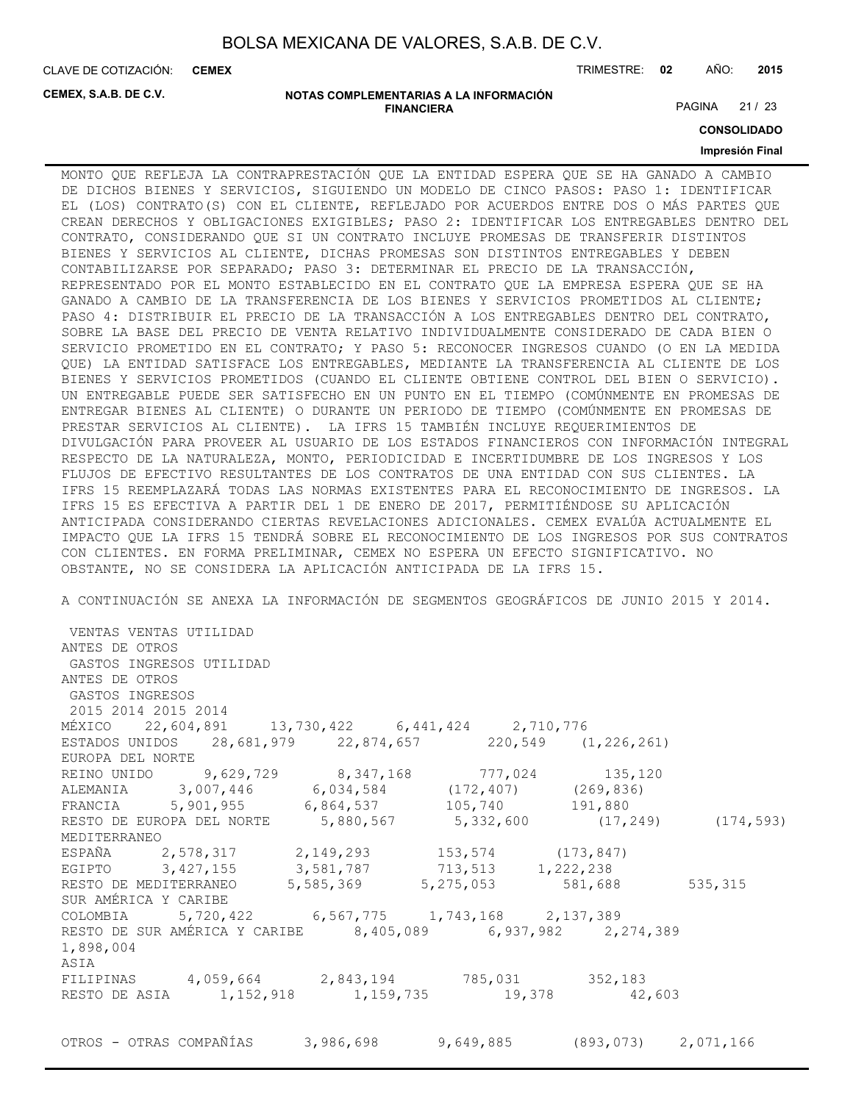CLAVE DE COTIZACIÓN: TRIMESTRE: **02** AÑO: **2015 CEMEX**

**CEMEX, S.A.B. DE C.V.**

#### **NOTAS COMPLEMENTARIAS A LA INFORMACIÓN FINANCIERA**

PAGINA 21 / 23

**CONSOLIDADO**

### **Impresión Final**

MONTO QUE REFLEJA LA CONTRAPRESTACIÓN QUE LA ENTIDAD ESPERA QUE SE HA GANADO A CAMBIO DE DICHOS BIENES Y SERVICIOS, SIGUIENDO UN MODELO DE CINCO PASOS: PASO 1: IDENTIFICAR EL (LOS) CONTRATO(S) CON EL CLIENTE, REFLEJADO POR ACUERDOS ENTRE DOS O MÁS PARTES QUE CREAN DERECHOS Y OBLIGACIONES EXIGIBLES; PASO 2: IDENTIFICAR LOS ENTREGABLES DENTRO DEL CONTRATO, CONSIDERANDO QUE SI UN CONTRATO INCLUYE PROMESAS DE TRANSFERIR DISTINTOS BIENES Y SERVICIOS AL CLIENTE, DICHAS PROMESAS SON DISTINTOS ENTREGABLES Y DEBEN CONTABILIZARSE POR SEPARADO; PASO 3: DETERMINAR EL PRECIO DE LA TRANSACCIÓN, REPRESENTADO POR EL MONTO ESTABLECIDO EN EL CONTRATO QUE LA EMPRESA ESPERA QUE SE HA GANADO A CAMBIO DE LA TRANSFERENCIA DE LOS BIENES Y SERVICIOS PROMETIDOS AL CLIENTE; PASO 4: DISTRIBUIR EL PRECIO DE LA TRANSACCIÓN A LOS ENTREGABLES DENTRO DEL CONTRATO, SOBRE LA BASE DEL PRECIO DE VENTA RELATIVO INDIVIDUALMENTE CONSIDERADO DE CADA BIEN O SERVICIO PROMETIDO EN EL CONTRATO; Y PASO 5: RECONOCER INGRESOS CUANDO (O EN LA MEDIDA QUE) LA ENTIDAD SATISFACE LOS ENTREGABLES, MEDIANTE LA TRANSFERENCIA AL CLIENTE DE LOS BIENES Y SERVICIOS PROMETIDOS (CUANDO EL CLIENTE OBTIENE CONTROL DEL BIEN O SERVICIO). UN ENTREGABLE PUEDE SER SATISFECHO EN UN PUNTO EN EL TIEMPO (COMÚNMENTE EN PROMESAS DE ENTREGAR BIENES AL CLIENTE) O DURANTE UN PERIODO DE TIEMPO (COMÚNMENTE EN PROMESAS DE PRESTAR SERVICIOS AL CLIENTE). LA IFRS 15 TAMBIÉN INCLUYE REQUERIMIENTOS DE DIVULGACIÓN PARA PROVEER AL USUARIO DE LOS ESTADOS FINANCIEROS CON INFORMACIÓN INTEGRAL RESPECTO DE LA NATURALEZA, MONTO, PERIODICIDAD E INCERTIDUMBRE DE LOS INGRESOS Y LOS FLUJOS DE EFECTIVO RESULTANTES DE LOS CONTRATOS DE UNA ENTIDAD CON SUS CLIENTES. LA IFRS 15 REEMPLAZARÁ TODAS LAS NORMAS EXISTENTES PARA EL RECONOCIMIENTO DE INGRESOS. LA IFRS 15 ES EFECTIVA A PARTIR DEL 1 DE ENERO DE 2017, PERMITIÉNDOSE SU APLICACIÓN ANTICIPADA CONSIDERANDO CIERTAS REVELACIONES ADICIONALES. CEMEX EVALÚA ACTUALMENTE EL IMPACTO QUE LA IFRS 15 TENDRÁ SOBRE EL RECONOCIMIENTO DE LOS INGRESOS POR SUS CONTRATOS CON CLIENTES. EN FORMA PRELIMINAR, CEMEX NO ESPERA UN EFECTO SIGNIFICATIVO. NO OBSTANTE, NO SE CONSIDERA LA APLICACIÓN ANTICIPADA DE LA IFRS 15.

A CONTINUACIÓN SE ANEXA LA INFORMACIÓN DE SEGMENTOS GEOGRÁFICOS DE JUNIO 2015 Y 2014.

 VENTAS VENTAS UTILIDAD ANTES DE OTROS GASTOS INGRESOS UTILIDAD ANTES DE OTROS GASTOS INGRESOS 2015 2014 2015 2014 MÉXICO 22,604,891 13,730,422 6,441,424 2,710,776 ESTADOS UNIDOS 28,681,979 22,874,657 220,549 (1,226,261) EUROPA DEL NORTE REINO UNIDO 9,629,729 8,347,168 777,024 135,120 ALEMANIA 3,007,446 6,034,584 (172,407) (269,836)<br>FRANCIA 5,901,955 6,864,537 105,740 191.880 FRANCIA 5,901,955 6,864,537 105,740 191,880 RESTO DE EUROPA DEL NORTE 5,880,567 5,332,600 (17,249) (174,593) MEDITERRANEO ESPAÑA 2,578,317 2,149,293 153,574 (173,847)<br>EGIPTO 3,427,155 3,581,787 713,513 1,222,238 EGIPTO 3,427,155 3,581,787 713,513 1,222,238<br>RESTO DE MEDITERRANEO 5,585,369 5,275,053 581,688 RESTO DE MEDITERRANEO 5,585,369 5,275,053 581,688 535,315 SUR AMÉRICA Y CARIBE COLOMBIA 5,720,422 6,567,775 1,743,168 2,137,389 RESTO DE SUR AMÉRICA Y CARIBE 8,405,089 6,937,982 2,274,389 1,898,004 ASIA FILIPINAS 4,059,664 2,843,194 785,031 352,183 RESTO DE ASIA 1,152,918 1,159,735 19,378 42,603 OTROS - OTRAS COMPAÑÍAS 3,986,698 9,649,885 (893,073) 2,071,166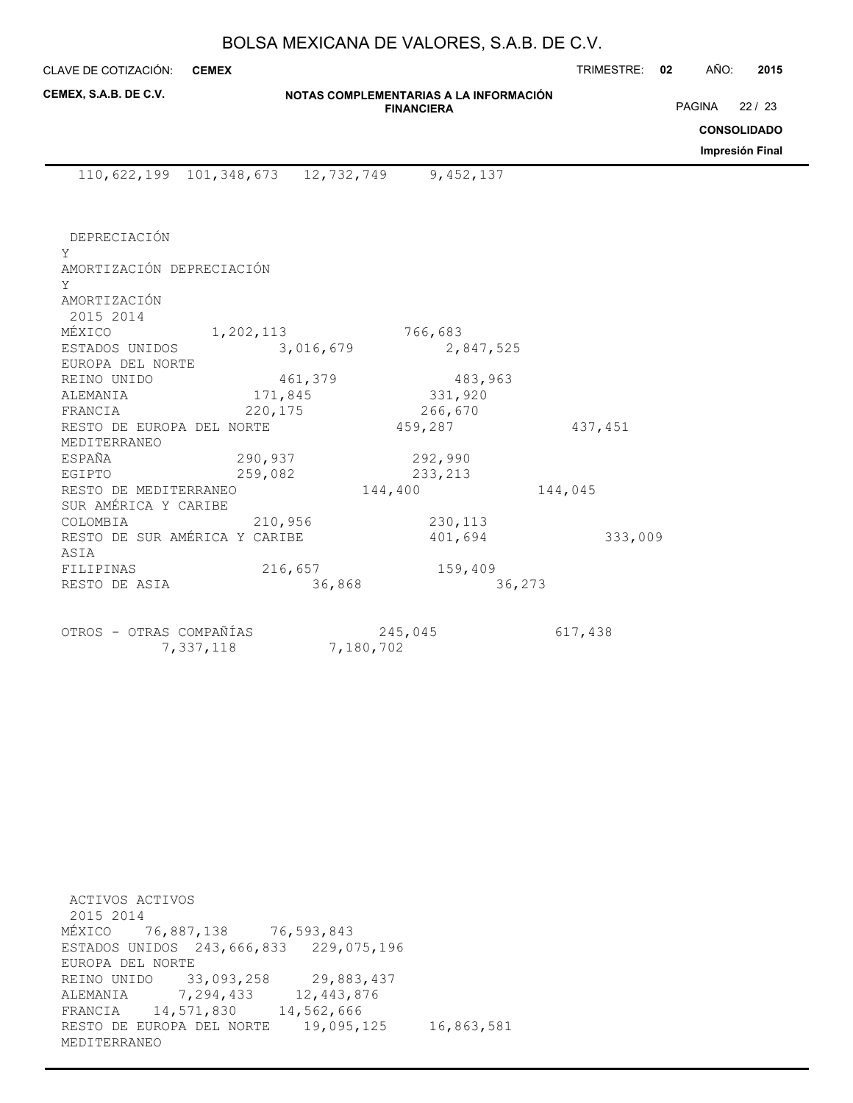CLAVE DE COTIZACIÓN: TRIMESTRE: **02** AÑO: **2015 CEMEX**

| CEMEX, S.A.B. DE C.V. |  |  |  |
|-----------------------|--|--|--|
|-----------------------|--|--|--|

**NOTAS COMPLEMENTARIAS A LA INFORMACIÓN FINANCIERA**

PAGINA 22 / 23

**CONSOLIDADO**

**Impresión Final**

110,622,199 101,348,673 12,732,749 9,452,137

 DEPRECIACIÓN Y AMORTIZACIÓN DEPRECIACIÓN Y AMORTIZACIÓN 2015 2014 MÉXICO 1,202,113 766,683<br>ESTADOS UNIDOS 3,016,679 2,847,525 ESTADOS UNIDOS 3,016,679 EUROPA DEL NORTE REINO UNIDO 461,379 483,963 ALEMANIA 171,845 331,920 FRANCIA 220,175 266,670 RESTO DE EUROPA DEL NORTE  $459,287$  437,451 MEDITERRANEO ESPAÑA 290,937 292,990<br>EGIPTO 259,082 233,213 259,082 233,213 RESTO DE MEDITERRANEO  $144,400$   $144,045$ SUR AMÉRICA Y CARIBE COLOMBIA 210,956 230,113 RESTO DE SUR AMÉRICA Y CARIBE  $401,694$  333,009 ASIA FILIPINAS 216,657 159,409 RESTO DE ASIA 36,868 36,273

OTROS - OTRAS COMPAÑÍAS 245,045 617,438 7,337,118 7,180,702

 ACTIVOS ACTIVOS 2015 2014 MÉXICO 76,887,138 76,593,843 ESTADOS UNIDOS 243,666,833 229,075,196 EUROPA DEL NORTE REINO UNIDO 33,093,258 29,883,437 ALEMANIA 7,294,433 12,443,876 FRANCIA 14,571,830 14,562,666 RESTO DE EUROPA DEL NORTE 19,095,125 16,863,581 MEDITERRANEO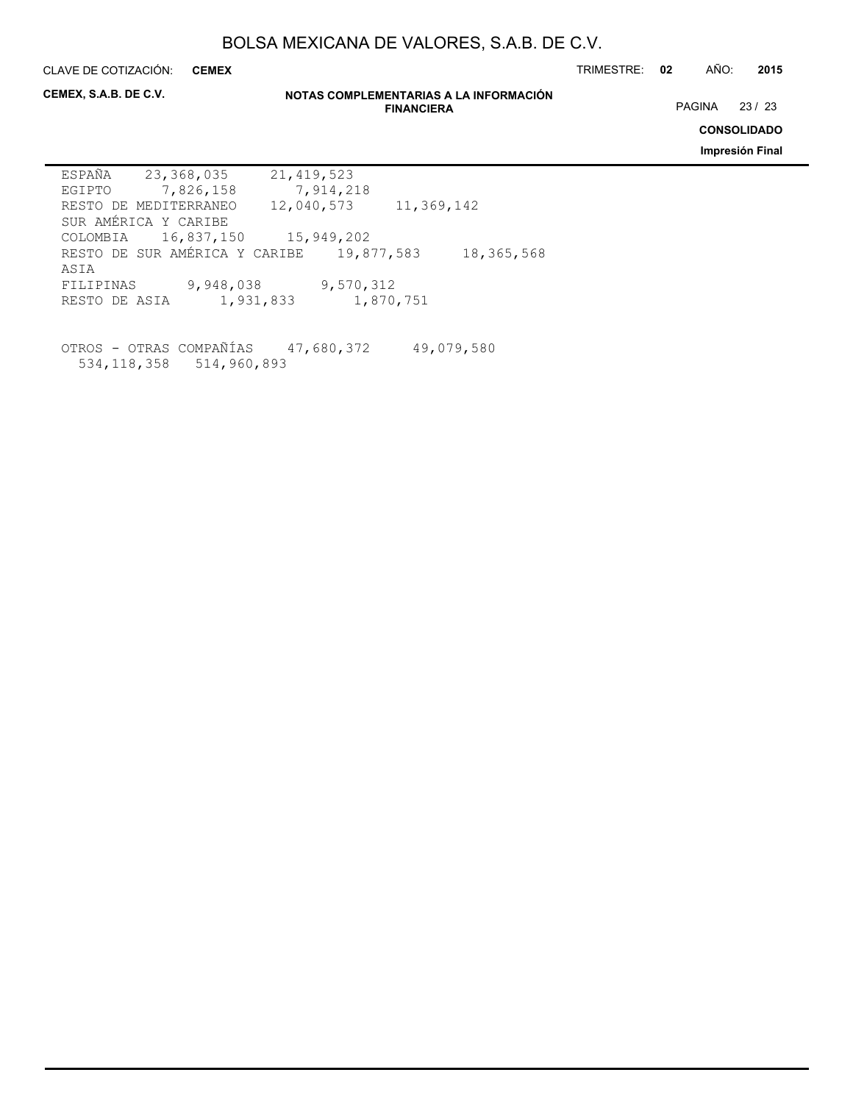**CEMEX**

CLAVE DE COTIZACIÓN: TRIMESTRE: **02** AÑO: **2015**

**CEMEX, S.A.B. DE C.V.**

#### **NOTAS COMPLEMENTARIAS A LA INFORMACIÓN FINANCIERA**

PAGINA 23 / 23

**CONSOLIDADO**

**Impresión Final**

| ESPAÑA        | 23,368,035                     | 21, 419, 523 |            |            |
|---------------|--------------------------------|--------------|------------|------------|
| EGIPTO        | 7,826,158                      | 7,914,218    |            |            |
|               | RESTO DE MEDITERRANEO          | 12,040,573   |            | 11,369,142 |
|               | SUR AMÉRICA Y CARIBE           |              |            |            |
|               | COLOMBIA 16,837,150 15,949,202 |              |            |            |
|               | RESTO DE SUR AMÉRICA Y CARIBE  |              | 19,877,583 | 18,365,568 |
| ASIA          |                                |              |            |            |
| FILIPINAS     | 9,948,038                      |              | 9,570,312  |            |
| RESTO DE ASIA | 1,931,833                      |              | 1,870,751  |            |
|               |                                |              |            |            |

OTROS - OTRAS COMPAÑÍAS 47,680,372 49,079,580 534,118,358 514,960,893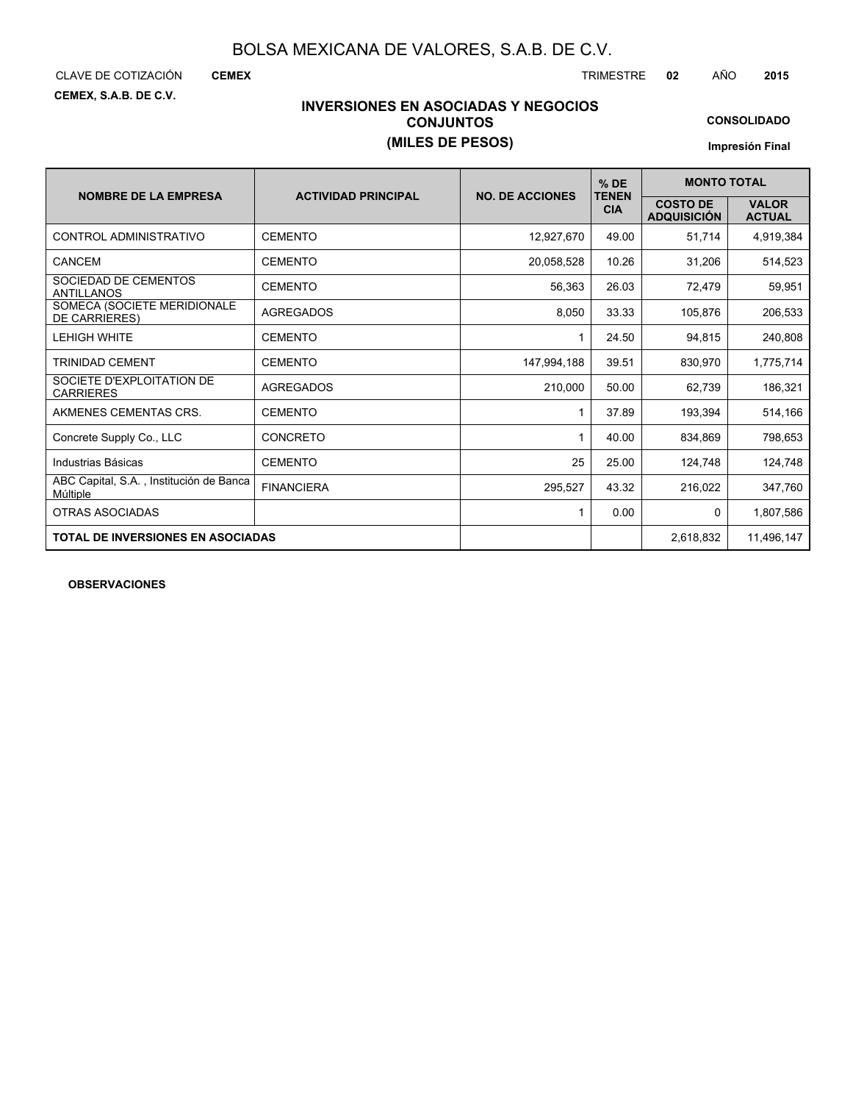CLAVE DE COTIZACIÓN TRIMESTRE **02** AÑO **2015**

**CEMEX**

**CEMEX, S.A.B. DE C.V.**

### **INVERSIONES EN ASOCIADAS Y NEGOCIOS CONJUNTOS (MILES DE PESOS)**

**CONSOLIDADO**

**Impresión Final**

| <b>NOMBRE DE LA EMPRESA</b>                         | <b>ACTIVIDAD PRINCIPAL</b> | <b>NO. DE ACCIONES</b> | $%$ DE<br><b>TENEN</b> | <b>MONTO TOTAL</b>                    |                               |  |  |
|-----------------------------------------------------|----------------------------|------------------------|------------------------|---------------------------------------|-------------------------------|--|--|
|                                                     |                            |                        | <b>CIA</b>             | <b>COSTO DE</b><br><b>ADQUISICIÓN</b> | <b>VALOR</b><br><b>ACTUAL</b> |  |  |
| CONTROL ADMINISTRATIVO                              | <b>CEMENTO</b>             | 12,927,670             | 49.00                  | 51,714                                | 4,919,384                     |  |  |
| CANCEM                                              | <b>CEMENTO</b>             | 20,058,528             | 10.26                  | 31,206                                | 514,523                       |  |  |
| SOCIEDAD DE CEMENTOS<br><b>ANTILLANOS</b>           | <b>CEMENTO</b>             | 56,363                 | 26.03                  | 72,479                                | 59,951                        |  |  |
| SOMECA (SOCIETE MERIDIONALE<br><b>DE CARRIERES)</b> | <b>AGREGADOS</b>           | 8,050                  | 33.33                  | 105.876                               | 206,533                       |  |  |
| <b>LEHIGH WHITE</b>                                 | <b>CEMENTO</b>             | 1                      | 24.50                  | 94,815                                | 240,808                       |  |  |
| <b>TRINIDAD CEMENT</b>                              | <b>CEMENTO</b>             | 147,994,188            | 39.51                  | 830,970                               | 1,775,714                     |  |  |
| SOCIETE D'EXPLOITATION DE<br><b>CARRIERES</b>       | <b>AGREGADOS</b>           | 210,000                | 50.00                  | 62,739                                | 186,321                       |  |  |
| AKMENES CEMENTAS CRS.                               | <b>CEMENTO</b>             |                        | 37.89                  | 193,394                               | 514,166                       |  |  |
| Concrete Supply Co., LLC                            | CONCRETO                   |                        | 40.00                  | 834,869                               | 798,653                       |  |  |
| Industrias Básicas                                  | <b>CEMENTO</b>             | 25                     | 25.00                  | 124,748                               | 124,748                       |  |  |
| ABC Capital, S.A., Institución de Banca<br>Múltiple | <b>FINANCIERA</b>          | 295,527                | 43.32                  | 216,022                               | 347,760                       |  |  |
| <b>OTRAS ASOCIADAS</b>                              |                            | 1                      | 0.00                   | 0                                     | 1,807,586                     |  |  |
| <b>TOTAL DE INVERSIONES EN ASOCIADAS</b>            |                            |                        |                        | 2,618,832                             | 11,496,147                    |  |  |

**OBSERVACIONES**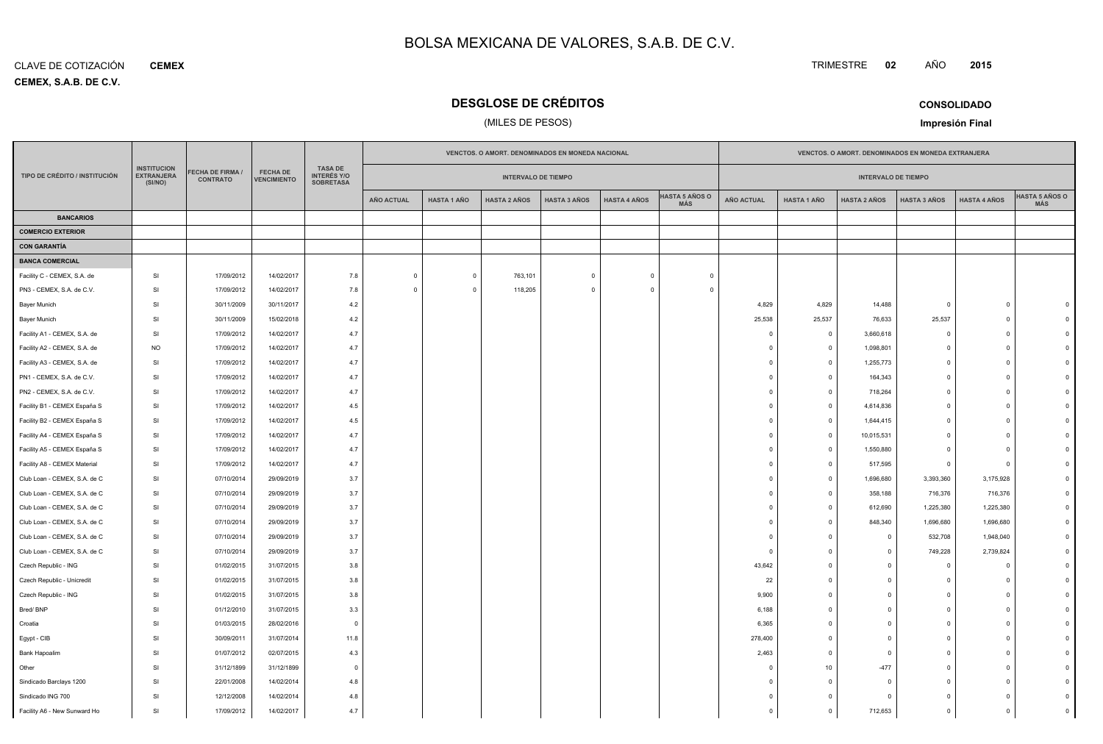**CEMEX, S.A.B. DE C.V.** CLAVE DE COTIZACIÓN**CEMEX**

### **DESGLOSE DE CRÉDITOS**

### (MILES DE PESOS)

TRIMESTRE **<sup>02</sup>** AÑO

**Impresión Final**

**<sup>2015</sup>**

|                               |                                                    |                                            |                                       |                                                          | VENCTOS. O AMORT. DENOMINADOS EN MONEDA NACIONAL<br>VENCTOS. O AMORT. DENOMINADOS EN MONEDA EXTRANJERA |                    |                            |                     |                     |                                     |                   |                         |                            |                     |                     |                                     |
|-------------------------------|----------------------------------------------------|--------------------------------------------|---------------------------------------|----------------------------------------------------------|--------------------------------------------------------------------------------------------------------|--------------------|----------------------------|---------------------|---------------------|-------------------------------------|-------------------|-------------------------|----------------------------|---------------------|---------------------|-------------------------------------|
| TIPO DE CRÉDITO / INSTITUCIÓN | <b>INSTITUCION</b><br><b>EXTRANJERA</b><br>(SI/NO) | <b>FECHA DE FIRMA /</b><br><b>CONTRATO</b> | <b>FECHA DE</b><br><b>VENCIMIENTO</b> | <b>TASA DE</b><br><b>INTERÉS Y/O</b><br><b>SOBRETASA</b> |                                                                                                        |                    | <b>INTERVALO DE TIEMPO</b> |                     |                     |                                     |                   |                         | <b>INTERVALO DE TIEMPO</b> |                     |                     |                                     |
|                               |                                                    |                                            |                                       |                                                          | <b>AÑO ACTUAL</b>                                                                                      | <b>HASTA 1 AÑO</b> | <b>HASTA 2 AÑOS</b>        | <b>HASTA 3 AÑOS</b> | <b>HASTA 4 AÑOS</b> | <b>HASTA 5 AÑOS O</b><br><b>MÁS</b> | <b>AÑO ACTUAL</b> | HASTA 1 AÑO             | <b>HASTA 2 AÑOS</b>        | <b>HASTA 3 AÑOS</b> | <b>HASTA 4 AÑOS</b> | <b>HASTA 5 AÑOS O</b><br><b>MÁS</b> |
| <b>BANCARIOS</b>              |                                                    |                                            |                                       |                                                          |                                                                                                        |                    |                            |                     |                     |                                     |                   |                         |                            |                     |                     |                                     |
| <b>COMERCIO EXTERIOR</b>      |                                                    |                                            |                                       |                                                          |                                                                                                        |                    |                            |                     |                     |                                     |                   |                         |                            |                     |                     |                                     |
| <b>CON GARANTÍA</b>           |                                                    |                                            |                                       |                                                          |                                                                                                        |                    |                            |                     |                     |                                     |                   |                         |                            |                     |                     |                                     |
| <b>BANCA COMERCIAL</b>        |                                                    |                                            |                                       |                                                          |                                                                                                        |                    |                            |                     |                     |                                     |                   |                         |                            |                     |                     |                                     |
| Facility C - CEMEX, S.A. de   | SI                                                 | 17/09/2012                                 | 14/02/2017                            | 7.8                                                      | $\circ$                                                                                                | $\overline{0}$     | 763,101                    | $\mathbf 0$         | $\mathbf 0$         | $\mathbf{0}$                        |                   |                         |                            |                     |                     |                                     |
| PN3 - CEMEX, S.A. de C.V.     | SI                                                 | 17/09/2012                                 | 14/02/2017                            | 7.8                                                      | $\Omega$                                                                                               | $\mathbf 0$        | 118,205                    | $\Omega$            | $\Omega$            | $\Omega$                            |                   |                         |                            |                     |                     |                                     |
| Bayer Munich                  | SI                                                 | 30/11/2009                                 | 30/11/2017                            | 4.2                                                      |                                                                                                        |                    |                            |                     |                     |                                     | 4,829             | 4,829                   | 14,488                     | $\overline{0}$      | $\mathbf 0$         |                                     |
| Bayer Munich                  | SI                                                 | 30/11/2009                                 | 15/02/2018                            | 4.2                                                      |                                                                                                        |                    |                            |                     |                     |                                     | 25,538            | 25,537                  | 76,633                     | 25,537              | $\mathbf 0$         |                                     |
| Facility A1 - CEMEX, S.A. de  | SI                                                 | 17/09/2012                                 | 14/02/2017                            | 4.7                                                      |                                                                                                        |                    |                            |                     |                     |                                     | $\mathbf 0$       | $\overline{0}$          | 3,660,618                  | $\mathbf 0$         | $\mathbf 0$         |                                     |
| Facility A2 - CEMEX, S.A. de  | <b>NO</b>                                          | 17/09/2012                                 | 14/02/2017                            | 4.7                                                      |                                                                                                        |                    |                            |                     |                     |                                     | $\Omega$          | $\overline{0}$          | 1,098,801                  | $\circ$             | $\Omega$            |                                     |
| Facility A3 - CEMEX, S.A. de  | SI                                                 | 17/09/2012                                 | 14/02/2017                            | 4.7                                                      |                                                                                                        |                    |                            |                     |                     |                                     | $\mathbf 0$       | $\overline{0}$          | 1,255,773                  | $\mathbf 0$         | $\mathbf 0$         |                                     |
| PN1 - CEMEX, S.A. de C.V.     | SI                                                 | 17/09/2012                                 | 14/02/2017                            | 4.7                                                      |                                                                                                        |                    |                            |                     |                     |                                     | $\Omega$          | $\overline{0}$          | 164,343                    | $\circ$             | $\Omega$            |                                     |
| PN2 - CEMEX, S.A. de C.V.     | SI                                                 | 17/09/2012                                 | 14/02/2017                            | 4.7                                                      |                                                                                                        |                    |                            |                     |                     |                                     | $\mathbf 0$       | $\overline{\mathbf{0}}$ | 718,264                    | $\overline{0}$      | $\mathbf 0$         |                                     |
| Facility B1 - CEMEX España S  | SI                                                 | 17/09/2012                                 | 14/02/2017                            | 4.5                                                      |                                                                                                        |                    |                            |                     |                     |                                     | $\Omega$          | $\overline{0}$          | 4,614,836                  | $\circ$             | $\Omega$            |                                     |
| Facility B2 - CEMEX España S  | SI                                                 | 17/09/2012                                 | 14/02/2017                            | 4.5                                                      |                                                                                                        |                    |                            |                     |                     |                                     | 0                 | $\overline{\mathbf{0}}$ | 1,644,415                  | $\mathbf 0$         | $\mathbf 0$         |                                     |
| Facility A4 - CEMEX España S  | SI                                                 | 17/09/2012                                 | 14/02/2017                            | 4.7                                                      |                                                                                                        |                    |                            |                     |                     |                                     | $\Omega$          | $\Omega$                | 10,015,531                 | $\circ$             | $\Omega$            |                                     |
| Facility A5 - CEMEX España S  | SI                                                 | 17/09/2012                                 | 14/02/2017                            | 4.7                                                      |                                                                                                        |                    |                            |                     |                     |                                     | $\mathbf 0$       | $\overline{\mathbf{0}}$ | 1,550,880                  | $\circ$             | $\mathbf 0$         |                                     |
| Facility A8 - CEMEX Material  | SI                                                 | 17/09/2012                                 | 14/02/2017                            | 4.7                                                      |                                                                                                        |                    |                            |                     |                     |                                     | $\Omega$          | $\overline{0}$          | 517,595                    | $\circ$             | $\Omega$            |                                     |
| Club Loan - CEMEX, S.A. de C  | SI                                                 | 07/10/2014                                 | 29/09/2019                            | 3.7                                                      |                                                                                                        |                    |                            |                     |                     |                                     | $\mathbf 0$       | $\overline{0}$          | 1,696,680                  | 3,393,360           | 3,175,928           |                                     |
| Club Loan - CEMEX, S.A. de C  | SI                                                 | 07/10/2014                                 | 29/09/2019                            | 3.7                                                      |                                                                                                        |                    |                            |                     |                     |                                     | $\Omega$          | $\overline{0}$          | 358,188                    | 716,376             | 716,376             |                                     |
| Club Loan - CEMEX, S.A. de C  | SI                                                 | 07/10/2014                                 | 29/09/2019                            | 3.7                                                      |                                                                                                        |                    |                            |                     |                     |                                     | $\mathbf 0$       | $\overline{0}$          | 612,690                    | 1,225,380           | 1,225,380           |                                     |
| Club Loan - CEMEX, S.A. de C  | SI                                                 | 07/10/2014                                 | 29/09/2019                            | 3.7                                                      |                                                                                                        |                    |                            |                     |                     |                                     | $\Omega$          | $\overline{0}$          | 848,340                    | 1,696,680           | 1,696,680           |                                     |
| Club Loan - CEMEX, S.A. de C  | SI                                                 | 07/10/2014                                 | 29/09/2019                            | 3.7                                                      |                                                                                                        |                    |                            |                     |                     |                                     | $\Omega$          | $\overline{0}$          | $\Omega$                   | 532,708             | 1,948,040           |                                     |
| Club Loan - CEMEX, S.A. de C  | SI                                                 | 07/10/2014                                 | 29/09/2019                            | 3.7                                                      |                                                                                                        |                    |                            |                     |                     |                                     | $\Omega$          | $\Omega$                | $\Omega$                   | 749,228             | 2,739,824           |                                     |
| Czech Republic - ING          | SI                                                 | 01/02/2015                                 | 31/07/2015                            | 3.8                                                      |                                                                                                        |                    |                            |                     |                     |                                     | 43,642            | $\overline{0}$          | $\Omega$                   | $\overline{0}$      | $\Omega$            |                                     |
| Czech Republic - Unicredit    | SI                                                 | 01/02/2015                                 | 31/07/2015                            | 3.8                                                      |                                                                                                        |                    |                            |                     |                     |                                     | 22                | $\Omega$                | $\Omega$                   | $\mathbf{0}$        | $\Omega$            |                                     |
| Czech Republic - ING          | SI                                                 | 01/02/2015                                 | 31/07/2015                            | 3.8                                                      |                                                                                                        |                    |                            |                     |                     |                                     | 9,900             | $\overline{0}$          |                            | $\overline{0}$      | $\Omega$            |                                     |
| Bred/BNP                      | SI                                                 | 01/12/2010                                 | 31/07/2015                            | 3.3                                                      |                                                                                                        |                    |                            |                     |                     |                                     | 6,188             | $\overline{0}$          | $\Omega$                   | $\mathbf{0}$        | $\Omega$            |                                     |
| Croatia                       | SI                                                 | 01/03/2015                                 | 28/02/2016                            | $\overline{0}$                                           |                                                                                                        |                    |                            |                     |                     |                                     | 6,365             | $\overline{0}$          | $\Omega$                   | $\overline{0}$      | $\Omega$            |                                     |
| Egypt - CIB                   | SI                                                 | 30/09/2011                                 | 31/07/2014                            | 11.8                                                     |                                                                                                        |                    |                            |                     |                     |                                     | 278,400           | $\overline{0}$          | $\Omega$                   | $\mathbf{0}$        | $\Omega$            |                                     |
| Bank Hapoalim                 | <b>SI</b>                                          | 01/07/2012                                 | 02/07/2015                            | 4.3                                                      |                                                                                                        |                    |                            |                     |                     |                                     | 2,463             | $\Omega$                |                            | $\overline{0}$      | $\Omega$            |                                     |
| Other                         | SI                                                 | 31/12/1899                                 | 31/12/1899                            | $\overline{0}$                                           |                                                                                                        |                    |                            |                     |                     |                                     | $\Omega$          | 10                      | $-477$                     | $\circ$             | $\Omega$            |                                     |
| Sindicado Barclays 1200       | SI                                                 | 22/01/2008                                 | 14/02/2014                            | 4.8                                                      |                                                                                                        |                    |                            |                     |                     |                                     | $\Omega$          | $\Omega$                |                            | $\Omega$            | $\Omega$            |                                     |
| Sindicado ING 700             | SI                                                 | 12/12/2008                                 | 14/02/2014                            | 4.8                                                      |                                                                                                        |                    |                            |                     |                     |                                     | $\Omega$          | $\Omega$                | $\Omega$                   | $\Omega$            | $\Omega$            |                                     |
| Facility A6 - New Sunward Ho  | <b>SI</b>                                          | 17/09/2012                                 | 14/02/2017                            | 4.7                                                      |                                                                                                        |                    |                            |                     |                     |                                     | $\mathbf 0$       | $\overline{0}$          | 712,653                    | $\circ$             | $\Omega$            |                                     |

### **CONSOLIDADO**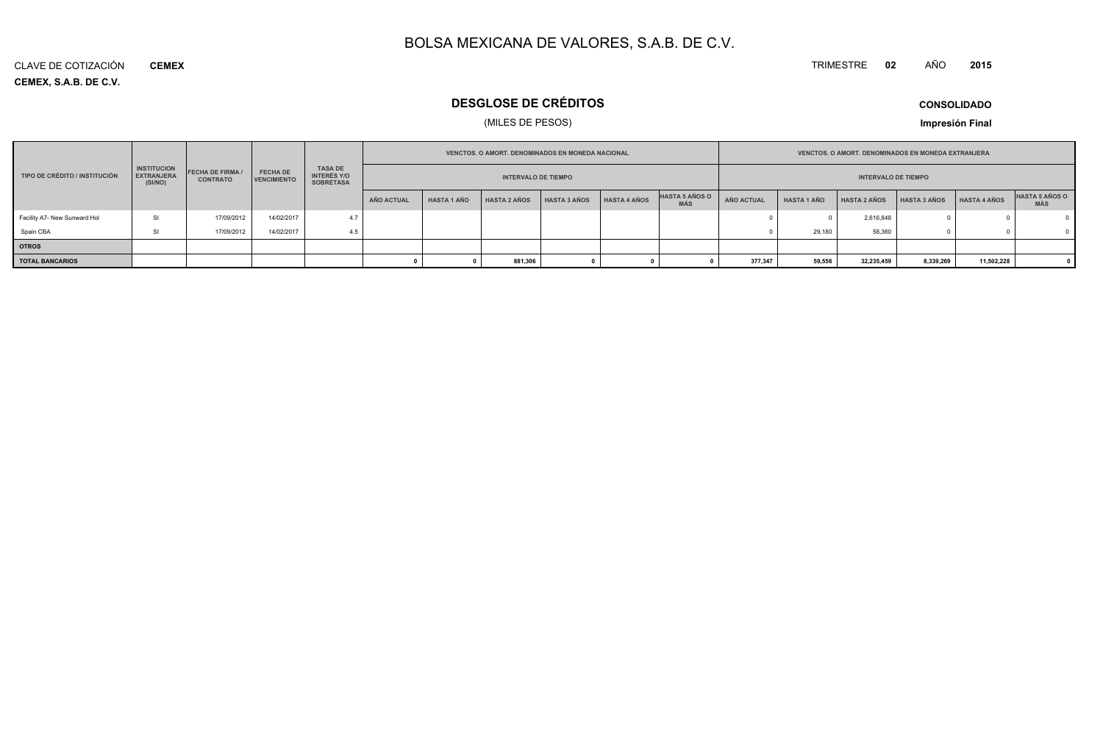#### TRIMESTRE **<sup>02</sup>** AÑO**<sup>2015</sup>**

**CEMEX, S.A.B. DE C.V.** CLAVE DE COTIZACIÓN**CEMEX**

### **DESGLOSE DE CRÉDITOS**

### (MILES DE PESOS)

**CONSOLIDADO**

|                               |                                                    |                                            |                                |                                                          |                            |                    | <b>VENCTOS, O AMORT, DENOMINADOS EN MONEDA NACIONAL</b> |              |                     |                                     |            |                    | <b>VENCTOS, O AMORT, DENOMINADOS EN MONEDA EXTRANJERA</b> |                     |                     |                              |
|-------------------------------|----------------------------------------------------|--------------------------------------------|--------------------------------|----------------------------------------------------------|----------------------------|--------------------|---------------------------------------------------------|--------------|---------------------|-------------------------------------|------------|--------------------|-----------------------------------------------------------|---------------------|---------------------|------------------------------|
| TIPO DE CRÉDITO / INSTITUCIÓN | <b>INSTITUCION</b><br><b>EXTRANJERA</b><br>(SI/NO) | <b>FECHA DE FIRMA /</b><br><b>CONTRATO</b> | <b>FECHA DE</b><br>VENCIMIENTO | <b>TASA DE</b><br><b>INTERÉS Y/O</b><br><b>SOBRETASA</b> | <b>INTERVALO DE TIEMPO</b> |                    |                                                         |              |                     | <b>INTERVALO DE TIEMPO</b>          |            |                    |                                                           |                     |                     |                              |
|                               |                                                    |                                            |                                |                                                          | AÑO ACTUAL                 | <b>HASTA 1 AÑO</b> | <b>HASTA 2 AÑOS</b>                                     | HASTA 3 AÑOS | <b>HASTA 4 AÑOS</b> | <b>HASTA 5 AÑOS O</b><br><b>MÁS</b> | AÑO ACTUAL | <b>HASTA 1 AÑO</b> | <b>HASTA 2 AÑOS</b>                                       | <b>HASTA 3 AÑOS</b> | <b>HASTA 4 AÑOS</b> | HASTA 5 AÑOS O<br><b>MÁS</b> |
| Facility A7- New Sunward Hol  | <b>SI</b>                                          | 17/09/2012                                 | 14/02/2017                     | 4.7                                                      |                            |                    |                                                         |              |                     |                                     |            |                    | 2,616,848                                                 |                     |                     |                              |
| Spain CBA                     | <b>SI</b>                                          | 17/09/2012                                 | 14/02/2017                     | 4.5                                                      |                            |                    |                                                         |              |                     |                                     |            | 29.180             | 58,360                                                    |                     |                     |                              |
| <b>OTROS</b>                  |                                                    |                                            |                                |                                                          |                            |                    |                                                         |              |                     |                                     |            |                    |                                                           |                     |                     |                              |
| <b>TOTAL BANCARIOS</b>        |                                                    |                                            |                                |                                                          |                            |                    | 881,306                                                 |              |                     |                                     | 377,347    | 59,556             | 32,235,459                                                | 8,339,269           | 11,502,228          |                              |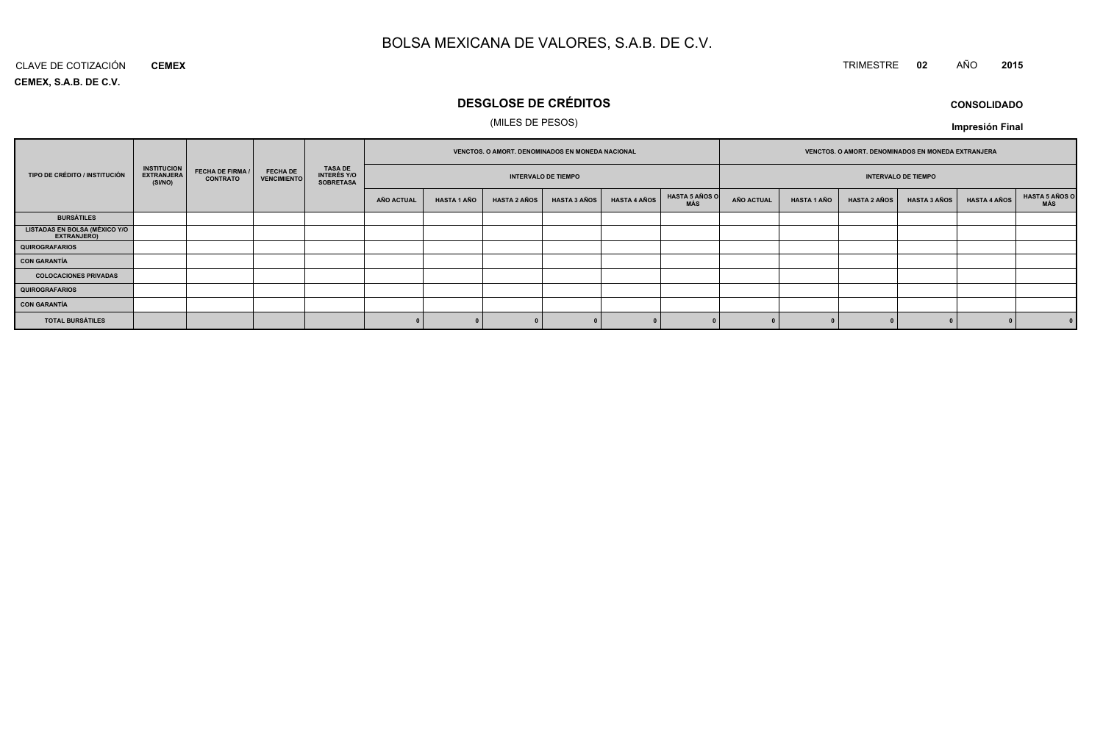### TRIMESTRE **<sup>02</sup>** AÑO **<sup>2015</sup>**

**CEMEX, S.A.B. DE C.V.**CLAVE DE COTIZACIÓN**CEMEX**

### **DESGLOSE DE CRÉDITOS**

### (MILES DE PESOS)

**CONSOLIDADOImpresión Final**

|                                                     |                                                    |                                            |                                       |                                                          |                            | VENCTOS. O AMORT. DENOMINADOS EN MONEDA NACIONAL |                     |                     |                            | VENCTOS. O AMORT. DENOMINADOS EN MONEDA EXTRANJERA |                   |                    |                     |                     |                     |                       |
|-----------------------------------------------------|----------------------------------------------------|--------------------------------------------|---------------------------------------|----------------------------------------------------------|----------------------------|--------------------------------------------------|---------------------|---------------------|----------------------------|----------------------------------------------------|-------------------|--------------------|---------------------|---------------------|---------------------|-----------------------|
| TIPO DE CRÉDITO / INSTITUCIÓN                       | <b>INSTITUCION</b><br><b>EXTRANJERA</b><br>(SI/NO) | <b>FECHA DE FIRMA /</b><br><b>CONTRATO</b> | <b>FECHA DE</b><br><b>VENCIMIENTO</b> | <b>TASA DE</b><br><b>INTERÉS Y/O</b><br><b>SOBRETASA</b> | <b>INTERVALO DE TIEMPO</b> |                                                  |                     |                     | <b>INTERVALO DE TIEMPO</b> |                                                    |                   |                    |                     |                     |                     |                       |
|                                                     |                                                    |                                            |                                       |                                                          | <b>AÑO ACTUAL</b>          | <b>HASTA 1 AÑO</b>                               | <b>HASTA 2 AÑOS</b> | <b>HASTA 3 AÑOS</b> | <b>HASTA 4 AÑOS</b>        | <b>HASTA 5 AÑOS O</b><br>MÁS                       | <b>AÑO ACTUAL</b> | <b>HASTA 1 AÑO</b> | <b>HASTA 2 AÑOS</b> | <b>HASTA 3 AÑOS</b> | <b>HASTA 4 AÑOS</b> | HASTA 5 AÑOS C<br>MÁS |
| <b>BURSÁTILES</b>                                   |                                                    |                                            |                                       |                                                          |                            |                                                  |                     |                     |                            |                                                    |                   |                    |                     |                     |                     |                       |
| <b>LISTADAS EN BOLSA (MÉXICO Y/O</b><br>EXTRANJERO) |                                                    |                                            |                                       |                                                          |                            |                                                  |                     |                     |                            |                                                    |                   |                    |                     |                     |                     |                       |
| <b>QUIROGRAFARIOS</b>                               |                                                    |                                            |                                       |                                                          |                            |                                                  |                     |                     |                            |                                                    |                   |                    |                     |                     |                     |                       |
| <b>CON GARANTÍA</b>                                 |                                                    |                                            |                                       |                                                          |                            |                                                  |                     |                     |                            |                                                    |                   |                    |                     |                     |                     |                       |
| <b>COLOCACIONES PRIVADAS</b>                        |                                                    |                                            |                                       |                                                          |                            |                                                  |                     |                     |                            |                                                    |                   |                    |                     |                     |                     |                       |
| <b>QUIROGRAFARIOS</b>                               |                                                    |                                            |                                       |                                                          |                            |                                                  |                     |                     |                            |                                                    |                   |                    |                     |                     |                     |                       |
| <b>CON GARANTÍA</b>                                 |                                                    |                                            |                                       |                                                          |                            |                                                  |                     |                     |                            |                                                    |                   |                    |                     |                     |                     |                       |
| <b>TOTAL BURSÁTILES</b>                             |                                                    |                                            |                                       |                                                          |                            |                                                  |                     |                     |                            |                                                    |                   |                    |                     |                     |                     | 0                     |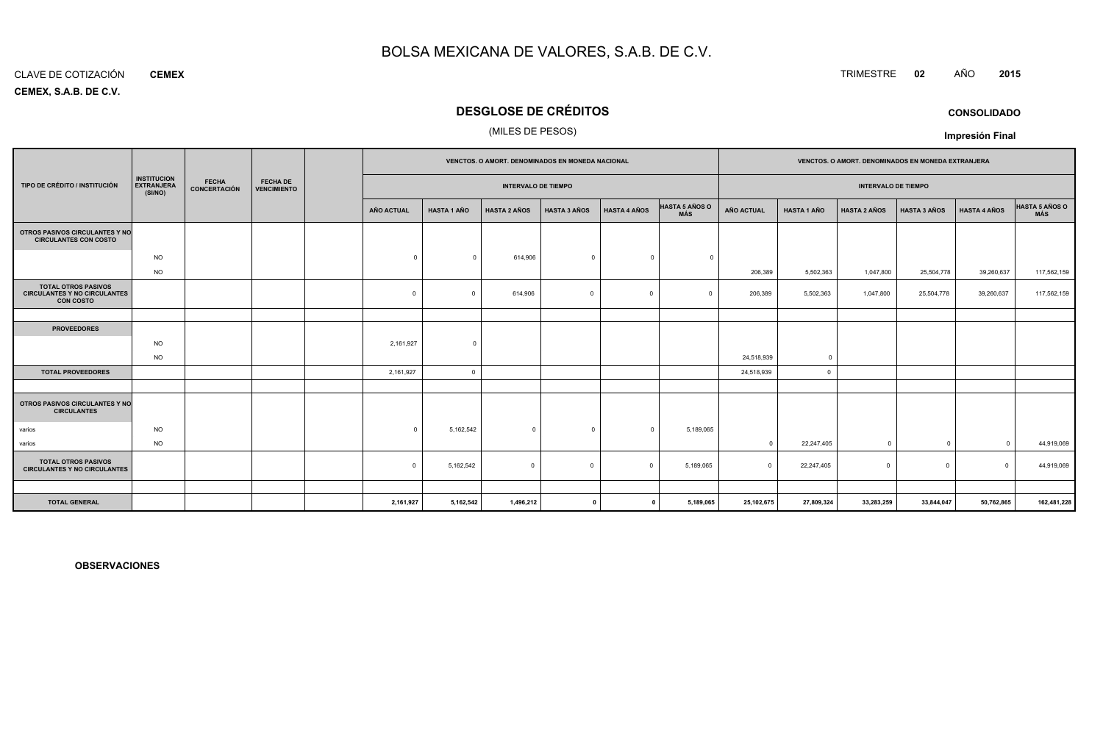#### CLAVE DE COTIZACIÓN**CEMEX**

**CEMEX, S.A.B. DE C.V.**

### **DESGLOSE DE CRÉDITOS**

### (MILES DE PESOS)

|                                                                                       |                                                    |                              | VENCTOS. O AMORT. DENOMINADOS EN MONEDA NACIONAL |                   |                    |                            |                     | VENCTOS. O AMORT. DENOMINADOS EN MONEDA EXTRANJERA |                              |                            |                    |                     |                     |                     |                              |
|---------------------------------------------------------------------------------------|----------------------------------------------------|------------------------------|--------------------------------------------------|-------------------|--------------------|----------------------------|---------------------|----------------------------------------------------|------------------------------|----------------------------|--------------------|---------------------|---------------------|---------------------|------------------------------|
| TIPO DE CRÉDITO / INSTITUCIÓN                                                         | <b>INSTITUCION</b><br><b>EXTRANJERA</b><br>(SI/NO) | <b>FECHA</b><br>CONCERTACIÓN | <b>FECHA DE</b><br><b>VENCIMIENTO</b>            |                   |                    | <b>INTERVALO DE TIEMPO</b> |                     |                                                    |                              | <b>INTERVALO DE TIEMPO</b> |                    |                     |                     |                     |                              |
|                                                                                       |                                                    |                              |                                                  | <b>AÑO ACTUAL</b> | <b>HASTA 1 AÑO</b> | <b>HASTA 2 AÑOS</b>        | <b>HASTA 3 AÑOS</b> | <b>HASTA 4 AÑOS</b>                                | <b>HASTA 5 AÑOS O</b><br>MÁS | AÑO ACTUAL                 | <b>HASTA 1 AÑO</b> | <b>HASTA 2 AÑOS</b> | <b>HASTA 3 AÑOS</b> | <b>HASTA 4 AÑOS</b> | <b>HASTA 5 AÑOS O</b><br>MÁS |
| OTROS PASIVOS CIRCULANTES Y NO<br><b>CIRCULANTES CON COSTO</b>                        |                                                    |                              |                                                  |                   |                    |                            |                     |                                                    |                              |                            |                    |                     |                     |                     |                              |
|                                                                                       | <b>NO</b><br><b>NO</b>                             |                              |                                                  | $\Omega$          | $\Omega$           | 614,906                    | $\Omega$            | $^{\circ}$                                         | $\Omega$                     | 206,389                    | 5,502,363          | 1,047,800           | 25,504,778          | 39,260,637          | 117,562,159                  |
| <b>TOTAL OTROS PASIVOS</b><br><b>CIRCULANTES Y NO CIRCULANTES</b><br><b>CON COSTO</b> |                                                    |                              |                                                  | $\Omega$          | $\Omega$           | 614,906                    | $\Omega$            | $\Omega$                                           | $\Omega$                     | 206,389                    | 5,502,363          | 1,047,800           | 25,504,778          | 39,260,637          | 117,562,159                  |
|                                                                                       |                                                    |                              |                                                  |                   |                    |                            |                     |                                                    |                              |                            |                    |                     |                     |                     |                              |
| <b>PROVEEDORES</b>                                                                    |                                                    |                              |                                                  |                   |                    |                            |                     |                                                    |                              |                            |                    |                     |                     |                     |                              |
|                                                                                       | <b>NO</b>                                          |                              |                                                  | 2,161,927         | $\Omega$           |                            |                     |                                                    |                              |                            |                    |                     |                     |                     |                              |
|                                                                                       | <b>NO</b>                                          |                              |                                                  |                   |                    |                            |                     |                                                    |                              | 24,518,939                 | $\Omega$           |                     |                     |                     |                              |
| <b>TOTAL PROVEEDORES</b>                                                              |                                                    |                              |                                                  | 2,161,927         | $\Omega$           |                            |                     |                                                    |                              | 24,518,939                 | $\overline{0}$     |                     |                     |                     |                              |
|                                                                                       |                                                    |                              |                                                  |                   |                    |                            |                     |                                                    |                              |                            |                    |                     |                     |                     |                              |
| OTROS PASIVOS CIRCULANTES Y NO<br><b>CIRCULANTES</b>                                  |                                                    |                              |                                                  |                   |                    |                            |                     |                                                    |                              |                            |                    |                     |                     |                     |                              |
| varios                                                                                | <b>NO</b>                                          |                              |                                                  | $\Omega$          | 5,162,542          | $\overline{0}$             |                     | $\circ$                                            | 5,189,065                    |                            |                    |                     |                     |                     |                              |
| varios                                                                                | <b>NO</b>                                          |                              |                                                  |                   |                    |                            |                     |                                                    |                              | $\mathbf{0}$               | 22,247,405         | $\overline{0}$      | $^{\circ}$          | $\Omega$            | 44,919,069                   |
| <b>TOTAL OTROS PASIVOS</b><br><b>CIRCULANTES Y NO CIRCULANTES</b>                     |                                                    |                              |                                                  | $\Omega$          | 5,162,542          | $\mathbf 0$                | $\Omega$            | $\Omega$                                           | 5,189,065                    | $\Omega$                   | 22,247,405         | $\Omega$            | $\mathbf 0$         | $\Omega$            | 44,919,069                   |
|                                                                                       |                                                    |                              |                                                  |                   |                    |                            |                     |                                                    |                              |                            |                    |                     |                     |                     |                              |
| <b>TOTAL GENERAL</b>                                                                  |                                                    |                              |                                                  | 2,161,927         | 5,162,542          | 1,496,212                  |                     | $\mathbf{0}$                                       | 5,189,065                    | 25,102,675                 | 27,809,324         | 33,283,259          | 33,844,047          | 50,762,865          | 162,481,228                  |

**OBSERVACIONES**

TRIMESTRE **<sup>02</sup>** AÑO **<sup>2015</sup>**

**CONSOLIDADO**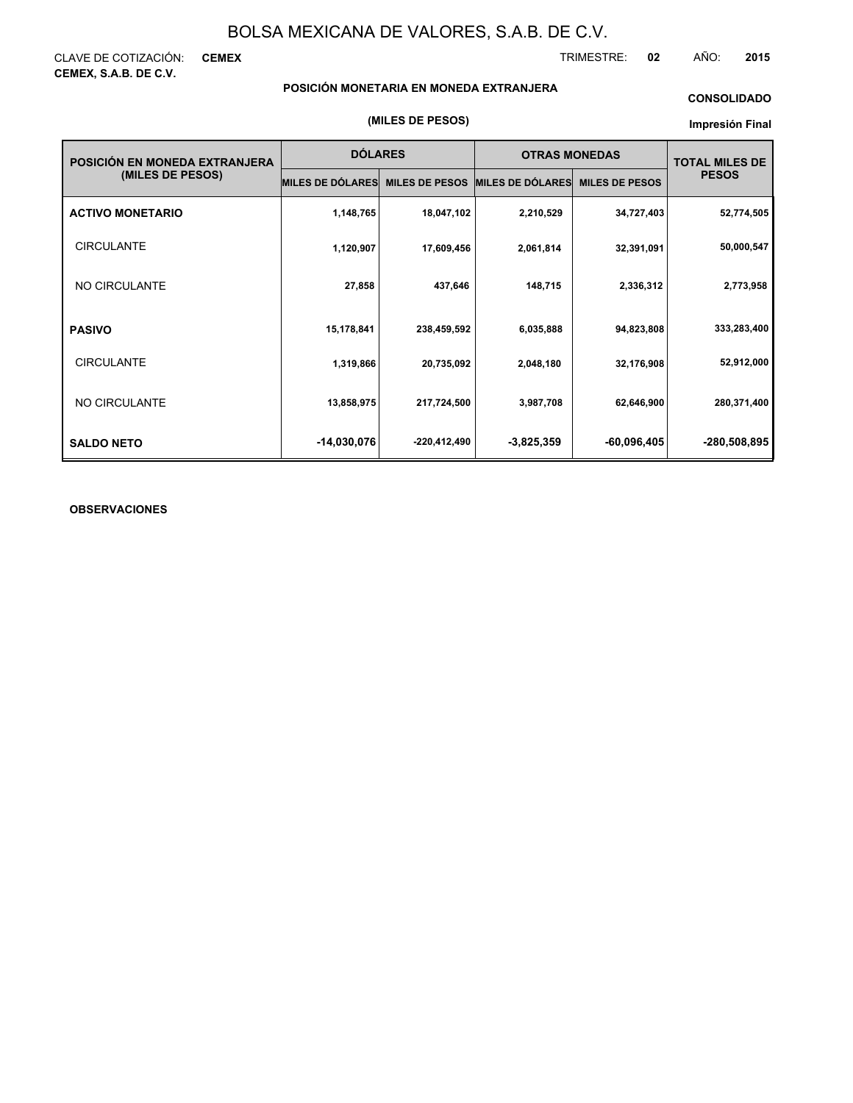CLAVE DE COTIZACIÓN: **CEMEX CEMEX, S.A.B. DE C.V.**

TRIMESTRE: **02** AÑO: **2015**

### **POSICIÓN MONETARIA EN MONEDA EXTRANJERA**

### **CONSOLIDADO**

### **Impresión Final**

| POSICIÓN EN MONEDA EXTRANJERA | <b>DÓLARES</b>          |                       | <b>OTRAS MONEDAS</b>    |                       | <b>TOTAL MILES DE</b><br><b>PESOS</b> |  |
|-------------------------------|-------------------------|-----------------------|-------------------------|-----------------------|---------------------------------------|--|
| (MILES DE PESOS)              | <b>MILES DE DÓLARES</b> | <b>MILES DE PESOS</b> | <b>MILES DE DÓLARES</b> | <b>MILES DE PESOS</b> |                                       |  |
| <b>ACTIVO MONETARIO</b>       | 1,148,765               | 18,047,102            | 2,210,529               | 34,727,403            | 52,774,505                            |  |
| <b>CIRCULANTE</b>             | 1,120,907               | 17,609,456            | 2,061,814               | 32,391,091            | 50,000,547                            |  |
| NO CIRCULANTE                 | 27,858                  | 437,646               | 148,715                 | 2,336,312             | 2,773,958                             |  |
| <b>PASIVO</b>                 | 15,178,841              | 238,459,592           | 6,035,888               | 94,823,808            | 333,283,400                           |  |
| <b>CIRCULANTE</b>             | 1,319,866               | 20,735,092            | 2,048,180               | 32,176,908            | 52,912,000                            |  |
| NO CIRCULANTE                 | 13,858,975              | 217,724,500           | 3,987,708               | 62,646,900            | 280,371,400                           |  |
| <b>SALDO NETO</b>             | $-14,030,076$           | -220,412,490          | $-3,825,359$            | -60,096,405           | -280,508,895                          |  |

### **OBSERVACIONES**

### **(MILES DE PESOS)**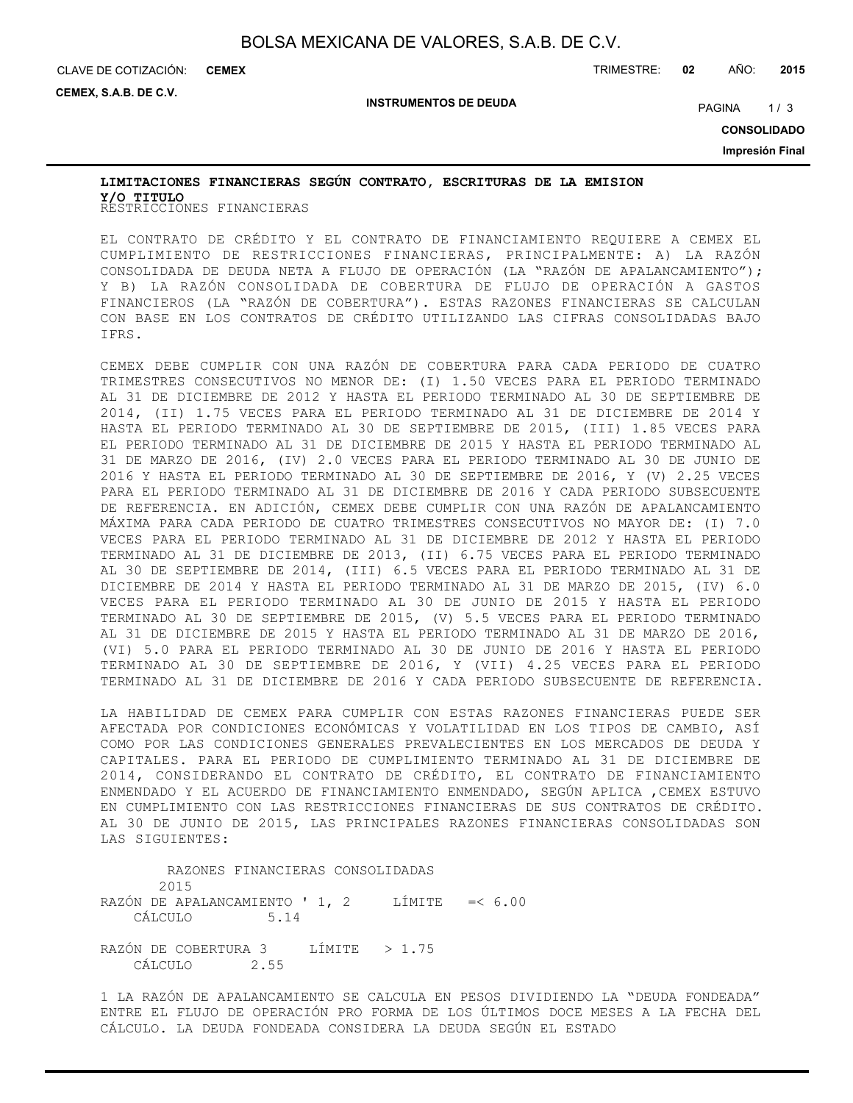CLAVE DE COTIZACIÓN: TRIMESTRE: **02** AÑO: **2015 CEMEX**

**CEMEX, S.A.B. DE C.V.**

**INSTRUMENTOS DE DEUDA**

PAGINA 1/3

**CONSOLIDADO**

**Impresión Final**

### RESTRICCIONES FINANCIERAS **Y/O TITULOLIMITACIONES FINANCIERAS SEGÚN CONTRATO, ESCRITURAS DE LA EMISION**

EL CONTRATO DE CRÉDITO Y EL CONTRATO DE FINANCIAMIENTO REQUIERE A CEMEX EL CUMPLIMIENTO DE RESTRICCIONES FINANCIERAS, PRINCIPALMENTE: A) LA RAZÓN CONSOLIDADA DE DEUDA NETA A FLUJO DE OPERACIÓN (LA "RAZÓN DE APALANCAMIENTO"); Y B) LA RAZÓN CONSOLIDADA DE COBERTURA DE FLUJO DE OPERACIÓN A GASTOS FINANCIEROS (LA "RAZÓN DE COBERTURA"). ESTAS RAZONES FINANCIERAS SE CALCULAN CON BASE EN LOS CONTRATOS DE CRÉDITO UTILIZANDO LAS CIFRAS CONSOLIDADAS BAJO IFRS.

CEMEX DEBE CUMPLIR CON UNA RAZÓN DE COBERTURA PARA CADA PERIODO DE CUATRO TRIMESTRES CONSECUTIVOS NO MENOR DE: (I) 1.50 VECES PARA EL PERIODO TERMINADO AL 31 DE DICIEMBRE DE 2012 Y HASTA EL PERIODO TERMINADO AL 30 DE SEPTIEMBRE DE 2014, (II) 1.75 VECES PARA EL PERIODO TERMINADO AL 31 DE DICIEMBRE DE 2014 Y HASTA EL PERIODO TERMINADO AL 30 DE SEPTIEMBRE DE 2015, (III) 1.85 VECES PARA EL PERIODO TERMINADO AL 31 DE DICIEMBRE DE 2015 Y HASTA EL PERIODO TERMINADO AL 31 DE MARZO DE 2016, (IV) 2.0 VECES PARA EL PERIODO TERMINADO AL 30 DE JUNIO DE 2016 Y HASTA EL PERIODO TERMINADO AL 30 DE SEPTIEMBRE DE 2016, Y (V) 2.25 VECES PARA EL PERIODO TERMINADO AL 31 DE DICIEMBRE DE 2016 Y CADA PERIODO SUBSECUENTE DE REFERENCIA. EN ADICIÓN, CEMEX DEBE CUMPLIR CON UNA RAZÓN DE APALANCAMIENTO MÁXIMA PARA CADA PERIODO DE CUATRO TRIMESTRES CONSECUTIVOS NO MAYOR DE: (I) 7.0 VECES PARA EL PERIODO TERMINADO AL 31 DE DICIEMBRE DE 2012 Y HASTA EL PERIODO TERMINADO AL 31 DE DICIEMBRE DE 2013, (II) 6.75 VECES PARA EL PERIODO TERMINADO AL 30 DE SEPTIEMBRE DE 2014, (III) 6.5 VECES PARA EL PERIODO TERMINADO AL 31 DE DICIEMBRE DE 2014 Y HASTA EL PERIODO TERMINADO AL 31 DE MARZO DE 2015, (IV) 6.0 VECES PARA EL PERIODO TERMINADO AL 30 DE JUNIO DE 2015 Y HASTA EL PERIODO TERMINADO AL 30 DE SEPTIEMBRE DE 2015, (V) 5.5 VECES PARA EL PERIODO TERMINADO AL 31 DE DICIEMBRE DE 2015 Y HASTA EL PERIODO TERMINADO AL 31 DE MARZO DE 2016, (VI) 5.0 PARA EL PERIODO TERMINADO AL 30 DE JUNIO DE 2016 Y HASTA EL PERIODO TERMINADO AL 30 DE SEPTIEMBRE DE 2016, Y (VII) 4.25 VECES PARA EL PERIODO TERMINADO AL 31 DE DICIEMBRE DE 2016 Y CADA PERIODO SUBSECUENTE DE REFERENCIA.

LA HABILIDAD DE CEMEX PARA CUMPLIR CON ESTAS RAZONES FINANCIERAS PUEDE SER AFECTADA POR CONDICIONES ECONÓMICAS Y VOLATILIDAD EN LOS TIPOS DE CAMBIO, ASÍ COMO POR LAS CONDICIONES GENERALES PREVALECIENTES EN LOS MERCADOS DE DEUDA Y CAPITALES. PARA EL PERIODO DE CUMPLIMIENTO TERMINADO AL 31 DE DICIEMBRE DE 2014, CONSIDERANDO EL CONTRATO DE CRÉDITO, EL CONTRATO DE FINANCIAMIENTO ENMENDADO Y EL ACUERDO DE FINANCIAMIENTO ENMENDADO, SEGÚN APLICA ,CEMEX ESTUVO EN CUMPLIMIENTO CON LAS RESTRICCIONES FINANCIERAS DE SUS CONTRATOS DE CRÉDITO. AL 30 DE JUNIO DE 2015, LAS PRINCIPALES RAZONES FINANCIERAS CONSOLIDADAS SON LAS SIGUIENTES:

 RAZONES FINANCIERAS CONSOLIDADAS 2015 RAZÓN DE APALANCAMIENTO ' 1, 2 LÍMITE =< 6.00 CÁLCULO 5.14 RAZÓN DE COBERTURA 3 LÍMITE > 1.75 CÁLCULO 2.55

1 LA RAZÓN DE APALANCAMIENTO SE CALCULA EN PESOS DIVIDIENDO LA "DEUDA FONDEADA" ENTRE EL FLUJO DE OPERACIÓN PRO FORMA DE LOS ÚLTIMOS DOCE MESES A LA FECHA DEL CÁLCULO. LA DEUDA FONDEADA CONSIDERA LA DEUDA SEGÚN EL ESTADO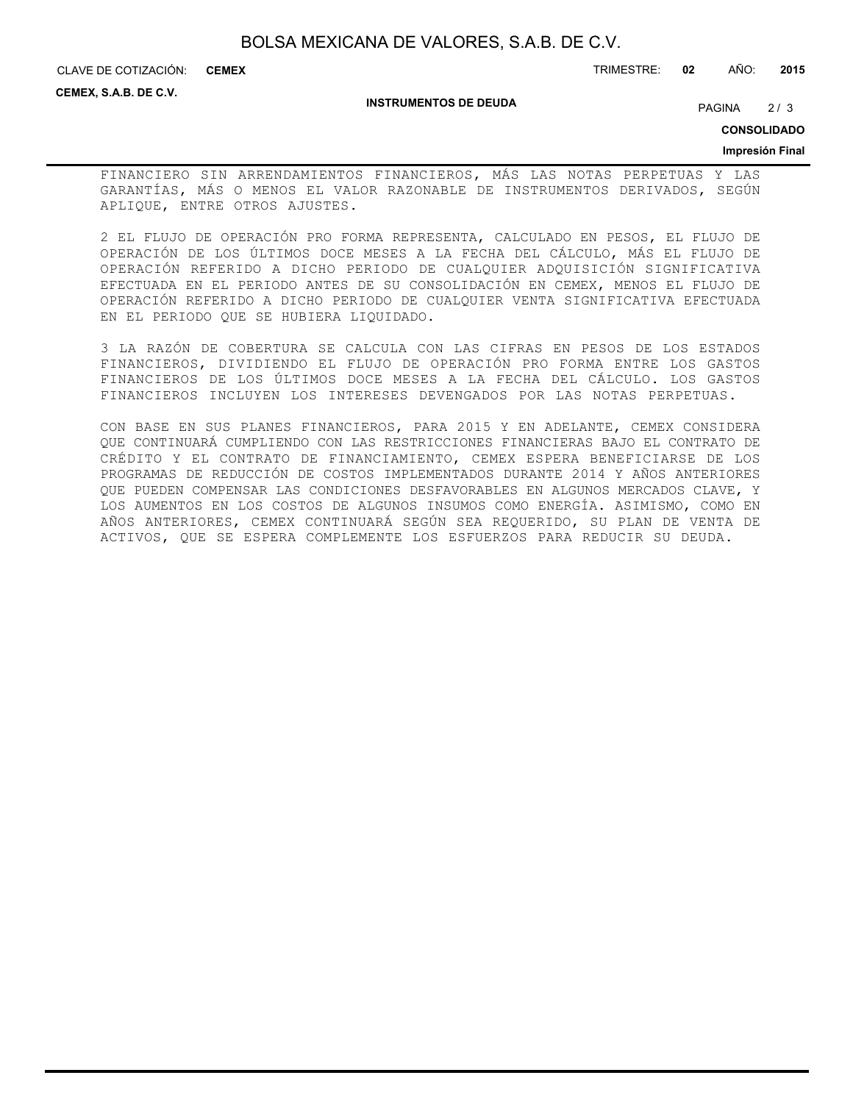**CEMEX**

CLAVE DE COTIZACIÓN: TRIMESTRE: **02** AÑO: **2015**

**CEMEX, S.A.B. DE C.V.**

#### **INSTRUMENTOS DE DEUDA**

PAGINA 2/3

**CONSOLIDADO**

### **Impresión Final**

FINANCIERO SIN ARRENDAMIENTOS FINANCIEROS, MÁS LAS NOTAS PERPETUAS Y LAS GARANTÍAS, MÁS O MENOS EL VALOR RAZONABLE DE INSTRUMENTOS DERIVADOS, SEGÚN APLIQUE, ENTRE OTROS AJUSTES.

2 EL FLUJO DE OPERACIÓN PRO FORMA REPRESENTA, CALCULADO EN PESOS, EL FLUJO DE OPERACIÓN DE LOS ÚLTIMOS DOCE MESES A LA FECHA DEL CÁLCULO, MÁS EL FLUJO DE OPERACIÓN REFERIDO A DICHO PERIODO DE CUALQUIER ADQUISICIÓN SIGNIFICATIVA EFECTUADA EN EL PERIODO ANTES DE SU CONSOLIDACIÓN EN CEMEX, MENOS EL FLUJO DE OPERACIÓN REFERIDO A DICHO PERIODO DE CUALQUIER VENTA SIGNIFICATIVA EFECTUADA EN EL PERIODO QUE SE HUBIERA LIQUIDADO.

3 LA RAZÓN DE COBERTURA SE CALCULA CON LAS CIFRAS EN PESOS DE LOS ESTADOS FINANCIEROS, DIVIDIENDO EL FLUJO DE OPERACIÓN PRO FORMA ENTRE LOS GASTOS FINANCIEROS DE LOS ÚLTIMOS DOCE MESES A LA FECHA DEL CÁLCULO. LOS GASTOS FINANCIEROS INCLUYEN LOS INTERESES DEVENGADOS POR LAS NOTAS PERPETUAS.

CON BASE EN SUS PLANES FINANCIEROS, PARA 2015 Y EN ADELANTE, CEMEX CONSIDERA QUE CONTINUARÁ CUMPLIENDO CON LAS RESTRICCIONES FINANCIERAS BAJO EL CONTRATO DE CRÉDITO Y EL CONTRATO DE FINANCIAMIENTO, CEMEX ESPERA BENEFICIARSE DE LOS PROGRAMAS DE REDUCCIÓN DE COSTOS IMPLEMENTADOS DURANTE 2014 Y AÑOS ANTERIORES QUE PUEDEN COMPENSAR LAS CONDICIONES DESFAVORABLES EN ALGUNOS MERCADOS CLAVE, Y LOS AUMENTOS EN LOS COSTOS DE ALGUNOS INSUMOS COMO ENERGÍA. ASIMISMO, COMO EN AÑOS ANTERIORES, CEMEX CONTINUARÁ SEGÚN SEA REQUERIDO, SU PLAN DE VENTA DE ACTIVOS, QUE SE ESPERA COMPLEMENTE LOS ESFUERZOS PARA REDUCIR SU DEUDA.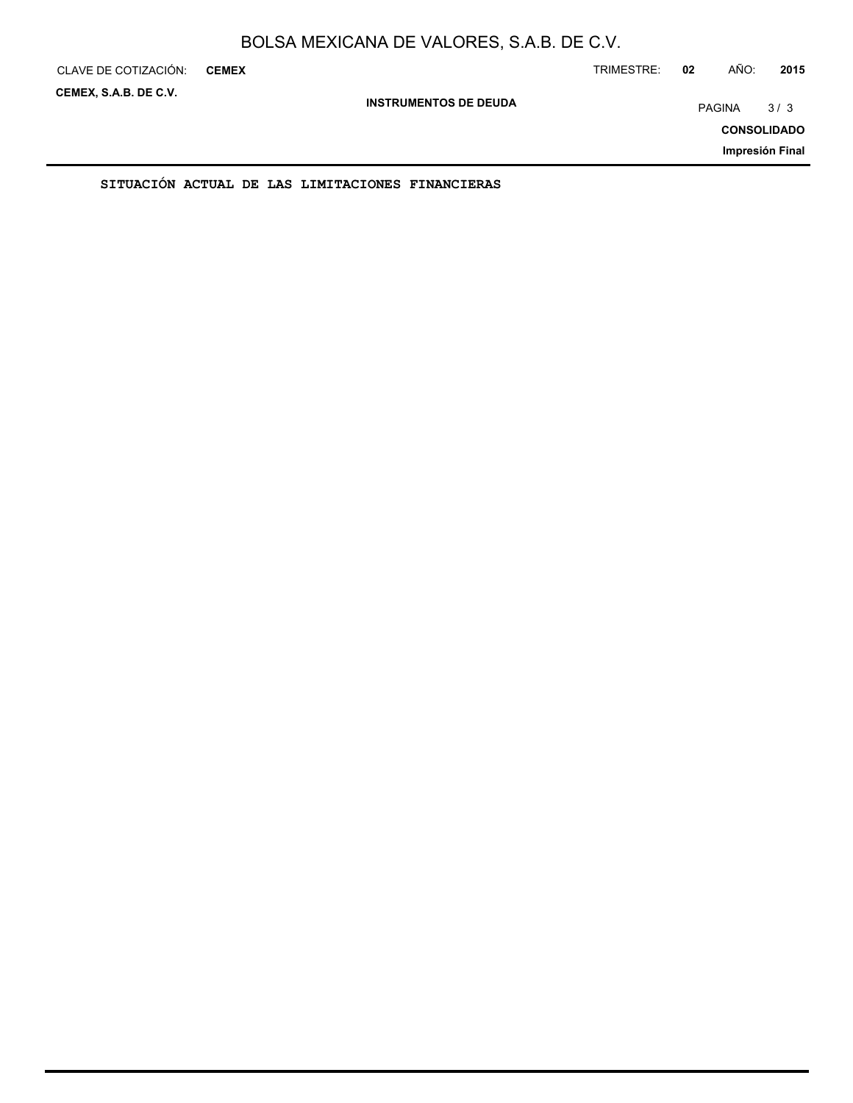| CLAVE DE COTIZACIÓN:                                  | <b>CEMEX</b> |  |                                                  |  |  | TRIMESTRE: | 02 | AÑO:               | 2015            |
|-------------------------------------------------------|--------------|--|--------------------------------------------------|--|--|------------|----|--------------------|-----------------|
| CEMEX, S.A.B. DE C.V.<br><b>INSTRUMENTOS DE DEUDA</b> |              |  |                                                  |  |  |            |    | PAGINA             | 3/3             |
|                                                       |              |  |                                                  |  |  |            |    | <b>CONSOLIDADO</b> |                 |
|                                                       |              |  |                                                  |  |  |            |    |                    | Impresión Final |
|                                                       |              |  | SITUACION ACTUAL DE LAS LIMITACIONES FINANCIERAS |  |  |            |    |                    |                 |

ON ACTUAL DE LAS LIMITACIONES FINANCIE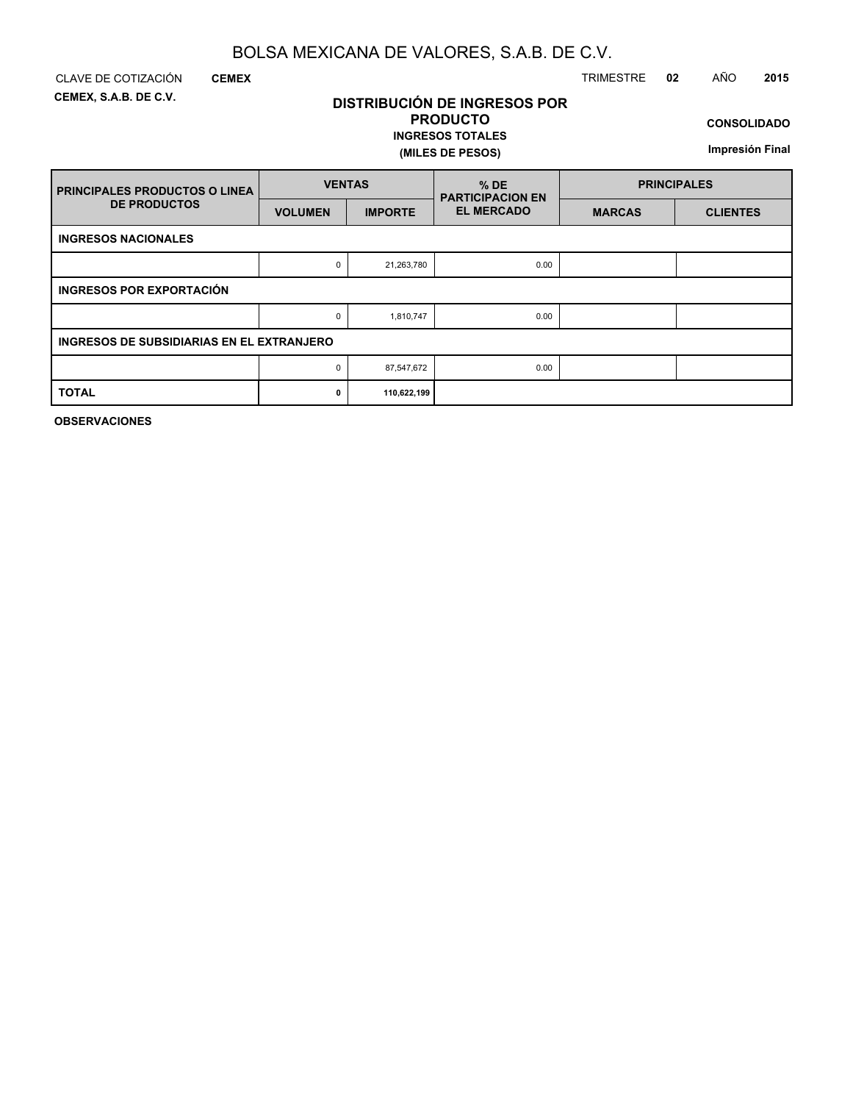**DISTRIBUCIÓN DE INGRESOS POR PRODUCTO**

**INGRESOS TOTALES**

**(MILES DE PESOS)**

**CEMEX, S.A.B. DE C.V.**

### CLAVE DE COTIZACIÓN TRIMESTRE **02** AÑO **2015**

**CONSOLIDADO**

**Impresión Final**

| <b>FRINCIPALES PRODUCTOS O LINEA</b>      | <b>VENTAS</b>  |                | $%$ DE<br><b>PARTICIPACION EN</b> | <b>PRINCIPALES</b> |                 |  |  |  |  |  |  |
|-------------------------------------------|----------------|----------------|-----------------------------------|--------------------|-----------------|--|--|--|--|--|--|
| <b>DE PRODUCTOS</b>                       | <b>VOLUMEN</b> | <b>IMPORTE</b> | <b>EL MERCADO</b>                 | <b>MARCAS</b>      | <b>CLIENTES</b> |  |  |  |  |  |  |
| <b>INGRESOS NACIONALES</b>                |                |                |                                   |                    |                 |  |  |  |  |  |  |
|                                           | 0              | 21,263,780     | 0.00                              |                    |                 |  |  |  |  |  |  |
| <b>INGRESOS POR EXPORTACIÓN</b>           |                |                |                                   |                    |                 |  |  |  |  |  |  |
|                                           | 0              | 1,810,747      | 0.00                              |                    |                 |  |  |  |  |  |  |
| INGRESOS DE SUBSIDIARIAS EN EL EXTRANJERO |                |                |                                   |                    |                 |  |  |  |  |  |  |
|                                           | 0              | 87,547,672     | 0.00                              |                    |                 |  |  |  |  |  |  |
| <b>TOTAL</b>                              | $\mathbf{0}$   | 110,622,199    |                                   |                    |                 |  |  |  |  |  |  |

**OBSERVACIONES**

**CEMEX**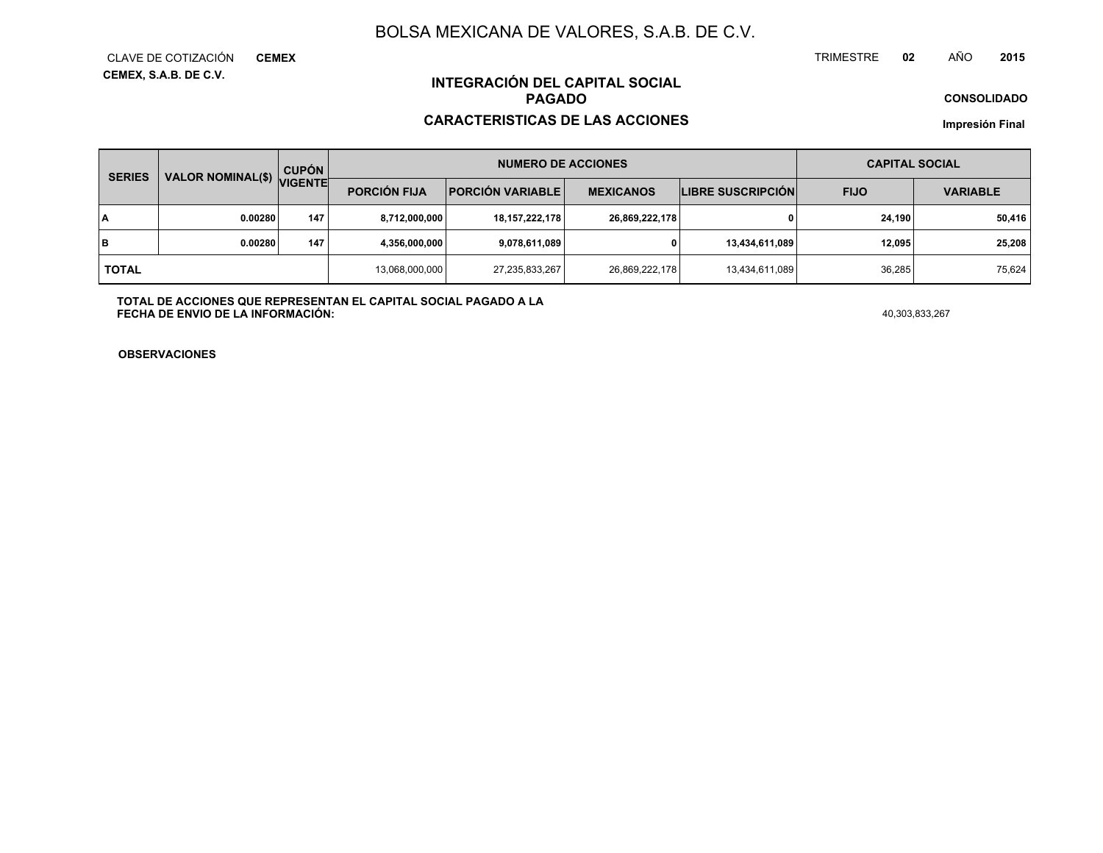**CEMEX, S.A.B. DE C.V.** CLAVE DE COTIZACIÓN**CEMEX**

#### TRIMESTRE **<sup>02</sup>** AÑO**<sup>2015</sup>**

**CONSOLIDADO**

### **INTEGRACIÓN DEL CAPITAL SOCIALPAGADO**

### **CARACTERISTICAS DE LAS ACCIONES**

**Impresión Final**

| <b>SERIES</b> | <b>VALOR NOMINAL(\$)</b> | <b>CUPÓN</b><br><b>VIGENTE</b> | <b>NUMERO DE ACCIONES</b> |                         |                  |                          | <b>CAPITAL SOCIAL</b> |                 |
|---------------|--------------------------|--------------------------------|---------------------------|-------------------------|------------------|--------------------------|-----------------------|-----------------|
|               |                          |                                | <b>PORCIÓN FIJA</b>       | <b>PORCIÓN VARIABLE</b> | <b>MEXICANOS</b> | <b>LIBRE SUSCRIPCIÓN</b> | <b>FIJO</b>           | <b>VARIABLE</b> |
| I٨            | 0.00280                  | 147                            | 8,712,000,000             | 18, 157, 222, 178       | 26,869,222,178   | 0                        | 24.190                | 50,416          |
| lв            | 0.00280                  | 147                            | 4,356,000,000             | 9,078,611,089           |                  | 13,434,611,089           | 12,095                | 25,208          |
| <b>TOTAL</b>  |                          |                                | 13,068,000,000            | 27,235,833,267          | 26,869,222,178   | 13,434,611,089           | 36.285                | 75,624          |

**TOTAL DE ACCIONES QUE REPRESENTAN EL CAPITAL SOCIAL PAGADO A LAFECHA DE ENVIO DE LA INFORMACIÓN:** $^{40,303,833,267}$ 

**OBSERVACIONES**